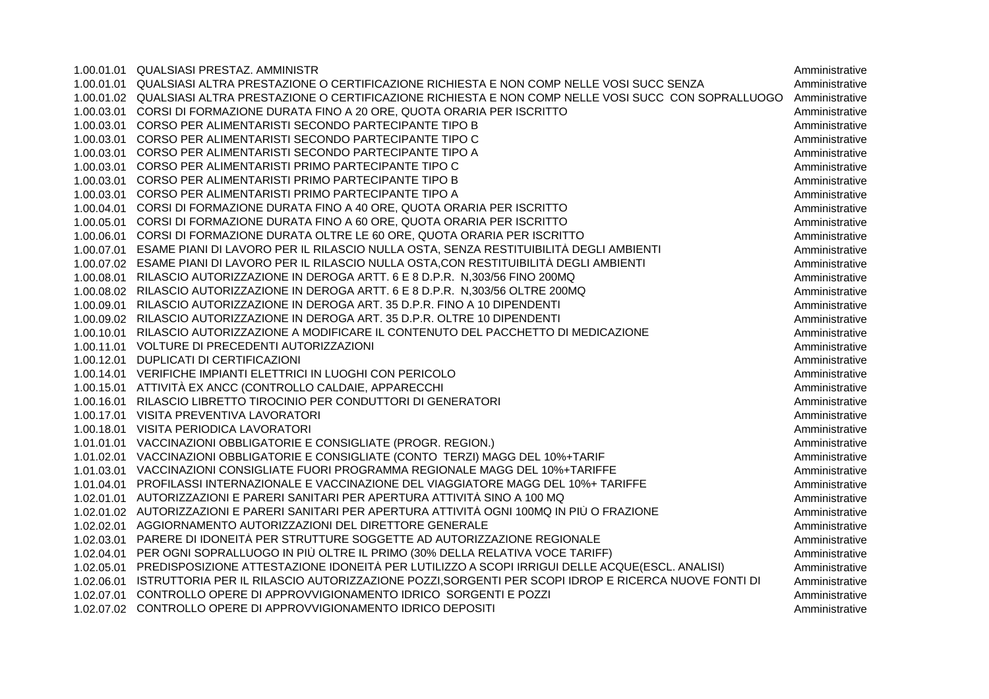| 1.00.01.01 QUALSIASI PRESTAZ. AMMINISTR                                                                        | Amministrative |
|----------------------------------------------------------------------------------------------------------------|----------------|
| 1.00.01.01 QUALSIASI ALTRA PRESTAZIONE O CERTIFICAZIONE RICHIESTA E NON COMP NELLE VOSI SUCC SENZA             | Amministrative |
| 1.00.01.02 QUALSIASI ALTRA PRESTAZIONE O CERTIFICAZIONE RICHIESTA E NON COMP NELLE VOSI SUCC CON SOPRALLUOGO   | Amministrative |
| 1.00.03.01 CORSI DI FORMAZIONE DURATA FINO A 20 ORE, QUOTA ORARIA PER ISCRITTO                                 | Amministrative |
| 1.00.03.01 CORSO PER ALIMENTARISTI SECONDO PARTECIPANTE TIPO B                                                 | Amministrative |
| 1.00.03.01 CORSO PER ALIMENTARISTI SECONDO PARTECIPANTE TIPO C                                                 | Amministrative |
| 1.00.03.01 CORSO PER ALIMENTARISTI SECONDO PARTECIPANTE TIPO A                                                 | Amministrative |
| 1.00.03.01 CORSO PER ALIMENTARISTI PRIMO PARTECIPANTE TIPO C                                                   | Amministrative |
| 1.00.03.01 CORSO PER ALIMENTARISTI PRIMO PARTECIPANTE TIPO B                                                   | Amministrative |
| 1.00.03.01 CORSO PER ALIMENTARISTI PRIMO PARTECIPANTE TIPO A                                                   | Amministrative |
| 1.00.04.01 CORSI DI FORMAZIONE DURATA FINO A 40 ORE, QUOTA ORARIA PER ISCRITTO                                 | Amministrative |
| 1.00.05.01 CORSI DI FORMAZIONE DURATA FINO A 60 ORE, QUOTA ORARIA PER ISCRITTO                                 | Amministrative |
| 1.00.06.01 CORSI DI FORMAZIONE DURATA OLTRE LE 60 ORE, QUOTA ORARIA PER ISCRITTO                               | Amministrative |
| 1.00.07.01 ESAME PIANI DI LAVORO PER IL RILASCIO NULLA OSTA, SENZA RESTITUIBILITÀ DEGLI AMBIENTI               | Amministrative |
| 1.00.07.02 ESAME PIANI DI LAVORO PER IL RILASCIO NULLA OSTA, CON RESTITUIBILITÀ DEGLI AMBIENTI                 | Amministrative |
| 1.00.08.01 RILASCIO AUTORIZZAZIONE IN DEROGA ARTT. 6 E 8 D.P.R. N,303/56 FINO 200MQ                            | Amministrative |
| 1.00.08.02 RILASCIO AUTORIZZAZIONE IN DEROGA ARTT. 6 E 8 D.P.R. N,303/56 OLTRE 200MQ                           | Amministrative |
| 1.00.09.01 RILASCIO AUTORIZZAZIONE IN DEROGA ART. 35 D.P.R. FINO A 10 DIPENDENTI                               | Amministrative |
| 1.00.09.02 RILASCIO AUTORIZZAZIONE IN DEROGA ART. 35 D.P.R. OLTRE 10 DIPENDENTI                                | Amministrative |
| 1.00.10.01 RILASCIO AUTORIZZAZIONE A MODIFICARE IL CONTENUTO DEL PACCHETTO DI MEDICAZIONE                      | Amministrative |
| 1.00.11.01 VOLTURE DI PRECEDENTI AUTORIZZAZIONI                                                                | Amministrative |
| 1.00.12.01 DUPLICATI DI CERTIFICAZIONI                                                                         | Amministrative |
| 1.00.14.01 VERIFICHE IMPIANTI ELETTRICI IN LUOGHI CON PERICOLO                                                 | Amministrative |
| 1.00.15.01 ATTIVITÀ EX ANCC (CONTROLLO CALDAIE, APPARECCHI                                                     | Amministrative |
| 1.00.16.01 RILASCIO LIBRETTO TIROCINIO PER CONDUTTORI DI GENERATORI                                            | Amministrative |
| 1.00.17.01 VISITA PREVENTIVA LAVORATORI                                                                        | Amministrative |
| 1.00.18.01 VISITA PERIODICA LAVORATORI                                                                         | Amministrative |
| 1.01.01.01 VACCINAZIONI OBBLIGATORIE E CONSIGLIATE (PROGR. REGION.)                                            | Amministrative |
| 1.01.02.01 VACCINAZIONI OBBLIGATORIE E CONSIGLIATE (CONTO TERZI) MAGG DEL 10%+TARIF                            | Amministrative |
| 1.01.03.01 VACCINAZIONI CONSIGLIATE FUORI PROGRAMMA REGIONALE MAGG DEL 10%+TARIFFE                             | Amministrative |
| 1.01.04.01 PROFILASSI INTERNAZIONALE E VACCINAZIONE DEL VIAGGIATORE MAGG DEL 10%+ TARIFFE                      | Amministrative |
| 1.02.01.01 AUTORIZZAZIONI E PARERI SANITARI PER APERTURA ATTIVITÀ SINO A 100 MQ                                | Amministrative |
| 1.02.01.02 AUTORIZZAZIONI E PARERI SANITARI PER APERTURA ATTIVITÀ OGNI 100MQ IN PIÙ O FRAZIONE                 | Amministrative |
| 1.02.02.01 AGGIORNAMENTO AUTORIZZAZIONI DEL DIRETTORE GENERALE                                                 | Amministrative |
| 1.02.03.01 PARERE DI IDONEITÀ PER STRUTTURE SOGGETTE AD AUTORIZZAZIONE REGIONALE                               | Amministrative |
| 1.02.04.01 PER OGNI SOPRALLUOGO IN PIÙ OLTRE IL PRIMO (30% DELLA RELATIVA VOCE TARIFF)                         | Amministrative |
| 1.02.05.01 PREDISPOSIZIONE ATTESTAZIONE IDONEITÀ PER LUTILIZZO A SCOPI IRRIGUI DELLE ACQUE(ESCL. ANALISI)      | Amministrative |
| 1.02.06.01 ISTRUTTORIA PER IL RILASCIO AUTORIZZAZIONE POZZI, SORGENTI PER SCOPI IDROP E RICERCA NUOVE FONTI DI | Amministrative |
| 1.02.07.01 CONTROLLO OPERE DI APPROVVIGIONAMENTO IDRICO SORGENTI E POZZI                                       | Amministrative |
| 1.02.07.02 CONTROLLO OPERE DI APPROVVIGIONAMENTO IDRICO DEPOSITI                                               | Amministrative |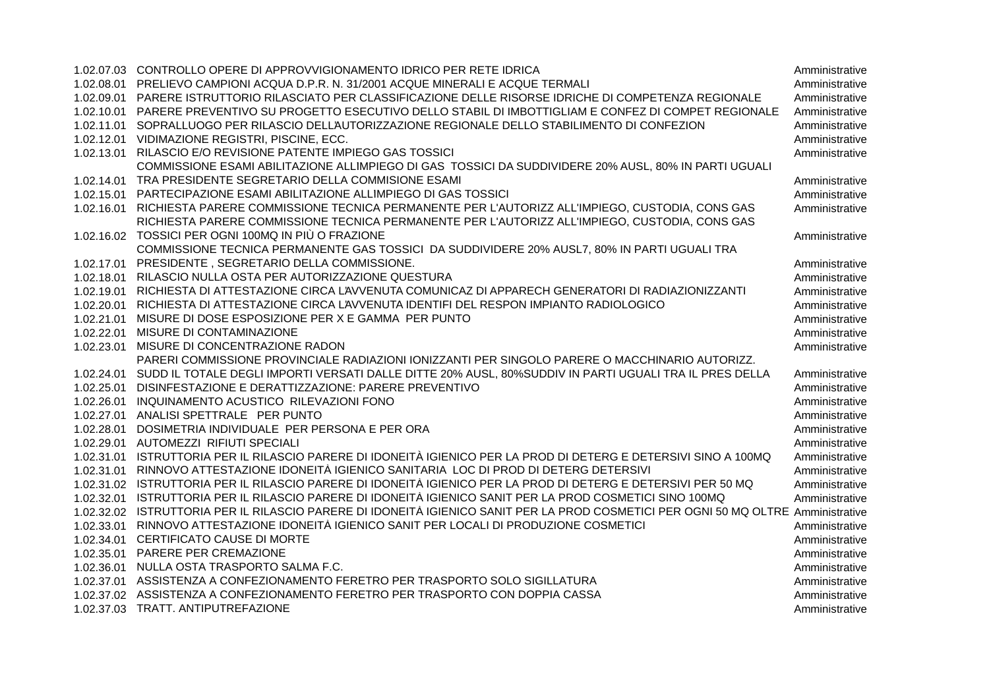|            | 1.02.07.03 CONTROLLO OPERE DI APPROVVIGIONAMENTO IDRICO PER RETE IDRICA                                                            |                                  |
|------------|------------------------------------------------------------------------------------------------------------------------------------|----------------------------------|
| 1.02.08.01 | PRELIEVO CAMPIONI ACQUA D.P.R. N. 31/2001 ACQUE MINERALI E ACQUE TERMALI                                                           | Amministrative<br>Amministrative |
| 1.02.09.01 | PARERE ISTRUTTORIO RILASCIATO PER CLASSIFICAZIONE DELLE RISORSE IDRICHE DI COMPETENZA REGIONALE                                    | Amministrative                   |
| 1.02.10.01 | PARERE PREVENTIVO SU PROGETTO ESECUTIVO DELLO STABIL DI IMBOTTIGLIAM E CONFEZ DI COMPET REGIONALE                                  | Amministrative                   |
|            | 1.02.11.01 SOPRALLUOGO PER RILASCIO DELL'AUTORIZZAZIONE REGIONALE DELLO STABILIMENTO DI CONFEZION                                  | Amministrative                   |
| 1.02.12.01 | VIDIMAZIONE REGISTRI, PISCINE, ECC.                                                                                                | Amministrative                   |
| 1.02.13.01 | RILASCIO E/O REVISIONE PATENTE IMPIEGO GAS TOSSICI                                                                                 | Amministrative                   |
|            | COMMISSIONE ESAMI ABILITAZIONE ALLIMPIEGO DI GAS TOSSICI DA SUDDIVIDERE 20% AUSL, 80% IN PARTI UGUALI                              |                                  |
| 1.02.14.01 | TRA PRESIDENTE SEGRETARIO DELLA COMMISIONE ESAMI                                                                                   |                                  |
|            | PARTECIPAZIONE ESAMI ABILITAZIONE ALLIMPIEGO DI GAS TOSSICI                                                                        | Amministrative                   |
| 1.02.15.01 |                                                                                                                                    | Amministrative                   |
| 1.02.16.01 | RICHIESTA PARERE COMMISSIONE TECNICA PERMANENTE PER L'AUTORIZZ ALL'IMPIEGO, CUSTODIA, CONS GAS                                     | Amministrative                   |
|            | RICHIESTA PARERE COMMISSIONE TECNICA PERMANENTE PER L'AUTORIZZ ALL'IMPIEGO, CUSTODIA, CONS GAS                                     |                                  |
|            | 1.02.16.02 TOSSICI PER OGNI 100MQ IN PIÙ O FRAZIONE                                                                                | Amministrative                   |
|            | COMMISSIONE TECNICA PERMANENTE GAS TOSSICI DA SUDDIVIDERE 20% AUSL7, 80% IN PARTI UGUALI TRA                                       |                                  |
| 1.02.17.01 | PRESIDENTE, SEGRETARIO DELLA COMMISSIONE.                                                                                          | Amministrative                   |
| 1.02.18.01 | RILASCIO NULLA OSTA PER AUTORIZZAZIONE QUESTURA                                                                                    | Amministrative                   |
| 1.02.19.01 | RICHIESTA DI ATTESTAZIONE CIRCA L'AVVENUTA COMUNICAZ DI APPARECH GENERATORI DI RADIAZIONIZZANTI                                    | Amministrative                   |
| 1.02.20.01 | RICHIESTA DI ATTESTAZIONE CIRCA L'AVVENUTA IDENTIFI DEL RESPON IMPIANTO RADIOLOGICO                                                | Amministrative                   |
| 1.02.21.01 | MISURE DI DOSE ESPOSIZIONE PER X E GAMMA PER PUNTO                                                                                 | Amministrative                   |
| 1.02.22.01 | MISURE DI CONTAMINAZIONE                                                                                                           | Amministrative                   |
| 1.02.23.01 | MISURE DI CONCENTRAZIONE RADON                                                                                                     | Amministrative                   |
|            | PARERI COMMISSIONE PROVINCIALE RADIAZIONI IONIZZANTI PER SINGOLO PARERE O MACCHINARIO AUTORIZZ.                                    |                                  |
| 1.02.24.01 | SUDD IL TOTALE DEGLI IMPORTI VERSATI DALLE DITTE 20% AUSL, 80%SUDDIV IN PARTI UGUALI TRA IL PRES DELLA                             | Amministrative                   |
| 1.02.25.01 | DISINFESTAZIONE E DERATTIZZAZIONE: PARERE PREVENTIVO                                                                               | Amministrative                   |
| 1.02.26.01 | INQUINAMENTO ACUSTICO RILEVAZIONI FONO                                                                                             | Amministrative                   |
| 1.02.27.01 | ANALISI SPETTRALE PER PUNTO                                                                                                        | Amministrative                   |
| 1.02.28.01 | DOSIMETRIA INDIVIDUALE PER PERSONA E PER ORA                                                                                       | Amministrative                   |
| 1.02.29.01 | AUTOMEZZI RIFIUTI SPECIALI                                                                                                         | Amministrative                   |
| 1.02.31.01 | ISTRUTTORIA PER IL RILASCIO PARERE DI IDONEITÀ IGIENICO PER LA PROD DI DETERG E DETERSIVI SINO A 100MQ                             | Amministrative                   |
| 1.02.31.01 | RINNOVO ATTESTAZIONE IDONEITÀ IGIENICO SANITARIA LOC DI PROD DI DETERG DETERSIVI                                                   | Amministrative                   |
| 1.02.31.02 | ISTRUTTORIA PER IL RILASCIO PARERE DI IDONEITÀ IGIENICO PER LA PROD DI DETERG E DETERSIVI PER 50 MQ                                | Amministrative                   |
| 1.02.32.01 | ISTRUTTORIA PER IL RILASCIO PARERE DI IDONEITÀ IGIENICO SANIT PER LA PROD COSMETICI SINO 100MQ                                     | Amministrative                   |
|            | 1.02.32.02 ISTRUTTORIA PER IL RILASCIO PARERE DI IDONEITÀ IGIENICO SANIT PER LA PROD COSMETICI PER OGNI 50 MQ OLTRE Amministrative |                                  |
| 1.02.33.01 | RINNOVO ATTESTAZIONE IDONEITÀ IGIENICO SANIT PER LOCALI DI PRODUZIONE COSMETICI                                                    | Amministrative                   |
| 1.02.34.01 | CERTIFICATO CAUSE DI MORTE                                                                                                         | Amministrative                   |
| 1.02.35.01 | PARERE PER CREMAZIONE                                                                                                              | Amministrative                   |
| 1.02.36.01 | NULLA OSTA TRASPORTO SALMA F.C.                                                                                                    | Amministrative                   |
| 1.02.37.01 | ASSISTENZA A CONFEZIONAMENTO FERETRO PER TRASPORTO SOLO SIGILLATURA                                                                | Amministrative                   |
|            | 1.02.37.02 ASSISTENZA A CONFEZIONAMENTO FERETRO PER TRASPORTO CON DOPPIA CASSA                                                     | Amministrative                   |
|            | 1.02.37.03 TRATT. ANTIPUTREFAZIONE                                                                                                 | Amministrative                   |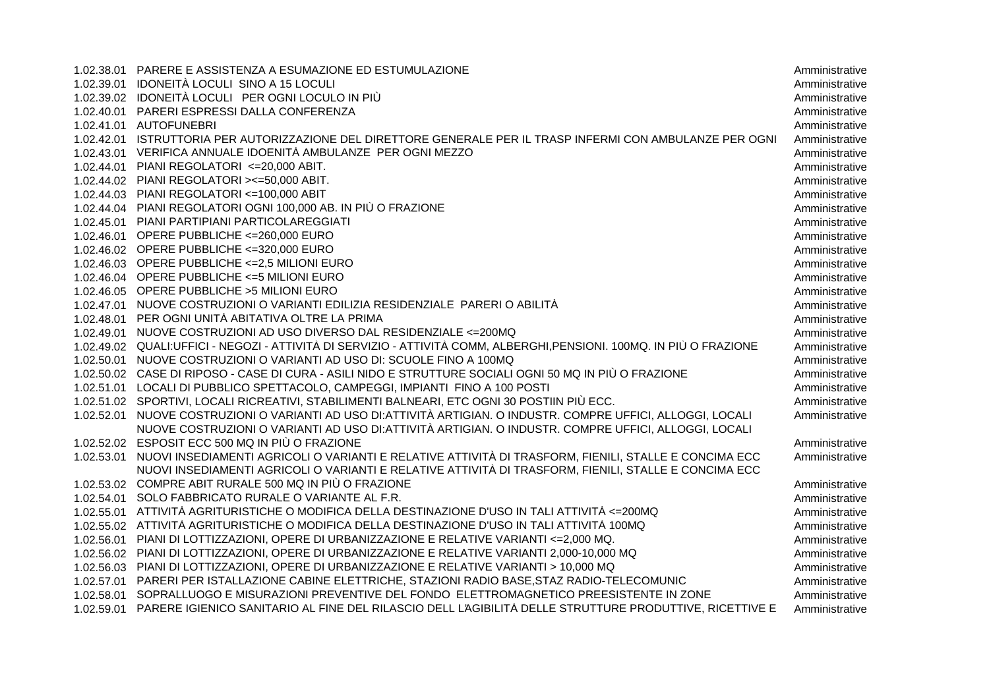|            | 1.02.38.01 PARERE E ASSISTENZA A ESUMAZIONE ED ESTUMULAZIONE                                                         | Amministrative |
|------------|----------------------------------------------------------------------------------------------------------------------|----------------|
|            | 1.02.39.01 IDONEITÀ LOCULI SINO A 15 LOCULI                                                                          | Amministrative |
|            | 1.02.39.02 IDONEITÀ LOCULI PER OGNI LOCULO IN PIÙ                                                                    | Amministrative |
|            | 1.02.40.01 PARERI ESPRESSI DALLA CONFERENZA                                                                          | Amministrative |
|            | 1.02.41.01 AUTOFUNEBRI                                                                                               | Amministrative |
|            | 1.02.42.01 ISTRUTTORIA PER AUTORIZZAZIONE DEL DIRETTORE GENERALE PER IL TRASP INFERMI CON AMBULANZE PER OGNI         | Amministrative |
|            | 1.02.43.01 VERIFICA ANNUALE IDOENITÀ AMBULANZE PER OGNI MEZZO                                                        | Amministrative |
|            | 1.02.44.01 PIANI REGOLATORI <= 20,000 ABIT.                                                                          | Amministrative |
|            | 1.02.44.02 PIANI REGOLATORI > <= 50,000 ABIT.                                                                        | Amministrative |
|            | 1.02.44.03 PIANI REGOLATORI <= 100,000 ABIT                                                                          | Amministrative |
|            | 1.02.44.04 PIANI REGOLATORI OGNI 100,000 AB. IN PIÙ O FRAZIONE                                                       | Amministrative |
|            | 1.02.45.01 PIANI PARTIPIANI PARTICOLAREGGIATI                                                                        | Amministrative |
|            | 1.02.46.01 OPERE PUBBLICHE <= 260,000 EURO                                                                           | Amministrative |
|            | 1.02.46.02 OPERE PUBBLICHE <= 320,000 EURO                                                                           | Amministrative |
|            | 1.02.46.03 OPERE PUBBLICHE <= 2,5 MILIONI EURO                                                                       | Amministrative |
|            | 1.02.46.04 OPERE PUBBLICHE <= 5 MILIONI EURO                                                                         | Amministrative |
|            | 1.02.46.05 OPERE PUBBLICHE > 5 MILIONI EURO                                                                          | Amministrative |
|            | 1.02.47.01 NUOVE COSTRUZIONI O VARIANTI EDILIZIA RESIDENZIALE PARERI O ABILITÁ                                       | Amministrative |
|            | 1.02.48.01 PER OGNI UNITÀ ABITATIVA OLTRE LA PRIMA                                                                   | Amministrative |
|            | 1.02.49.01 NUOVE COSTRUZIONI AD USO DIVERSO DAL RESIDENZIALE <= 200MQ                                                | Amministrative |
|            | 1.02.49.02 QUALI:UFFICI - NEGOZI - ATTIVITÀ DI SERVIZIO - ATTIVITÀ COMM, ALBERGHI,PENSIONI. 100MQ. IN PIÙ O FRAZIONE | Amministrative |
|            | 1.02.50.01 NUOVE COSTRUZIONI O VARIANTI AD USO DI: SCUOLE FINO A 100MQ                                               | Amministrative |
|            | 1.02.50.02 CASE DI RIPOSO - CASE DI CURA - ASILI NIDO E STRUTTURE SOCIALI OGNI 50 MQ IN PIÙ O FRAZIONE               | Amministrative |
|            | 1.02.51.01 LOCALI DI PUBBLICO SPETTACOLO, CAMPEGGI, IMPIANTI FINO A 100 POSTI                                        | Amministrative |
|            | 1.02.51.02 SPORTIVI, LOCALI RICREATIVI, STABILIMENTI BALNEARI, ETC OGNI 30 POSTIIN PIÙ ECC.                          | Amministrative |
|            | 1.02.52.01 NUOVE COSTRUZIONI O VARIANTI AD USO DI:ATTIVITÀ ARTIGIAN. O INDUSTR. COMPRE UFFICI, ALLOGGI, LOCALI       | Amministrative |
|            | NUOVE COSTRUZIONI O VARIANTI AD USO DI:ATTIVITÀ ARTIGIAN. O INDUSTR. COMPRE UFFICI, ALLOGGI, LOCALI                  |                |
|            | 1.02.52.02 ESPOSIT ECC 500 MQ IN PIÙ O FRAZIONE                                                                      | Amministrative |
| 1.02.53.01 | NUOVI INSEDIAMENTI AGRICOLI O VARIANTI E RELATIVE ATTIVITÀ DI TRASFORM, FIENILI, STALLE E CONCIMA ECC                | Amministrative |
|            | NUOVI INSEDIAMENTI AGRICOLI O VARIANTI E RELATIVE ATTIVITÀ DI TRASFORM, FIENILI, STALLE E CONCIMA ECC                |                |
|            | 1.02.53.02 COMPRE ABIT RURALE 500 MQ IN PIÙ O FRAZIONE                                                               | Amministrative |
|            | 1.02.54.01 SOLO FABBRICATO RURALE O VARIANTE AL F.R.                                                                 | Amministrative |
|            | 1.02.55.01 ATTIVITÀ AGRITURISTICHE O MODIFICA DELLA DESTINAZIONE D'USO IN TALI ATTIVITÀ <= 200MQ                     | Amministrative |
|            | 1.02.55.02 ATTIVITÀ AGRITURISTICHE O MODIFICA DELLA DESTINAZIONE D'USO IN TALI ATTIVITÀ 100MQ                        | Amministrative |
|            | 1.02.56.01 PIANI DI LOTTIZZAZIONI, OPERE DI URBANIZZAZIONE E RELATIVE VARIANTI <= 2,000 MQ.                          | Amministrative |
|            | 1.02.56.02 PIANI DI LOTTIZZAZIONI, OPERE DI URBANIZZAZIONE E RELATIVE VARIANTI 2,000-10,000 MQ                       | Amministrative |
|            | 1.02.56.03 PIANI DI LOTTIZZAZIONI, OPERE DI URBANIZZAZIONE E RELATIVE VARIANTI > 10,000 MQ                           | Amministrative |
|            | 1.02.57.01 PARERI PER ISTALLAZIONE CABINE ELETTRICHE, STAZIONI RADIO BASE, STAZ RADIO-TELECOMUNIC                    | Amministrative |
|            | 1.02.58.01 SOPRALLUOGO E MISURAZIONI PREVENTIVE DEL FONDO ELETTROMAGNETICO PREESISTENTE IN ZONE                      | Amministrative |
|            | 1.02.59.01 PARERE IGIENICO SANITARIO AL FINE DEL RILASCIO DELL L'AGIBILITÀ DELLE STRUTTURE PRODUTTIVE, RICETTIVE E   | Amministrative |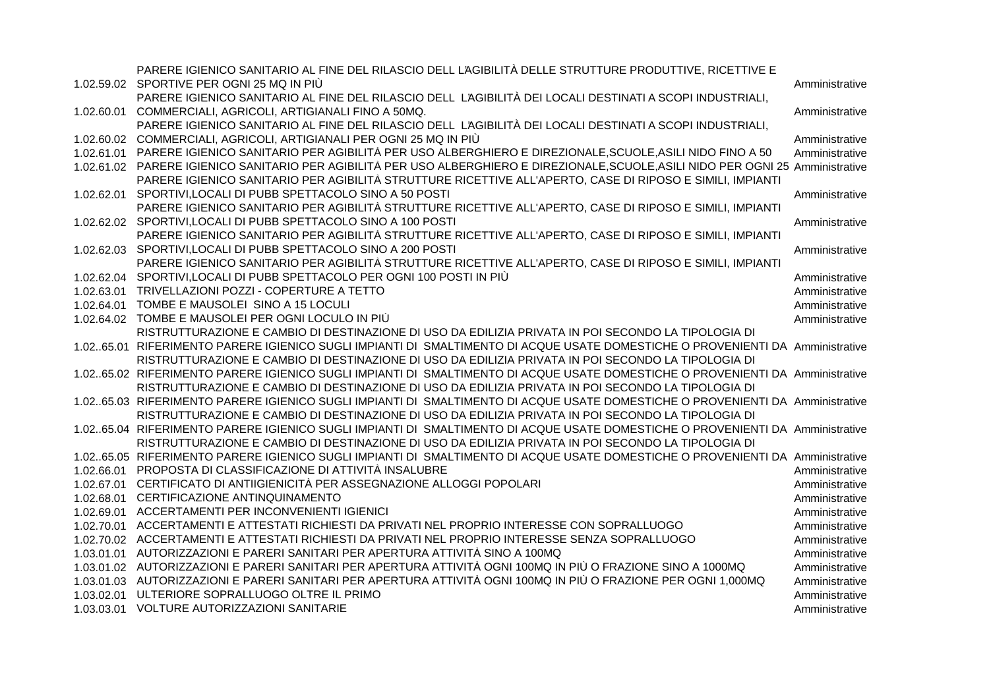|            | PARERE IGIENICO SANITARIO AL FINE DEL RILASCIO DELL L'AGIBILITÀ DELLE STRUTTURE PRODUTTIVE, RICETTIVE E                             |                |
|------------|-------------------------------------------------------------------------------------------------------------------------------------|----------------|
|            | 1.02.59.02 SPORTIVE PER OGNI 25 MQ IN PIÙ                                                                                           | Amministrative |
|            | PARERE IGIENICO SANITARIO AL FINE DEL RILASCIO DELL L'AGIBILITÀ DEI LOCALI DESTINATI A SCOPI INDUSTRIALI,                           |                |
|            | 1.02.60.01 COMMERCIALI, AGRICOLI, ARTIGIANALI FINO A 50MQ.                                                                          | Amministrative |
|            | PARERE IGIENICO SANITARIO AL FINE DEL RILASCIO DELL L'AGIBILITÀ DEI LOCALI DESTINATI A SCOPI INDUSTRIALI,                           |                |
|            | 1.02.60.02 COMMERCIALI, AGRICOLI, ARTIGIANALI PER OGNI 25 MQ IN PIÙ                                                                 | Amministrative |
|            | 1.02.61.01 PARERE IGIENICO SANITARIO PER AGIBILITÀ PER USO ALBERGHIERO E DIREZIONALE, SCUOLE, ASILI NIDO FINO A 50                  | Amministrative |
|            | 1.02.61.02 PARERE IGIENICO SANITARIO PER AGIBILITÀ PER USO ALBERGHIERO E DIREZIONALE, SCUOLE, ASILI NIDO PER OGNI 25 Amministrative |                |
|            | PARERE IGIENICO SANITARIO PER AGIBILITÀ STRUTTURE RICETTIVE ALL'APERTO, CASE DI RIPOSO E SIMILI, IMPIANTI                           |                |
|            | 1.02.62.01 SPORTIVI, LOCALI DI PUBB SPETTACOLO SINO A 50 POSTI                                                                      | Amministrative |
|            | PARERE IGIENICO SANITARIO PER AGIBILITÀ STRUTTURE RICETTIVE ALL'APERTO, CASE DI RIPOSO E SIMILI, IMPIANTI                           |                |
|            | 1.02.62.02 SPORTIVI, LOCALI DI PUBB SPETTACOLO SINO A 100 POSTI                                                                     | Amministrative |
|            | PARERE IGIENICO SANITARIO PER AGIBILITÀ STRUTTURE RICETTIVE ALL'APERTO, CASE DI RIPOSO E SIMILI, IMPIANTI                           |                |
|            | 1.02.62.03 SPORTIVI, LOCALI DI PUBB SPETTACOLO SINO A 200 POSTI                                                                     | Amministrative |
|            | PARERE IGIENICO SANITARIO PER AGIBILITÀ STRUTTURE RICETTIVE ALL'APERTO, CASE DI RIPOSO E SIMILI, IMPIANTI                           |                |
| 1.02.62.04 | SPORTIVI, LOCALI DI PUBB SPETTACOLO PER OGNI 100 POSTI IN PIÙ                                                                       | Amministrative |
| 1.02.63.01 | TRIVELLAZIONI POZZI - COPERTURE A TETTO                                                                                             | Amministrative |
|            | 1.02.64.01 TOMBE E MAUSOLEI SINO A 15 LOCULI                                                                                        | Amministrative |
|            | 1.02.64.02 TOMBE E MAUSOLEI PER OGNI LOCULO IN PIÙ                                                                                  | Amministrative |
|            | RISTRUTTURAZIONE E CAMBIO DI DESTINAZIONE DI USO DA EDILIZIA PRIVATA IN POI SECONDO LA TIPOLOGIA DI                                 |                |
|            | 1.0265.01 RIFERIMENTO PARERE IGIENICO SUGLI IMPIANTI DI SMALTIMENTO DI ACQUE USATE DOMESTICHE O PROVENIENTI DA Amministrative       |                |
|            | RISTRUTTURAZIONE E CAMBIO DI DESTINAZIONE DI USO DA EDILIZIA PRIVATA IN POI SECONDO LA TIPOLOGIA DI                                 |                |
|            | 1.0265.02 RIFERIMENTO PARERE IGIENICO SUGLI IMPIANTI DI SMALTIMENTO DI ACQUE USATE DOMESTICHE O PROVENIENTI DA Amministrative       |                |
|            | RISTRUTTURAZIONE E CAMBIO DI DESTINAZIONE DI USO DA EDILIZIA PRIVATA IN POI SECONDO LA TIPOLOGIA DI                                 |                |
|            | 1.0265.03 RIFERIMENTO PARERE IGIENICO SUGLI IMPIANTI DI SMALTIMENTO DI ACQUE USATE DOMESTICHE O PROVENIENTI DA Amministrative       |                |
|            | RISTRUTTURAZIONE E CAMBIO DI DESTINAZIONE DI USO DA EDILIZIA PRIVATA IN POI SECONDO LA TIPOLOGIA DI                                 |                |
|            | 1.0265.04 RIFERIMENTO PARERE IGIENICO SUGLI IMPIANTI DI SMALTIMENTO DI ACQUE USATE DOMESTICHE O PROVENIENTI DA Amministrative       |                |
|            | RISTRUTTURAZIONE E CAMBIO DI DESTINAZIONE DI USO DA EDILIZIA PRIVATA IN POI SECONDO LA TIPOLOGIA DI                                 |                |
|            | 1.0265.05 RIFERIMENTO PARERE IGIENICO SUGLI IMPIANTI DI SMALTIMENTO DI ACQUE USATE DOMESTICHE O PROVENIENTI DA Amministrative       |                |
| 1.02.66.01 | PROPOSTA DI CLASSIFICAZIONE DI ATTIVITÀ INSALUBRE                                                                                   | Amministrative |
| 1.02.67.01 | CERTIFICATO DI ANTIIGIENICITÀ PER ASSEGNAZIONE ALLOGGI POPOLARI                                                                     | Amministrative |
| 1.02.68.01 | CERTIFICAZIONE ANTINQUINAMENTO                                                                                                      | Amministrative |
|            | 1.02.69.01 ACCERTAMENTI PER INCONVENIENTI IGIENICI                                                                                  | Amministrative |
|            | 1.02.70.01 ACCERTAMENTI E ATTESTATI RICHIESTI DA PRIVATI NEL PROPRIO INTERESSE CON SOPRALLUOGO                                      | Amministrative |
|            | 1.02.70.02 ACCERTAMENTI E ATTESTATI RICHIESTI DA PRIVATI NEL PROPRIO INTERESSE SENZA SOPRALLUOGO                                    | Amministrative |
| 1.03.01.01 | AUTORIZZAZIONI E PARERI SANITARI PER APERTURA ATTIVITÀ SINO A 100MQ                                                                 | Amministrative |
|            | 1.03.01.02 AUTORIZZAZIONI E PARERI SANITARI PER APERTURA ATTIVITÀ OGNI 100MQ IN PIÙ O FRAZIONE SINO A 1000MQ                        | Amministrative |
| 1.03.01.03 | AUTORIZZAZIONI E PARERI SANITARI PER APERTURA ATTIVITÀ OGNI 100MQ IN PIÙ O FRAZIONE PER OGNI 1,000MQ                                | Amministrative |
| 1.03.02.01 | ULTERIORE SOPRALLUOGO OLTRE IL PRIMO                                                                                                | Amministrative |
|            | 1.03.03.01 VOLTURE AUTORIZZAZIONI SANITARIE                                                                                         | Amministrative |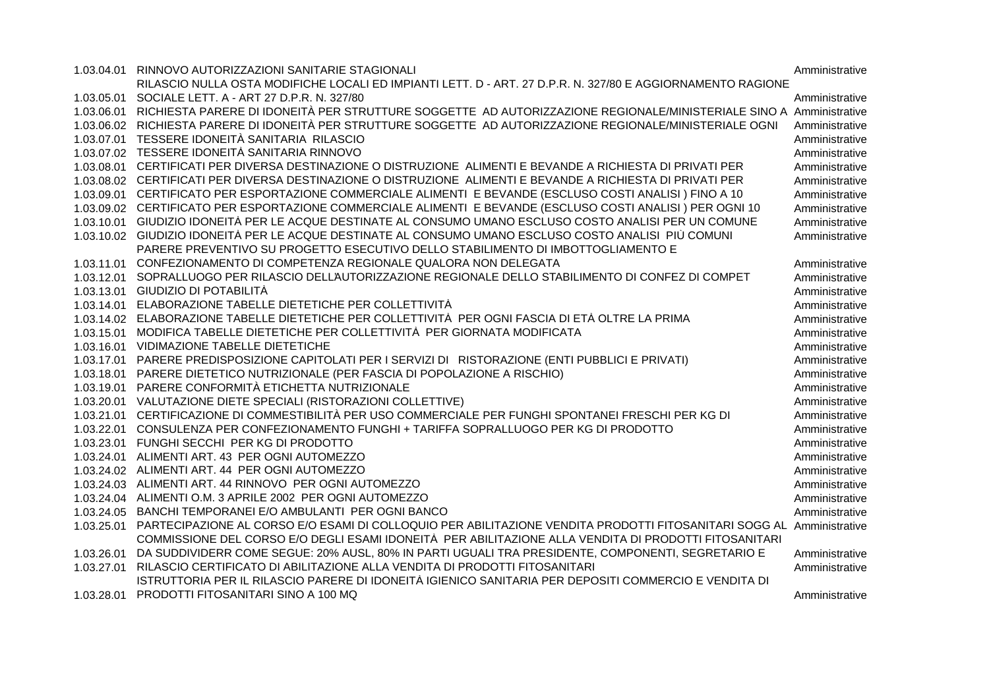|            | 1.03.04.01 RINNOVO AUTORIZZAZIONI SANITARIE STAGIONALI                                                                          | Amministrative |
|------------|---------------------------------------------------------------------------------------------------------------------------------|----------------|
|            | RILASCIO NULLA OSTA MODIFICHE LOCALI ED IMPIANTI LETT. D - ART. 27 D.P.R. N. 327/80 E AGGIORNAMENTO RAGIONE                     |                |
|            | 1.03.05.01 SOCIALE LETT. A - ART 27 D.P.R. N. 327/80                                                                            | Amministrative |
|            | 1.03.06.01 RICHIESTA PARERE DI IDONEITÀ PER STRUTTURE SOGGETTE AD AUTORIZZAZIONE REGIONALE/MINISTERIALE SINO A Amministrative   |                |
|            | 1.03.06.02 RICHIESTA PARERE DI IDONEITÀ PER STRUTTURE SOGGETTE AD AUTORIZZAZIONE REGIONALE/MINISTERIALE OGNI                    | Amministrative |
|            | 1.03.07.01 TESSERE IDONEITÀ SANITARIA RILASCIO                                                                                  | Amministrative |
|            | 1.03.07.02 TESSERE IDONEITÀ SANITARIA RINNOVO                                                                                   | Amministrative |
|            | 1.03.08.01 CERTIFICATI PER DIVERSA DESTINAZIONE O DISTRUZIONE ALIMENTI E BEVANDE A RICHIESTA DI PRIVATI PER                     | Amministrative |
|            | 1.03.08.02 CERTIFICATI PER DIVERSA DESTINAZIONE O DISTRUZIONE ALIMENTI E BEVANDE A RICHIESTA DI PRIVATI PER                     | Amministrative |
|            | 1.03.09.01 CERTIFICATO PER ESPORTAZIONE COMMERCIALE ALIMENTI E BEVANDE (ESCLUSO COSTI ANALISI) FINO A 10                        | Amministrative |
|            | 1.03.09.02 CERTIFICATO PER ESPORTAZIONE COMMERCIALE ALIMENTI E BEVANDE (ESCLUSO COSTI ANALISI) PER OGNI 10                      | Amministrative |
|            | 1.03.10.01 GIUDIZIO IDONEITÀ PER LE ACQUE DESTINATE AL CONSUMO UMANO ESCLUSO COSTO ANALISI PER UN COMUNE                        | Amministrative |
|            | 1.03.10.02 GIUDIZIO IDONEITÀ PER LE ACQUE DESTINATE AL CONSUMO UMANO ESCLUSO COSTO ANALISI PIÙ COMUNI                           | Amministrative |
|            | PARERE PREVENTIVO SU PROGETTO ESECUTIVO DELLO STABILIMENTO DI IMBOTTOGLIAMENTO E                                                |                |
| 1.03.11.01 | CONFEZIONAMENTO DI COMPETENZA REGIONALE QUALORA NON DELEGATA                                                                    | Amministrative |
| 1.03.12.01 | SOPRALLUOGO PER RILASCIO DELL'AUTORIZZAZIONE REGIONALE DELLO STABILIMENTO DI CONFEZ DI COMPET                                   | Amministrative |
|            | 1.03.13.01 GIUDIZIO DI POTABILITÀ                                                                                               | Amministrative |
| 1.03.14.01 | ELABORAZIONE TABELLE DIETETICHE PER COLLETTIVITÀ                                                                                | Amministrative |
|            | 1.03.14.02 ELABORAZIONE TABELLE DIETETICHE PER COLLETTIVITÀ PER OGNI FASCIA DI ETÀ OLTRE LA PRIMA                               | Amministrative |
| 1.03.15.01 | MODIFICA TABELLE DIETETICHE PER COLLETTIVITÀ PER GIORNATA MODIFICATA                                                            | Amministrative |
|            | 1.03.16.01 VIDIMAZIONE TABELLE DIETETICHE                                                                                       | Amministrative |
|            | 1.03.17.01 PARERE PREDISPOSIZIONE CAPITOLATI PER I SERVIZI DI RISTORAZIONE (ENTI PUBBLICI E PRIVATI)                            | Amministrative |
|            | 1.03.18.01 PARERE DIETETICO NUTRIZIONALE (PER FASCIA DI POPOLAZIONE A RISCHIO)                                                  | Amministrative |
| 1.03.19.01 | PARERE CONFORMITÀ ETICHETTA NUTRIZIONALE                                                                                        | Amministrative |
|            | 1.03.20.01 VALUTAZIONE DIETE SPECIALI (RISTORAZIONI COLLETTIVE)                                                                 | Amministrative |
|            | 1.03.21.01 CERTIFICAZIONE DI COMMESTIBILITÀ PER USO COMMERCIALE PER FUNGHI SPONTANEI FRESCHI PER KG DI                          | Amministrative |
|            | 1.03.22.01 CONSULENZA PER CONFEZIONAMENTO FUNGHI + TARIFFA SOPRALLUOGO PER KG DI PRODOTTO                                       | Amministrative |
|            | 1.03.23.01 FUNGHI SECCHI PER KG DI PRODOTTO                                                                                     | Amministrative |
|            | 1.03.24.01 ALIMENTI ART. 43 PER OGNI AUTOMEZZO                                                                                  | Amministrative |
|            | 1.03.24.02 ALIMENTI ART. 44 PER OGNI AUTOMEZZO                                                                                  | Amministrative |
|            | 1.03.24.03 ALIMENTI ART. 44 RINNOVO PER OGNI AUTOMEZZO                                                                          | Amministrative |
|            | 1.03.24.04 ALIMENTI O.M. 3 APRILE 2002 PER OGNI AUTOMEZZO                                                                       | Amministrative |
|            | 1.03.24.05 BANCHI TEMPORANEI E/O AMBULANTI PER OGNI BANCO                                                                       | Amministrative |
|            | 1.03.25.01 PARTECIPAZIONE AL CORSO E/O ESAMI DI COLLOQUIO PER ABILITAZIONE VENDITA PRODOTTI FITOSANITARI SOGG AL Amministrative |                |
|            | COMMISSIONE DEL CORSO E/O DEGLI ESAMI IDONEITÀ PER ABILITAZIONE ALLA VENDITA DI PRODOTTI FITOSANITARI                           |                |
| 1.03.26.01 | DA SUDDIVIDERR COME SEGUE: 20% AUSL, 80% IN PARTI UGUALI TRA PRESIDENTE, COMPONENTI, SEGRETARIO E                               | Amministrative |
| 1.03.27.01 | RILASCIO CERTIFICATO DI ABILITAZIONE ALLA VENDITA DI PRODOTTI FITOSANITARI                                                      | Amministrative |
|            | ISTRUTTORIA PER IL RILASCIO PARERE DI IDONEITÀ IGIENICO SANITARIA PER DEPOSITI COMMERCIO E VENDITA DI                           |                |
| 1.03.28.01 | PRODOTTI FITOSANITARI SINO A 100 MQ                                                                                             | Amministrative |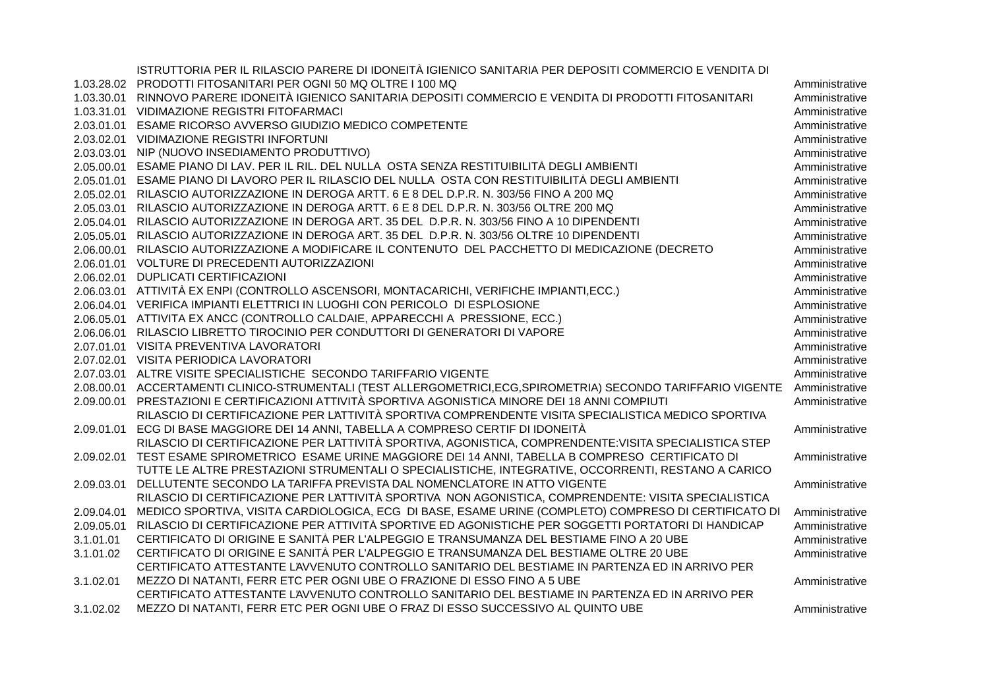|            | ISTRUTTORIA PER IL RILASCIO PARERE DI IDONEITÀ IGIENICO SANITARIA PER DEPOSITI COMMERCIO E VENDITA DI        |                |
|------------|--------------------------------------------------------------------------------------------------------------|----------------|
|            | 1.03.28.02 PRODOTTI FITOSANITARI PER OGNI 50 MQ OLTRE I 100 MQ                                               | Amministrative |
| 1.03.30.01 | RINNOVO PARERE IDONEITÀ IGIENICO SANITARIA DEPOSITI COMMERCIO E VENDITA DI PRODOTTI FITOSANITARI             | Amministrative |
|            | 1.03.31.01 VIDIMAZIONE REGISTRI FITOFARMACI                                                                  | Amministrative |
| 2.03.01.01 | ESAME RICORSO AVVERSO GIUDIZIO MEDICO COMPETENTE                                                             | Amministrative |
| 2.03.02.01 | VIDIMAZIONE REGISTRI INFORTUNI                                                                               | Amministrative |
| 2.03.03.01 | NIP (NUOVO INSEDIAMENTO PRODUTTIVO)                                                                          | Amministrative |
| 2.05.00.01 | ESAME PIANO DI LAV. PER IL RIL. DEL NULLA OSTA SENZA RESTITUIBILITÀ DEGLI AMBIENTI                           | Amministrative |
| 2.05.01.01 | ESAME PIANO DI LAVORO PER IL RILASCIO DEL NULLA OSTA CON RESTITUIBILITÀ DEGLI AMBIENTI                       | Amministrative |
| 2.05.02.01 | RILASCIO AUTORIZZAZIONE IN DEROGA ARTT. 6 E 8 DEL D.P.R. N. 303/56 FINO A 200 MQ                             | Amministrative |
| 2.05.03.01 | RILASCIO AUTORIZZAZIONE IN DEROGA ARTT. 6 E 8 DEL D.P.R. N. 303/56 OLTRE 200 MQ                              | Amministrative |
| 2.05.04.01 | RILASCIO AUTORIZZAZIONE IN DEROGA ART. 35 DEL D.P.R. N. 303/56 FINO A 10 DIPENDENTI                          | Amministrative |
| 2.05.05.01 | RILASCIO AUTORIZZAZIONE IN DEROGA ART. 35 DEL D.P.R. N. 303/56 OLTRE 10 DIPENDENTI                           | Amministrative |
| 2.06.00.01 | RILASCIO AUTORIZZAZIONE A MODIFICARE IL CONTENUTO DEL PACCHETTO DI MEDICAZIONE (DECRETO                      | Amministrative |
| 2.06.01.01 | VOLTURE DI PRECEDENTI AUTORIZZAZIONI                                                                         | Amministrative |
| 2.06.02.01 | <b>DUPLICATI CERTIFICAZIONI</b>                                                                              | Amministrative |
|            | 2.06.03.01 ATTIVITÀ EX ENPI (CONTROLLO ASCENSORI, MONTACARICHI, VERIFICHE IMPIANTI,ECC.)                     | Amministrative |
|            | 2.06.04.01 VERIFICA IMPIANTI ELETTRICI IN LUOGHI CON PERICOLO DI ESPLOSIONE                                  | Amministrative |
|            | 2.06.05.01 ATTIVITA EX ANCC (CONTROLLO CALDAIE, APPARECCHI A PRESSIONE, ECC.)                                | Amministrative |
| 2.06.06.01 | RILASCIO LIBRETTO TIROCINIO PER CONDUTTORI DI GENERATORI DI VAPORE                                           | Amministrative |
| 2.07.01.01 | VISITA PREVENTIVA LAVORATORI                                                                                 | Amministrative |
|            | 2.07.02.01 VISITA PERIODICA LAVORATORI                                                                       | Amministrative |
| 2.07.03.01 | ALTRE VISITE SPECIALISTICHE SECONDO TARIFFARIO VIGENTE                                                       | Amministrative |
|            | 2.08.00.01 ACCERTAMENTI CLINICO-STRUMENTALI (TEST ALLERGOMETRICI,ECG,SPIROMETRIA) SECONDO TARIFFARIO VIGENTE | Amministrative |
| 2.09.00.01 | PRESTAZIONI E CERTIFICAZIONI ATTIVITÀ SPORTIVA AGONISTICA MINORE DEI 18 ANNI COMPIUTI                        | Amministrative |
|            | RILASCIO DI CERTIFICAZIONE PER L'ATTIVITÀ SPORTIVA COMPRENDENTE VISITA SPECIALISTICA MEDICO SPORTIVA         |                |
| 2.09.01.01 | ECG DI BASE MAGGIORE DEI 14 ANNI, TABELLA A COMPRESO CERTIF DI IDONEITÀ                                      | Amministrative |
|            | RILASCIO DI CERTIFICAZIONE PER L'ATTIVITÀ SPORTIVA, AGONISTICA, COMPRENDENTE: VISITA SPECIALISTICA STEP      |                |
| 2.09.02.01 | TEST ESAME SPIROMETRICO ESAME URINE MAGGIORE DEI 14 ANNI, TABELLA B COMPRESO CERTIFICATO DI                  | Amministrative |
|            | TUTTE LE ALTRE PRESTAZIONI STRUMENTALI O SPECIALISTICHE, INTEGRATIVE, OCCORRENTI, RESTANO A CARICO           |                |
| 2.09.03.01 | DELLUTENTE SECONDO LA TARIFFA PREVISTA DAL NOMENCLATORE IN ATTO VIGENTE                                      | Amministrative |
|            | RILASCIO DI CERTIFICAZIONE PER L'ATTIVITÀ SPORTIVA NON AGONISTICA, COMPRENDENTE: VISITA SPECIALISTICA        |                |
| 2.09.04.01 | MEDICO SPORTIVA, VISITA CARDIOLOGICA, ECG DI BASE, ESAME URINE (COMPLETO) COMPRESO DI CERTIFICATO DI         | Amministrative |
| 2.09.05.01 | RILASCIO DI CERTIFICAZIONE PER ATTIVITÀ SPORTIVE ED AGONISTICHE PER SOGGETTI PORTATORI DI HANDICAP           | Amministrative |
| 3.1.01.01  | CERTIFICATO DI ORIGINE E SANITÀ PER L'ALPEGGIO E TRANSUMANZA DEL BESTIAME FINO A 20 UBE                      | Amministrative |
| 3.1.01.02  | CERTIFICATO DI ORIGINE E SANITÀ PER L'ALPEGGIO E TRANSUMANZA DEL BESTIAME OLTRE 20 UBE                       | Amministrative |
|            | CERTIFICATO ATTESTANTE L'AVVENUTO CONTROLLO SANITARIO DEL BESTIAME IN PARTENZA ED IN ARRIVO PER              |                |
| 3.1.02.01  | MEZZO DI NATANTI, FERR ETC PER OGNI UBE O FRAZIONE DI ESSO FINO A 5 UBE                                      | Amministrative |
|            | CERTIFICATO ATTESTANTE L'AVVENUTO CONTROLLO SANITARIO DEL BESTIAME IN PARTENZA ED IN ARRIVO PER              |                |
| 3.1.02.02  | MEZZO DI NATANTI, FERR ETC PER OGNI UBE O FRAZ DI ESSO SUCCESSIVO AL QUINTO UBE                              | Amministrative |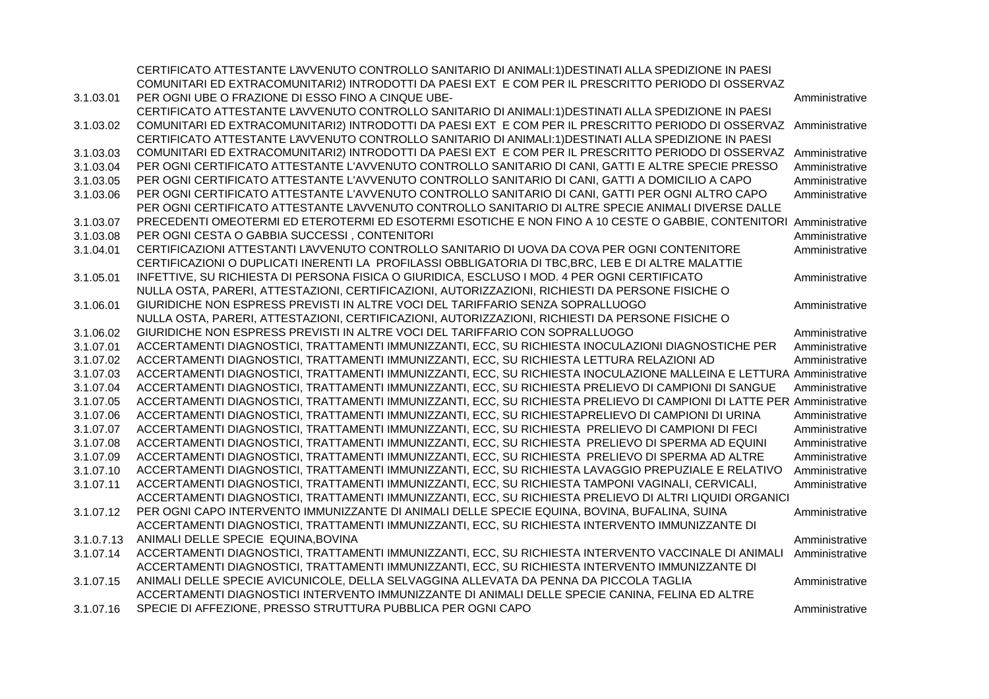|            | CERTIFICATO ATTESTANTE L'AVVENUTO CONTROLLO SANITARIO DI ANIMALI:1) DESTINATI ALLA SPEDIZIONE IN PAESI                 |                |
|------------|------------------------------------------------------------------------------------------------------------------------|----------------|
|            | COMUNITARI ED EXTRACOMUNITARI2) INTRODOTTI DA PAESI EXT E COM PER IL PRESCRITTO PERIODO DI OSSERVAZ                    |                |
| 3.1.03.01  | PER OGNI UBE O FRAZIONE DI ESSO FINO A CINQUE UBE-                                                                     | Amministrative |
|            | CERTIFICATO ATTESTANTE L'AVVENUTO CONTROLLO SANITARIO DI ANIMALI:1) DESTINATI ALLA SPEDIZIONE IN PAESI                 |                |
| 3.1.03.02  | COMUNITARI ED EXTRACOMUNITARI2) INTRODOTTI DA PAESI EXT E COM PER IL PRESCRITTO PERIODO DI OSSERVAZ                    | Amministrative |
|            | CERTIFICATO ATTESTANTE L'AVVENUTO CONTROLLO SANITARIO DI ANIMALI:1) DESTINATI ALLA SPEDIZIONE IN PAESI                 |                |
| 3.1.03.03  | COMUNITARI ED EXTRACOMUNITARI2) INTRODOTTI DA PAESI EXT E COM PER IL PRESCRITTO PERIODO DI OSSERVAZ                    | Amministrative |
| 3.1.03.04  | PER OGNI CERTIFICATO ATTESTANTE L'AVVENUTO CONTROLLO SANITARIO DI CANI, GATTI E ALTRE SPECIE PRESSO                    | Amministrative |
| 3.1.03.05  | PER OGNI CERTIFICATO ATTESTANTE L'AVVENUTO CONTROLLO SANITARIO DI CANI, GATTI A DOMICILIO A CAPO                       | Amministrative |
| 3.1.03.06  | PER OGNI CERTIFICATO ATTESTANTE L'AVVENUTO CONTROLLO SANITARIO DI CANI, GATTI PER OGNI ALTRO CAPO                      | Amministrative |
|            | PER OGNI CERTIFICATO ATTESTANTE L'AVVENUTO CONTROLLO SANITARIO DI ALTRE SPECIE ANIMALI DIVERSE DALLE                   |                |
| 3.1.03.07  | PRECEDENTI OMEOTERMI ED ETEROTERMI ED ESOTERMI ESOTICHE E NON FINO A 10 CESTE O GABBIE, CONTENITORI Amministrative     |                |
| 3.1.03.08  | PER OGNI CESTA O GABBIA SUCCESSI, CONTENITORI                                                                          | Amministrative |
| 3.1.04.01  | CERTIFICAZIONI ATTESTANTI L'AVVENUTO CONTROLLO SANITARIO DI UOVA DA COVA PER OGNI CONTENITORE                          | Amministrative |
|            | CERTIFICAZIONI O DUPLICATI INERENTI LA PROFILASSI OBBLIGATORIA DI TBC, BRC, LEB E DI ALTRE MALATTIE                    |                |
| 3.1.05.01  | INFETTIVE, SU RICHIESTA DI PERSONA FISICA O GIURIDICA, ESCLUSO I MOD. 4 PER OGNI CERTIFICATO                           | Amministrative |
|            | NULLA OSTA, PARERI, ATTESTAZIONI, CERTIFICAZIONI, AUTORIZZAZIONI, RICHIESTI DA PERSONE FISICHE O                       |                |
| 3.1.06.01  | GIURIDICHE NON ESPRESS PREVISTI IN ALTRE VOCI DEL TARIFFARIO SENZA SOPRALLUOGO                                         | Amministrative |
|            | NULLA OSTA, PARERI, ATTESTAZIONI, CERTIFICAZIONI, AUTORIZZAZIONI, RICHIESTI DA PERSONE FISICHE O                       |                |
| 3.1.06.02  | GIURIDICHE NON ESPRESS PREVISTI IN ALTRE VOCI DEL TARIFFARIO CON SOPRALLUOGO                                           | Amministrative |
| 3.1.07.01  | ACCERTAMENTI DIAGNOSTICI, TRATTAMENTI IMMUNIZZANTI, ECC, SU RICHIESTA INOCULAZIONI DIAGNOSTICHE PER                    | Amministrative |
| 3.1.07.02  | ACCERTAMENTI DIAGNOSTICI, TRATTAMENTI IMMUNIZZANTI, ECC, SU RICHIESTA LETTURA RELAZIONI AD                             | Amministrative |
| 3.1.07.03  | ACCERTAMENTI DIAGNOSTICI, TRATTAMENTI IMMUNIZZANTI, ECC, SU RICHIESTA INOCULAZIONE MALLEINA E LETTURA Amministrative   |                |
| 3.1.07.04  | ACCERTAMENTI DIAGNOSTICI, TRATTAMENTI IMMUNIZZANTI, ECC, SU RICHIESTA PRELIEVO DI CAMPIONI DI SANGUE                   | Amministrative |
| 3.1.07.05  | ACCERTAMENTI DIAGNOSTICI, TRATTAMENTI IMMUNIZZANTI, ECC, SU RICHIESTA PRELIEVO DI CAMPIONI DI LATTE PER Amministrative |                |
| 3.1.07.06  | ACCERTAMENTI DIAGNOSTICI, TRATTAMENTI IMMUNIZZANTI, ECC, SU RICHIESTAPRELIEVO DI CAMPIONI DI URINA                     | Amministrative |
| 3.1.07.07  | ACCERTAMENTI DIAGNOSTICI, TRATTAMENTI IMMUNIZZANTI, ECC, SU RICHIESTA PRELIEVO DI CAMPIONI DI FECI                     | Amministrative |
| 3.1.07.08  | ACCERTAMENTI DIAGNOSTICI, TRATTAMENTI IMMUNIZZANTI, ECC, SU RICHIESTA PRELIEVO DI SPERMA AD EQUINI                     | Amministrative |
| 3.1.07.09  | ACCERTAMENTI DIAGNOSTICI, TRATTAMENTI IMMUNIZZANTI, ECC, SU RICHIESTA PRELIEVO DI SPERMA AD ALTRE                      | Amministrative |
| 3.1.07.10  | ACCERTAMENTI DIAGNOSTICI, TRATTAMENTI IMMUNIZZANTI, ECC, SU RICHIESTA LAVAGGIO PREPUZIALE E RELATIVO                   | Amministrative |
| 3.1.07.11  | ACCERTAMENTI DIAGNOSTICI, TRATTAMENTI IMMUNIZZANTI, ECC, SU RICHIESTA TAMPONI VAGINALI, CERVICALI,                     | Amministrative |
|            | ACCERTAMENTI DIAGNOSTICI, TRATTAMENTI IMMUNIZZANTI, ECC, SU RICHIESTA PRELIEVO DI ALTRI LIQUIDI ORGANICI               |                |
| 3.1.07.12  | PER OGNI CAPO INTERVENTO IMMUNIZZANTE DI ANIMALI DELLE SPECIE EQUINA, BOVINA, BUFALINA, SUINA                          | Amministrative |
|            | ACCERTAMENTI DIAGNOSTICI, TRATTAMENTI IMMUNIZZANTI, ECC, SU RICHIESTA INTERVENTO IMMUNIZZANTE DI                       |                |
| 3.1.0.7.13 | ANIMALI DELLE SPECIE EQUINA, BOVINA                                                                                    | Amministrative |
| 3.1.07.14  | ACCERTAMENTI DIAGNOSTICI, TRATTAMENTI IMMUNIZZANTI, ECC, SU RICHIESTA INTERVENTO VACCINALE DI ANIMALI                  | Amministrative |
|            | ACCERTAMENTI DIAGNOSTICI, TRATTAMENTI IMMUNIZZANTI, ECC, SU RICHIESTA INTERVENTO IMMUNIZZANTE DI                       |                |
| 3.1.07.15  | ANIMALI DELLE SPECIE AVICUNICOLE, DELLA SELVAGGINA ALLEVATA DA PENNA DA PICCOLA TAGLIA                                 | Amministrative |
|            | ACCERTAMENTI DIAGNOSTICI INTERVENTO IMMUNIZZANTE DI ANIMALI DELLE SPECIE CANINA, FELINA ED ALTRE                       |                |
| 3.1.07.16  | SPECIE DI AFFEZIONE, PRESSO STRUTTURA PUBBLICA PER OGNI CAPO                                                           | Amministrative |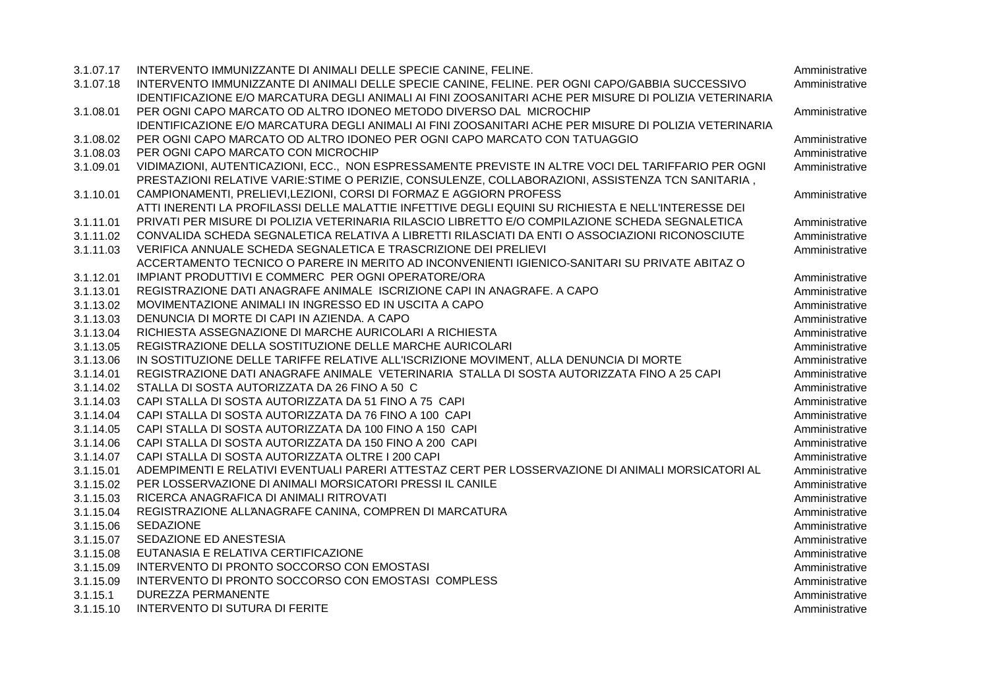| 3.1.07.17 | INTERVENTO IMMUNIZZANTE DI ANIMALI DELLE SPECIE CANINE, FELINE.                                        | Amministrative |
|-----------|--------------------------------------------------------------------------------------------------------|----------------|
| 3.1.07.18 | INTERVENTO IMMUNIZZANTE DI ANIMALI DELLE SPECIE CANINE, FELINE. PER OGNI CAPO/GABBIA SUCCESSIVO        | Amministrative |
|           | IDENTIFICAZIONE E/O MARCATURA DEGLI ANIMALI AI FINI ZOOSANITARI ACHE PER MISURE DI POLIZIA VETERINARIA |                |
| 3.1.08.01 | PER OGNI CAPO MARCATO OD ALTRO IDONEO METODO DIVERSO DAL MICROCHIP                                     | Amministrative |
|           | IDENTIFICAZIONE E/O MARCATURA DEGLI ANIMALI AI FINI ZOOSANITARI ACHE PER MISURE DI POLIZIA VETERINARIA |                |
| 3.1.08.02 | PER OGNI CAPO MARCATO OD ALTRO IDONEO PER OGNI CAPO MARCATO CON TATUAGGIO                              | Amministrative |
| 3.1.08.03 | PER OGNI CAPO MARCATO CON MICROCHIP                                                                    | Amministrative |
| 3.1.09.01 | VIDIMAZIONI, AUTENTICAZIONI, ECC., NON ESPRESSAMENTE PREVISTE IN ALTRE VOCI DEL TARIFFARIO PER OGNI    | Amministrative |
|           | PRESTAZIONI RELATIVE VARIE:STIME O PERIZIE, CONSULENZE, COLLABORAZIONI, ASSISTENZA TCN SANITARIA,      |                |
| 3.1.10.01 | CAMPIONAMENTI, PRELIEVI, LEZIONI, CORSI DI FORMAZ E AGGIORN PROFESS                                    | Amministrative |
|           | ATTI INERENTI LA PROFILASSI DELLE MALATTIE INFETTIVE DEGLI EQUINI SU RICHIESTA E NELL'INTERESSE DEI    |                |
| 3.1.11.01 | PRIVATI PER MISURE DI POLIZIA VETERINARIA RILASCIO LIBRETTO E/O COMPILAZIONE SCHEDA SEGNALETICA        | Amministrative |
| 3.1.11.02 | CONVALIDA SCHEDA SEGNALETICA RELATIVA A LIBRETTI RILASCIATI DA ENTI O ASSOCIAZIONI RICONOSCIUTE        | Amministrative |
| 3.1.11.03 | VERIFICA ANNUALE SCHEDA SEGNALETICA E TRASCRIZIONE DEI PRELIEVI                                        | Amministrative |
|           | ACCERTAMENTO TECNICO O PARERE IN MERITO AD INCONVENIENTI IGIENICO-SANITARI SU PRIVATE ABITAZ O         |                |
| 3.1.12.01 | IMPIANT PRODUTTIVI E COMMERC PER OGNI OPERATORE/ORA                                                    | Amministrative |
| 3.1.13.01 | REGISTRAZIONE DATI ANAGRAFE ANIMALE ISCRIZIONE CAPI IN ANAGRAFE. A CAPO                                | Amministrative |
| 3.1.13.02 | MOVIMENTAZIONE ANIMALI IN INGRESSO ED IN USCITA A CAPO                                                 | Amministrative |
| 3.1.13.03 | DENUNCIA DI MORTE DI CAPI IN AZIENDA. A CAPO                                                           | Amministrative |
| 3.1.13.04 | RICHIESTA ASSEGNAZIONE DI MARCHE AURICOLARI A RICHIESTA                                                | Amministrative |
| 3.1.13.05 | REGISTRAZIONE DELLA SOSTITUZIONE DELLE MARCHE AURICOLARI                                               | Amministrative |
| 3.1.13.06 | IN SOSTITUZIONE DELLE TARIFFE RELATIVE ALL'ISCRIZIONE MOVIMENT, ALLA DENUNCIA DI MORTE                 | Amministrative |
| 3.1.14.01 | REGISTRAZIONE DATI ANAGRAFE ANIMALE VETERINARIA STALLA DI SOSTA AUTORIZZATA FINO A 25 CAPI             | Amministrative |
| 3.1.14.02 | STALLA DI SOSTA AUTORIZZATA DA 26 FINO A 50 C                                                          | Amministrative |
| 3.1.14.03 | CAPI STALLA DI SOSTA AUTORIZZATA DA 51 FINO A 75 CAPI                                                  | Amministrative |
| 3.1.14.04 | CAPI STALLA DI SOSTA AUTORIZZATA DA 76 FINO A 100 CAPI                                                 | Amministrative |
| 3.1.14.05 | CAPI STALLA DI SOSTA AUTORIZZATA DA 100 FINO A 150 CAPI                                                | Amministrative |
| 3.1.14.06 | CAPI STALLA DI SOSTA AUTORIZZATA DA 150 FINO A 200 CAPI                                                | Amministrative |
| 3.1.14.07 | CAPI STALLA DI SOSTA AUTORIZZATA OLTRE I 200 CAPI                                                      | Amministrative |
| 3.1.15.01 | ADEMPIMENTI E RELATIVI EVENTUALI PARERI ATTESTAZ CERT PER LOSSERVAZIONE DI ANIMALI MORSICATORI AL      | Amministrative |
| 3.1.15.02 | PER LOSSERVAZIONE DI ANIMALI MORSICATORI PRESSI IL CANILE                                              | Amministrative |
| 3.1.15.03 | RICERCA ANAGRAFICA DI ANIMALI RITROVATI                                                                | Amministrative |
| 3.1.15.04 | REGISTRAZIONE ALL'ANAGRAFE CANINA, COMPREN DI MARCATURA                                                | Amministrative |
| 3.1.15.06 | <b>SEDAZIONE</b>                                                                                       | Amministrative |
| 3.1.15.07 | SEDAZIONE ED ANESTESIA                                                                                 | Amministrative |
| 3.1.15.08 | EUTANASIA E RELATIVA CERTIFICAZIONE                                                                    | Amministrative |
| 3.1.15.09 | INTERVENTO DI PRONTO SOCCORSO CON EMOSTASI                                                             | Amministrative |
| 3.1.15.09 | INTERVENTO DI PRONTO SOCCORSO CON EMOSTASI COMPLESS                                                    | Amministrative |
| 3.1.15.1  | DUREZZA PERMANENTE                                                                                     | Amministrative |
| 3.1.15.10 | <b>INTERVENTO DI SUTURA DI FERITE</b>                                                                  | Amministrative |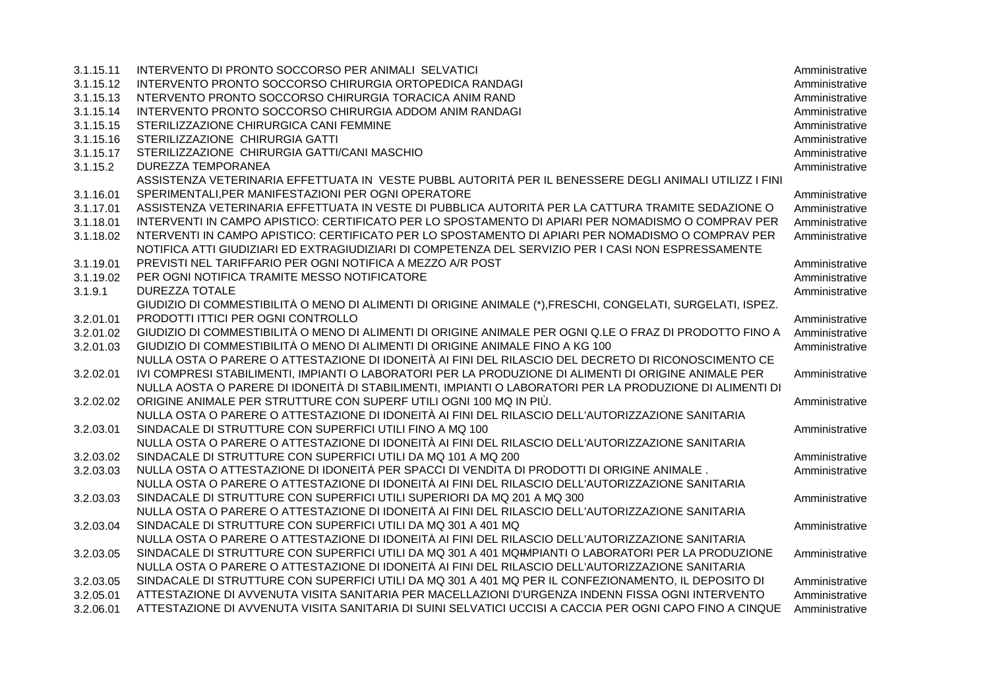| 3.1.15.11 | INTERVENTO DI PRONTO SOCCORSO PER ANIMALI SELVATICI                                                         | Amministrative |
|-----------|-------------------------------------------------------------------------------------------------------------|----------------|
| 3.1.15.12 | INTERVENTO PRONTO SOCCORSO CHIRURGIA ORTOPEDICA RANDAGI                                                     | Amministrative |
| 3.1.15.13 | NTERVENTO PRONTO SOCCORSO CHIRURGIA TORACICA ANIM RAND                                                      | Amministrative |
| 3.1.15.14 | INTERVENTO PRONTO SOCCORSO CHIRURGIA ADDOM ANIM RANDAGI                                                     | Amministrative |
| 3.1.15.15 | STERILIZZAZIONE CHIRURGICA CANI FEMMINE                                                                     | Amministrative |
| 3.1.15.16 | STERILIZZAZIONE CHIRURGIA GATTI                                                                             | Amministrative |
| 3.1.15.17 | STERILIZZAZIONE CHIRURGIA GATTI/CANI MASCHIO                                                                | Amministrative |
| 3.1.15.2  | <b>DUREZZA TEMPORANEA</b>                                                                                   | Amministrative |
|           | ASSISTENZA VETERINARIA EFFETTUATA IN VESTE PUBBL AUTORITÀ PER IL BENESSERE DEGLI ANIMALI UTILIZZ I FINI     |                |
| 3.1.16.01 | SPERIMENTALI, PER MANIFESTAZIONI PER OGNI OPERATORE                                                         | Amministrative |
| 3.1.17.01 | ASSISTENZA VETERINARIA EFFETTUATA IN VESTE DI PUBBLICA AUTORITÀ PER LA CATTURA TRAMITE SEDAZIONE O          | Amministrative |
| 3.1.18.01 | INTERVENTI IN CAMPO APISTICO: CERTIFICATO PER LO SPOSTAMENTO DI APIARI PER NOMADISMO O COMPRAV PER          | Amministrative |
| 3.1.18.02 | NTERVENTI IN CAMPO APISTICO: CERTIFICATO PER LO SPOSTAMENTO DI APIARI PER NOMADISMO O COMPRAV PER           | Amministrative |
|           | NOTIFICA ATTI GIUDIZIARI ED EXTRAGIUDIZIARI DI COMPETENZA DEL SERVIZIO PER I CASI NON ESPRESSAMENTE         |                |
| 3.1.19.01 | PREVISTI NEL TARIFFARIO PER OGNI NOTIFICA A MEZZO A/R POST                                                  | Amministrative |
| 3.1.19.02 | PER OGNI NOTIFICA TRAMITE MESSO NOTIFICATORE                                                                | Amministrative |
| 3.1.9.1   | <b>DUREZZA TOTALE</b>                                                                                       | Amministrative |
|           | GIUDIZIO DI COMMESTIBILITÀ O MENO DI ALIMENTI DI ORIGINE ANIMALE (*), FRESCHI, CONGELATI, SURGELATI, ISPEZ. |                |
| 3.2.01.01 | PRODOTTI ITTICI PER OGNI CONTROLLO                                                                          | Amministrative |
| 3.2.01.02 | GIUDIZIO DI COMMESTIBILITÀ O MENO DI ALIMENTI DI ORIGINE ANIMALE PER OGNI Q.LE O FRAZ DI PRODOTTO FINO A    | Amministrative |
| 3.2.01.03 | GIUDIZIO DI COMMESTIBILITÀ O MENO DI ALIMENTI DI ORIGINE ANIMALE FINO A KG 100                              | Amministrative |
|           | NULLA OSTA O PARERE O ATTESTAZIONE DI IDONEITÀ AI FINI DEL RILASCIO DEL DECRETO DI RICONOSCIMENTO CE        |                |
| 3.2.02.01 | IVI COMPRESI STABILIMENTI, IMPIANTI O LABORATORI PER LA PRODUZIONE DI ALIMENTI DI ORIGINE ANIMALE PER       | Amministrative |
|           | NULLA AOSTA O PARERE DI IDONEITÀ DI STABILIMENTI, IMPIANTI O LABORATORI PER LA PRODUZIONE DI ALIMENTI DI    |                |
| 3.2.02.02 | ORIGINE ANIMALE PER STRUTTURE CON SUPERF UTILI OGNI 100 MQ IN PIÙ.                                          | Amministrative |
|           | NULLA OSTA O PARERE O ATTESTAZIONE DI IDONEITÀ AI FINI DEL RILASCIO DELL'AUTORIZZAZIONE SANITARIA           |                |
| 3.2.03.01 | SINDACALE DI STRUTTURE CON SUPERFICI UTILI FINO A MQ 100                                                    | Amministrative |
|           | NULLA OSTA O PARERE O ATTESTAZIONE DI IDONEITÀ AI FINI DEL RILASCIO DELL'AUTORIZZAZIONE SANITARIA           |                |
| 3.2.03.02 | SINDACALE DI STRUTTURE CON SUPERFICI UTILI DA MQ 101 A MQ 200                                               | Amministrative |
| 3.2.03.03 | NULLA OSTA O ATTESTAZIONE DI IDONEITÀ PER SPACCI DI VENDITA DI PRODOTTI DI ORIGINE ANIMALE.                 | Amministrative |
|           | NULLA OSTA O PARERE O ATTESTAZIONE DI IDONEITÀ AI FINI DEL RILASCIO DELL'AUTORIZZAZIONE SANITARIA           |                |
| 3.2.03.03 | SINDACALE DI STRUTTURE CON SUPERFICI UTILI SUPERIORI DA MQ 201 A MQ 300                                     | Amministrative |
|           | NULLA OSTA O PARERE O ATTESTAZIONE DI IDONEITÀ AI FINI DEL RILASCIO DELL'AUTORIZZAZIONE SANITARIA           |                |
| 3.2.03.04 | SINDACALE DI STRUTTURE CON SUPERFICI UTILI DA MQ 301 A 401 MQ                                               | Amministrative |
|           | NULLA OSTA O PARERE O ATTESTAZIONE DI IDONEITÀ AI FINI DEL RILASCIO DELL'AUTORIZZAZIONE SANITARIA           |                |
| 3.2.03.05 | SINDACALE DI STRUTTURE CON SUPERFICI UTILI DA MQ 301 A 401 MQHMPIANTI O LABORATORI PER LA PRODUZIONE        | Amministrative |
|           | NULLA OSTA O PARERE O ATTESTAZIONE DI IDONEITÀ AI FINI DEL RILASCIO DELL'AUTORIZZAZIONE SANITARIA           |                |
| 3.2.03.05 | SINDACALE DI STRUTTURE CON SUPERFICI UTILI DA MQ 301 A 401 MQ PER IL CONFEZIONAMENTO, IL DEPOSITO DI        | Amministrative |
| 3.2.05.01 | ATTESTAZIONE DI AVVENUTA VISITA SANITARIA PER MACELLAZIONI D'URGENZA INDENN FISSA OGNI INTERVENTO           | Amministrative |
| 3.2.06.01 | ATTESTAZIONE DI AVVENUTA VISITA SANITARIA DI SUINI SELVATICI UCCISI A CACCIA PER OGNI CAPO FINO A CINQUE    | Amministrative |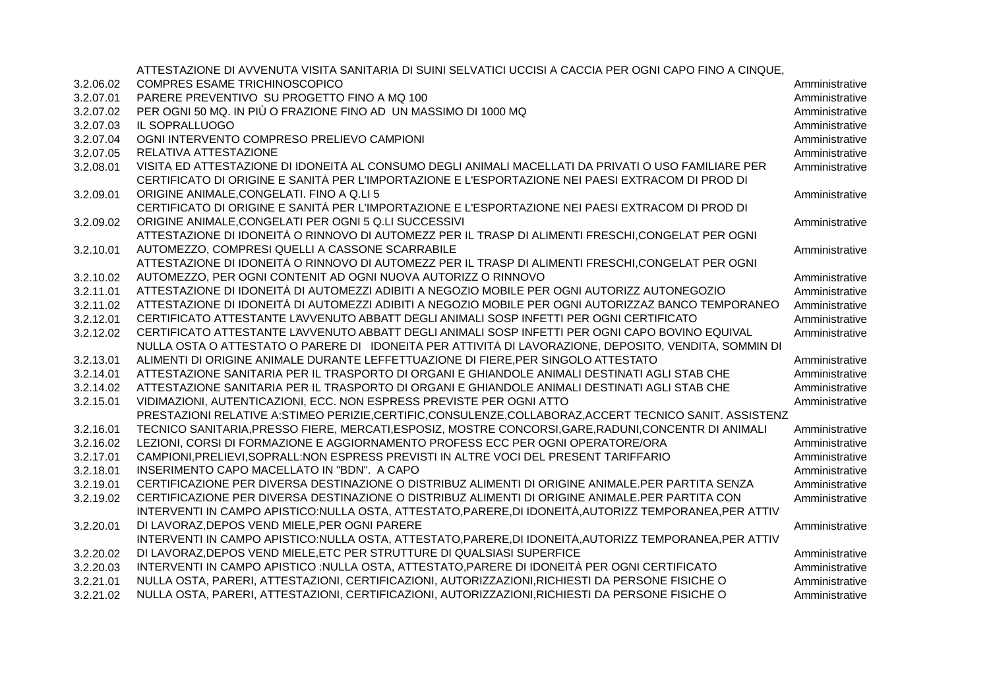|           | ATTESTAZIONE DI AVVENUTA VISITA SANITARIA DI SUINI SELVATICI UCCISI A CACCIA PER OGNI CAPO FINO A CINQUE, |                |
|-----------|-----------------------------------------------------------------------------------------------------------|----------------|
| 3.2.06.02 | COMPRES ESAME TRICHINOSCOPICO                                                                             | Amministrative |
| 3.2.07.01 | PARERE PREVENTIVO SU PROGETTO FINO A MQ 100                                                               | Amministrative |
| 3.2.07.02 | PER OGNI 50 MQ. IN PIÙ O FRAZIONE FINO AD UN MASSIMO DI 1000 MQ                                           | Amministrative |
| 3.2.07.03 | IL SOPRALLUOGO                                                                                            | Amministrative |
| 3.2.07.04 | OGNI INTERVENTO COMPRESO PRELIEVO CAMPIONI                                                                | Amministrative |
| 3.2.07.05 | RELATIVA ATTESTAZIONE                                                                                     | Amministrative |
| 3.2.08.01 | VISITA ED ATTESTAZIONE DI IDONEITÀ AL CONSUMO DEGLI ANIMALI MACELLATI DA PRIVATI O USO FAMILIARE PER      | Amministrative |
|           | CERTIFICATO DI ORIGINE E SANITÀ PER L'IMPORTAZIONE E L'ESPORTAZIONE NEI PAESI EXTRACOM DI PROD DI         |                |
| 3.2.09.01 | ORIGINE ANIMALE, CONGELATI. FINO A Q.LI 5                                                                 | Amministrative |
|           | CERTIFICATO DI ORIGINE E SANITÀ PER L'IMPORTAZIONE E L'ESPORTAZIONE NEI PAESI EXTRACOM DI PROD DI         |                |
| 3.2.09.02 | ORIGINE ANIMALE, CONGELATI PER OGNI 5 Q.LI SUCCESSIVI                                                     | Amministrative |
|           | ATTESTAZIONE DI IDONEITÀ O RINNOVO DI AUTOMEZZ PER IL TRASP DI ALIMENTI FRESCHI, CONGELAT PER OGNI        |                |
| 3.2.10.01 | AUTOMEZZO, COMPRESI QUELLI A CASSONE SCARRABILE                                                           | Amministrative |
|           | ATTESTAZIONE DI IDONEITÀ O RINNOVO DI AUTOMEZZ PER IL TRASP DI ALIMENTI FRESCHI, CONGELAT PER OGNI        |                |
| 3.2.10.02 | AUTOMEZZO, PER OGNI CONTENIT AD OGNI NUOVA AUTORIZZ O RINNOVO                                             | Amministrative |
| 3.2.11.01 | ATTESTAZIONE DI IDONEITÀ DI AUTOMEZZI ADIBITI A NEGOZIO MOBILE PER OGNI AUTORIZZ AUTONEGOZIO              | Amministrative |
| 3.2.11.02 | ATTESTAZIONE DI IDONEITÀ DI AUTOMEZZI ADIBITI A NEGOZIO MOBILE PER OGNI AUTORIZZAZ BANCO TEMPORANEO       | Amministrative |
| 3.2.12.01 | CERTIFICATO ATTESTANTE L'AVVENUTO ABBATT DEGLI ANIMALI SOSP INFETTI PER OGNI CERTIFICATO                  | Amministrative |
| 3.2.12.02 | CERTIFICATO ATTESTANTE L'AVVENUTO ABBATT DEGLI ANIMALI SOSP INFETTI PER OGNI CAPO BOVINO EQUIVAL          | Amministrative |
|           | NULLA OSTA O ATTESTATO O PARERE DI IDONEITÀ PER ATTIVITÀ DI LAVORAZIONE, DEPOSITO, VENDITA, SOMMIN DI     |                |
| 3.2.13.01 | ALIMENTI DI ORIGINE ANIMALE DURANTE LEFFETTUAZIONE DI FIERE, PER SINGOLO ATTESTATO                        | Amministrative |
| 3.2.14.01 | ATTESTAZIONE SANITARIA PER IL TRASPORTO DI ORGANI E GHIANDOLE ANIMALI DESTINATI AGLI STAB CHE             | Amministrative |
| 3.2.14.02 | ATTESTAZIONE SANITARIA PER IL TRASPORTO DI ORGANI E GHIANDOLE ANIMALI DESTINATI AGLI STAB CHE             | Amministrative |
| 3.2.15.01 | VIDIMAZIONI, AUTENTICAZIONI, ECC. NON ESPRESS PREVISTE PER OGNI ATTO                                      | Amministrative |
|           | PRESTAZIONI RELATIVE A:STIMEO PERIZIE,CERTIFIC,CONSULENZE,COLLABORAZ,ACCERT TECNICO SANIT. ASSISTENZ      |                |
| 3.2.16.01 | TECNICO SANITARIA, PRESSO FIERE, MERCATI, ESPOSIZ, MOSTRE CONCORSI, GARE, RADUNI, CONCENTR DI ANIMALI     | Amministrative |
| 3.2.16.02 | LEZIONI, CORSI DI FORMAZIONE E AGGIORNAMENTO PROFESS ECC PER OGNI OPERATORE/ORA                           | Amministrative |
| 3.2.17.01 | CAMPIONI, PRELIEVI, SOPRALL: NON ESPRESS PREVISTI IN ALTRE VOCI DEL PRESENT TARIFFARIO                    | Amministrative |
| 3.2.18.01 | INSERIMENTO CAPO MACELLATO IN "BDN". A CAPO                                                               | Amministrative |
| 3.2.19.01 | CERTIFICAZIONE PER DIVERSA DESTINAZIONE O DISTRIBUZ ALIMENTI DI ORIGINE ANIMALE.PER PARTITA SENZA         | Amministrative |
| 3.2.19.02 | CERTIFICAZIONE PER DIVERSA DESTINAZIONE O DISTRIBUZ ALIMENTI DI ORIGINE ANIMALE.PER PARTITA CON           | Amministrative |
|           | INTERVENTI IN CAMPO APISTICO:NULLA OSTA, ATTESTATO, PARERE, DI IDONEITÀ, AUTORIZZ TEMPORANEA, PER ATTIV   |                |
| 3.2.20.01 | DI LAVORAZ, DEPOS VEND MIELE, PER OGNI PARERE                                                             | Amministrative |
|           | INTERVENTI IN CAMPO APISTICO:NULLA OSTA, ATTESTATO, PARERE, DI IDONEITÀ, AUTORIZZ TEMPORANEA, PER ATTIV   |                |
| 3.2.20.02 | DI LAVORAZ, DEPOS VEND MIELE, ETC PER STRUTTURE DI QUALSIASI SUPERFICE                                    | Amministrative |
| 3.2.20.03 | INTERVENTI IN CAMPO APISTICO :NULLA OSTA, ATTESTATO, PARERE DI IDONEITÀ PER OGNI CERTIFICATO              | Amministrative |
| 3.2.21.01 | NULLA OSTA, PARERI, ATTESTAZIONI, CERTIFICAZIONI, AUTORIZZAZIONI, RICHIESTI DA PERSONE FISICHE O          | Amministrative |
| 3.2.21.02 | NULLA OSTA, PARERI, ATTESTAZIONI, CERTIFICAZIONI, AUTORIZZAZIONI, RICHIESTI DA PERSONE FISICHE O          | Amministrative |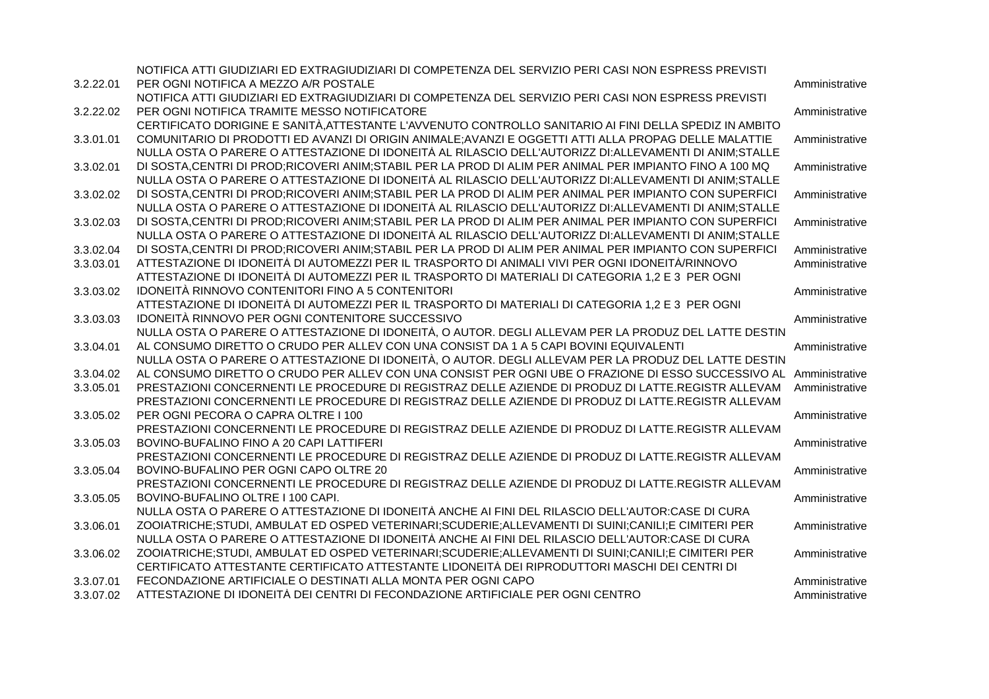|           | NOTIFICA ATTI GIUDIZIARI ED EXTRAGIUDIZIARI DI COMPETENZA DEL SERVIZIO PERI CASI NON ESPRESS PREVISTI             |                |
|-----------|-------------------------------------------------------------------------------------------------------------------|----------------|
| 3.2.22.01 | PER OGNI NOTIFICA A MEZZO A/R POSTALE                                                                             | Amministrative |
|           | NOTIFICA ATTI GIUDIZIARI ED EXTRAGIUDIZIARI DI COMPETENZA DEL SERVIZIO PERI CASI NON ESPRESS PREVISTI             |                |
| 3.2.22.02 | PER OGNI NOTIFICA TRAMITE MESSO NOTIFICATORE                                                                      | Amministrative |
|           | CERTIFICATO DORIGINE E SANITÀ, ATTESTANTE L'AVVENUTO CONTROLLO SANITARIO AI FINI DELLA SPEDIZ IN AMBITO           |                |
| 3.3.01.01 | COMUNITARIO DI PRODOTTI ED AVANZI DI ORIGIN ANIMALE; AVANZI E OGGETTI ATTI ALLA PROPAG DELLE MALATTIE             | Amministrative |
|           | NULLA OSTA O PARERE O ATTESTAZIONE DI IDONEITÀ AL RILASCIO DELL'AUTORIZZ DI: ALLEVAMENTI DI ANIM; STALLE          |                |
| 3.3.02.01 | DI SOSTA, CENTRI DI PROD; RICOVERI ANIM; STABIL PER LA PROD DI ALIM PER ANIMAL PER IMPIANTO FINO A 100 MQ         | Amministrative |
|           | NULLA OSTA O PARERE O ATTESTAZIONE DI IDONEITÀ AL RILASCIO DELL'AUTORIZZ DI: ALLEVAMENTI DI ANIM; STALLE          |                |
| 3.3.02.02 | DI SOSTA, CENTRI DI PROD; RICOVERI ANIM; STABIL PER LA PROD DI ALIM PER ANIMAL PER IMPIANTO CON SUPERFICI         | Amministrative |
|           | NULLA OSTA O PARERE O ATTESTAZIONE DI IDONEITÀ AL RILASCIO DELL'AUTORIZZ DI:ALLEVAMENTI DI ANIM:STALLE            |                |
| 3.3.02.03 | DI SOSTA, CENTRI DI PROD; RICOVERI ANIM; STABIL PER LA PROD DI ALIM PER ANIMAL PER IMPIANTO CON SUPERFICI         | Amministrative |
|           | NULLA OSTA O PARERE O ATTESTAZIONE DI IDONEITÀ AL RILASCIO DELL'AUTORIZZ DI:ALLEVAMENTI DI ANIM;STALLE            |                |
| 3.3.02.04 | DI SOSTA, CENTRI DI PROD; RICOVERI ANIM; STABIL PER LA PROD DI ALIM PER ANIMAL PER IMPIANTO CON SUPERFICI         | Amministrative |
| 3.3.03.01 | ATTESTAZIONE DI IDONEITÀ DI AUTOMEZZI PER IL TRASPORTO DI ANIMALI VIVI PER OGNI IDONEITÀ/RINNOVO                  | Amministrative |
|           | ATTESTAZIONE DI IDONEITÀ DI AUTOMEZZI PER IL TRASPORTO DI MATERIALI DI CATEGORIA 1,2 E 3 PER OGNI                 |                |
| 3.3.03.02 | IDONEITÀ RINNOVO CONTENITORI FINO A 5 CONTENITORI                                                                 | Amministrative |
|           | ATTESTAZIONE DI IDONEITÀ DI AUTOMEZZI PER IL TRASPORTO DI MATERIALI DI CATEGORIA 1,2 E 3 PER OGNI                 |                |
| 3.3.03.03 | IDONEITÀ RINNOVO PER OGNI CONTENITORE SUCCESSIVO                                                                  | Amministrative |
|           | NULLA OSTA O PARERE O ATTESTAZIONE DI IDONEITÀ, O AUTOR. DEGLI ALLEVAM PER LA PRODUZ DEL LATTE DESTIN             |                |
| 3.3.04.01 | AL CONSUMO DIRETTO O CRUDO PER ALLEV CON UNA CONSIST DA 1 A 5 CAPI BOVINI EQUIVALENTI                             | Amministrative |
|           | NULLA OSTA O PARERE O ATTESTAZIONE DI IDONEITÀ, O AUTOR. DEGLI ALLEVAM PER LA PRODUZ DEL LATTE DESTIN             |                |
| 3.3.04.02 | AL CONSUMO DIRETTO O CRUDO PER ALLEV CON UNA CONSIST PER OGNI UBE O FRAZIONE DI ESSO SUCCESSIVO AL Amministrative |                |
| 3.3.05.01 | PRESTAZIONI CONCERNENTI LE PROCEDURE DI REGISTRAZ DELLE AZIENDE DI PRODUZ DI LATTE.REGISTR ALLEVAM                | Amministrative |
|           | PRESTAZIONI CONCERNENTI LE PROCEDURE DI REGISTRAZ DELLE AZIENDE DI PRODUZ DI LATTE.REGISTR ALLEVAM                |                |
| 3.3.05.02 | PER OGNI PECORA O CAPRA OLTRE I 100                                                                               | Amministrative |
|           | PRESTAZIONI CONCERNENTI LE PROCEDURE DI REGISTRAZ DELLE AZIENDE DI PRODUZ DI LATTE.REGISTR ALLEVAM                |                |
| 3.3.05.03 | BOVINO-BUFALINO FINO A 20 CAPI LATTIFERI                                                                          | Amministrative |
|           | PRESTAZIONI CONCERNENTI LE PROCEDURE DI REGISTRAZ DELLE AZIENDE DI PRODUZ DI LATTE.REGISTR ALLEVAM                |                |
| 3.3.05.04 | BOVINO-BUFALINO PER OGNI CAPO OLTRE 20                                                                            | Amministrative |
|           | PRESTAZIONI CONCERNENTI LE PROCEDURE DI REGISTRAZ DELLE AZIENDE DI PRODUZ DI LATTE.REGISTR ALLEVAM                |                |
| 3.3.05.05 | BOVINO-BUFALINO OLTRE I 100 CAPI.                                                                                 | Amministrative |
|           | NULLA OSTA O PARERE O ATTESTAZIONE DI IDONEITÀ ANCHE AI FINI DEL RILASCIO DELL'AUTOR:CASE DI CURA                 |                |
| 3.3.06.01 | ZOOIATRICHE;STUDI, AMBULAT ED OSPED VETERINARI;SCUDERIE;ALLEVAMENTI DI SUINI;CANILI;E CIMITERI PER                | Amministrative |
|           | NULLA OSTA O PARERE O ATTESTAZIONE DI IDONEITÀ ANCHE AI FINI DEL RILASCIO DELL'AUTOR:CASE DI CURA                 |                |
| 3.3.06.02 | ZOOIATRICHE;STUDI, AMBULAT ED OSPED VETERINARI;SCUDERIE;ALLEVAMENTI DI SUINI;CANILI;E CIMITERI PER                | Amministrative |
|           | CERTIFICATO ATTESTANTE CERTIFICATO ATTESTANTE LIDONEITÀ DEI RIPRODUTTORI MASCHI DEI CENTRI DI                     |                |
| 3.3.07.01 | FECONDAZIONE ARTIFICIALE O DESTINATI ALLA MONTA PER OGNI CAPO                                                     | Amministrative |
| 3.3.07.02 | ATTESTAZIONE DI IDONEITÀ DEI CENTRI DI FECONDAZIONE ARTIFICIALE PER OGNI CENTRO                                   | Amministrative |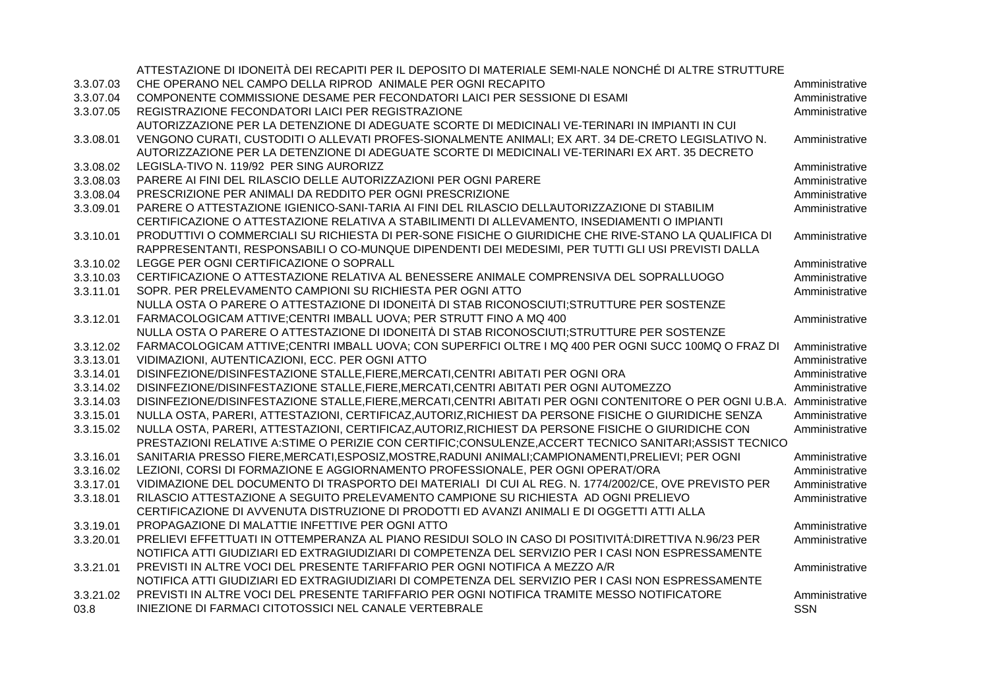|           | ATTESTAZIONE DI IDONEITÀ DEI RECAPITI PER IL DEPOSITO DI MATERIALE SEMI-NALE NONCHÉ DI ALTRE STRUTTURE     |                |
|-----------|------------------------------------------------------------------------------------------------------------|----------------|
| 3.3.07.03 | CHE OPERANO NEL CAMPO DELLA RIPROD ANIMALE PER OGNI RECAPITO                                               | Amministrative |
| 3.3.07.04 | COMPONENTE COMMISSIONE DESAME PER FECONDATORI LAICI PER SESSIONE DI ESAMI                                  | Amministrative |
| 3.3.07.05 | REGISTRAZIONE FECONDATORI LAICI PER REGISTRAZIONE                                                          | Amministrative |
|           | AUTORIZZAZIONE PER LA DETENZIONE DI ADEGUATE SCORTE DI MEDICINALI VE-TERINARI IN IMPIANTI IN CUI           |                |
| 3.3.08.01 | VENGONO CURATI, CUSTODITI O ALLEVATI PROFES-SIONALMENTE ANIMALI; EX ART. 34 DE-CRETO LEGISLATIVO N.        | Amministrative |
|           | AUTORIZZAZIONE PER LA DETENZIONE DI ADEGUATE SCORTE DI MEDICINALI VE-TERINARI EX ART. 35 DECRETO           |                |
| 3.3.08.02 | LEGISLA-TIVO N. 119/92 PER SING AURORIZZ                                                                   | Amministrative |
| 3.3.08.03 | PARERE AI FINI DEL RILASCIO DELLE AUTORIZZAZIONI PER OGNI PARERE                                           | Amministrative |
| 3.3.08.04 | PRESCRIZIONE PER ANIMALI DA REDDITO PER OGNI PRESCRIZIONE                                                  | Amministrative |
| 3.3.09.01 | PARERE O ATTESTAZIONE IGIENICO-SANI-TARIA AI FINI DEL RILASCIO DELL'AUTORIZZAZIONE DI STABILIM             | Amministrative |
|           | CERTIFICAZIONE O ATTESTAZIONE RELATIVA A STABILIMENTI DI ALLEVAMENTO, INSEDIAMENTI O IMPIANTI              |                |
| 3.3.10.01 | PRODUTTIVI O COMMERCIALI SU RICHIESTA DI PER-SONE FISICHE O GIURIDICHE CHE RIVE-STANO LA QUALIFICA DI      | Amministrative |
|           | RAPPRESENTANTI, RESPONSABILI O CO-MUNQUE DIPENDENTI DEI MEDESIMI, PER TUTTI GLI USI PREVISTI DALLA         |                |
| 3.3.10.02 | LEGGE PER OGNI CERTIFICAZIONE O SOPRALL                                                                    | Amministrative |
| 3.3.10.03 | CERTIFICAZIONE O ATTESTAZIONE RELATIVA AL BENESSERE ANIMALE COMPRENSIVA DEL SOPRALLUOGO                    | Amministrative |
| 3.3.11.01 | SOPR. PER PRELEVAMENTO CAMPIONI SU RICHIESTA PER OGNI ATTO                                                 | Amministrative |
|           | NULLA OSTA O PARERE O ATTESTAZIONE DI IDONEITÀ DI STAB RICONOSCIUTI;STRUTTURE PER SOSTENZE                 |                |
| 3.3.12.01 | FARMACOLOGICAM ATTIVE;CENTRI IMBALL UOVA; PER STRUTT FINO A MQ 400                                         | Amministrative |
|           | NULLA OSTA O PARERE O ATTESTAZIONE DI IDONEITÀ DI STAB RICONOSCIUTI;STRUTTURE PER SOSTENZE                 |                |
| 3.3.12.02 | FARMACOLOGICAM ATTIVE;CENTRI IMBALL UOVA; CON SUPERFICI OLTRE I MQ 400 PER OGNI SUCC 100MQ O FRAZ DI       | Amministrative |
| 3.3.13.01 | VIDIMAZIONI, AUTENTICAZIONI, ECC. PER OGNI ATTO                                                            | Amministrative |
| 3.3.14.01 | DISINFEZIONE/DISINFESTAZIONE STALLE, FIERE, MERCATI, CENTRI ABITATI PER OGNI ORA                           | Amministrative |
| 3.3.14.02 | DISINFEZIONE/DISINFESTAZIONE STALLE, FIERE, MERCATI, CENTRI ABITATI PER OGNI AUTOMEZZO                     | Amministrative |
| 3.3.14.03 | DISINFEZIONE/DISINFESTAZIONE STALLE, FIERE, MERCATI, CENTRI ABITATI PER OGNI CONTENITORE O PER OGNI U.B.A. | Amministrative |
| 3.3.15.01 | NULLA OSTA, PARERI, ATTESTAZIONI, CERTIFICAZ, AUTORIZ, RICHIEST DA PERSONE FISICHE O GIURIDICHE SENZA      | Amministrative |
| 3.3.15.02 | NULLA OSTA, PARERI, ATTESTAZIONI, CERTIFICAZ, AUTORIZ, RICHIEST DA PERSONE FISICHE O GIURIDICHE CON        | Amministrative |
|           | PRESTAZIONI RELATIVE A:STIME O PERIZIE CON CERTIFIC;CONSULENZE, ACCERT TECNICO SANITARI; ASSIST TECNICO    |                |
| 3.3.16.01 | SANITARIA PRESSO FIERE, MERCATI, ESPOSIZ, MOSTRE, RADUNI ANIMALI; CAMPIONAMENTI, PRELIEVI; PER OGNI        | Amministrative |
| 3.3.16.02 | LEZIONI, CORSI DI FORMAZIONE E AGGIORNAMENTO PROFESSIONALE, PER OGNI OPERAT/ORA                            | Amministrative |
| 3.3.17.01 | VIDIMAZIONE DEL DOCUMENTO DI TRASPORTO DEI MATERIALI DI CUI AL REG. N. 1774/2002/CE, OVE PREVISTO PER      | Amministrative |
| 3.3.18.01 | RILASCIO ATTESTAZIONE A SEGUITO PRELEVAMENTO CAMPIONE SU RICHIESTA AD OGNI PRELIEVO                        | Amministrative |
|           | CERTIFICAZIONE DI AVVENUTA DISTRUZIONE DI PRODOTTI ED AVANZI ANIMALI E DI OGGETTI ATTI ALLA                |                |
| 3.3.19.01 | PROPAGAZIONE DI MALATTIE INFETTIVE PER OGNI ATTO                                                           | Amministrative |
| 3.3.20.01 | PRELIEVI EFFETTUATI IN OTTEMPERANZA AL PIANO RESIDUI SOLO IN CASO DI POSITIVITÀ: DIRETTIVA N.96/23 PER     | Amministrative |
|           | NOTIFICA ATTI GIUDIZIARI ED EXTRAGIUDIZIARI DI COMPETENZA DEL SERVIZIO PER I CASI NON ESPRESSAMENTE        |                |
| 3.3.21.01 | PREVISTI IN ALTRE VOCI DEL PRESENTE TARIFFARIO PER OGNI NOTIFICA A MEZZO A/R                               | Amministrative |
|           | NOTIFICA ATTI GIUDIZIARI ED EXTRAGIUDIZIARI DI COMPETENZA DEL SERVIZIO PER I CASI NON ESPRESSAMENTE        |                |
| 3.3.21.02 | PREVISTI IN ALTRE VOCI DEL PRESENTE TARIFFARIO PER OGNI NOTIFICA TRAMITE MESSO NOTIFICATORE                | Amministrative |
| 03.8      | INIEZIONE DI FARMACI CITOTOSSICI NEL CANALE VERTEBRALE                                                     | <b>SSN</b>     |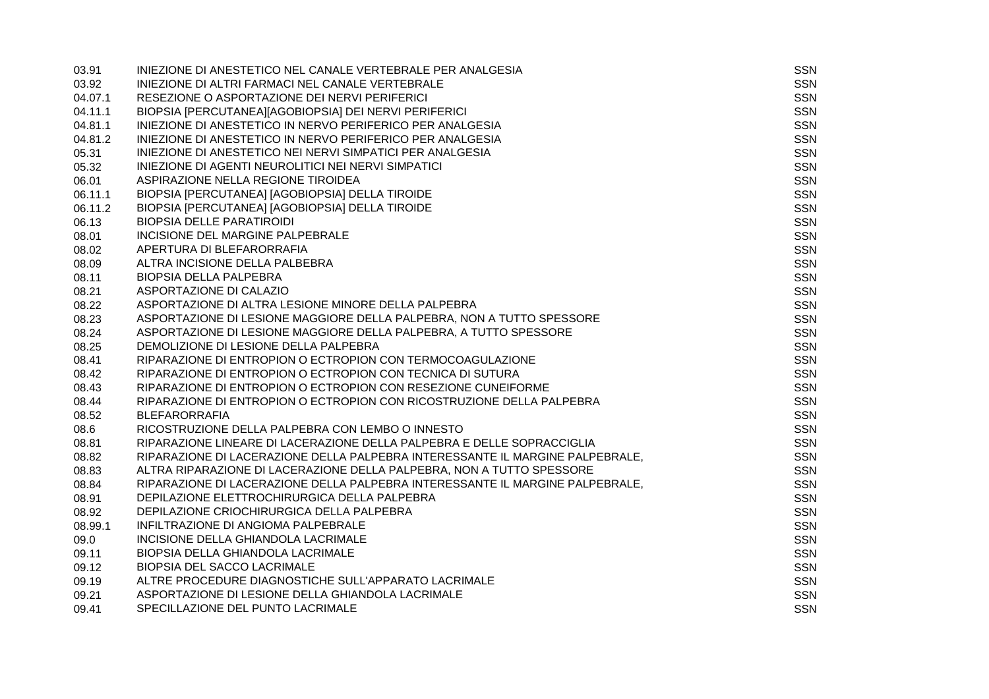| 03.91   | INIEZIONE DI ANESTETICO NEL CANALE VERTEBRALE PER ANALGESIA                   | <b>SSN</b> |
|---------|-------------------------------------------------------------------------------|------------|
| 03.92   | INIEZIONE DI ALTRI FARMACI NEL CANALE VERTEBRALE                              | SSN        |
| 04.07.1 | RESEZIONE O ASPORTAZIONE DEI NERVI PERIFERICI                                 | <b>SSN</b> |
| 04.11.1 | BIOPSIA [PERCUTANEA][AGOBIOPSIA] DEI NERVI PERIFERICI                         | <b>SSN</b> |
| 04.81.1 | INIEZIONE DI ANESTETICO IN NERVO PERIFERICO PER ANALGESIA                     | <b>SSN</b> |
| 04.81.2 | INIEZIONE DI ANESTETICO IN NERVO PERIFERICO PER ANALGESIA                     | <b>SSN</b> |
| 05.31   | INIEZIONE DI ANESTETICO NEI NERVI SIMPATICI PER ANALGESIA                     | <b>SSN</b> |
| 05.32   | INIEZIONE DI AGENTI NEUROLITICI NEI NERVI SIMPATICI                           | SSN        |
| 06.01   | ASPIRAZIONE NELLA REGIONE TIROIDEA                                            | <b>SSN</b> |
| 06.11.1 | BIOPSIA [PERCUTANEA] [AGOBIOPSIA] DELLA TIROIDE                               | <b>SSN</b> |
| 06.11.2 | BIOPSIA [PERCUTANEA] [AGOBIOPSIA] DELLA TIROIDE                               | <b>SSN</b> |
| 06.13   | <b>BIOPSIA DELLE PARATIROIDI</b>                                              | <b>SSN</b> |
| 08.01   | INCISIONE DEL MARGINE PALPEBRALE                                              | <b>SSN</b> |
| 08.02   | APERTURA DI BLEFARORRAFIA                                                     | <b>SSN</b> |
| 08.09   | ALTRA INCISIONE DELLA PALBEBRA                                                | <b>SSN</b> |
| 08.11   | <b>BIOPSIA DELLA PALPEBRA</b>                                                 | SSN        |
| 08.21   | ASPORTAZIONE DI CALAZIO                                                       | <b>SSN</b> |
| 08.22   | ASPORTAZIONE DI ALTRA LESIONE MINORE DELLA PALPEBRA                           | SSN        |
| 08.23   | ASPORTAZIONE DI LESIONE MAGGIORE DELLA PALPEBRA, NON A TUTTO SPESSORE         | <b>SSN</b> |
| 08.24   | ASPORTAZIONE DI LESIONE MAGGIORE DELLA PALPEBRA, A TUTTO SPESSORE             | <b>SSN</b> |
| 08.25   | DEMOLIZIONE DI LESIONE DELLA PALPEBRA                                         | <b>SSN</b> |
| 08.41   | RIPARAZIONE DI ENTROPION O ECTROPION CON TERMOCOAGULAZIONE                    | <b>SSN</b> |
| 08.42   | RIPARAZIONE DI ENTROPION O ECTROPION CON TECNICA DI SUTURA                    | SSN        |
| 08.43   | RIPARAZIONE DI ENTROPION O ECTROPION CON RESEZIONE CUNEIFORME                 | <b>SSN</b> |
| 08.44   | RIPARAZIONE DI ENTROPION O ECTROPION CON RICOSTRUZIONE DELLA PALPEBRA         | <b>SSN</b> |
| 08.52   | <b>BLEFARORRAFIA</b>                                                          | <b>SSN</b> |
| 08.6    | RICOSTRUZIONE DELLA PALPEBRA CON LEMBO O INNESTO                              | <b>SSN</b> |
| 08.81   | RIPARAZIONE LINEARE DI LACERAZIONE DELLA PALPEBRA E DELLE SOPRACCIGLIA        | <b>SSN</b> |
| 08.82   | RIPARAZIONE DI LACERAZIONE DELLA PALPEBRA INTERESSANTE IL MARGINE PALPEBRALE, | <b>SSN</b> |
| 08.83   | ALTRA RIPARAZIONE DI LACERAZIONE DELLA PALPEBRA, NON A TUTTO SPESSORE         | <b>SSN</b> |
| 08.84   | RIPARAZIONE DI LACERAZIONE DELLA PALPEBRA INTERESSANTE IL MARGINE PALPEBRALE, | <b>SSN</b> |
| 08.91   | DEPILAZIONE ELETTROCHIRURGICA DELLA PALPEBRA                                  | <b>SSN</b> |
| 08.92   | DEPILAZIONE CRIOCHIRURGICA DELLA PALPEBRA                                     | <b>SSN</b> |
| 08.99.1 | INFILTRAZIONE DI ANGIOMA PALPEBRALE                                           | <b>SSN</b> |
| 09.0    | INCISIONE DELLA GHIANDOLA LACRIMALE                                           | <b>SSN</b> |
| 09.11   | BIOPSIA DELLA GHIANDOLA LACRIMALE                                             | <b>SSN</b> |
| 09.12   | <b>BIOPSIA DEL SACCO LACRIMALE</b>                                            | <b>SSN</b> |
| 09.19   | ALTRE PROCEDURE DIAGNOSTICHE SULL'APPARATO LACRIMALE                          | <b>SSN</b> |
| 09.21   | ASPORTAZIONE DI LESIONE DELLA GHIANDOLA LACRIMALE                             | <b>SSN</b> |
| 09.41   | SPECILLAZIONE DEL PUNTO LACRIMALE                                             | <b>SSN</b> |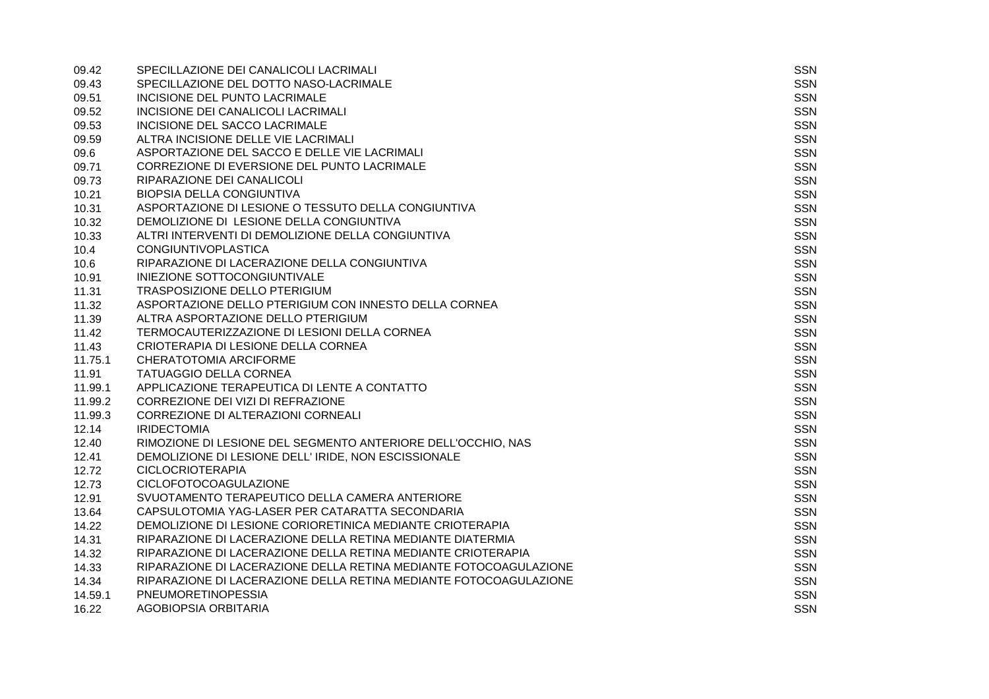| 09.42   | SPECILLAZIONE DEI CANALICOLI LACRIMALI                            | SSN        |
|---------|-------------------------------------------------------------------|------------|
| 09.43   | SPECILLAZIONE DEL DOTTO NASO-LACRIMALE                            | <b>SSN</b> |
| 09.51   | <b>INCISIONE DEL PUNTO LACRIMALE</b>                              | SSN        |
| 09.52   | INCISIONE DEI CANALICOLI LACRIMALI                                | <b>SSN</b> |
| 09.53   | INCISIONE DEL SACCO LACRIMALE                                     | <b>SSN</b> |
| 09.59   | ALTRA INCISIONE DELLE VIE LACRIMALI                               | <b>SSN</b> |
| 09.6    | ASPORTAZIONE DEL SACCO E DELLE VIE LACRIMALI                      | <b>SSN</b> |
| 09.71   | CORREZIONE DI EVERSIONE DEL PUNTO LACRIMALE                       | <b>SSN</b> |
| 09.73   | RIPARAZIONE DEI CANALICOLI                                        | SSN        |
| 10.21   | <b>BIOPSIA DELLA CONGIUNTIVA</b>                                  | <b>SSN</b> |
| 10.31   | ASPORTAZIONE DI LESIONE O TESSUTO DELLA CONGIUNTIVA               | <b>SSN</b> |
| 10.32   | DEMOLIZIONE DI LESIONE DELLA CONGIUNTIVA                          | SSN        |
| 10.33   | ALTRI INTERVENTI DI DEMOLIZIONE DELLA CONGIUNTIVA                 | <b>SSN</b> |
| 10.4    | <b>CONGIUNTIVOPLASTICA</b>                                        | <b>SSN</b> |
| 10.6    | RIPARAZIONE DI LACERAZIONE DELLA CONGIUNTIVA                      | <b>SSN</b> |
| 10.91   | INIEZIONE SOTTOCONGIUNTIVALE                                      | <b>SSN</b> |
| 11.31   | TRASPOSIZIONE DELLO PTERIGIUM                                     | <b>SSN</b> |
| 11.32   | ASPORTAZIONE DELLO PTERIGIUM CON INNESTO DELLA CORNEA             | <b>SSN</b> |
| 11.39   | ALTRA ASPORTAZIONE DELLO PTERIGIUM                                | <b>SSN</b> |
| 11.42   | TERMOCAUTERIZZAZIONE DI LESIONI DELLA CORNEA                      | <b>SSN</b> |
| 11.43   | CRIOTERAPIA DI LESIONE DELLA CORNEA                               | <b>SSN</b> |
| 11.75.1 | CHERATOTOMIA ARCIFORME                                            | <b>SSN</b> |
| 11.91   | <b>TATUAGGIO DELLA CORNEA</b>                                     | SSN        |
| 11.99.1 | APPLICAZIONE TERAPEUTICA DI LENTE A CONTATTO                      | <b>SSN</b> |
| 11.99.2 | CORREZIONE DEI VIZI DI REFRAZIONE                                 | <b>SSN</b> |
| 11.99.3 | CORREZIONE DI ALTERAZIONI CORNEALI                                | SSN        |
| 12.14   | <b>IRIDECTOMIA</b>                                                | <b>SSN</b> |
| 12.40   | RIMOZIONE DI LESIONE DEL SEGMENTO ANTERIORE DELL'OCCHIO, NAS      | <b>SSN</b> |
| 12.41   | DEMOLIZIONE DI LESIONE DELL' IRIDE, NON ESCISSIONALE              | <b>SSN</b> |
| 12.72   | <b>CICLOCRIOTERAPIA</b>                                           | <b>SSN</b> |
| 12.73   | <b>CICLOFOTOCOAGULAZIONE</b>                                      | <b>SSN</b> |
| 12.91   | SVUOTAMENTO TERAPEUTICO DELLA CAMERA ANTERIORE                    | <b>SSN</b> |
| 13.64   | CAPSULOTOMIA YAG-LASER PER CATARATTA SECONDARIA                   | <b>SSN</b> |
| 14.22   | DEMOLIZIONE DI LESIONE CORIORETINICA MEDIANTE CRIOTERAPIA         | SSN        |
| 14.31   | RIPARAZIONE DI LACERAZIONE DELLA RETINA MEDIANTE DIATERMIA        | <b>SSN</b> |
| 14.32   | RIPARAZIONE DI LACERAZIONE DELLA RETINA MEDIANTE CRIOTERAPIA      | <b>SSN</b> |
| 14.33   | RIPARAZIONE DI LACERAZIONE DELLA RETINA MEDIANTE FOTOCOAGULAZIONE | <b>SSN</b> |
| 14.34   | RIPARAZIONE DI LACERAZIONE DELLA RETINA MEDIANTE FOTOCOAGULAZIONE | <b>SSN</b> |
| 14.59.1 | PNEUMORETINOPESSIA                                                | <b>SSN</b> |
| 16.22   | <b>AGOBIOPSIA ORBITARIA</b>                                       | <b>SSN</b> |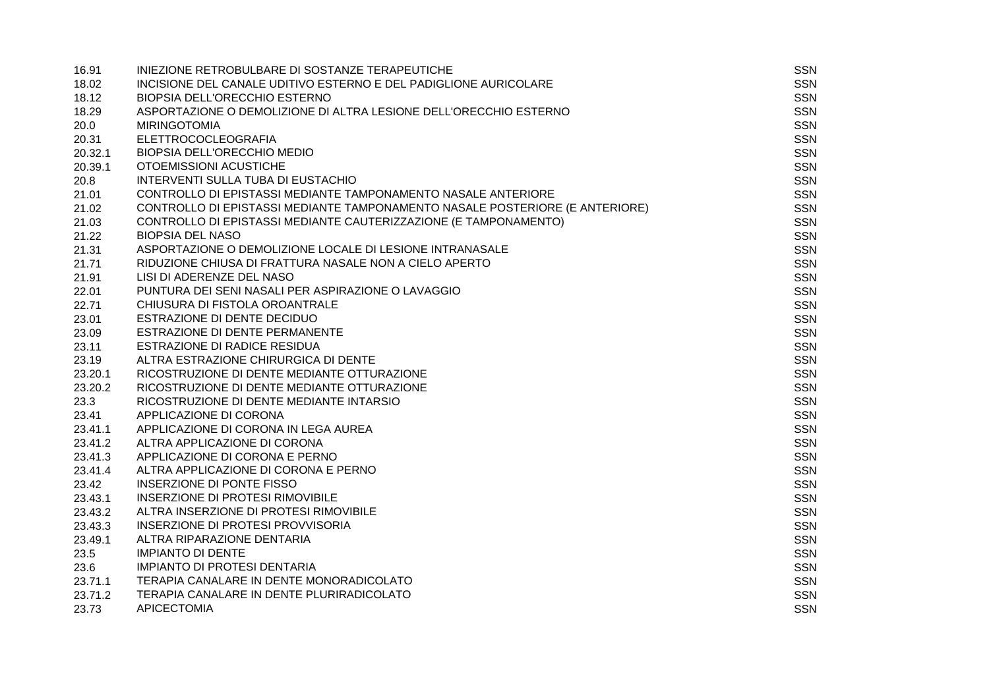| 16.91   | INIEZIONE RETROBULBARE DI SOSTANZE TERAPEUTICHE                              | <b>SSN</b> |
|---------|------------------------------------------------------------------------------|------------|
| 18.02   | INCISIONE DEL CANALE UDITIVO ESTERNO E DEL PADIGLIONE AURICOLARE             | SSN        |
| 18.12   | BIOPSIA DELL'ORECCHIO ESTERNO                                                | SSN        |
| 18.29   | ASPORTAZIONE O DEMOLIZIONE DI ALTRA LESIONE DELL'ORECCHIO ESTERNO            | <b>SSN</b> |
| 20.0    | <b>MIRINGOTOMIA</b>                                                          | <b>SSN</b> |
| 20.31   | <b>ELETTROCOCLEOGRAFIA</b>                                                   | <b>SSN</b> |
| 20.32.1 | <b>BIOPSIA DELL'ORECCHIO MEDIO</b>                                           | <b>SSN</b> |
| 20.39.1 | OTOEMISSIONI ACUSTICHE                                                       | <b>SSN</b> |
| 20.8    | INTERVENTI SULLA TUBA DI EUSTACHIO                                           | <b>SSN</b> |
| 21.01   | CONTROLLO DI EPISTASSI MEDIANTE TAMPONAMENTO NASALE ANTERIORE                | <b>SSN</b> |
| 21.02   | CONTROLLO DI EPISTASSI MEDIANTE TAMPONAMENTO NASALE POSTERIORE (E ANTERIORE) | <b>SSN</b> |
| 21.03   | CONTROLLO DI EPISTASSI MEDIANTE CAUTERIZZAZIONE (E TAMPONAMENTO)             | <b>SSN</b> |
| 21.22   | <b>BIOPSIA DEL NASO</b>                                                      | <b>SSN</b> |
| 21.31   | ASPORTAZIONE O DEMOLIZIONE LOCALE DI LESIONE INTRANASALE                     | <b>SSN</b> |
| 21.71   | RIDUZIONE CHIUSA DI FRATTURA NASALE NON A CIELO APERTO                       | <b>SSN</b> |
| 21.91   | LISI DI ADERENZE DEL NASO                                                    | SSN        |
| 22.01   | PUNTURA DEI SENI NASALI PER ASPIRAZIONE O LAVAGGIO                           | <b>SSN</b> |
| 22.71   | CHIUSURA DI FISTOLA OROANTRALE                                               | SSN        |
| 23.01   | ESTRAZIONE DI DENTE DECIDUO                                                  | <b>SSN</b> |
| 23.09   | ESTRAZIONE DI DENTE PERMANENTE                                               | <b>SSN</b> |
| 23.11   | ESTRAZIONE DI RADICE RESIDUA                                                 | <b>SSN</b> |
| 23.19   | ALTRA ESTRAZIONE CHIRURGICA DI DENTE                                         | <b>SSN</b> |
| 23.20.1 | RICOSTRUZIONE DI DENTE MEDIANTE OTTURAZIONE                                  | SSN        |
| 23.20.2 | RICOSTRUZIONE DI DENTE MEDIANTE OTTURAZIONE                                  | <b>SSN</b> |
| 23.3    | RICOSTRUZIONE DI DENTE MEDIANTE INTARSIO                                     | SSN        |
| 23.41   | APPLICAZIONE DI CORONA                                                       | <b>SSN</b> |
| 23.41.1 | APPLICAZIONE DI CORONA IN LEGA AUREA                                         | <b>SSN</b> |
| 23.41.2 | ALTRA APPLICAZIONE DI CORONA                                                 | <b>SSN</b> |
| 23.41.3 | APPLICAZIONE DI CORONA E PERNO                                               | <b>SSN</b> |
| 23.41.4 | ALTRA APPLICAZIONE DI CORONA E PERNO                                         | SSN        |
| 23.42   | INSERZIONE DI PONTE FISSO                                                    | <b>SSN</b> |
| 23.43.1 | <b>INSERZIONE DI PROTESI RIMOVIBILE</b>                                      | SSN        |
| 23.43.2 | ALTRA INSERZIONE DI PROTESI RIMOVIBILE                                       | <b>SSN</b> |
| 23.43.3 | <b>INSERZIONE DI PROTESI PROVVISORIA</b>                                     | <b>SSN</b> |
| 23.49.1 | ALTRA RIPARAZIONE DENTARIA                                                   | <b>SSN</b> |
| 23.5    | <b>IMPIANTO DI DENTE</b>                                                     | <b>SSN</b> |
| 23.6    | <b>IMPIANTO DI PROTESI DENTARIA</b>                                          | <b>SSN</b> |
| 23.71.1 | TERAPIA CANALARE IN DENTE MONORADICOLATO                                     | <b>SSN</b> |
| 23.71.2 | TERAPIA CANALARE IN DENTE PLURIRADICOLATO                                    | SSN        |
| 23.73   | <b>APICECTOMIA</b>                                                           | <b>SSN</b> |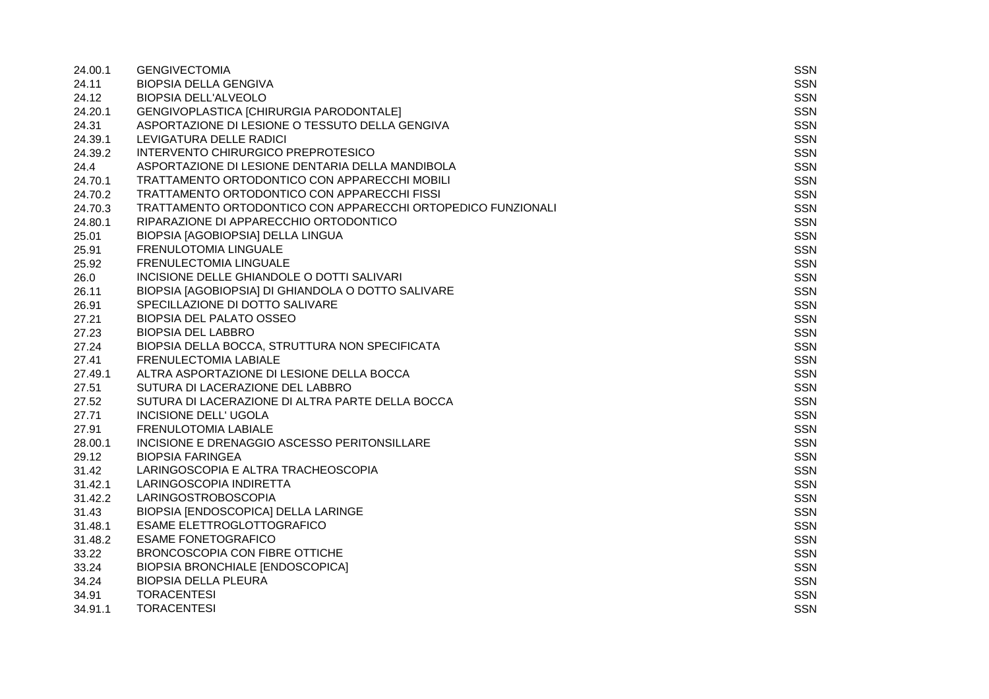| 24.00.1 | <b>GENGIVECTOMIA</b>                                         | SSN        |
|---------|--------------------------------------------------------------|------------|
| 24.11   | <b>BIOPSIA DELLA GENGIVA</b>                                 | SSN        |
| 24.12   | BIOPSIA DELL'ALVEOLO                                         | <b>SSN</b> |
| 24.20.1 | GENGIVOPLASTICA [CHIRURGIA PARODONTALE]                      | <b>SSN</b> |
| 24.31   | ASPORTAZIONE DI LESIONE O TESSUTO DELLA GENGIVA              | <b>SSN</b> |
| 24.39.1 | LEVIGATURA DELLE RADICI                                      | <b>SSN</b> |
| 24.39.2 | INTERVENTO CHIRURGICO PREPROTESICO                           | <b>SSN</b> |
| 24.4    | ASPORTAZIONE DI LESIONE DENTARIA DELLA MANDIBOLA             | <b>SSN</b> |
| 24.70.1 | TRATTAMENTO ORTODONTICO CON APPARECCHI MOBILI                | <b>SSN</b> |
| 24.70.2 | TRATTAMENTO ORTODONTICO CON APPARECCHI FISSI                 | <b>SSN</b> |
| 24.70.3 | TRATTAMENTO ORTODONTICO CON APPARECCHI ORTOPEDICO FUNZIONALI | <b>SSN</b> |
| 24.80.1 | RIPARAZIONE DI APPARECCHIO ORTODONTICO                       | <b>SSN</b> |
| 25.01   | BIOPSIA [AGOBIOPSIA] DELLA LINGUA                            | <b>SSN</b> |
| 25.91   | FRENULOTOMIA LINGUALE                                        | <b>SSN</b> |
| 25.92   | FRENULECTOMIA LINGUALE                                       | <b>SSN</b> |
| 26.0    | INCISIONE DELLE GHIANDOLE O DOTTI SALIVARI                   | <b>SSN</b> |
| 26.11   | BIOPSIA [AGOBIOPSIA] DI GHIANDOLA O DOTTO SALIVARE           | <b>SSN</b> |
| 26.91   | SPECILLAZIONE DI DOTTO SALIVARE                              | <b>SSN</b> |
| 27.21   | <b>BIOPSIA DEL PALATO OSSEO</b>                              | <b>SSN</b> |
| 27.23   | <b>BIOPSIA DEL LABBRO</b>                                    | SSN        |
| 27.24   | BIOPSIA DELLA BOCCA, STRUTTURA NON SPECIFICATA               | <b>SSN</b> |
| 27.41   | <b>FRENULECTOMIA LABIALE</b>                                 | <b>SSN</b> |
| 27.49.1 | ALTRA ASPORTAZIONE DI LESIONE DELLA BOCCA                    | <b>SSN</b> |
| 27.51   | SUTURA DI LACERAZIONE DEL LABBRO                             | <b>SSN</b> |
| 27.52   | SUTURA DI LACERAZIONE DI ALTRA PARTE DELLA BOCCA             | <b>SSN</b> |
| 27.71   | INCISIONE DELL' UGOLA                                        | <b>SSN</b> |
| 27.91   | FRENULOTOMIA LABIALE                                         | SSN        |
| 28.00.1 | INCISIONE E DRENAGGIO ASCESSO PERITONSILLARE                 | <b>SSN</b> |
| 29.12   | <b>BIOPSIA FARINGEA</b>                                      | SSN        |
| 31.42   | LARINGOSCOPIA E ALTRA TRACHEOSCOPIA                          | <b>SSN</b> |
| 31.42.1 | LARINGOSCOPIA INDIRETTA                                      | <b>SSN</b> |
| 31.42.2 | LARINGOSTROBOSCOPIA                                          | <b>SSN</b> |
| 31.43   | BIOPSIA [ENDOSCOPICA] DELLA LARINGE                          | <b>SSN</b> |
| 31.48.1 | <b>ESAME ELETTROGLOTTOGRAFICO</b>                            | <b>SSN</b> |
| 31.48.2 | <b>ESAME FONETOGRAFICO</b>                                   | <b>SSN</b> |
| 33.22   | BRONCOSCOPIA CON FIBRE OTTICHE                               | <b>SSN</b> |
| 33.24   | <b>BIOPSIA BRONCHIALE [ENDOSCOPICA]</b>                      | <b>SSN</b> |
| 34.24   | <b>BIOPSIA DELLA PLEURA</b>                                  | <b>SSN</b> |
| 34.91   | <b>TORACENTESI</b>                                           | <b>SSN</b> |
| 34.91.1 | <b>TORACENTESI</b>                                           | <b>SSN</b> |
|         |                                                              |            |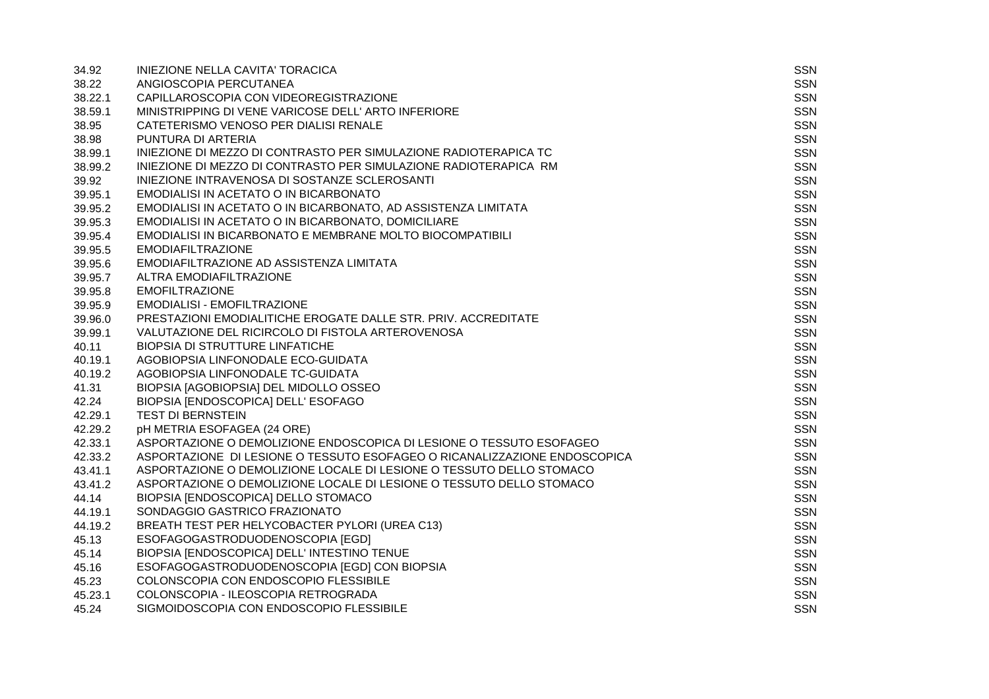| 34.92   | INIEZIONE NELLA CAVITA' TORACICA                                          | <b>SSN</b> |
|---------|---------------------------------------------------------------------------|------------|
| 38.22   | ANGIOSCOPIA PERCUTANEA                                                    | SSN        |
| 38.22.1 | CAPILLAROSCOPIA CON VIDEOREGISTRAZIONE                                    | <b>SSN</b> |
| 38.59.1 | MINISTRIPPING DI VENE VARICOSE DELL' ARTO INFERIORE                       | <b>SSN</b> |
| 38.95   | CATETERISMO VENOSO PER DIALISI RENALE                                     | <b>SSN</b> |
| 38.98   | PUNTURA DI ARTERIA                                                        | <b>SSN</b> |
| 38.99.1 | INIEZIONE DI MEZZO DI CONTRASTO PER SIMULAZIONE RADIOTERAPICA TC          | <b>SSN</b> |
| 38.99.2 | INIEZIONE DI MEZZO DI CONTRASTO PER SIMULAZIONE RADIOTERAPICA RM          | <b>SSN</b> |
| 39.92   | INIEZIONE INTRAVENOSA DI SOSTANZE SCLEROSANTI                             | <b>SSN</b> |
| 39.95.1 | EMODIALISI IN ACETATO O IN BICARBONATO                                    | <b>SSN</b> |
| 39.95.2 | EMODIALISI IN ACETATO O IN BICARBONATO, AD ASSISTENZA LIMITATA            | <b>SSN</b> |
| 39.95.3 | EMODIALISI IN ACETATO O IN BICARBONATO, DOMICILIARE                       | <b>SSN</b> |
| 39.95.4 | EMODIALISI IN BICARBONATO E MEMBRANE MOLTO BIOCOMPATIBILI                 | <b>SSN</b> |
| 39.95.5 | <b>EMODIAFILTRAZIONE</b>                                                  | <b>SSN</b> |
| 39.95.6 | EMODIAFILTRAZIONE AD ASSISTENZA LIMITATA                                  | <b>SSN</b> |
| 39.95.7 | ALTRA EMODIAFILTRAZIONE                                                   | <b>SSN</b> |
| 39.95.8 | <b>EMOFILTRAZIONE</b>                                                     | <b>SSN</b> |
| 39.95.9 | <b>EMODIALISI - EMOFILTRAZIONE</b>                                        | SSN        |
| 39.96.0 | PRESTAZIONI EMODIALITICHE EROGATE DALLE STR. PRIV. ACCREDITATE            | <b>SSN</b> |
| 39.99.1 | VALUTAZIONE DEL RICIRCOLO DI FISTOLA ARTEROVENOSA                         | <b>SSN</b> |
| 40.11   | <b>BIOPSIA DI STRUTTURE LINFATICHE</b>                                    | SSN        |
| 40.19.1 | AGOBIOPSIA LINFONODALE ECO-GUIDATA                                        | <b>SSN</b> |
| 40.19.2 | AGOBIOPSIA LINFONODALE TC-GUIDATA                                         | SSN        |
| 41.31   | BIOPSIA [AGOBIOPSIA] DEL MIDOLLO OSSEO                                    | <b>SSN</b> |
| 42.24   | BIOPSIA [ENDOSCOPICA] DELL' ESOFAGO                                       | <b>SSN</b> |
| 42.29.1 | <b>TEST DI BERNSTEIN</b>                                                  | SSN        |
| 42.29.2 | pH METRIA ESOFAGEA (24 ORE)                                               | <b>SSN</b> |
| 42.33.1 | ASPORTAZIONE O DEMOLIZIONE ENDOSCOPICA DI LESIONE O TESSUTO ESOFAGEO      | <b>SSN</b> |
| 42.33.2 | ASPORTAZIONE DI LESIONE O TESSUTO ESOFAGEO O RICANALIZZAZIONE ENDOSCOPICA | <b>SSN</b> |
| 43.41.1 | ASPORTAZIONE O DEMOLIZIONE LOCALE DI LESIONE O TESSUTO DELLO STOMACO      | <b>SSN</b> |
| 43.41.2 | ASPORTAZIONE O DEMOLIZIONE LOCALE DI LESIONE O TESSUTO DELLO STOMACO      | <b>SSN</b> |
| 44.14   | BIOPSIA [ENDOSCOPICA] DELLO STOMACO                                       | <b>SSN</b> |
| 44.19.1 | SONDAGGIO GASTRICO FRAZIONATO                                             | <b>SSN</b> |
| 44.19.2 | BREATH TEST PER HELYCOBACTER PYLORI (UREA C13)                            | SSN        |
| 45.13   | ESOFAGOGASTRODUODENOSCOPIA [EGD]                                          | <b>SSN</b> |
| 45.14   | BIOPSIA [ENDOSCOPICA] DELL' INTESTINO TENUE                               | <b>SSN</b> |
| 45.16   | ESOFAGOGASTRODUODENOSCOPIA [EGD] CON BIOPSIA                              | SSN        |
| 45.23   | COLONSCOPIA CON ENDOSCOPIO FLESSIBILE                                     | <b>SSN</b> |
| 45.23.1 | COLONSCOPIA - ILEOSCOPIA RETROGRADA                                       | <b>SSN</b> |
| 45.24   | SIGMOIDOSCOPIA CON ENDOSCOPIO FLESSIBILE                                  | <b>SSN</b> |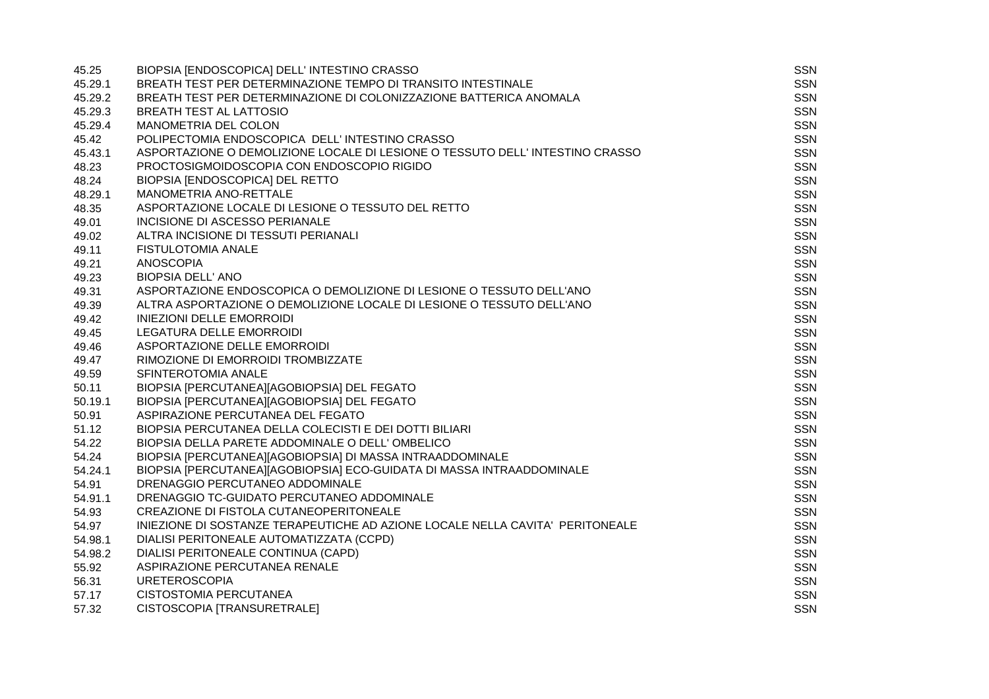| 45.25   | BIOPSIA [ENDOSCOPICA] DELL' INTESTINO CRASSO                                  | <b>SSN</b> |
|---------|-------------------------------------------------------------------------------|------------|
| 45.29.1 | BREATH TEST PER DETERMINAZIONE TEMPO DI TRANSITO INTESTINALE                  | SSN        |
| 45.29.2 | BREATH TEST PER DETERMINAZIONE DI COLONIZZAZIONE BATTERICA ANOMALA            | <b>SSN</b> |
| 45.29.3 | <b>BREATH TEST AL LATTOSIO</b>                                                | <b>SSN</b> |
| 45.29.4 | MANOMETRIA DEL COLON                                                          | <b>SSN</b> |
| 45.42   | POLIPECTOMIA ENDOSCOPICA DELL'INTESTINO CRASSO                                | <b>SSN</b> |
| 45.43.1 | ASPORTAZIONE O DEMOLIZIONE LOCALE DI LESIONE O TESSUTO DELL'INTESTINO CRASSO  | <b>SSN</b> |
| 48.23   | PROCTOSIGMOIDOSCOPIA CON ENDOSCOPIO RIGIDO                                    | <b>SSN</b> |
| 48.24   | BIOPSIA [ENDOSCOPICA] DEL RETTO                                               | <b>SSN</b> |
| 48.29.1 | MANOMETRIA ANO-RETTALE                                                        | <b>SSN</b> |
| 48.35   | ASPORTAZIONE LOCALE DI LESIONE O TESSUTO DEL RETTO                            | <b>SSN</b> |
| 49.01   | INCISIONE DI ASCESSO PERIANALE                                                | <b>SSN</b> |
| 49.02   | ALTRA INCISIONE DI TESSUTI PERIANALI                                          | <b>SSN</b> |
| 49.11   | <b>FISTULOTOMIA ANALE</b>                                                     | <b>SSN</b> |
| 49.21   | <b>ANOSCOPIA</b>                                                              | SSN        |
| 49.23   | <b>BIOPSIA DELL' ANO</b>                                                      | <b>SSN</b> |
| 49.31   | ASPORTAZIONE ENDOSCOPICA O DEMOLIZIONE DI LESIONE O TESSUTO DELL'ANO          | <b>SSN</b> |
| 49.39   | ALTRA ASPORTAZIONE O DEMOLIZIONE LOCALE DI LESIONE O TESSUTO DELL'ANO         | <b>SSN</b> |
| 49.42   | <b>INIEZIONI DELLE EMORROIDI</b>                                              | <b>SSN</b> |
| 49.45   | LEGATURA DELLE EMORROIDI                                                      | <b>SSN</b> |
| 49.46   | ASPORTAZIONE DELLE EMORROIDI                                                  | <b>SSN</b> |
| 49.47   | RIMOZIONE DI EMORROIDI TROMBIZZATE                                            | <b>SSN</b> |
| 49.59   | SFINTEROTOMIA ANALE                                                           | <b>SSN</b> |
| 50.11   | BIOPSIA [PERCUTANEA][AGOBIOPSIA] DEL FEGATO                                   | <b>SSN</b> |
| 50.19.1 | BIOPSIA [PERCUTANEA][AGOBIOPSIA] DEL FEGATO                                   | <b>SSN</b> |
| 50.91   | ASPIRAZIONE PERCUTANEA DEL FEGATO                                             | <b>SSN</b> |
| 51.12   | BIOPSIA PERCUTANEA DELLA COLECISTI E DEI DOTTI BILIARI                        | <b>SSN</b> |
| 54.22   | BIOPSIA DELLA PARETE ADDOMINALE O DELL'OMBELICO                               | <b>SSN</b> |
| 54.24   | BIOPSIA [PERCUTANEA][AGOBIOPSIA] DI MASSA INTRAADDOMINALE                     | <b>SSN</b> |
| 54.24.1 | BIOPSIA [PERCUTANEA][AGOBIOPSIA] ECO-GUIDATA DI MASSA INTRAADDOMINALE         | <b>SSN</b> |
| 54.91   | DRENAGGIO PERCUTANEO ADDOMINALE                                               | <b>SSN</b> |
| 54.91.1 | DRENAGGIO TC-GUIDATO PERCUTANEO ADDOMINALE                                    | <b>SSN</b> |
| 54.93   | <b>CREAZIONE DI FISTOLA CUTANEOPERITONEALE</b>                                | <b>SSN</b> |
| 54.97   | INIEZIONE DI SOSTANZE TERAPEUTICHE AD AZIONE LOCALE NELLA CAVITA' PERITONEALE | <b>SSN</b> |
| 54.98.1 | DIALISI PERITONEALE AUTOMATIZZATA (CCPD)                                      | <b>SSN</b> |
| 54.98.2 | DIALISI PERITONEALE CONTINUA (CAPD)                                           | <b>SSN</b> |
| 55.92   | ASPIRAZIONE PERCUTANEA RENALE                                                 | <b>SSN</b> |
| 56.31   | <b>URETEROSCOPIA</b>                                                          | <b>SSN</b> |
| 57.17   | <b>CISTOSTOMIA PERCUTANEA</b>                                                 | <b>SSN</b> |
| 57.32   | CISTOSCOPIA [TRANSURETRALE]                                                   | <b>SSN</b> |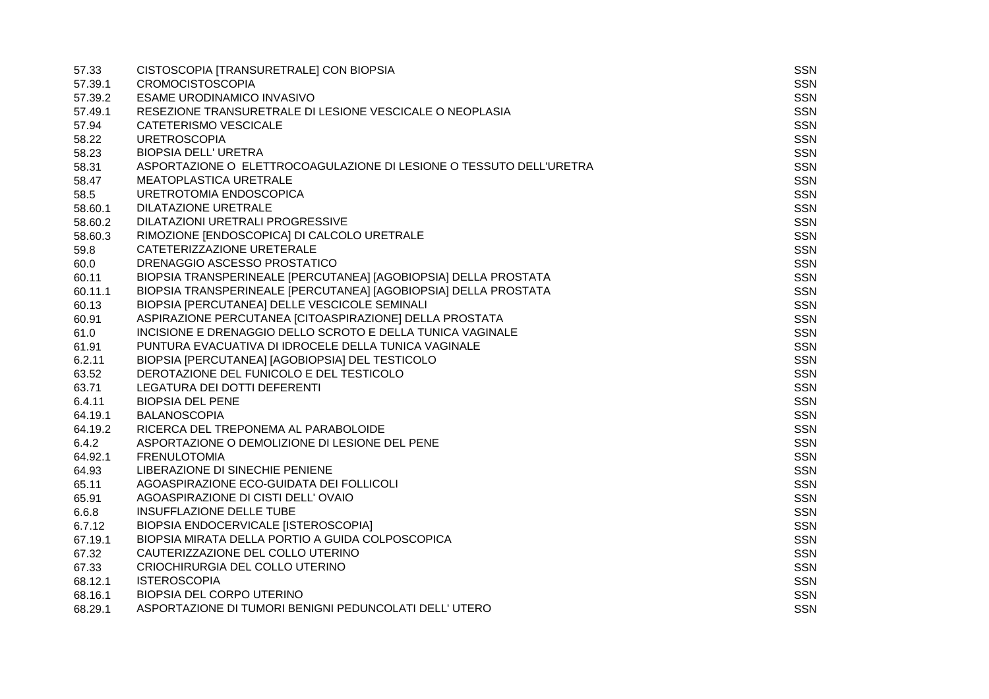| 57.33   | CISTOSCOPIA [TRANSURETRALE] CON BIOPSIA                             | <b>SSN</b> |
|---------|---------------------------------------------------------------------|------------|
| 57.39.1 | <b>CROMOCISTOSCOPIA</b>                                             | <b>SSN</b> |
| 57.39.2 | ESAME URODINAMICO INVASIVO                                          | <b>SSN</b> |
| 57.49.1 | RESEZIONE TRANSURETRALE DI LESIONE VESCICALE O NEOPLASIA            | <b>SSN</b> |
| 57.94   | CATETERISMO VESCICALE                                               | <b>SSN</b> |
| 58.22   | <b>URETROSCOPIA</b>                                                 | <b>SSN</b> |
| 58.23   | <b>BIOPSIA DELL' URETRA</b>                                         | <b>SSN</b> |
| 58.31   | ASPORTAZIONE O ELETTROCOAGULAZIONE DI LESIONE O TESSUTO DELL'URETRA | <b>SSN</b> |
| 58.47   | MEATOPLASTICA URETRALE                                              | <b>SSN</b> |
| 58.5    | URETROTOMIA ENDOSCOPICA                                             | <b>SSN</b> |
| 58.60.1 | DILATAZIONE URETRALE                                                | <b>SSN</b> |
| 58.60.2 | DILATAZIONI URETRALI PROGRESSIVE                                    | <b>SSN</b> |
| 58.60.3 | RIMOZIONE [ENDOSCOPICA] DI CALCOLO URETRALE                         | <b>SSN</b> |
| 59.8    | CATETERIZZAZIONE URETERALE                                          | <b>SSN</b> |
| 60.0    | DRENAGGIO ASCESSO PROSTATICO                                        | SSN        |
| 60.11   | BIOPSIA TRANSPERINEALE [PERCUTANEA] [AGOBIOPSIA] DELLA PROSTATA     | <b>SSN</b> |
| 60.11.1 | BIOPSIA TRANSPERINEALE [PERCUTANEA] [AGOBIOPSIA] DELLA PROSTATA     | <b>SSN</b> |
| 60.13   | BIOPSIA [PERCUTANEA] DELLE VESCICOLE SEMINALI                       | <b>SSN</b> |
| 60.91   | ASPIRAZIONE PERCUTANEA [CITOASPIRAZIONE] DELLA PROSTATA             | <b>SSN</b> |
| 61.0    | INCISIONE E DRENAGGIO DELLO SCROTO E DELLA TUNICA VAGINALE          | <b>SSN</b> |
| 61.91   | PUNTURA EVACUATIVA DI IDROCELE DELLA TUNICA VAGINALE                | <b>SSN</b> |
| 6.2.11  | BIOPSIA [PERCUTANEA] [AGOBIOPSIA] DEL TESTICOLO                     | <b>SSN</b> |
| 63.52   | DEROTAZIONE DEL FUNICOLO E DEL TESTICOLO                            | <b>SSN</b> |
| 63.71   | LEGATURA DEI DOTTI DEFERENTI                                        | <b>SSN</b> |
| 6.4.11  | <b>BIOPSIA DEL PENE</b>                                             | <b>SSN</b> |
| 64.19.1 | <b>BALANOSCOPIA</b>                                                 | <b>SSN</b> |
| 64.19.2 | RICERCA DEL TREPONEMA AL PARABOLOIDE                                | <b>SSN</b> |
| 6.4.2   | ASPORTAZIONE O DEMOLIZIONE DI LESIONE DEL PENE                      | <b>SSN</b> |
| 64.92.1 | <b>FRENULOTOMIA</b>                                                 | <b>SSN</b> |
| 64.93   | LIBERAZIONE DI SINECHIE PENIENE                                     | <b>SSN</b> |
| 65.11   | AGOASPIRAZIONE ECO-GUIDATA DEI FOLLICOLI                            | <b>SSN</b> |
| 65.91   | AGOASPIRAZIONE DI CISTI DELL'OVAIO                                  | <b>SSN</b> |
| 6.6.8   | <b>INSUFFLAZIONE DELLE TUBE</b>                                     | <b>SSN</b> |
| 6.7.12  | BIOPSIA ENDOCERVICALE [ISTEROSCOPIA]                                | <b>SSN</b> |
| 67.19.1 | BIOPSIA MIRATA DELLA PORTIO A GUIDA COLPOSCOPICA                    | <b>SSN</b> |
| 67.32   | CAUTERIZZAZIONE DEL COLLO UTERINO                                   | <b>SSN</b> |
| 67.33   | CRIOCHIRURGIA DEL COLLO UTERINO                                     | <b>SSN</b> |
| 68.12.1 | <b>ISTEROSCOPIA</b>                                                 | <b>SSN</b> |
| 68.16.1 | BIOPSIA DEL CORPO UTERINO                                           | <b>SSN</b> |
| 68.29.1 | ASPORTAZIONE DI TUMORI BENIGNI PEDUNCOLATI DELL'UTERO               | <b>SSN</b> |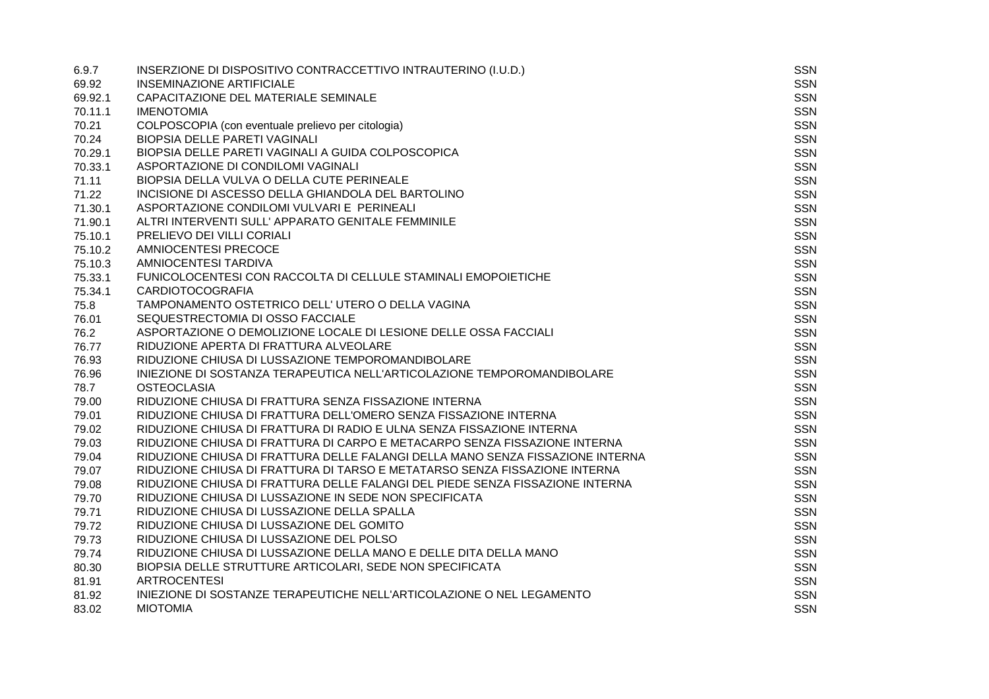| 6.9.7   | INSERZIONE DI DISPOSITIVO CONTRACCETTIVO INTRAUTERINO (I.U.D.)                 | <b>SSN</b> |
|---------|--------------------------------------------------------------------------------|------------|
| 69.92   | <b>INSEMINAZIONE ARTIFICIALE</b>                                               | SSN        |
| 69.92.1 | CAPACITAZIONE DEL MATERIALE SEMINALE                                           | <b>SSN</b> |
| 70.11.1 | <b>IMENOTOMIA</b>                                                              | <b>SSN</b> |
| 70.21   | COLPOSCOPIA (con eventuale prelievo per citologia)                             | <b>SSN</b> |
| 70.24   | BIOPSIA DELLE PARETI VAGINALI                                                  | <b>SSN</b> |
| 70.29.1 | BIOPSIA DELLE PARETI VAGINALI A GUIDA COLPOSCOPICA                             | <b>SSN</b> |
| 70.33.1 | ASPORTAZIONE DI CONDILOMI VAGINALI                                             | <b>SSN</b> |
| 71.11   | BIOPSIA DELLA VULVA O DELLA CUTE PERINEALE                                     | <b>SSN</b> |
| 71.22   | INCISIONE DI ASCESSO DELLA GHIANDOLA DEL BARTOLINO                             | <b>SSN</b> |
| 71.30.1 | ASPORTAZIONE CONDILOMI VULVARI E PERINEALI                                     | <b>SSN</b> |
| 71.90.1 | ALTRI INTERVENTI SULL' APPARATO GENITALE FEMMINILE                             | <b>SSN</b> |
| 75.10.1 | PRELIEVO DEI VILLI CORIALI                                                     | <b>SSN</b> |
| 75.10.2 | <b>AMNIOCENTESI PRECOCE</b>                                                    | <b>SSN</b> |
| 75.10.3 | AMNIOCENTESI TARDIVA                                                           | <b>SSN</b> |
| 75.33.1 | FUNICOLOCENTESI CON RACCOLTA DI CELLULE STAMINALI EMOPOIETICHE                 | <b>SSN</b> |
| 75.34.1 | <b>CARDIOTOCOGRAFIA</b>                                                        | <b>SSN</b> |
| 75.8    | TAMPONAMENTO OSTETRICO DELL' UTERO O DELLA VAGINA                              | <b>SSN</b> |
| 76.01   | SEQUESTRECTOMIA DI OSSO FACCIALE                                               | <b>SSN</b> |
| 76.2    | ASPORTAZIONE O DEMOLIZIONE LOCALE DI LESIONE DELLE OSSA FACCIALI               | <b>SSN</b> |
| 76.77   | RIDUZIONE APERTA DI FRATTURA ALVEOLARE                                         | <b>SSN</b> |
| 76.93   | RIDUZIONE CHIUSA DI LUSSAZIONE TEMPOROMANDIBOLARE                              | <b>SSN</b> |
| 76.96   | INIEZIONE DI SOSTANZA TERAPEUTICA NELL'ARTICOLAZIONE TEMPOROMANDIBOLARE        | <b>SSN</b> |
| 78.7    | <b>OSTEOCLASIA</b>                                                             | <b>SSN</b> |
| 79.00   | RIDUZIONE CHIUSA DI FRATTURA SENZA FISSAZIONE INTERNA                          | <b>SSN</b> |
| 79.01   | RIDUZIONE CHIUSA DI FRATTURA DELL'OMERO SENZA FISSAZIONE INTERNA               | <b>SSN</b> |
| 79.02   | RIDUZIONE CHIUSA DI FRATTURA DI RADIO E ULNA SENZA FISSAZIONE INTERNA          | <b>SSN</b> |
| 79.03   | RIDUZIONE CHIUSA DI FRATTURA DI CARPO E METACARPO SENZA FISSAZIONE INTERNA     | <b>SSN</b> |
| 79.04   | RIDUZIONE CHIUSA DI FRATTURA DELLE FALANGI DELLA MANO SENZA FISSAZIONE INTERNA | <b>SSN</b> |
| 79.07   | RIDUZIONE CHIUSA DI FRATTURA DI TARSO E METATARSO SENZA FISSAZIONE INTERNA     | <b>SSN</b> |
| 79.08   | RIDUZIONE CHIUSA DI FRATTURA DELLE FALANGI DEL PIEDE SENZA FISSAZIONE INTERNA  | <b>SSN</b> |
| 79.70   | RIDUZIONE CHIUSA DI LUSSAZIONE IN SEDE NON SPECIFICATA                         | <b>SSN</b> |
| 79.71   | RIDUZIONE CHIUSA DI LUSSAZIONE DELLA SPALLA                                    | SSN        |
| 79.72   | RIDUZIONE CHIUSA DI LUSSAZIONE DEL GOMITO                                      | <b>SSN</b> |
| 79.73   | RIDUZIONE CHIUSA DI LUSSAZIONE DEL POLSO                                       | <b>SSN</b> |
| 79.74   | RIDUZIONE CHIUSA DI LUSSAZIONE DELLA MANO E DELLE DITA DELLA MANO              | <b>SSN</b> |
| 80.30   | BIOPSIA DELLE STRUTTURE ARTICOLARI, SEDE NON SPECIFICATA                       | <b>SSN</b> |
| 81.91   | <b>ARTROCENTESI</b>                                                            | <b>SSN</b> |
| 81.92   | INIEZIONE DI SOSTANZE TERAPEUTICHE NELL'ARTICOLAZIONE O NEL LEGAMENTO          | <b>SSN</b> |
| 83.02   | <b>MIOTOMIA</b>                                                                | <b>SSN</b> |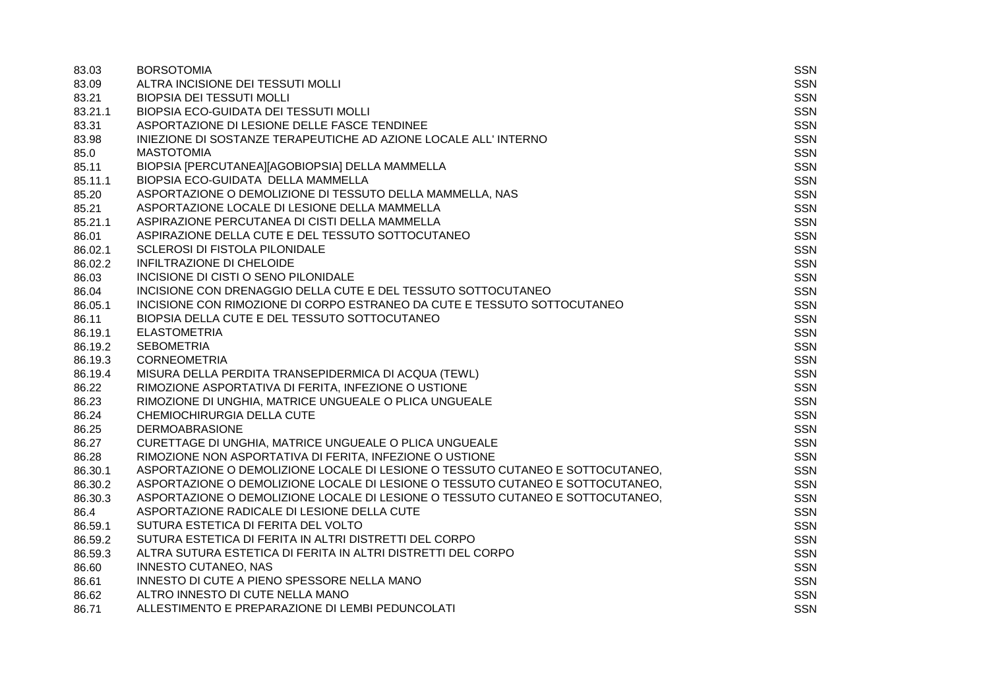| 83.03   | <b>BORSOTOMIA</b>                                                              | SSN        |
|---------|--------------------------------------------------------------------------------|------------|
| 83.09   | ALTRA INCISIONE DEI TESSUTI MOLLI                                              | <b>SSN</b> |
| 83.21   | <b>BIOPSIA DEI TESSUTI MOLLI</b>                                               | <b>SSN</b> |
| 83.21.1 | BIOPSIA ECO-GUIDATA DEI TESSUTI MOLLI                                          | <b>SSN</b> |
| 83.31   | ASPORTAZIONE DI LESIONE DELLE FASCE TENDINEE                                   | <b>SSN</b> |
| 83.98   | INIEZIONE DI SOSTANZE TERAPEUTICHE AD AZIONE LOCALE ALL' INTERNO               | <b>SSN</b> |
| 85.0    | <b>MASTOTOMIA</b>                                                              | <b>SSN</b> |
| 85.11   | BIOPSIA [PERCUTANEA][AGOBIOPSIA] DELLA MAMMELLA                                | <b>SSN</b> |
| 85.11.1 | BIOPSIA ECO-GUIDATA DELLA MAMMELLA                                             | <b>SSN</b> |
| 85.20   | ASPORTAZIONE O DEMOLIZIONE DI TESSUTO DELLA MAMMELLA, NAS                      | <b>SSN</b> |
| 85.21   | ASPORTAZIONE LOCALE DI LESIONE DELLA MAMMELLA                                  | <b>SSN</b> |
| 85.21.1 | ASPIRAZIONE PERCUTANEA DI CISTI DELLA MAMMELLA                                 | <b>SSN</b> |
| 86.01   | ASPIRAZIONE DELLA CUTE E DEL TESSUTO SOTTOCUTANEO                              | <b>SSN</b> |
| 86.02.1 | SCLEROSI DI FISTOLA PILONIDALE                                                 | <b>SSN</b> |
| 86.02.2 | INFILTRAZIONE DI CHELOIDE                                                      | <b>SSN</b> |
| 86.03   | INCISIONE DI CISTI O SENO PILONIDALE                                           | <b>SSN</b> |
| 86.04   | INCISIONE CON DRENAGGIO DELLA CUTE E DEL TESSUTO SOTTOCUTANEO                  | SSN        |
| 86.05.1 | INCISIONE CON RIMOZIONE DI CORPO ESTRANEO DA CUTE E TESSUTO SOTTOCUTANEO       | <b>SSN</b> |
| 86.11   | BIOPSIA DELLA CUTE E DEL TESSUTO SOTTOCUTANEO                                  | <b>SSN</b> |
| 86.19.1 | <b>ELASTOMETRIA</b>                                                            | <b>SSN</b> |
| 86.19.2 | <b>SEBOMETRIA</b>                                                              | <b>SSN</b> |
| 86.19.3 | <b>CORNEOMETRIA</b>                                                            | SSN        |
| 86.19.4 | MISURA DELLA PERDITA TRANSEPIDERMICA DI ACQUA (TEWL)                           | <b>SSN</b> |
| 86.22   | RIMOZIONE ASPORTATIVA DI FERITA, INFEZIONE O USTIONE                           | <b>SSN</b> |
| 86.23   | RIMOZIONE DI UNGHIA, MATRICE UNGUEALE O PLICA UNGUEALE                         | <b>SSN</b> |
| 86.24   | CHEMIOCHIRURGIA DELLA CUTE                                                     | <b>SSN</b> |
| 86.25   | <b>DERMOABRASIONE</b>                                                          | <b>SSN</b> |
| 86.27   | CURETTAGE DI UNGHIA, MATRICE UNGUEALE O PLICA UNGUEALE                         | <b>SSN</b> |
| 86.28   | RIMOZIONE NON ASPORTATIVA DI FERITA, INFEZIONE O USTIONE                       | <b>SSN</b> |
| 86.30.1 | ASPORTAZIONE O DEMOLIZIONE LOCALE DI LESIONE O TESSUTO CUTANEO E SOTTOCUTANEO, | <b>SSN</b> |
| 86.30.2 | ASPORTAZIONE O DEMOLIZIONE LOCALE DI LESIONE O TESSUTO CUTANEO E SOTTOCUTANEO, | <b>SSN</b> |
| 86.30.3 | ASPORTAZIONE O DEMOLIZIONE LOCALE DI LESIONE O TESSUTO CUTANEO E SOTTOCUTANEO, | <b>SSN</b> |
| 86.4    | ASPORTAZIONE RADICALE DI LESIONE DELLA CUTE                                    | SSN        |
| 86.59.1 | SUTURA ESTETICA DI FERITA DEL VOLTO                                            | <b>SSN</b> |
| 86.59.2 | SUTURA ESTETICA DI FERITA IN ALTRI DISTRETTI DEL CORPO                         | <b>SSN</b> |
| 86.59.3 | ALTRA SUTURA ESTETICA DI FERITA IN ALTRI DISTRETTI DEL CORPO                   | <b>SSN</b> |
| 86.60   | <b>INNESTO CUTANEO, NAS</b>                                                    | <b>SSN</b> |
| 86.61   | INNESTO DI CUTE A PIENO SPESSORE NELLA MANO                                    | <b>SSN</b> |
| 86.62   | ALTRO INNESTO DI CUTE NELLA MANO                                               | <b>SSN</b> |
| 86.71   | ALLESTIMENTO E PREPARAZIONE DI LEMBI PEDUNCOLATI                               | <b>SSN</b> |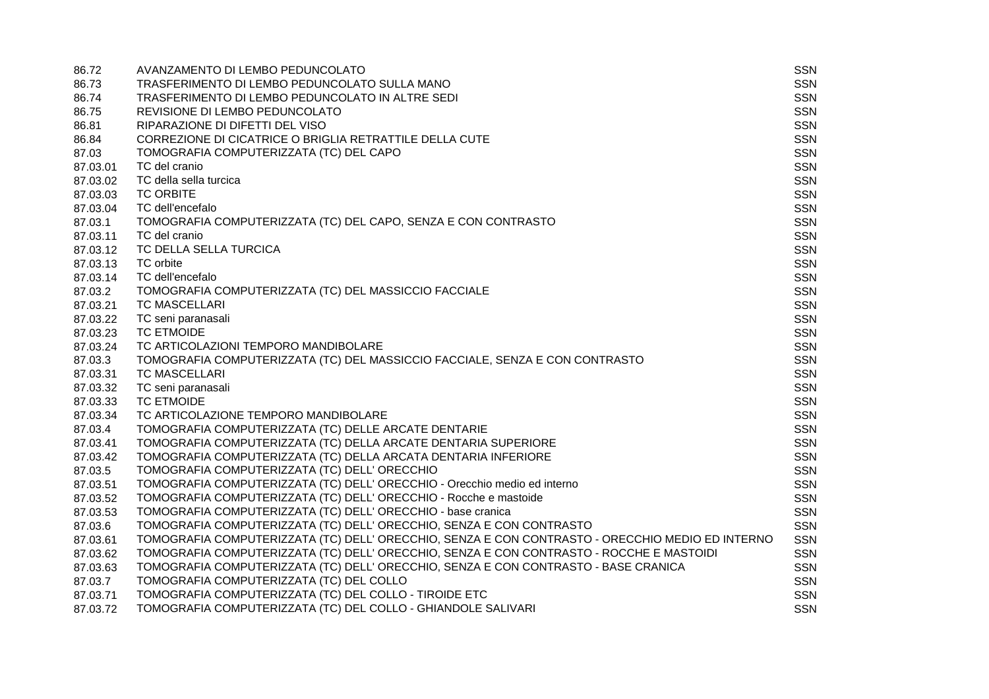| 86.72    | AVANZAMENTO DI LEMBO PEDUNCOLATO                                                                 | <b>SSN</b> |
|----------|--------------------------------------------------------------------------------------------------|------------|
| 86.73    | TRASFERIMENTO DI LEMBO PEDUNCOLATO SULLA MANO                                                    | <b>SSN</b> |
| 86.74    | TRASFERIMENTO DI LEMBO PEDUNCOLATO IN ALTRE SEDI                                                 | <b>SSN</b> |
| 86.75    | REVISIONE DI LEMBO PEDUNCOLATO                                                                   | <b>SSN</b> |
| 86.81    | RIPARAZIONE DI DIFETTI DEL VISO                                                                  | <b>SSN</b> |
| 86.84    | CORREZIONE DI CICATRICE O BRIGLIA RETRATTILE DELLA CUTE                                          | <b>SSN</b> |
| 87.03    | TOMOGRAFIA COMPUTERIZZATA (TC) DEL CAPO                                                          | <b>SSN</b> |
| 87.03.01 | TC del cranio                                                                                    | <b>SSN</b> |
| 87.03.02 | TC della sella turcica                                                                           | <b>SSN</b> |
| 87.03.03 | <b>TC ORBITE</b>                                                                                 | <b>SSN</b> |
| 87.03.04 | TC dell'encefalo                                                                                 | <b>SSN</b> |
| 87.03.1  | TOMOGRAFIA COMPUTERIZZATA (TC) DEL CAPO, SENZA E CON CONTRASTO                                   | <b>SSN</b> |
| 87.03.11 | TC del cranio                                                                                    | <b>SSN</b> |
| 87.03.12 | TC DELLA SELLA TURCICA                                                                           | <b>SSN</b> |
| 87.03.13 | TC orbite                                                                                        | <b>SSN</b> |
| 87.03.14 | TC dell'encefalo                                                                                 | <b>SSN</b> |
| 87.03.2  | TOMOGRAFIA COMPUTERIZZATA (TC) DEL MASSICCIO FACCIALE                                            | <b>SSN</b> |
| 87.03.21 | <b>TC MASCELLARI</b>                                                                             | <b>SSN</b> |
| 87.03.22 | TC seni paranasali                                                                               | <b>SSN</b> |
| 87.03.23 | <b>TC ETMOIDE</b>                                                                                | SSN        |
| 87.03.24 | TC ARTICOLAZIONI TEMPORO MANDIBOLARE                                                             | <b>SSN</b> |
| 87.03.3  | TOMOGRAFIA COMPUTERIZZATA (TC) DEL MASSICCIO FACCIALE, SENZA E CON CONTRASTO                     | <b>SSN</b> |
| 87.03.31 | <b>TC MASCELLARI</b>                                                                             | <b>SSN</b> |
| 87.03.32 | TC seni paranasali                                                                               | <b>SSN</b> |
| 87.03.33 | <b>TC ETMOIDE</b>                                                                                | <b>SSN</b> |
| 87.03.34 | TC ARTICOLAZIONE TEMPORO MANDIBOLARE                                                             | <b>SSN</b> |
| 87.03.4  | TOMOGRAFIA COMPUTERIZZATA (TC) DELLE ARCATE DENTARIE                                             | <b>SSN</b> |
| 87.03.41 | TOMOGRAFIA COMPUTERIZZATA (TC) DELLA ARCATE DENTARIA SUPERIORE                                   | <b>SSN</b> |
| 87.03.42 | TOMOGRAFIA COMPUTERIZZATA (TC) DELLA ARCATA DENTARIA INFERIORE                                   | <b>SSN</b> |
| 87.03.5  | TOMOGRAFIA COMPUTERIZZATA (TC) DELL' ORECCHIO                                                    | <b>SSN</b> |
| 87.03.51 | TOMOGRAFIA COMPUTERIZZATA (TC) DELL' ORECCHIO - Orecchio medio ed interno                        | <b>SSN</b> |
| 87.03.52 | TOMOGRAFIA COMPUTERIZZATA (TC) DELL' ORECCHIO - Rocche e mastoide                                | <b>SSN</b> |
| 87.03.53 | TOMOGRAFIA COMPUTERIZZATA (TC) DELL' ORECCHIO - base cranica                                     | <b>SSN</b> |
| 87.03.6  | TOMOGRAFIA COMPUTERIZZATA (TC) DELL' ORECCHIO, SENZA E CON CONTRASTO                             | <b>SSN</b> |
| 87.03.61 | TOMOGRAFIA COMPUTERIZZATA (TC) DELL' ORECCHIO, SENZA E CON CONTRASTO - ORECCHIO MEDIO ED INTERNO | <b>SSN</b> |
| 87.03.62 | TOMOGRAFIA COMPUTERIZZATA (TC) DELL' ORECCHIO, SENZA E CON CONTRASTO - ROCCHE E MASTOIDI         | <b>SSN</b> |
| 87.03.63 | TOMOGRAFIA COMPUTERIZZATA (TC) DELL' ORECCHIO, SENZA E CON CONTRASTO - BASE CRANICA              | <b>SSN</b> |
| 87.03.7  | TOMOGRAFIA COMPUTERIZZATA (TC) DEL COLLO                                                         | <b>SSN</b> |
| 87.03.71 | TOMOGRAFIA COMPUTERIZZATA (TC) DEL COLLO - TIROIDE ETC                                           | <b>SSN</b> |
| 87.03.72 | TOMOGRAFIA COMPUTERIZZATA (TC) DEL COLLO - GHIANDOLE SALIVARI                                    | <b>SSN</b> |
|          |                                                                                                  |            |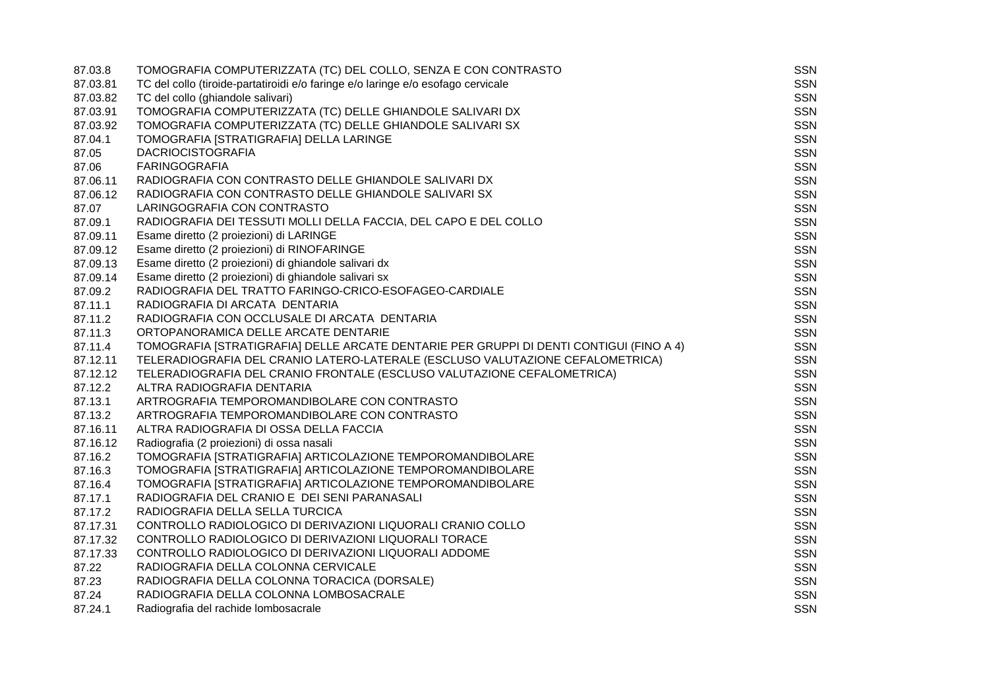| 87.03.8  | TOMOGRAFIA COMPUTERIZZATA (TC) DEL COLLO, SENZA E CON CONTRASTO                         | <b>SSN</b> |
|----------|-----------------------------------------------------------------------------------------|------------|
| 87.03.81 | TC del collo (tiroide-partatiroidi e/o faringe e/o laringe e/o esofago cervicale        | SSN        |
| 87.03.82 | TC del collo (ghiandole salivari)                                                       | <b>SSN</b> |
| 87.03.91 | TOMOGRAFIA COMPUTERIZZATA (TC) DELLE GHIANDOLE SALIVARI DX                              | <b>SSN</b> |
| 87.03.92 | TOMOGRAFIA COMPUTERIZZATA (TC) DELLE GHIANDOLE SALIVARI SX                              | <b>SSN</b> |
| 87.04.1  | TOMOGRAFIA [STRATIGRAFIA] DELLA LARINGE                                                 | SSN        |
| 87.05    | <b>DACRIOCISTOGRAFIA</b>                                                                | <b>SSN</b> |
| 87.06    | <b>FARINGOGRAFIA</b>                                                                    | <b>SSN</b> |
| 87.06.11 | RADIOGRAFIA CON CONTRASTO DELLE GHIANDOLE SALIVARI DX                                   | <b>SSN</b> |
| 87.06.12 | RADIOGRAFIA CON CONTRASTO DELLE GHIANDOLE SALIVARI SX                                   | <b>SSN</b> |
| 87.07    | LARINGOGRAFIA CON CONTRASTO                                                             | <b>SSN</b> |
| 87.09.1  | RADIOGRAFIA DEI TESSUTI MOLLI DELLA FACCIA, DEL CAPO E DEL COLLO                        | <b>SSN</b> |
| 87.09.11 | Esame diretto (2 proiezioni) di LARINGE                                                 | <b>SSN</b> |
| 87.09.12 | Esame diretto (2 proiezioni) di RINOFARINGE                                             | <b>SSN</b> |
| 87.09.13 | Esame diretto (2 proiezioni) di ghiandole salivari dx                                   | <b>SSN</b> |
| 87.09.14 | Esame diretto (2 proiezioni) di ghiandole salivari sx                                   | <b>SSN</b> |
| 87.09.2  | RADIOGRAFIA DEL TRATTO FARINGO-CRICO-ESOFAGEO-CARDIALE                                  | <b>SSN</b> |
| 87.11.1  | RADIOGRAFIA DI ARCATA DENTARIA                                                          | SSN        |
| 87.11.2  | RADIOGRAFIA CON OCCLUSALE DI ARCATA DENTARIA                                            | <b>SSN</b> |
| 87.11.3  | ORTOPANORAMICA DELLE ARCATE DENTARIE                                                    | <b>SSN</b> |
| 87.11.4  | TOMOGRAFIA [STRATIGRAFIA] DELLE ARCATE DENTARIE PER GRUPPI DI DENTI CONTIGUI (FINO A 4) | <b>SSN</b> |
| 87.12.11 | TELERADIOGRAFIA DEL CRANIO LATERO-LATERALE (ESCLUSO VALUTAZIONE CEFALOMETRICA)          | <b>SSN</b> |
| 87.12.12 | TELERADIOGRAFIA DEL CRANIO FRONTALE (ESCLUSO VALUTAZIONE CEFALOMETRICA)                 | <b>SSN</b> |
| 87.12.2  | ALTRA RADIOGRAFIA DENTARIA                                                              | <b>SSN</b> |
| 87.13.1  | ARTROGRAFIA TEMPOROMANDIBOLARE CON CONTRASTO                                            | <b>SSN</b> |
| 87.13.2  | ARTROGRAFIA TEMPOROMANDIBOLARE CON CONTRASTO                                            | SSN        |
| 87.16.11 | ALTRA RADIOGRAFIA DI OSSA DELLA FACCIA                                                  | <b>SSN</b> |
| 87.16.12 | Radiografia (2 proiezioni) di ossa nasali                                               | <b>SSN</b> |
| 87.16.2  | TOMOGRAFIA [STRATIGRAFIA] ARTICOLAZIONE TEMPOROMANDIBOLARE                              | <b>SSN</b> |
| 87.16.3  | TOMOGRAFIA [STRATIGRAFIA] ARTICOLAZIONE TEMPOROMANDIBOLARE                              | <b>SSN</b> |
| 87.16.4  | TOMOGRAFIA [STRATIGRAFIA] ARTICOLAZIONE TEMPOROMANDIBOLARE                              | <b>SSN</b> |
| 87.17.1  | RADIOGRAFIA DEL CRANIO E DEI SENI PARANASALI                                            | <b>SSN</b> |
| 87.17.2  | RADIOGRAFIA DELLA SELLA TURCICA                                                         | <b>SSN</b> |
| 87.17.31 | CONTROLLO RADIOLOGICO DI DERIVAZIONI LIQUORALI CRANIO COLLO                             | <b>SSN</b> |
| 87.17.32 | CONTROLLO RADIOLOGICO DI DERIVAZIONI LIQUORALI TORACE                                   | <b>SSN</b> |
| 87.17.33 | CONTROLLO RADIOLOGICO DI DERIVAZIONI LIQUORALI ADDOME                                   | <b>SSN</b> |
| 87.22    | RADIOGRAFIA DELLA COLONNA CERVICALE                                                     | <b>SSN</b> |
| 87.23    | RADIOGRAFIA DELLA COLONNA TORACICA (DORSALE)                                            | <b>SSN</b> |
| 87.24    | RADIOGRAFIA DELLA COLONNA LOMBOSACRALE                                                  | <b>SSN</b> |
| 87.24.1  | Radiografia del rachide lombosacrale                                                    | <b>SSN</b> |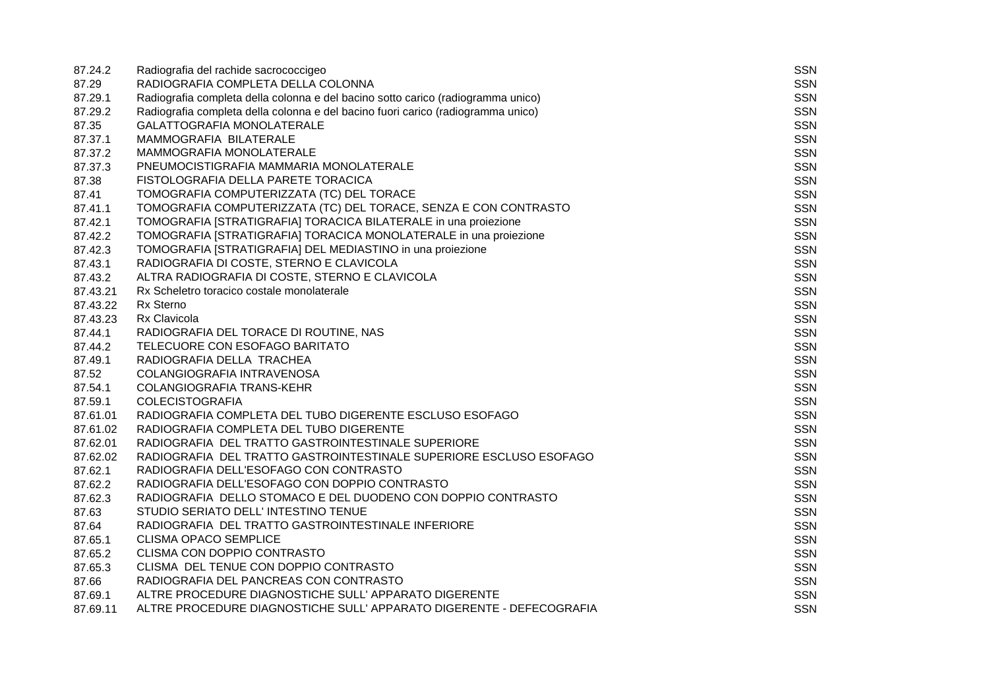| 87.24.2  | Radiografia del rachide sacrococcigeo                                            | <b>SSN</b> |
|----------|----------------------------------------------------------------------------------|------------|
| 87.29    | RADIOGRAFIA COMPLETA DELLA COLONNA                                               | <b>SSN</b> |
| 87.29.1  | Radiografia completa della colonna e del bacino sotto carico (radiogramma unico) | <b>SSN</b> |
| 87.29.2  | Radiografia completa della colonna e del bacino fuori carico (radiogramma unico) | <b>SSN</b> |
| 87.35    | GALATTOGRAFIA MONOLATERALE                                                       | <b>SSN</b> |
| 87.37.1  | MAMMOGRAFIA BILATERALE                                                           | <b>SSN</b> |
| 87.37.2  | MAMMOGRAFIA MONOLATERALE                                                         | <b>SSN</b> |
| 87.37.3  | PNEUMOCISTIGRAFIA MAMMARIA MONOLATERALE                                          | <b>SSN</b> |
| 87.38    | FISTOLOGRAFIA DELLA PARETE TORACICA                                              | <b>SSN</b> |
| 87.41    | TOMOGRAFIA COMPUTERIZZATA (TC) DEL TORACE                                        | <b>SSN</b> |
| 87.41.1  | TOMOGRAFIA COMPUTERIZZATA (TC) DEL TORACE, SENZA E CON CONTRASTO                 | <b>SSN</b> |
| 87.42.1  | TOMOGRAFIA [STRATIGRAFIA] TORACICA BILATERALE in una proiezione                  | <b>SSN</b> |
| 87.42.2  | TOMOGRAFIA [STRATIGRAFIA] TORACICA MONOLATERALE in una proiezione                | <b>SSN</b> |
| 87.42.3  | TOMOGRAFIA [STRATIGRAFIA] DEL MEDIASTINO in una proiezione                       | <b>SSN</b> |
| 87.43.1  | RADIOGRAFIA DI COSTE, STERNO E CLAVICOLA                                         | <b>SSN</b> |
| 87.43.2  | ALTRA RADIOGRAFIA DI COSTE, STERNO E CLAVICOLA                                   | <b>SSN</b> |
| 87.43.21 | Rx Scheletro toracico costale monolaterale                                       | <b>SSN</b> |
| 87.43.22 | <b>Rx Sterno</b>                                                                 | <b>SSN</b> |
| 87.43.23 | <b>Rx Clavicola</b>                                                              | <b>SSN</b> |
| 87.44.1  | RADIOGRAFIA DEL TORACE DI ROUTINE, NAS                                           | <b>SSN</b> |
| 87.44.2  | TELECUORE CON ESOFAGO BARITATO                                                   | <b>SSN</b> |
| 87.49.1  | RADIOGRAFIA DELLA TRACHEA                                                        | <b>SSN</b> |
| 87.52    | COLANGIOGRAFIA INTRAVENOSA                                                       | <b>SSN</b> |
| 87.54.1  | <b>COLANGIOGRAFIA TRANS-KEHR</b>                                                 | <b>SSN</b> |
| 87.59.1  | <b>COLECISTOGRAFIA</b>                                                           | <b>SSN</b> |
| 87.61.01 | RADIOGRAFIA COMPLETA DEL TUBO DIGERENTE ESCLUSO ESOFAGO                          | <b>SSN</b> |
| 87.61.02 | RADIOGRAFIA COMPLETA DEL TUBO DIGERENTE                                          | <b>SSN</b> |
| 87.62.01 | RADIOGRAFIA DEL TRATTO GASTROINTESTINALE SUPERIORE                               | <b>SSN</b> |
| 87.62.02 | RADIOGRAFIA DEL TRATTO GASTROINTESTINALE SUPERIORE ESCLUSO ESOFAGO               | <b>SSN</b> |
| 87.62.1  | RADIOGRAFIA DELL'ESOFAGO CON CONTRASTO                                           | <b>SSN</b> |
| 87.62.2  | RADIOGRAFIA DELL'ESOFAGO CON DOPPIO CONTRASTO                                    | <b>SSN</b> |
| 87.62.3  | RADIOGRAFIA DELLO STOMACO E DEL DUODENO CON DOPPIO CONTRASTO                     | <b>SSN</b> |
| 87.63    | STUDIO SERIATO DELL' INTESTINO TENUE                                             | <b>SSN</b> |
| 87.64    | RADIOGRAFIA DEL TRATTO GASTROINTESTINALE INFERIORE                               | <b>SSN</b> |
| 87.65.1  | <b>CLISMA OPACO SEMPLICE</b>                                                     | <b>SSN</b> |
| 87.65.2  | CLISMA CON DOPPIO CONTRASTO                                                      | <b>SSN</b> |
| 87.65.3  | CLISMA DEL TENUE CON DOPPIO CONTRASTO                                            | <b>SSN</b> |
| 87.66    | RADIOGRAFIA DEL PANCREAS CON CONTRASTO                                           | <b>SSN</b> |
| 87.69.1  | ALTRE PROCEDURE DIAGNOSTICHE SULL' APPARATO DIGERENTE                            | <b>SSN</b> |
| 87.69.11 | ALTRE PROCEDURE DIAGNOSTICHE SULL' APPARATO DIGERENTE - DEFECOGRAFIA             | <b>SSN</b> |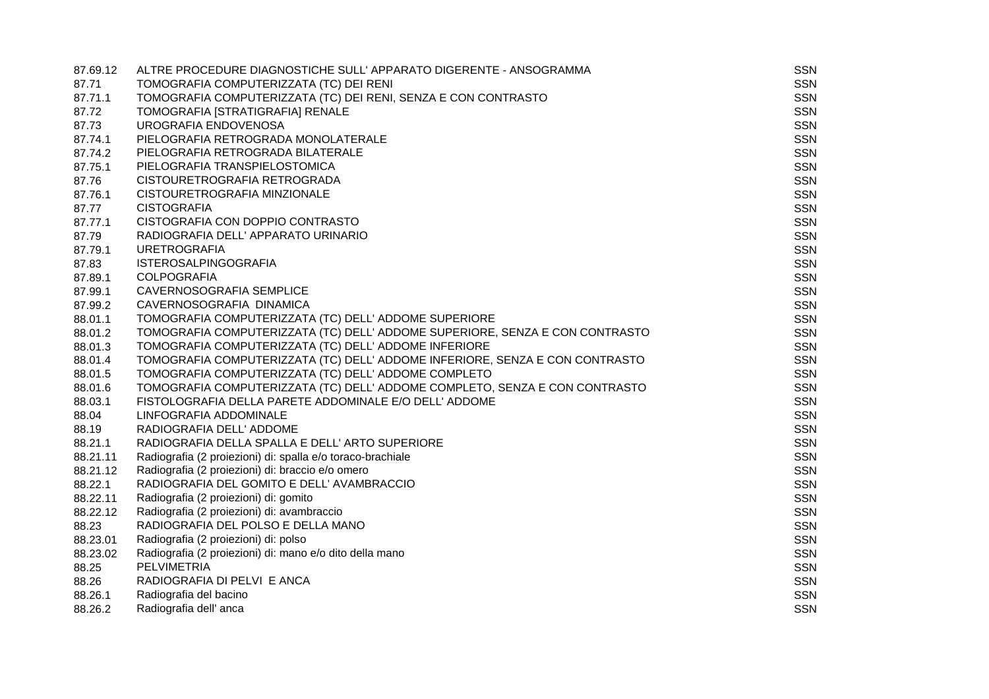| 87.69.12 | ALTRE PROCEDURE DIAGNOSTICHE SULL' APPARATO DIGERENTE - ANSOGRAMMA           | <b>SSN</b> |
|----------|------------------------------------------------------------------------------|------------|
| 87.71    | TOMOGRAFIA COMPUTERIZZATA (TC) DEI RENI                                      | SSN        |
| 87.71.1  | TOMOGRAFIA COMPUTERIZZATA (TC) DEI RENI, SENZA E CON CONTRASTO               | <b>SSN</b> |
| 87.72    | TOMOGRAFIA [STRATIGRAFIA] RENALE                                             | <b>SSN</b> |
| 87.73    | UROGRAFIA ENDOVENOSA                                                         | <b>SSN</b> |
| 87.74.1  | PIELOGRAFIA RETROGRADA MONOLATERALE                                          | <b>SSN</b> |
| 87.74.2  | PIELOGRAFIA RETROGRADA BILATERALE                                            | SSN        |
| 87.75.1  | PIELOGRAFIA TRANSPIELOSTOMICA                                                | <b>SSN</b> |
| 87.76    | CISTOURETROGRAFIA RETROGRADA                                                 | <b>SSN</b> |
| 87.76.1  | CISTOURETROGRAFIA MINZIONALE                                                 | <b>SSN</b> |
| 87.77    | <b>CISTOGRAFIA</b>                                                           | <b>SSN</b> |
| 87.77.1  | CISTOGRAFIA CON DOPPIO CONTRASTO                                             | <b>SSN</b> |
| 87.79    | RADIOGRAFIA DELL' APPARATO URINARIO                                          | <b>SSN</b> |
| 87.79.1  | <b>URETROGRAFIA</b>                                                          | <b>SSN</b> |
| 87.83    | <b>ISTEROSALPINGOGRAFIA</b>                                                  | SSN        |
| 87.89.1  | <b>COLPOGRAFIA</b>                                                           | <b>SSN</b> |
| 87.99.1  | CAVERNOSOGRAFIA SEMPLICE                                                     | SSN        |
| 87.99.2  | CAVERNOSOGRAFIA DINAMICA                                                     | <b>SSN</b> |
| 88.01.1  | TOMOGRAFIA COMPUTERIZZATA (TC) DELL' ADDOME SUPERIORE                        | <b>SSN</b> |
| 88.01.2  | TOMOGRAFIA COMPUTERIZZATA (TC) DELL' ADDOME SUPERIORE, SENZA E CON CONTRASTO | <b>SSN</b> |
| 88.01.3  | TOMOGRAFIA COMPUTERIZZATA (TC) DELL' ADDOME INFERIORE                        | <b>SSN</b> |
| 88.01.4  | TOMOGRAFIA COMPUTERIZZATA (TC) DELL' ADDOME INFERIORE, SENZA E CON CONTRASTO | <b>SSN</b> |
| 88.01.5  | TOMOGRAFIA COMPUTERIZZATA (TC) DELL' ADDOME COMPLETO                         | <b>SSN</b> |
| 88.01.6  | TOMOGRAFIA COMPUTERIZZATA (TC) DELL' ADDOME COMPLETO, SENZA E CON CONTRASTO  | <b>SSN</b> |
| 88.03.1  | FISTOLOGRAFIA DELLA PARETE ADDOMINALE E/O DELL' ADDOME                       | SSN        |
| 88.04    | LINFOGRAFIA ADDOMINALE                                                       | <b>SSN</b> |
| 88.19    | RADIOGRAFIA DELL' ADDOME                                                     | SSN        |
| 88.21.1  | RADIOGRAFIA DELLA SPALLA E DELL' ARTO SUPERIORE                              | <b>SSN</b> |
| 88.21.11 | Radiografia (2 proiezioni) di: spalla e/o toraco-brachiale                   | <b>SSN</b> |
| 88.21.12 | Radiografia (2 proiezioni) di: braccio e/o omero                             | <b>SSN</b> |
| 88.22.1  | RADIOGRAFIA DEL GOMITO E DELL' AVAMBRACCIO                                   | <b>SSN</b> |
| 88.22.11 | Radiografia (2 proiezioni) di: gomito                                        | <b>SSN</b> |
| 88.22.12 | Radiografia (2 proiezioni) di: avambraccio                                   | <b>SSN</b> |
| 88.23    | RADIOGRAFIA DEL POLSO E DELLA MANO                                           | <b>SSN</b> |
| 88.23.01 | Radiografia (2 proiezioni) di: polso                                         | <b>SSN</b> |
| 88.23.02 | Radiografia (2 proiezioni) di: mano e/o dito della mano                      | <b>SSN</b> |
| 88.25    | <b>PELVIMETRIA</b>                                                           | SSN        |
| 88.26    | RADIOGRAFIA DI PELVI E ANCA                                                  | <b>SSN</b> |
| 88.26.1  | Radiografia del bacino                                                       | <b>SSN</b> |
| 88.26.2  | Radiografia dell' anca                                                       | <b>SSN</b> |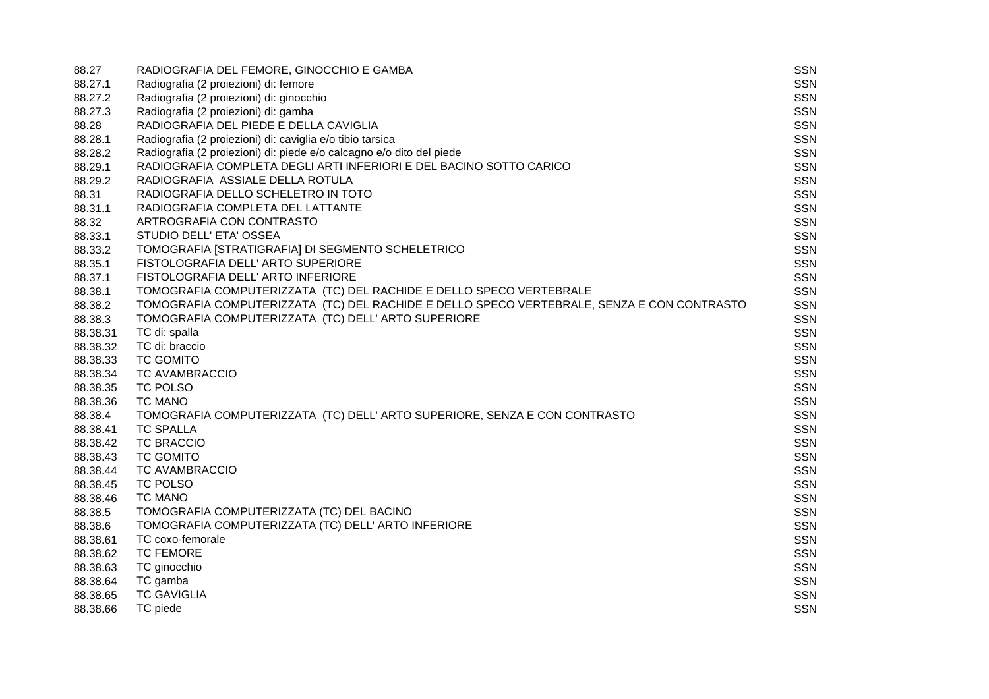| 88.27    | RADIOGRAFIA DEL FEMORE, GINOCCHIO E GAMBA                                                  | SSN        |
|----------|--------------------------------------------------------------------------------------------|------------|
| 88.27.1  | Radiografia (2 proiezioni) di: femore                                                      | <b>SSN</b> |
| 88.27.2  | Radiografia (2 proiezioni) di: ginocchio                                                   | <b>SSN</b> |
| 88.27.3  | Radiografia (2 proiezioni) di: gamba                                                       | <b>SSN</b> |
| 88.28    | RADIOGRAFIA DEL PIEDE E DELLA CAVIGLIA                                                     | SSN        |
| 88.28.1  | Radiografia (2 proiezioni) di: caviglia e/o tibio tarsica                                  | <b>SSN</b> |
| 88.28.2  | Radiografia (2 proiezioni) di: piede e/o calcagno e/o dito del piede                       | SSN        |
| 88.29.1  | RADIOGRAFIA COMPLETA DEGLI ARTI INFERIORI E DEL BACINO SOTTO CARICO                        | <b>SSN</b> |
| 88.29.2  | RADIOGRAFIA ASSIALE DELLA ROTULA                                                           | <b>SSN</b> |
| 88.31    | RADIOGRAFIA DELLO SCHELETRO IN TOTO                                                        | <b>SSN</b> |
| 88.31.1  | RADIOGRAFIA COMPLETA DEL LATTANTE                                                          | <b>SSN</b> |
| 88.32    | ARTROGRAFIA CON CONTRASTO                                                                  | <b>SSN</b> |
| 88.33.1  | STUDIO DELL' ETA' OSSEA                                                                    | <b>SSN</b> |
| 88.33.2  | TOMOGRAFIA [STRATIGRAFIA] DI SEGMENTO SCHELETRICO                                          | <b>SSN</b> |
| 88.35.1  | FISTOLOGRAFIA DELL' ARTO SUPERIORE                                                         | <b>SSN</b> |
| 88.37.1  | FISTOLOGRAFIA DELL' ARTO INFERIORE                                                         | <b>SSN</b> |
| 88.38.1  | TOMOGRAFIA COMPUTERIZZATA (TC) DEL RACHIDE E DELLO SPECO VERTEBRALE                        | <b>SSN</b> |
| 88.38.2  | TOMOGRAFIA COMPUTERIZZATA (TC) DEL RACHIDE E DELLO SPECO VERTEBRALE, SENZA E CON CONTRASTO | SSN        |
| 88.38.3  | TOMOGRAFIA COMPUTERIZZATA (TC) DELL' ARTO SUPERIORE                                        | <b>SSN</b> |
| 88.38.31 | TC di: spalla                                                                              | <b>SSN</b> |
| 88.38.32 | TC di: braccio                                                                             | <b>SSN</b> |
| 88.38.33 | <b>TC GOMITO</b>                                                                           | SSN        |
| 88.38.34 | TC AVAMBRACCIO                                                                             | <b>SSN</b> |
| 88.38.35 | TC POLSO                                                                                   | SSN        |
| 88.38.36 | <b>TC MANO</b>                                                                             | <b>SSN</b> |
| 88.38.4  | TOMOGRAFIA COMPUTERIZZATA (TC) DELL' ARTO SUPERIORE, SENZA E CON CONTRASTO                 | <b>SSN</b> |
| 88.38.41 | <b>TC SPALLA</b>                                                                           | <b>SSN</b> |
| 88.38.42 | <b>TC BRACCIO</b>                                                                          | <b>SSN</b> |
| 88.38.43 | <b>TC GOMITO</b>                                                                           | <b>SSN</b> |
| 88.38.44 | TC AVAMBRACCIO                                                                             | <b>SSN</b> |
| 88.38.45 | TC POLSO                                                                                   | <b>SSN</b> |
| 88.38.46 | <b>TC MANO</b>                                                                             | <b>SSN</b> |
| 88.38.5  | TOMOGRAFIA COMPUTERIZZATA (TC) DEL BACINO                                                  | <b>SSN</b> |
| 88.38.6  | TOMOGRAFIA COMPUTERIZZATA (TC) DELL' ARTO INFERIORE                                        | <b>SSN</b> |
| 88.38.61 | TC coxo-femorale                                                                           | <b>SSN</b> |
| 88.38.62 | <b>TC FEMORE</b>                                                                           | <b>SSN</b> |
| 88.38.63 | TC ginocchio                                                                               | SSN        |
| 88.38.64 | TC gamba                                                                                   | <b>SSN</b> |
| 88.38.65 | <b>TC GAVIGLIA</b>                                                                         | SSN        |
| 88.38.66 | TC piede                                                                                   | <b>SSN</b> |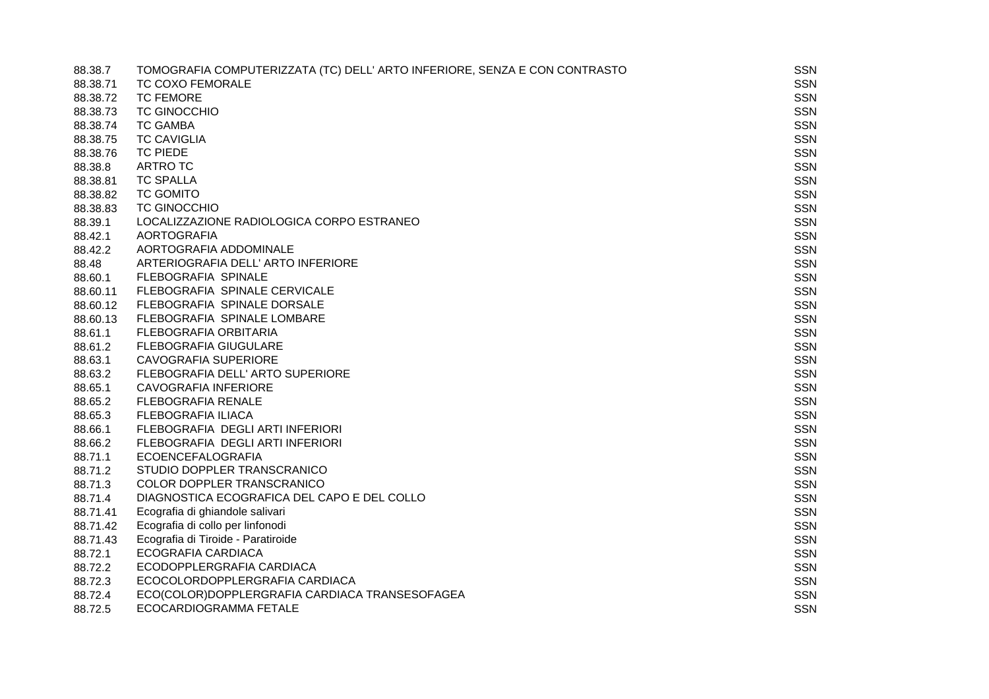| 88.38.7  | TOMOGRAFIA COMPUTERIZZATA (TC) DELL' ARTO INFERIORE, SENZA E CON CONTRASTO | SSN        |
|----------|----------------------------------------------------------------------------|------------|
| 88.38.71 | <b>TC COXO FEMORALE</b>                                                    | <b>SSN</b> |
| 88.38.72 | <b>TC FEMORE</b>                                                           | <b>SSN</b> |
| 88.38.73 | <b>TC GINOCCHIO</b>                                                        | <b>SSN</b> |
| 88.38.74 | <b>TC GAMBA</b>                                                            | <b>SSN</b> |
| 88.38.75 | <b>TC CAVIGLIA</b>                                                         | <b>SSN</b> |
| 88.38.76 | <b>TC PIEDE</b>                                                            | SSN        |
| 88.38.8  | <b>ARTRO TC</b>                                                            | <b>SSN</b> |
| 88.38.81 | <b>TC SPALLA</b>                                                           | <b>SSN</b> |
| 88.38.82 | <b>TC GOMITO</b>                                                           | SSN        |
| 88.38.83 | <b>TC GINOCCHIO</b>                                                        | <b>SSN</b> |
| 88.39.1  | LOCALIZZAZIONE RADIOLOGICA CORPO ESTRANEO                                  | <b>SSN</b> |
| 88.42.1  | <b>AORTOGRAFIA</b>                                                         | <b>SSN</b> |
| 88.42.2  | AORTOGRAFIA ADDOMINALE                                                     | SSN        |
| 88.48    | ARTERIOGRAFIA DELL' ARTO INFERIORE                                         | <b>SSN</b> |
| 88.60.1  | FLEBOGRAFIA SPINALE                                                        | <b>SSN</b> |
| 88.60.11 | FLEBOGRAFIA SPINALE CERVICALE                                              | <b>SSN</b> |
| 88.60.12 | FLEBOGRAFIA SPINALE DORSALE                                                | <b>SSN</b> |
| 88.60.13 | FLEBOGRAFIA SPINALE LOMBARE                                                | <b>SSN</b> |
| 88.61.1  | FLEBOGRAFIA ORBITARIA                                                      | <b>SSN</b> |
| 88.61.2  | <b>FLEBOGRAFIA GIUGULARE</b>                                               | <b>SSN</b> |
| 88.63.1  | <b>CAVOGRAFIA SUPERIORE</b>                                                | <b>SSN</b> |
| 88.63.2  | FLEBOGRAFIA DELL' ARTO SUPERIORE                                           | <b>SSN</b> |
| 88.65.1  | CAVOGRAFIA INFERIORE                                                       | <b>SSN</b> |
| 88.65.2  | FLEBOGRAFIA RENALE                                                         | <b>SSN</b> |
| 88.65.3  | <b>FLEBOGRAFIA ILIACA</b>                                                  | <b>SSN</b> |
| 88.66.1  | FLEBOGRAFIA DEGLI ARTI INFERIORI                                           | <b>SSN</b> |
| 88.66.2  | FLEBOGRAFIA DEGLI ARTI INFERIORI                                           | <b>SSN</b> |
| 88.71.1  | <b>ECOENCEFALOGRAFIA</b>                                                   | <b>SSN</b> |
| 88.71.2  | STUDIO DOPPLER TRANSCRANICO                                                | <b>SSN</b> |
| 88.71.3  | COLOR DOPPLER TRANSCRANICO                                                 | <b>SSN</b> |
| 88.71.4  | DIAGNOSTICA ECOGRAFICA DEL CAPO E DEL COLLO                                | <b>SSN</b> |
| 88.71.41 | Ecografia di ghiandole salivari                                            | <b>SSN</b> |
| 88.71.42 | Ecografia di collo per linfonodi                                           | <b>SSN</b> |
| 88.71.43 | Ecografia di Tiroide - Paratiroide                                         | <b>SSN</b> |
| 88.72.1  | ECOGRAFIA CARDIACA                                                         | <b>SSN</b> |
| 88.72.2  | ECODOPPLERGRAFIA CARDIACA                                                  | <b>SSN</b> |
| 88.72.3  | ECOCOLORDOPPLERGRAFIA CARDIACA                                             | <b>SSN</b> |
| 88.72.4  | ECO(COLOR)DOPPLERGRAFIA CARDIACA TRANSESOFAGEA                             | <b>SSN</b> |
| 88.72.5  | ECOCARDIOGRAMMA FETALE                                                     | <b>SSN</b> |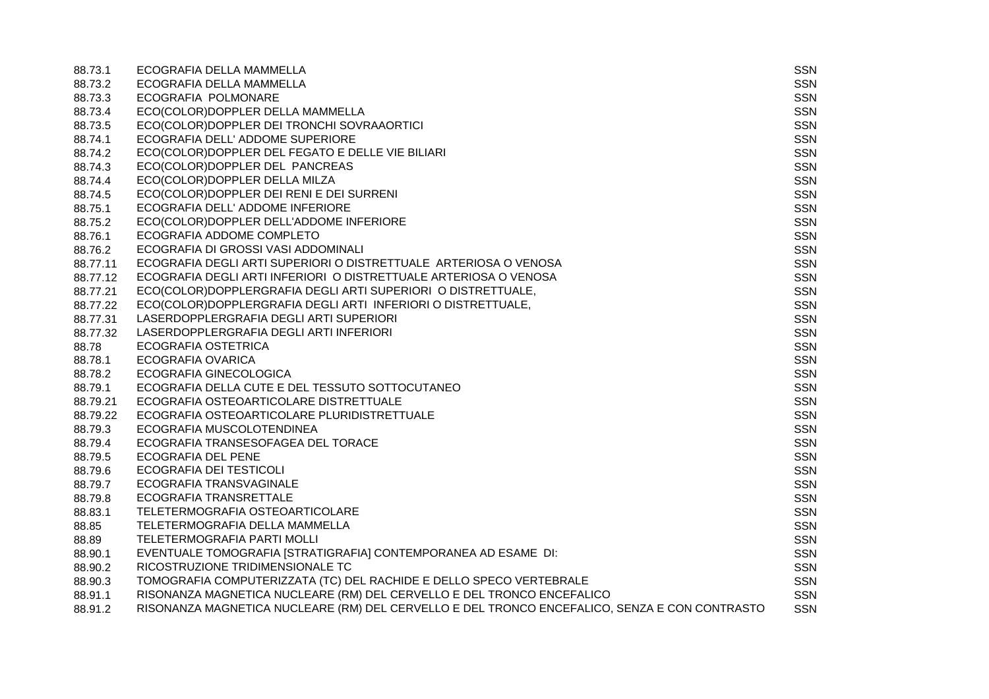| 88.73.1  | ECOGRAFIA DELLA MAMMELLA                                                                      | SSN        |
|----------|-----------------------------------------------------------------------------------------------|------------|
| 88.73.2  | ECOGRAFIA DELLA MAMMELLA                                                                      | <b>SSN</b> |
| 88.73.3  | ECOGRAFIA POLMONARE                                                                           | <b>SSN</b> |
| 88.73.4  | ECO(COLOR)DOPPLER DELLA MAMMELLA                                                              | <b>SSN</b> |
| 88.73.5  | ECO(COLOR)DOPPLER DEI TRONCHI SOVRAAORTICI                                                    | <b>SSN</b> |
| 88.74.1  | ECOGRAFIA DELL' ADDOME SUPERIORE                                                              | <b>SSN</b> |
| 88.74.2  | ECO(COLOR)DOPPLER DEL FEGATO E DELLE VIE BILIARI                                              | <b>SSN</b> |
| 88.74.3  | ECO(COLOR)DOPPLER DEL PANCREAS                                                                | <b>SSN</b> |
| 88.74.4  | ECO(COLOR)DOPPLER DELLA MILZA                                                                 | <b>SSN</b> |
| 88.74.5  | ECO(COLOR)DOPPLER DEI RENI E DEI SURRENI                                                      | <b>SSN</b> |
| 88.75.1  | ECOGRAFIA DELL' ADDOME INFERIORE                                                              | <b>SSN</b> |
| 88.75.2  | ECO(COLOR)DOPPLER DELL'ADDOME INFERIORE                                                       | <b>SSN</b> |
| 88.76.1  | ECOGRAFIA ADDOME COMPLETO                                                                     | <b>SSN</b> |
| 88.76.2  | ECOGRAFIA DI GROSSI VASI ADDOMINALI                                                           | <b>SSN</b> |
| 88.77.11 | ECOGRAFIA DEGLI ARTI SUPERIORI O DISTRETTUALE ARTERIOSA O VENOSA                              | <b>SSN</b> |
| 88.77.12 | ECOGRAFIA DEGLI ARTI INFERIORI O DISTRETTUALE ARTERIOSA O VENOSA                              | <b>SSN</b> |
| 88.77.21 | ECO(COLOR)DOPPLERGRAFIA DEGLI ARTI SUPERIORI O DISTRETTUALE,                                  | <b>SSN</b> |
| 88.77.22 | ECO(COLOR)DOPPLERGRAFIA DEGLI ARTI INFERIORI O DISTRETTUALE,                                  | <b>SSN</b> |
| 88.77.31 | LASERDOPPLERGRAFIA DEGLI ARTI SUPERIORI                                                       | <b>SSN</b> |
| 88.77.32 | LASERDOPPLERGRAFIA DEGLI ARTI INFERIORI                                                       | <b>SSN</b> |
| 88.78    | ECOGRAFIA OSTETRICA                                                                           | <b>SSN</b> |
| 88.78.1  | <b>ECOGRAFIA OVARICA</b>                                                                      | <b>SSN</b> |
| 88.78.2  | ECOGRAFIA GINECOLOGICA                                                                        | <b>SSN</b> |
| 88.79.1  | ECOGRAFIA DELLA CUTE E DEL TESSUTO SOTTOCUTANEO                                               | <b>SSN</b> |
| 88.79.21 | ECOGRAFIA OSTEOARTICOLARE DISTRETTUALE                                                        | <b>SSN</b> |
| 88.79.22 | ECOGRAFIA OSTEOARTICOLARE PLURIDISTRETTUALE                                                   | <b>SSN</b> |
| 88.79.3  | ECOGRAFIA MUSCOLOTENDINEA                                                                     | <b>SSN</b> |
| 88.79.4  | ECOGRAFIA TRANSESOFAGEA DEL TORACE                                                            | <b>SSN</b> |
| 88.79.5  | <b>ECOGRAFIA DEL PENE</b>                                                                     | <b>SSN</b> |
| 88.79.6  | ECOGRAFIA DEI TESTICOLI                                                                       | <b>SSN</b> |
| 88.79.7  | ECOGRAFIA TRANSVAGINALE                                                                       | <b>SSN</b> |
| 88.79.8  | ECOGRAFIA TRANSRETTALE                                                                        | <b>SSN</b> |
| 88.83.1  | TELETERMOGRAFIA OSTEOARTICOLARE                                                               | <b>SSN</b> |
| 88.85    | TELETERMOGRAFIA DELLA MAMMELLA                                                                | <b>SSN</b> |
| 88.89    | TELETERMOGRAFIA PARTI MOLLI                                                                   | <b>SSN</b> |
| 88.90.1  | EVENTUALE TOMOGRAFIA [STRATIGRAFIA] CONTEMPORANEA AD ESAME DI:                                | <b>SSN</b> |
| 88.90.2  | RICOSTRUZIONE TRIDIMENSIONALE TC                                                              | <b>SSN</b> |
| 88.90.3  | TOMOGRAFIA COMPUTERIZZATA (TC) DEL RACHIDE E DELLO SPECO VERTEBRALE                           | SSN        |
| 88.91.1  | RISONANZA MAGNETICA NUCLEARE (RM) DEL CERVELLO E DEL TRONCO ENCEFALICO                        | <b>SSN</b> |
| 88.91.2  | RISONANZA MAGNETICA NUCLEARE (RM) DEL CERVELLO E DEL TRONCO ENCEFALICO, SENZA E CON CONTRASTO | <b>SSN</b> |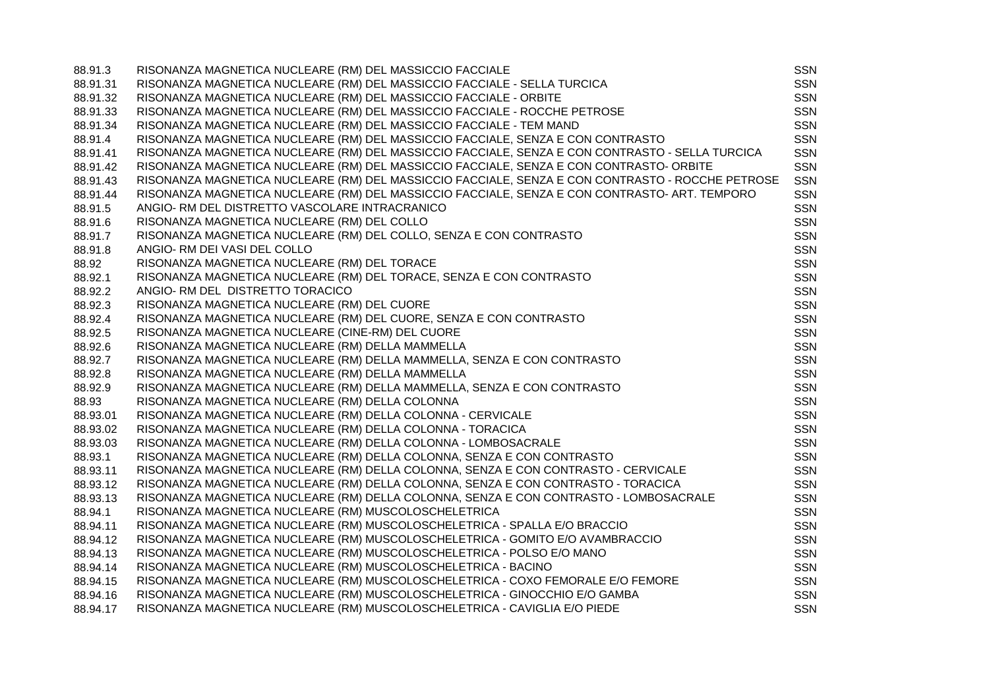| 88.91.3  | RISONANZA MAGNETICA NUCLEARE (RM) DEL MASSICCIO FACCIALE                                         | SSN        |
|----------|--------------------------------------------------------------------------------------------------|------------|
| 88.91.31 | RISONANZA MAGNETICA NUCLEARE (RM) DEL MASSICCIO FACCIALE - SELLA TURCICA                         | SSN        |
| 88.91.32 | RISONANZA MAGNETICA NUCLEARE (RM) DEL MASSICCIO FACCIALE - ORBITE                                | <b>SSN</b> |
| 88.91.33 | RISONANZA MAGNETICA NUCLEARE (RM) DEL MASSICCIO FACCIALE - ROCCHE PETROSE                        | <b>SSN</b> |
| 88.91.34 | RISONANZA MAGNETICA NUCLEARE (RM) DEL MASSICCIO FACCIALE - TEM MAND                              | <b>SSN</b> |
| 88.91.4  | RISONANZA MAGNETICA NUCLEARE (RM) DEL MASSICCIO FACCIALE, SENZA E CON CONTRASTO                  | <b>SSN</b> |
| 88.91.41 | RISONANZA MAGNETICA NUCLEARE (RM) DEL MASSICCIO FACCIALE, SENZA E CON CONTRASTO - SELLA TURCICA  | <b>SSN</b> |
| 88.91.42 | RISONANZA MAGNETICA NUCLEARE (RM) DEL MASSICCIO FACCIALE, SENZA E CON CONTRASTO- ORBITE          | <b>SSN</b> |
| 88.91.43 | RISONANZA MAGNETICA NUCLEARE (RM) DEL MASSICCIO FACCIALE, SENZA E CON CONTRASTO - ROCCHE PETROSE | <b>SSN</b> |
| 88.91.44 | RISONANZA MAGNETICA NUCLEARE (RM) DEL MASSICCIO FACCIALE, SENZA E CON CONTRASTO- ART. TEMPORO    | <b>SSN</b> |
| 88.91.5  | ANGIO- RM DEL DISTRETTO VASCOLARE INTRACRANICO                                                   | <b>SSN</b> |
| 88.91.6  | RISONANZA MAGNETICA NUCLEARE (RM) DEL COLLO                                                      | <b>SSN</b> |
| 88.91.7  | RISONANZA MAGNETICA NUCLEARE (RM) DEL COLLO, SENZA E CON CONTRASTO                               | <b>SSN</b> |
| 88.91.8  | ANGIO- RM DEI VASI DEL COLLO                                                                     | <b>SSN</b> |
| 88.92    | RISONANZA MAGNETICA NUCLEARE (RM) DEL TORACE                                                     | <b>SSN</b> |
| 88.92.1  | RISONANZA MAGNETICA NUCLEARE (RM) DEL TORACE, SENZA E CON CONTRASTO                              | <b>SSN</b> |
| 88.92.2  | ANGIO- RM DEL DISTRETTO TORACICO                                                                 | <b>SSN</b> |
| 88.92.3  | RISONANZA MAGNETICA NUCLEARE (RM) DEL CUORE                                                      | <b>SSN</b> |
| 88.92.4  | RISONANZA MAGNETICA NUCLEARE (RM) DEL CUORE, SENZA E CON CONTRASTO                               | <b>SSN</b> |
| 88.92.5  | RISONANZA MAGNETICA NUCLEARE (CINE-RM) DEL CUORE                                                 | <b>SSN</b> |
| 88.92.6  | RISONANZA MAGNETICA NUCLEARE (RM) DELLA MAMMELLA                                                 | <b>SSN</b> |
| 88.92.7  | RISONANZA MAGNETICA NUCLEARE (RM) DELLA MAMMELLA, SENZA E CON CONTRASTO                          | <b>SSN</b> |
| 88.92.8  | RISONANZA MAGNETICA NUCLEARE (RM) DELLA MAMMELLA                                                 | <b>SSN</b> |
| 88.92.9  | RISONANZA MAGNETICA NUCLEARE (RM) DELLA MAMMELLA, SENZA E CON CONTRASTO                          | <b>SSN</b> |
| 88.93    | RISONANZA MAGNETICA NUCLEARE (RM) DELLA COLONNA                                                  | <b>SSN</b> |
| 88.93.01 | RISONANZA MAGNETICA NUCLEARE (RM) DELLA COLONNA - CERVICALE                                      | <b>SSN</b> |
| 88.93.02 | RISONANZA MAGNETICA NUCLEARE (RM) DELLA COLONNA - TORACICA                                       | <b>SSN</b> |
| 88.93.03 | RISONANZA MAGNETICA NUCLEARE (RM) DELLA COLONNA - LOMBOSACRALE                                   | <b>SSN</b> |
| 88.93.1  | RISONANZA MAGNETICA NUCLEARE (RM) DELLA COLONNA, SENZA E CON CONTRASTO                           | <b>SSN</b> |
| 88.93.11 | RISONANZA MAGNETICA NUCLEARE (RM) DELLA COLONNA, SENZA E CON CONTRASTO - CERVICALE               | <b>SSN</b> |
| 88.93.12 | RISONANZA MAGNETICA NUCLEARE (RM) DELLA COLONNA, SENZA E CON CONTRASTO - TORACICA                | <b>SSN</b> |
| 88.93.13 | RISONANZA MAGNETICA NUCLEARE (RM) DELLA COLONNA, SENZA E CON CONTRASTO - LOMBOSACRALE            | <b>SSN</b> |
| 88.94.1  | RISONANZA MAGNETICA NUCLEARE (RM) MUSCOLOSCHELETRICA                                             | <b>SSN</b> |
| 88.94.11 | RISONANZA MAGNETICA NUCLEARE (RM) MUSCOLOSCHELETRICA - SPALLA E/O BRACCIO                        | <b>SSN</b> |
| 88.94.12 | RISONANZA MAGNETICA NUCLEARE (RM) MUSCOLOSCHELETRICA - GOMITO E/O AVAMBRACCIO                    | <b>SSN</b> |
| 88.94.13 | RISONANZA MAGNETICA NUCLEARE (RM) MUSCOLOSCHELETRICA - POLSO E/O MANO                            | <b>SSN</b> |
| 88.94.14 | RISONANZA MAGNETICA NUCLEARE (RM) MUSCOLOSCHELETRICA - BACINO                                    | <b>SSN</b> |
| 88.94.15 | RISONANZA MAGNETICA NUCLEARE (RM) MUSCOLOSCHELETRICA - COXO FEMORALE E/O FEMORE                  | <b>SSN</b> |
| 88.94.16 | RISONANZA MAGNETICA NUCLEARE (RM) MUSCOLOSCHELETRICA - GINOCCHIO E/O GAMBA                       | <b>SSN</b> |
| 88.94.17 | RISONANZA MAGNETICA NUCLEARE (RM) MUSCOLOSCHELETRICA - CAVIGLIA E/O PIEDE                        | <b>SSN</b> |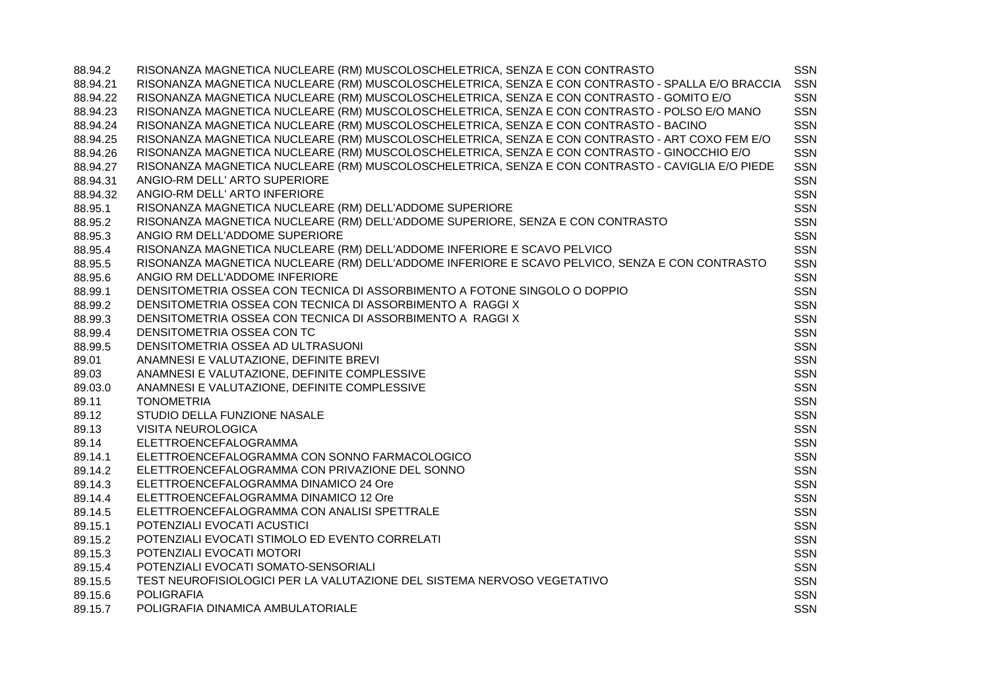| 88.94.2  | RISONANZA MAGNETICA NUCLEARE (RM) MUSCOLOSCHELETRICA, SENZA E CON CONTRASTO                      | <b>SSN</b> |
|----------|--------------------------------------------------------------------------------------------------|------------|
| 88.94.21 | RISONANZA MAGNETICA NUCLEARE (RM) MUSCOLOSCHELETRICA, SENZA E CON CONTRASTO - SPALLA E/O BRACCIA | SSN        |
| 88.94.22 | RISONANZA MAGNETICA NUCLEARE (RM) MUSCOLOSCHELETRICA, SENZA E CON CONTRASTO - GOMITO E/O         | <b>SSN</b> |
| 88.94.23 | RISONANZA MAGNETICA NUCLEARE (RM) MUSCOLOSCHELETRICA, SENZA E CON CONTRASTO - POLSO E/O MANO     | <b>SSN</b> |
| 88.94.24 | RISONANZA MAGNETICA NUCLEARE (RM) MUSCOLOSCHELETRICA, SENZA E CON CONTRASTO - BACINO             | <b>SSN</b> |
| 88.94.25 | RISONANZA MAGNETICA NUCLEARE (RM) MUSCOLOSCHELETRICA, SENZA E CON CONTRASTO - ART COXO FEM E/O   | <b>SSN</b> |
| 88.94.26 | RISONANZA MAGNETICA NUCLEARE (RM) MUSCOLOSCHELETRICA, SENZA E CON CONTRASTO - GINOCCHIO E/O      | SSN        |
| 88.94.27 | RISONANZA MAGNETICA NUCLEARE (RM) MUSCOLOSCHELETRICA, SENZA E CON CONTRASTO - CAVIGLIA E/O PIEDE | <b>SSN</b> |
| 88.94.31 | ANGIO-RM DELL' ARTO SUPERIORE                                                                    | SSN        |
| 88.94.32 | ANGIO-RM DELL' ARTO INFERIORE                                                                    | <b>SSN</b> |
| 88.95.1  | RISONANZA MAGNETICA NUCLEARE (RM) DELL'ADDOME SUPERIORE                                          | <b>SSN</b> |
| 88.95.2  | RISONANZA MAGNETICA NUCLEARE (RM) DELL'ADDOME SUPERIORE, SENZA E CON CONTRASTO                   | <b>SSN</b> |
| 88.95.3  | ANGIO RM DELL'ADDOME SUPERIORE                                                                   | <b>SSN</b> |
| 88.95.4  | RISONANZA MAGNETICA NUCLEARE (RM) DELL'ADDOME INFERIORE E SCAVO PELVICO                          | <b>SSN</b> |
| 88.95.5  | RISONANZA MAGNETICA NUCLEARE (RM) DELL'ADDOME INFERIORE E SCAVO PELVICO, SENZA E CON CONTRASTO   | SSN        |
| 88.95.6  | ANGIO RM DELL'ADDOME INFERIORE                                                                   | SSN        |
| 88.99.1  | DENSITOMETRIA OSSEA CON TECNICA DI ASSORBIMENTO A FOTONE SINGOLO O DOPPIO                        | <b>SSN</b> |
| 88.99.2  | DENSITOMETRIA OSSEA CON TECNICA DI ASSORBIMENTO A RAGGI X                                        | <b>SSN</b> |
| 88.99.3  | DENSITOMETRIA OSSEA CON TECNICA DI ASSORBIMENTO A RAGGI X                                        | <b>SSN</b> |
| 88.99.4  | DENSITOMETRIA OSSEA CON TC                                                                       | <b>SSN</b> |
| 88.99.5  | DENSITOMETRIA OSSEA AD ULTRASUONI                                                                | <b>SSN</b> |
| 89.01    | ANAMNESI E VALUTAZIONE, DEFINITE BREVI                                                           | <b>SSN</b> |
| 89.03    | ANAMNESI E VALUTAZIONE, DEFINITE COMPLESSIVE                                                     | <b>SSN</b> |
| 89.03.0  | ANAMNESI E VALUTAZIONE, DEFINITE COMPLESSIVE                                                     | <b>SSN</b> |
| 89.11    | <b>TONOMETRIA</b>                                                                                | <b>SSN</b> |
| 89.12    | STUDIO DELLA FUNZIONE NASALE                                                                     | SSN        |
| 89.13    | <b>VISITA NEUROLOGICA</b>                                                                        | <b>SSN</b> |
| 89.14    | ELETTROENCEFALOGRAMMA                                                                            | SSN        |
| 89.14.1  | ELETTROENCEFALOGRAMMA CON SONNO FARMACOLOGICO                                                    | <b>SSN</b> |
| 89.14.2  | ELETTROENCEFALOGRAMMA CON PRIVAZIONE DEL SONNO                                                   | <b>SSN</b> |
| 89.14.3  | ELETTROENCEFALOGRAMMA DINAMICO 24 Ore                                                            | <b>SSN</b> |
| 89.14.4  | ELETTROENCEFALOGRAMMA DINAMICO 12 Ore                                                            | <b>SSN</b> |
| 89.14.5  | ELETTROENCEFALOGRAMMA CON ANALISI SPETTRALE                                                      | <b>SSN</b> |
| 89.15.1  | POTENZIALI EVOCATI ACUSTICI                                                                      | <b>SSN</b> |
| 89.15.2  | POTENZIALI EVOCATI STIMOLO ED EVENTO CORRELATI                                                   | <b>SSN</b> |
| 89.15.3  | POTENZIALI EVOCATI MOTORI                                                                        | <b>SSN</b> |
| 89.15.4  | POTENZIALI EVOCATI SOMATO-SENSORIALI                                                             | <b>SSN</b> |
| 89.15.5  | TEST NEUROFISIOLOGICI PER LA VALUTAZIONE DEL SISTEMA NERVOSO VEGETATIVO                          | <b>SSN</b> |
| 89.15.6  | <b>POLIGRAFIA</b>                                                                                | <b>SSN</b> |
| 89.15.7  | POLIGRAFIA DINAMICA AMBULATORIALE                                                                | <b>SSN</b> |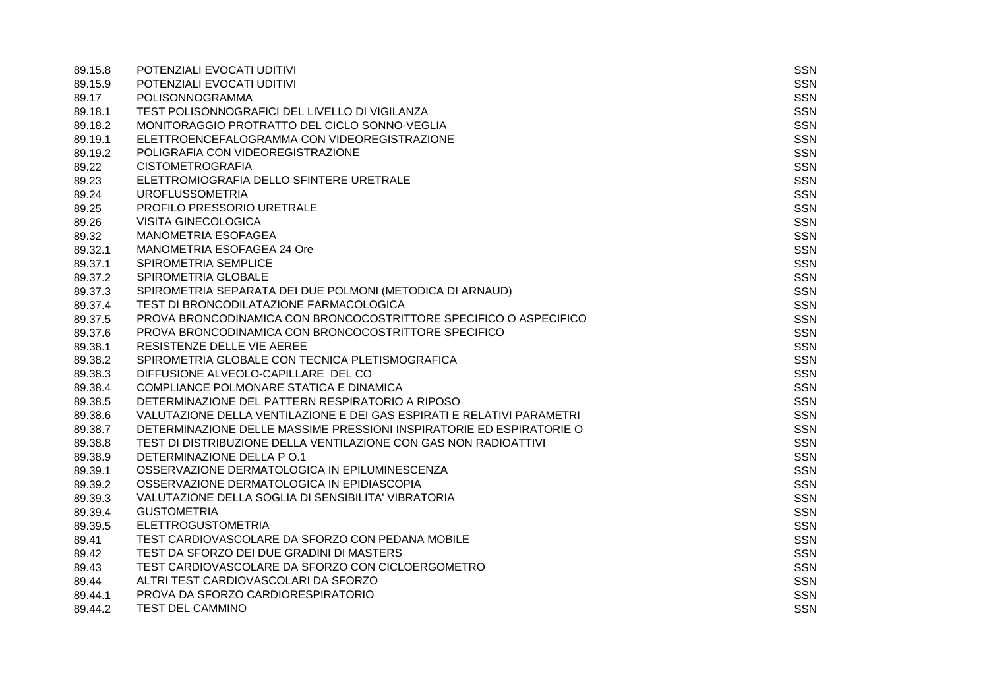| 89.15.8 | POTENZIALI EVOCATI UDITIVI                                             | SSN        |
|---------|------------------------------------------------------------------------|------------|
| 89.15.9 | POTENZIALI EVOCATI UDITIVI                                             | SSN        |
| 89.17   | <b>POLISONNOGRAMMA</b>                                                 | <b>SSN</b> |
| 89.18.1 | TEST POLISONNOGRAFICI DEL LIVELLO DI VIGILANZA                         | <b>SSN</b> |
| 89.18.2 | MONITORAGGIO PROTRATTO DEL CICLO SONNO-VEGLIA                          | <b>SSN</b> |
| 89.19.1 | ELETTROENCEFALOGRAMMA CON VIDEOREGISTRAZIONE                           | <b>SSN</b> |
| 89.19.2 | POLIGRAFIA CON VIDEOREGISTRAZIONE                                      | <b>SSN</b> |
| 89.22   | <b>CISTOMETROGRAFIA</b>                                                | <b>SSN</b> |
| 89.23   | ELETTROMIOGRAFIA DELLO SFINTERE URETRALE                               | <b>SSN</b> |
| 89.24   | <b>UROFLUSSOMETRIA</b>                                                 | <b>SSN</b> |
| 89.25   | PROFILO PRESSORIO URETRALE                                             | <b>SSN</b> |
| 89.26   | <b>VISITA GINECOLOGICA</b>                                             | <b>SSN</b> |
| 89.32   | <b>MANOMETRIA ESOFAGEA</b>                                             | <b>SSN</b> |
| 89.32.1 | MANOMETRIA ESOFAGEA 24 Ore                                             | <b>SSN</b> |
| 89.37.1 | SPIROMETRIA SEMPLICE                                                   | <b>SSN</b> |
| 89.37.2 | SPIROMETRIA GLOBALE                                                    | <b>SSN</b> |
| 89.37.3 | SPIROMETRIA SEPARATA DEI DUE POLMONI (METODICA DI ARNAUD)              | <b>SSN</b> |
| 89.37.4 | TEST DI BRONCODILATAZIONE FARMACOLOGICA                                | <b>SSN</b> |
| 89.37.5 | PROVA BRONCODINAMICA CON BRONCOCOSTRITTORE SPECIFICO O ASPECIFICO      | <b>SSN</b> |
| 89.37.6 | PROVA BRONCODINAMICA CON BRONCOCOSTRITTORE SPECIFICO                   | <b>SSN</b> |
| 89.38.1 | RESISTENZE DELLE VIE AEREE                                             | <b>SSN</b> |
| 89.38.2 | SPIROMETRIA GLOBALE CON TECNICA PLETISMOGRAFICA                        | <b>SSN</b> |
| 89.38.3 | DIFFUSIONE ALVEOLO-CAPILLARE DEL CO                                    | <b>SSN</b> |
| 89.38.4 | COMPLIANCE POLMONARE STATICA E DINAMICA                                | <b>SSN</b> |
| 89.38.5 | DETERMINAZIONE DEL PATTERN RESPIRATORIO A RIPOSO                       | <b>SSN</b> |
| 89.38.6 | VALUTAZIONE DELLA VENTILAZIONE E DEI GAS ESPIRATI E RELATIVI PARAMETRI | <b>SSN</b> |
| 89.38.7 | DETERMINAZIONE DELLE MASSIME PRESSIONI INSPIRATORIE ED ESPIRATORIE O   | <b>SSN</b> |
| 89.38.8 | TEST DI DISTRIBUZIONE DELLA VENTILAZIONE CON GAS NON RADIOATTIVI       | <b>SSN</b> |
| 89.38.9 | DETERMINAZIONE DELLA P O.1                                             | <b>SSN</b> |
| 89.39.1 | OSSERVAZIONE DERMATOLOGICA IN EPILUMINESCENZA                          | <b>SSN</b> |
| 89.39.2 | OSSERVAZIONE DERMATOLOGICA IN EPIDIASCOPIA                             | <b>SSN</b> |
| 89.39.3 | VALUTAZIONE DELLA SOGLIA DI SENSIBILITA' VIBRATORIA                    | <b>SSN</b> |
| 89.39.4 | <b>GUSTOMETRIA</b>                                                     | <b>SSN</b> |
| 89.39.5 | <b>ELETTROGUSTOMETRIA</b>                                              | <b>SSN</b> |
| 89.41   | TEST CARDIOVASCOLARE DA SFORZO CON PEDANA MOBILE                       | <b>SSN</b> |
| 89.42   | TEST DA SFORZO DEI DUE GRADINI DI MASTERS                              | <b>SSN</b> |
| 89.43   | TEST CARDIOVASCOLARE DA SFORZO CON CICLOERGOMETRO                      | <b>SSN</b> |
| 89.44   | ALTRI TEST CARDIOVASCOLARI DA SFORZO                                   | <b>SSN</b> |
| 89.44.1 | PROVA DA SFORZO CARDIORESPIRATORIO                                     | <b>SSN</b> |
| 89.44.2 | <b>TEST DEL CAMMINO</b>                                                | <b>SSN</b> |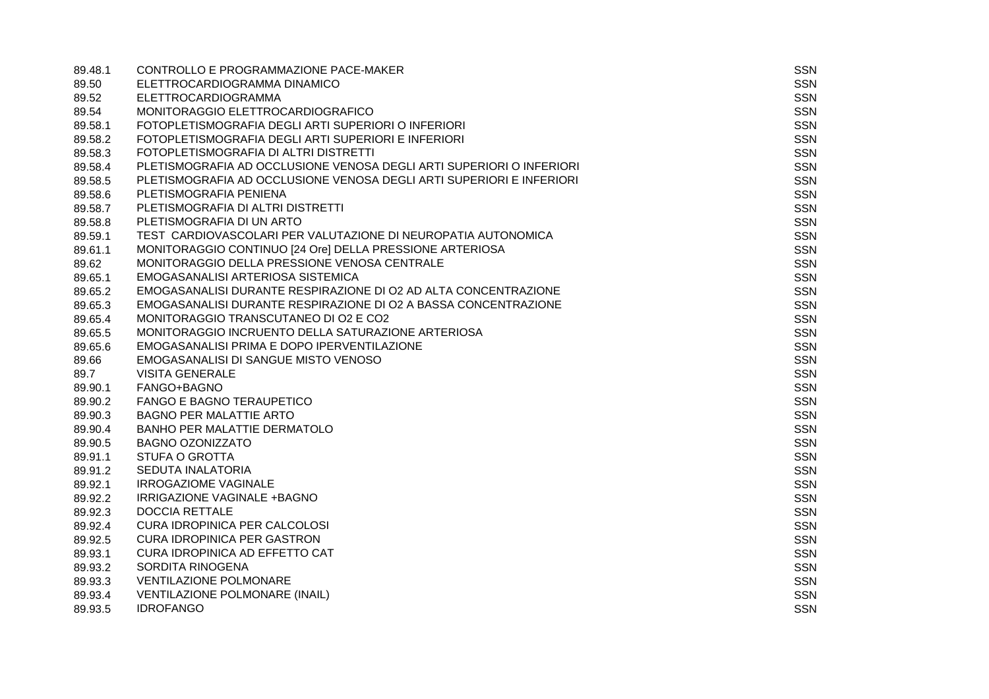| 89.48.1 | CONTROLLO E PROGRAMMAZIONE PACE-MAKER                                | <b>SSN</b> |
|---------|----------------------------------------------------------------------|------------|
| 89.50   | ELETTROCARDIOGRAMMA DINAMICO                                         | SSN        |
| 89.52   | ELETTROCARDIOGRAMMA                                                  | SSN        |
| 89.54   | MONITORAGGIO ELETTROCARDIOGRAFICO                                    | <b>SSN</b> |
| 89.58.1 | FOTOPLETISMOGRAFIA DEGLI ARTI SUPERIORI O INFERIORI                  | <b>SSN</b> |
| 89.58.2 | FOTOPLETISMOGRAFIA DEGLI ARTI SUPERIORI E INFERIORI                  | <b>SSN</b> |
| 89.58.3 | FOTOPLETISMOGRAFIA DI ALTRI DISTRETTI                                | <b>SSN</b> |
| 89.58.4 | PLETISMOGRAFIA AD OCCLUSIONE VENOSA DEGLI ARTI SUPERIORI O INFERIORI | <b>SSN</b> |
| 89.58.5 | PLETISMOGRAFIA AD OCCLUSIONE VENOSA DEGLI ARTI SUPERIORI E INFERIORI | <b>SSN</b> |
| 89.58.6 | PLETISMOGRAFIA PENIENA                                               | <b>SSN</b> |
| 89.58.7 | PLETISMOGRAFIA DI ALTRI DISTRETTI                                    | <b>SSN</b> |
| 89.58.8 | PLETISMOGRAFIA DI UN ARTO                                            | <b>SSN</b> |
| 89.59.1 | TEST CARDIOVASCOLARI PER VALUTAZIONE DI NEUROPATIA AUTONOMICA        | <b>SSN</b> |
| 89.61.1 | MONITORAGGIO CONTINUO [24 Ore] DELLA PRESSIONE ARTERIOSA             | <b>SSN</b> |
| 89.62   | MONITORAGGIO DELLA PRESSIONE VENOSA CENTRALE                         | <b>SSN</b> |
| 89.65.1 | EMOGASANALISI ARTERIOSA SISTEMICA                                    | <b>SSN</b> |
| 89.65.2 | EMOGASANALISI DURANTE RESPIRAZIONE DI O2 AD ALTA CONCENTRAZIONE      | <b>SSN</b> |
| 89.65.3 | EMOGASANALISI DURANTE RESPIRAZIONE DI O2 A BASSA CONCENTRAZIONE      | <b>SSN</b> |
| 89.65.4 | MONITORAGGIO TRANSCUTANEO DI O2 E CO2                                | <b>SSN</b> |
| 89.65.5 | MONITORAGGIO INCRUENTO DELLA SATURAZIONE ARTERIOSA                   | <b>SSN</b> |
| 89.65.6 | EMOGASANALISI PRIMA E DOPO IPERVENTILAZIONE                          | <b>SSN</b> |
| 89.66   | EMOGASANALISI DI SANGUE MISTO VENOSO                                 | <b>SSN</b> |
| 89.7    | <b>VISITA GENERALE</b>                                               | <b>SSN</b> |
| 89.90.1 | FANGO+BAGNO                                                          | <b>SSN</b> |
| 89.90.2 | <b>FANGO E BAGNO TERAUPETICO</b>                                     | <b>SSN</b> |
| 89.90.3 | <b>BAGNO PER MALATTIE ARTO</b>                                       | <b>SSN</b> |
| 89.90.4 | <b>BANHO PER MALATTIE DERMATOLO</b>                                  | <b>SSN</b> |
| 89.90.5 | <b>BAGNO OZONIZZATO</b>                                              | <b>SSN</b> |
| 89.91.1 | <b>STUFA O GROTTA</b>                                                | <b>SSN</b> |
| 89.91.2 | <b>SEDUTA INALATORIA</b>                                             | <b>SSN</b> |
| 89.92.1 | <b>IRROGAZIOME VAGINALE</b>                                          | <b>SSN</b> |
| 89.92.2 | IRRIGAZIONE VAGINALE +BAGNO                                          | <b>SSN</b> |
| 89.92.3 | <b>DOCCIA RETTALE</b>                                                | <b>SSN</b> |
| 89.92.4 | <b>CURA IDROPINICA PER CALCOLOSI</b>                                 | <b>SSN</b> |
| 89.92.5 | <b>CURA IDROPINICA PER GASTRON</b>                                   | SSN        |
| 89.93.1 | CURA IDROPINICA AD EFFETTO CAT                                       | <b>SSN</b> |
| 89.93.2 | SORDITA RINOGENA                                                     | <b>SSN</b> |
| 89.93.3 | <b>VENTILAZIONE POLMONARE</b>                                        | <b>SSN</b> |
| 89.93.4 | <b>VENTILAZIONE POLMONARE (INAIL)</b>                                | <b>SSN</b> |
| 89.93.5 | <b>IDROFANGO</b>                                                     | <b>SSN</b> |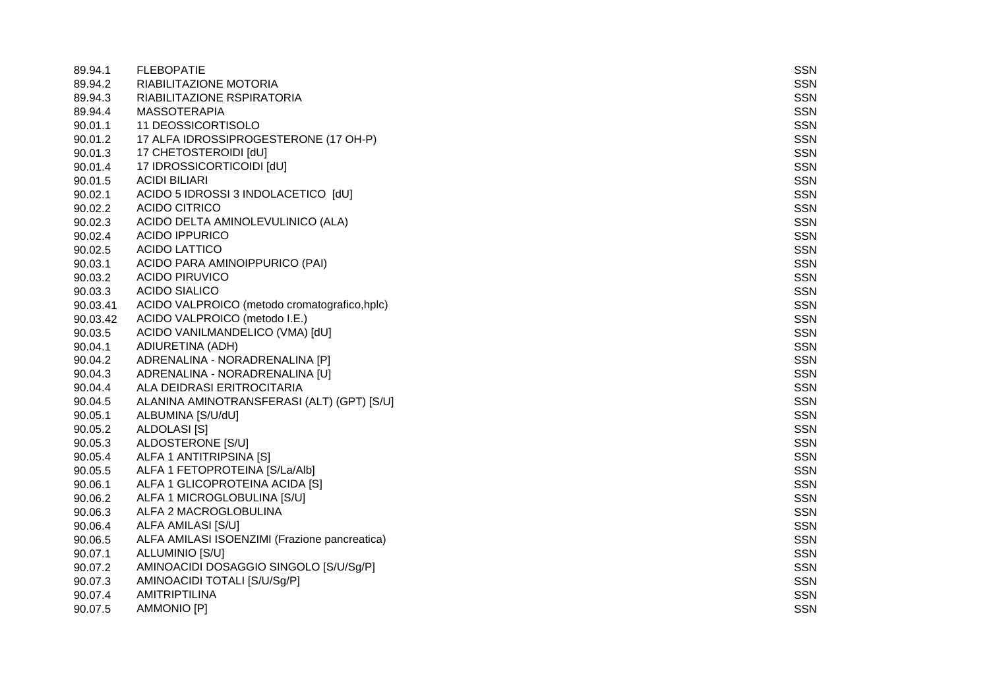| 89.94.1  | <b>FLEBOPATIE</b>                             | <b>SSN</b> |
|----------|-----------------------------------------------|------------|
| 89.94.2  | RIABILITAZIONE MOTORIA                        | SSN        |
| 89.94.3  | RIABILITAZIONE RSPIRATORIA                    | <b>SSN</b> |
| 89.94.4  | <b>MASSOTERAPIA</b>                           | <b>SSN</b> |
| 90.01.1  | 11 DEOSSICORTISOLO                            | <b>SSN</b> |
| 90.01.2  | 17 ALFA IDROSSIPROGESTERONE (17 OH-P)         | SSN        |
| 90.01.3  | 17 CHETOSTEROIDI [dU]                         | SSN        |
| 90.01.4  | 17 IDROSSICORTICOIDI [dU]                     | <b>SSN</b> |
| 90.01.5  | <b>ACIDI BILIARI</b>                          | <b>SSN</b> |
| 90.02.1  | ACIDO 5 IDROSSI 3 INDOLACETICO [dU]           | SSN        |
| 90.02.2  | <b>ACIDO CITRICO</b>                          | <b>SSN</b> |
| 90.02.3  | ACIDO DELTA AMINOLEVULINICO (ALA)             | <b>SSN</b> |
| 90.02.4  | <b>ACIDO IPPURICO</b>                         | <b>SSN</b> |
| 90.02.5  | <b>ACIDO LATTICO</b>                          | SSN        |
| 90.03.1  | ACIDO PARA AMINOIPPURICO (PAI)                | SSN        |
| 90.03.2  | <b>ACIDO PIRUVICO</b>                         | <b>SSN</b> |
| 90.03.3  | <b>ACIDO SIALICO</b>                          | <b>SSN</b> |
| 90.03.41 | ACIDO VALPROICO (metodo cromatografico, hplc) | SSN        |
| 90.03.42 | ACIDO VALPROICO (metodo I.E.)                 | <b>SSN</b> |
| 90.03.5  | ACIDO VANILMANDELICO (VMA) [dU]               | <b>SSN</b> |
| 90.04.1  | ADIURETINA (ADH)                              | <b>SSN</b> |
| 90.04.2  | ADRENALINA - NORADRENALINA [P]                | SSN        |
| 90.04.3  | ADRENALINA - NORADRENALINA [U]                | SSN        |
| 90.04.4  | ALA DEIDRASI ERITROCITARIA                    | <b>SSN</b> |
| 90.04.5  | ALANINA AMINOTRANSFERASI (ALT) (GPT) [S/U]    | <b>SSN</b> |
| 90.05.1  | ALBUMINA [S/U/dU]                             | SSN        |
| 90.05.2  | ALDOLASI [S]                                  | <b>SSN</b> |
| 90.05.3  | ALDOSTERONE [S/U]                             | <b>SSN</b> |
| 90.05.4  | ALFA 1 ANTITRIPSINA [S]                       | <b>SSN</b> |
| 90.05.5  | ALFA 1 FETOPROTEINA [S/La/Alb]                | SSN        |
| 90.06.1  | ALFA 1 GLICOPROTEINA ACIDA [S]                | SSN        |
| 90.06.2  | ALFA 1 MICROGLOBULINA [S/U]                   | <b>SSN</b> |
| 90.06.3  | ALFA 2 MACROGLOBULINA                         | <b>SSN</b> |
| 90.06.4  | ALFA AMILASI [S/U]                            | SSN        |
| 90.06.5  | ALFA AMILASI ISOENZIMI (Frazione pancreatica) | <b>SSN</b> |
| 90.07.1  | ALLUMINIO [S/U]                               | <b>SSN</b> |
| 90.07.2  | AMINOACIDI DOSAGGIO SINGOLO [S/U/Sg/P]        | <b>SSN</b> |
| 90.07.3  | AMINOACIDI TOTALI [S/U/Sg/P]                  | <b>SSN</b> |
| 90.07.4  | <b>AMITRIPTILINA</b>                          | <b>SSN</b> |
| 90.07.5  | <b>AMMONIO [P]</b>                            | <b>SSN</b> |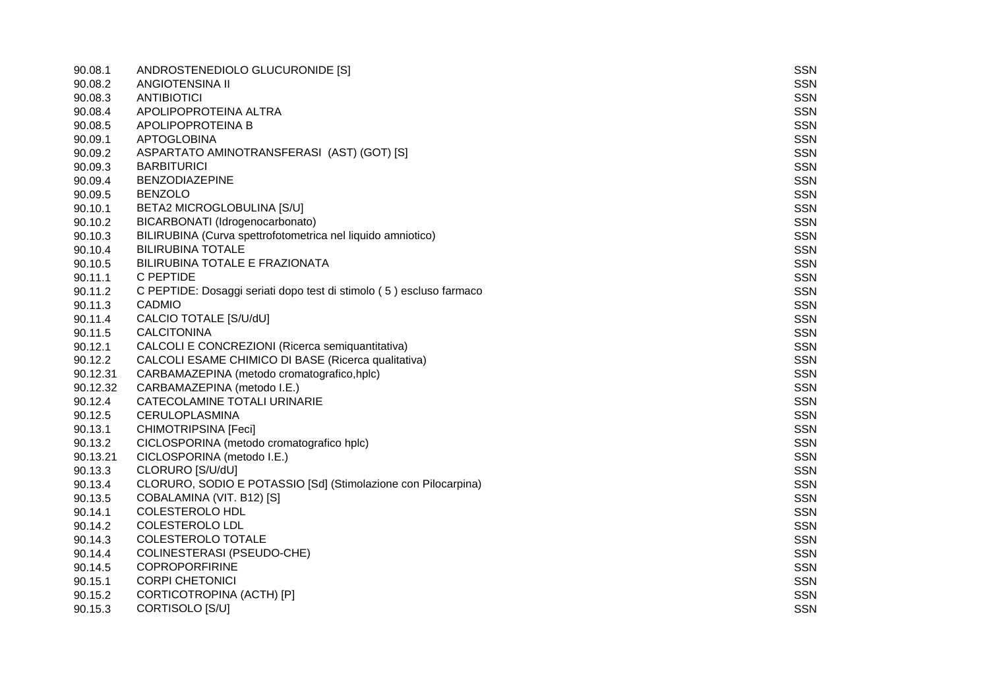| 90.08.1  | ANDROSTENEDIOLO GLUCURONIDE [S]                                     | <b>SSN</b> |
|----------|---------------------------------------------------------------------|------------|
| 90.08.2  | ANGIOTENSINA II                                                     | <b>SSN</b> |
| 90.08.3  | ANTIBIOTICI                                                         | <b>SSN</b> |
| 90.08.4  | APOLIPOPROTEINA ALTRA                                               | <b>SSN</b> |
| 90.08.5  | APOLIPOPROTEINA B                                                   | <b>SSN</b> |
| 90.09.1  | <b>APTOGLOBINA</b>                                                  | <b>SSN</b> |
| 90.09.2  | ASPARTATO AMINOTRANSFERASI (AST) (GOT) [S]                          | <b>SSN</b> |
| 90.09.3  | <b>BARBITURICI</b>                                                  | <b>SSN</b> |
| 90.09.4  | <b>BENZODIAZEPINE</b>                                               | <b>SSN</b> |
| 90.09.5  | <b>BENZOLO</b>                                                      | <b>SSN</b> |
| 90.10.1  | BETA2 MICROGLOBULINA [S/U]                                          | <b>SSN</b> |
| 90.10.2  | BICARBONATI (Idrogenocarbonato)                                     | <b>SSN</b> |
| 90.10.3  | BILIRUBINA (Curva spettrofotometrica nel liquido amniotico)         | <b>SSN</b> |
| 90.10.4  | <b>BILIRUBINA TOTALE</b>                                            | <b>SSN</b> |
| 90.10.5  | BILIRUBINA TOTALE E FRAZIONATA                                      | <b>SSN</b> |
| 90.11.1  | C PEPTIDE                                                           | <b>SSN</b> |
| 90.11.2  | C PEPTIDE: Dosaggi seriati dopo test di stimolo (5) escluso farmaco | <b>SSN</b> |
| 90.11.3  | CADMIO                                                              | <b>SSN</b> |
| 90.11.4  | CALCIO TOTALE [S/U/dU]                                              | <b>SSN</b> |
| 90.11.5  | <b>CALCITONINA</b>                                                  | <b>SSN</b> |
| 90.12.1  | CALCOLI E CONCREZIONI (Ricerca semiquantitativa)                    | <b>SSN</b> |
| 90.12.2  | CALCOLI ESAME CHIMICO DI BASE (Ricerca qualitativa)                 | <b>SSN</b> |
| 90.12.31 | CARBAMAZEPINA (metodo cromatografico, hplc)                         | <b>SSN</b> |
| 90.12.32 | CARBAMAZEPINA (metodo I.E.)                                         | <b>SSN</b> |
| 90.12.4  | CATECOLAMINE TOTALI URINARIE                                        | <b>SSN</b> |
| 90.12.5  | CERULOPLASMINA                                                      | <b>SSN</b> |
| 90.13.1  | CHIMOTRIPSINA [Feci]                                                | <b>SSN</b> |
| 90.13.2  | CICLOSPORINA (metodo cromatografico hplc)                           | <b>SSN</b> |
| 90.13.21 | CICLOSPORINA (metodo I.E.)                                          | <b>SSN</b> |
| 90.13.3  | CLORURO [S/U/dU]                                                    | <b>SSN</b> |
| 90.13.4  | CLORURO, SODIO E POTASSIO [Sd] (Stimolazione con Pilocarpina)       | <b>SSN</b> |
| 90.13.5  | COBALAMINA (VIT. B12) [S]                                           | <b>SSN</b> |
| 90.14.1  | <b>COLESTEROLO HDL</b>                                              | <b>SSN</b> |
| 90.14.2  | COLESTEROLO LDL                                                     | <b>SSN</b> |
| 90.14.3  | COLESTEROLO TOTALE                                                  | <b>SSN</b> |
| 90.14.4  | COLINESTERASI (PSEUDO-CHE)                                          | <b>SSN</b> |
| 90.14.5  | <b>COPROPORFIRINE</b>                                               | <b>SSN</b> |
| 90.15.1  | <b>CORPI CHETONICI</b>                                              | <b>SSN</b> |
| 90.15.2  | CORTICOTROPINA (ACTH) [P]                                           | <b>SSN</b> |
| 90.15.3  | CORTISOLO [S/U]                                                     | <b>SSN</b> |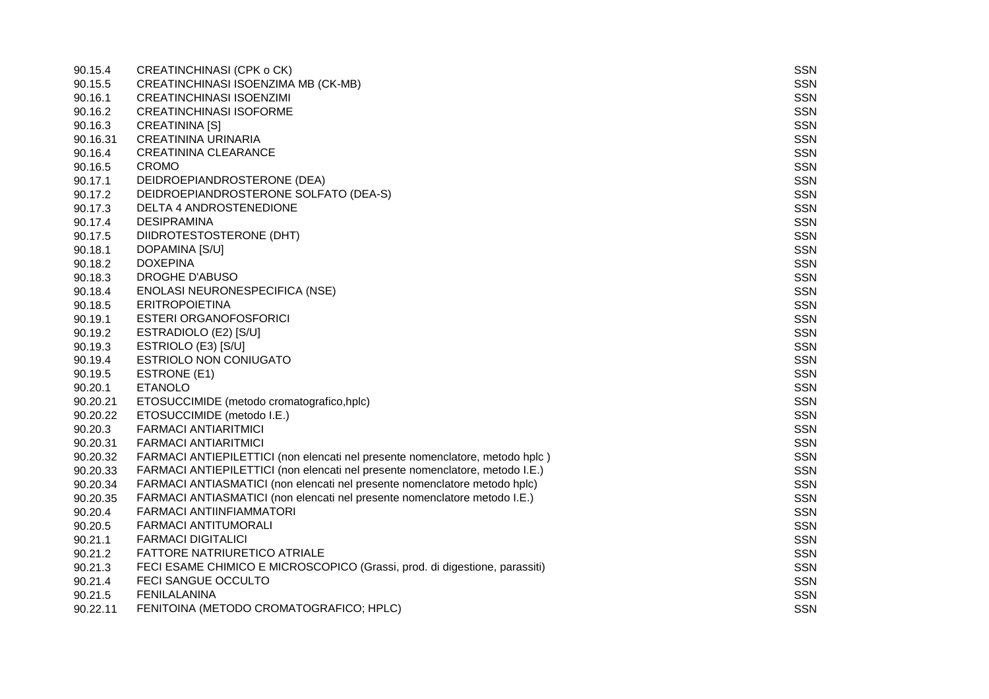| 90.15.4  | <b>CREATINCHINASI (CPK o CK)</b>                                             | <b>SSN</b> |
|----------|------------------------------------------------------------------------------|------------|
| 90.15.5  | CREATINCHINASI ISOENZIMA MB (CK-MB)                                          | <b>SSN</b> |
| 90.16.1  | <b>CREATINCHINASI ISOENZIMI</b>                                              | <b>SSN</b> |
| 90.16.2  | <b>CREATINCHINASI ISOFORME</b>                                               | <b>SSN</b> |
| 90.16.3  | <b>CREATININA [S]</b>                                                        | <b>SSN</b> |
| 90.16.31 | <b>CREATININA URINARIA</b>                                                   | SSN        |
| 90.16.4  | <b>CREATININA CLEARANCE</b>                                                  | SSN        |
| 90.16.5  | <b>CROMO</b>                                                                 | <b>SSN</b> |
| 90.17.1  | DEIDROEPIANDROSTERONE (DEA)                                                  | <b>SSN</b> |
| 90.17.2  | DEIDROEPIANDROSTERONE SOLFATO (DEA-S)                                        | <b>SSN</b> |
| 90.17.3  | DELTA 4 ANDROSTENEDIONE                                                      | <b>SSN</b> |
| 90.17.4  | <b>DESIPRAMINA</b>                                                           | <b>SSN</b> |
| 90.17.5  | DIIDROTESTOSTERONE (DHT)                                                     | <b>SSN</b> |
| 90.18.1  | DOPAMINA [S/U]                                                               | SSN        |
| 90.18.2  | <b>DOXEPINA</b>                                                              | SSN        |
| 90.18.3  | <b>DROGHE D'ABUSO</b>                                                        | <b>SSN</b> |
| 90.18.4  | ENOLASI NEURONESPECIFICA (NSE)                                               | SSN        |
| 90.18.5  | <b>ERITROPOIETINA</b>                                                        | <b>SSN</b> |
| 90.19.1  | <b>ESTERI ORGANOFOSFORICI</b>                                                | <b>SSN</b> |
| 90.19.2  | ESTRADIOLO (E2) [S/U]                                                        | <b>SSN</b> |
| 90.19.3  | ESTRIOLO (E3) [S/U]                                                          | <b>SSN</b> |
| 90.19.4  | ESTRIOLO NON CONIUGATO                                                       | SSN        |
| 90.19.5  | ESTRONE (E1)                                                                 | SSN        |
| 90.20.1  | <b>ETANOLO</b>                                                               | <b>SSN</b> |
| 90.20.21 | ETOSUCCIMIDE (metodo cromatografico,hplc)                                    | SSN        |
| 90.20.22 | ETOSUCCIMIDE (metodo I.E.)                                                   | <b>SSN</b> |
| 90.20.3  | <b>FARMACI ANTIARITMICI</b>                                                  | <b>SSN</b> |
| 90.20.31 | <b>FARMACI ANTIARITMICI</b>                                                  | <b>SSN</b> |
| 90.20.32 | FARMACI ANTIEPILETTICI (non elencati nel presente nomenclatore, metodo hplc) | <b>SSN</b> |
| 90.20.33 | FARMACI ANTIEPILETTICI (non elencati nel presente nomenclatore, metodo I.E.) | SSN        |
| 90.20.34 | FARMACI ANTIASMATICI (non elencati nel presente nomenclatore metodo hplc)    | SSN        |
| 90.20.35 | FARMACI ANTIASMATICI (non elencati nel presente nomenclatore metodo I.E.)    | <b>SSN</b> |
| 90.20.4  | FARMACI ANTIINFIAMMATORI                                                     | SSN        |
| 90.20.5  | <b>FARMACI ANTITUMORALI</b>                                                  | <b>SSN</b> |
| 90.21.1  | <b>FARMACI DIGITALICI</b>                                                    | <b>SSN</b> |
| 90.21.2  | <b>FATTORE NATRIURETICO ATRIALE</b>                                          | <b>SSN</b> |
| 90.21.3  | FECI ESAME CHIMICO E MICROSCOPICO (Grassi, prod. di digestione, parassiti)   | <b>SSN</b> |
| 90.21.4  | FECI SANGUE OCCULTO                                                          | SSN        |
| 90.21.5  | <b>FENILALANINA</b>                                                          | <b>SSN</b> |
| 90.22.11 | FENITOINA (METODO CROMATOGRAFICO; HPLC)                                      | <b>SSN</b> |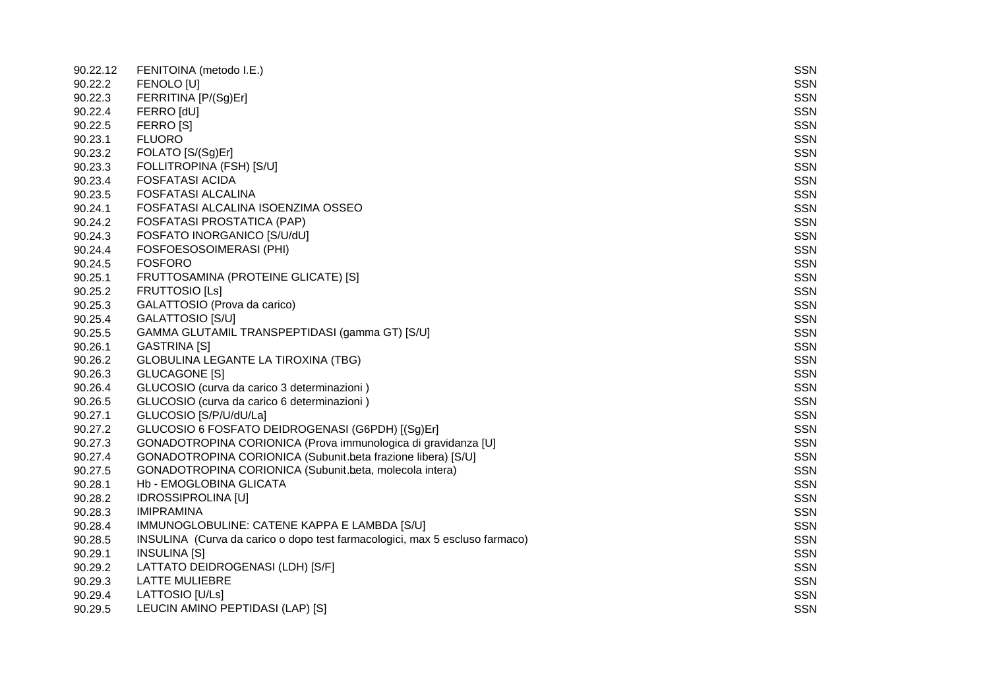| 90.22.12 | FENITOINA (metodo I.E.)                                                     | <b>SSN</b> |
|----------|-----------------------------------------------------------------------------|------------|
| 90.22.2  | FENOLO [U]                                                                  | <b>SSN</b> |
| 90.22.3  | FERRITINA [P/(Sg)Er]                                                        | <b>SSN</b> |
| 90.22.4  | FERRO [dU]                                                                  | <b>SSN</b> |
| 90.22.5  | FERRO [S]                                                                   | <b>SSN</b> |
| 90.23.1  | <b>FLUORO</b>                                                               | <b>SSN</b> |
| 90.23.2  | FOLATO [S/(Sg)Er]                                                           | <b>SSN</b> |
| 90.23.3  | FOLLITROPINA (FSH) [S/U]                                                    | <b>SSN</b> |
| 90.23.4  | <b>FOSFATASI ACIDA</b>                                                      | <b>SSN</b> |
| 90.23.5  | <b>FOSFATASI ALCALINA</b>                                                   | <b>SSN</b> |
| 90.24.1  | FOSFATASI ALCALINA ISOENZIMA OSSEO                                          | <b>SSN</b> |
| 90.24.2  | FOSFATASI PROSTATICA (PAP)                                                  | <b>SSN</b> |
| 90.24.3  | FOSFATO INORGANICO [S/U/dU]                                                 | <b>SSN</b> |
| 90.24.4  | FOSFOESOSOIMERASI (PHI)                                                     | <b>SSN</b> |
| 90.24.5  | <b>FOSFORO</b>                                                              | <b>SSN</b> |
| 90.25.1  | FRUTTOSAMINA (PROTEINE GLICATE) [S]                                         | <b>SSN</b> |
| 90.25.2  | FRUTTOSIO [Ls]                                                              | <b>SSN</b> |
| 90.25.3  | GALATTOSIO (Prova da carico)                                                | <b>SSN</b> |
| 90.25.4  | GALATTOSIO [S/U]                                                            | <b>SSN</b> |
| 90.25.5  | GAMMA GLUTAMIL TRANSPEPTIDASI (gamma GT) [S/U]                              | <b>SSN</b> |
| 90.26.1  | <b>GASTRINA [S]</b>                                                         | <b>SSN</b> |
| 90.26.2  | GLOBULINA LEGANTE LA TIROXINA (TBG)                                         | <b>SSN</b> |
| 90.26.3  | <b>GLUCAGONE [S]</b>                                                        | SSN        |
| 90.26.4  | GLUCOSIO (curva da carico 3 determinazioni)                                 | <b>SSN</b> |
| 90.26.5  | GLUCOSIO (curva da carico 6 determinazioni)                                 | <b>SSN</b> |
| 90.27.1  | GLUCOSIO [S/P/U/dU/La]                                                      | <b>SSN</b> |
| 90.27.2  | GLUCOSIO 6 FOSFATO DEIDROGENASI (G6PDH) [(Sg)Er]                            | <b>SSN</b> |
| 90.27.3  | GONADOTROPINA CORIONICA (Prova immunologica di gravidanza [U]               | <b>SSN</b> |
| 90.27.4  | GONADOTROPINA CORIONICA (Subunit.beta frazione libera) [S/U]                | <b>SSN</b> |
| 90.27.5  | GONADOTROPINA CORIONICA (Subunit.beta, molecola intera)                     | <b>SSN</b> |
| 90.28.1  | Hb - EMOGLOBINA GLICATA                                                     | <b>SSN</b> |
| 90.28.2  | <b>IDROSSIPROLINA [U]</b>                                                   | <b>SSN</b> |
| 90.28.3  | <b>IMIPRAMINA</b>                                                           | <b>SSN</b> |
| 90.28.4  | IMMUNOGLOBULINE: CATENE KAPPA E LAMBDA [S/U]                                | <b>SSN</b> |
| 90.28.5  | INSULINA (Curva da carico o dopo test farmacologici, max 5 escluso farmaco) | <b>SSN</b> |
| 90.29.1  | <b>INSULINA [S]</b>                                                         | <b>SSN</b> |
| 90.29.2  | LATTATO DEIDROGENASI (LDH) [S/F]                                            | <b>SSN</b> |
| 90.29.3  | <b>LATTE MULIEBRE</b>                                                       | <b>SSN</b> |
| 90.29.4  | LATTOSIO [U/Ls]                                                             | <b>SSN</b> |
| 90.29.5  | LEUCIN AMINO PEPTIDASI (LAP) [S]                                            | <b>SSN</b> |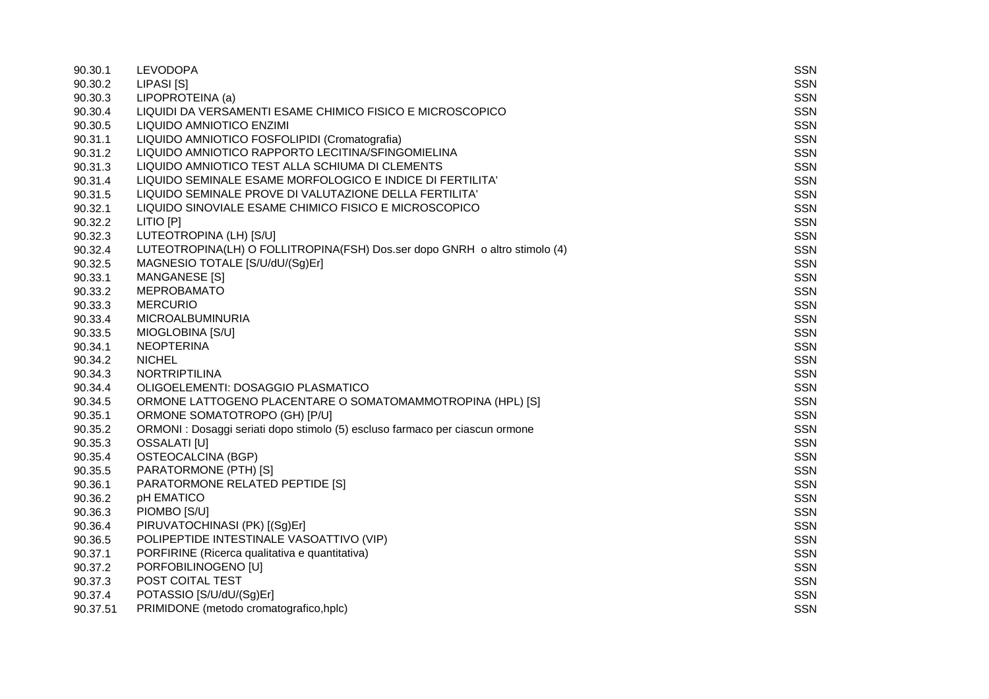| 90.30.1  | <b>LEVODOPA</b>                                                              | <b>SSN</b> |
|----------|------------------------------------------------------------------------------|------------|
| 90.30.2  | LIPASI [S]                                                                   | <b>SSN</b> |
| 90.30.3  | LIPOPROTEINA (a)                                                             | <b>SSN</b> |
| 90.30.4  | LIQUIDI DA VERSAMENTI ESAME CHIMICO FISICO E MICROSCOPICO                    | <b>SSN</b> |
| 90.30.5  | LIQUIDO AMNIOTICO ENZIMI                                                     | <b>SSN</b> |
| 90.31.1  | LIQUIDO AMNIOTICO FOSFOLIPIDI (Cromatografia)                                | <b>SSN</b> |
| 90.31.2  | LIQUIDO AMNIOTICO RAPPORTO LECITINA/SFINGOMIELINA                            | <b>SSN</b> |
| 90.31.3  | LIQUIDO AMNIOTICO TEST ALLA SCHIUMA DI CLEMENTS                              | <b>SSN</b> |
| 90.31.4  | LIQUIDO SEMINALE ESAME MORFOLOGICO E INDICE DI FERTILITA'                    | <b>SSN</b> |
| 90.31.5  | LIQUIDO SEMINALE PROVE DI VALUTAZIONE DELLA FERTILITA'                       | SSN        |
| 90.32.1  | LIQUIDO SINOVIALE ESAME CHIMICO FISICO E MICROSCOPICO                        | <b>SSN</b> |
| 90.32.2  | LITIO [P]                                                                    | <b>SSN</b> |
| 90.32.3  | LUTEOTROPINA (LH) [S/U]                                                      | <b>SSN</b> |
| 90.32.4  | LUTEOTROPINA(LH) O FOLLITROPINA(FSH) Dos.ser dopo GNRH o altro stimolo (4)   | <b>SSN</b> |
| 90.32.5  | MAGNESIO TOTALE [S/U/dU/(Sg)Er]                                              | <b>SSN</b> |
| 90.33.1  | MANGANESE [S]                                                                | <b>SSN</b> |
| 90.33.2  | <b>MEPROBAMATO</b>                                                           | <b>SSN</b> |
| 90.33.3  | <b>MERCURIO</b>                                                              | <b>SSN</b> |
| 90.33.4  | <b>MICROALBUMINURIA</b>                                                      | <b>SSN</b> |
| 90.33.5  | MIOGLOBINA [S/U]                                                             | <b>SSN</b> |
| 90.34.1  | <b>NEOPTERINA</b>                                                            | <b>SSN</b> |
| 90.34.2  | <b>NICHEL</b>                                                                | SSN        |
| 90.34.3  | <b>NORTRIPTILINA</b>                                                         | <b>SSN</b> |
| 90.34.4  | OLIGOELEMENTI: DOSAGGIO PLASMATICO                                           | <b>SSN</b> |
| 90.34.5  | ORMONE LATTOGENO PLACENTARE O SOMATOMAMMOTROPINA (HPL) [S]                   | <b>SSN</b> |
| 90.35.1  | ORMONE SOMATOTROPO (GH) [P/U]                                                | <b>SSN</b> |
| 90.35.2  | ORMONI : Dosaggi seriati dopo stimolo (5) escluso farmaco per ciascun ormone | <b>SSN</b> |
| 90.35.3  | <b>OSSALATI [U]</b>                                                          | <b>SSN</b> |
| 90.35.4  | <b>OSTEOCALCINA (BGP)</b>                                                    | <b>SSN</b> |
| 90.35.5  | PARATORMONE (PTH) [S]                                                        | <b>SSN</b> |
| 90.36.1  | PARATORMONE RELATED PEPTIDE [S]                                              | <b>SSN</b> |
| 90.36.2  | pH EMATICO                                                                   | <b>SSN</b> |
| 90.36.3  | PIOMBO [S/U]                                                                 | <b>SSN</b> |
| 90.36.4  | PIRUVATOCHINASI (PK) [(Sg)Er]                                                | <b>SSN</b> |
| 90.36.5  | POLIPEPTIDE INTESTINALE VASOATTIVO (VIP)                                     | <b>SSN</b> |
| 90.37.1  | PORFIRINE (Ricerca qualitativa e quantitativa)                               | <b>SSN</b> |
| 90.37.2  | PORFOBILINOGENO [U]                                                          | <b>SSN</b> |
| 90.37.3  | POST COITAL TEST                                                             | <b>SSN</b> |
| 90.37.4  | POTASSIO [S/U/dU/(Sg)Er]                                                     | <b>SSN</b> |
| 90.37.51 | PRIMIDONE (metodo cromatografico, hplc)                                      | <b>SSN</b> |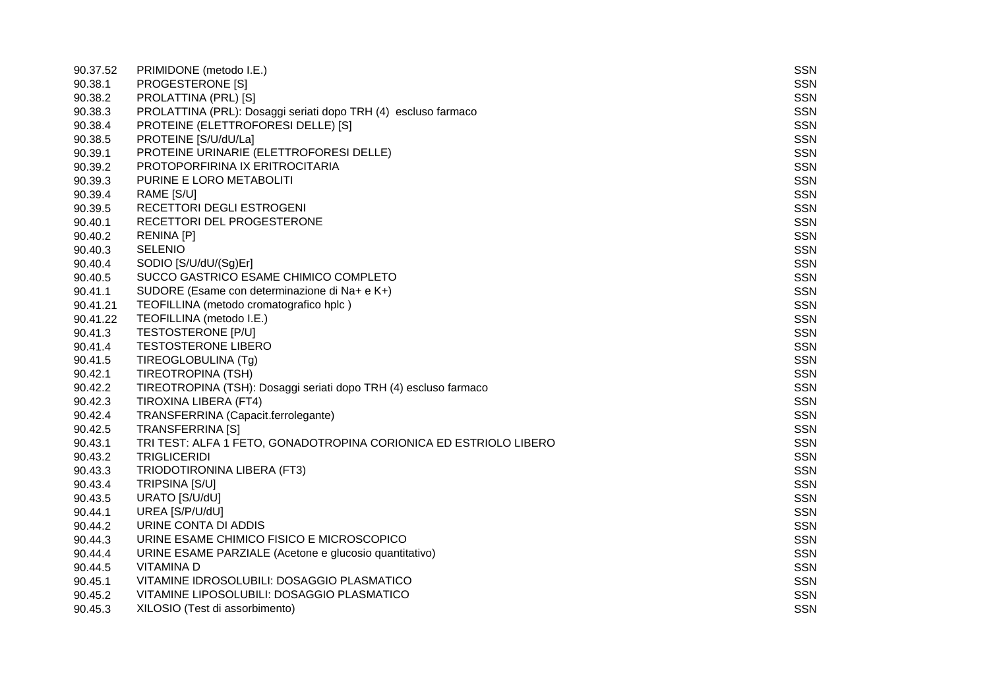| 90.37.52 | PRIMIDONE (metodo I.E.)                                           | <b>SSN</b> |
|----------|-------------------------------------------------------------------|------------|
| 90.38.1  | PROGESTERONE [S]                                                  | <b>SSN</b> |
| 90.38.2  | PROLATTINA (PRL) [S]                                              | <b>SSN</b> |
| 90.38.3  | PROLATTINA (PRL): Dosaggi seriati dopo TRH (4) escluso farmaco    | <b>SSN</b> |
| 90.38.4  | PROTEINE (ELETTROFORESI DELLE) [S]                                | <b>SSN</b> |
| 90.38.5  | PROTEINE [S/U/dU/La]                                              | <b>SSN</b> |
| 90.39.1  | PROTEINE URINARIE (ELETTROFORESI DELLE)                           | <b>SSN</b> |
| 90.39.2  | PROTOPORFIRINA IX ERITROCITARIA                                   | <b>SSN</b> |
| 90.39.3  | PURINE E LORO METABOLITI                                          | <b>SSN</b> |
| 90.39.4  | RAME [S/U]                                                        | <b>SSN</b> |
| 90.39.5  | RECETTORI DEGLI ESTROGENI                                         | <b>SSN</b> |
| 90.40.1  | RECETTORI DEL PROGESTERONE                                        | <b>SSN</b> |
| 90.40.2  | <b>RENINA [P]</b>                                                 | <b>SSN</b> |
| 90.40.3  | <b>SELENIO</b>                                                    | <b>SSN</b> |
| 90.40.4  | SODIO [S/U/dU/(Sg)Er]                                             | <b>SSN</b> |
| 90.40.5  | SUCCO GASTRICO ESAME CHIMICO COMPLETO                             | <b>SSN</b> |
| 90.41.1  | SUDORE (Esame con determinazione di Na+ e K+)                     | <b>SSN</b> |
| 90.41.21 | TEOFILLINA (metodo cromatografico hplc)                           | <b>SSN</b> |
| 90.41.22 | TEOFILLINA (metodo I.E.)                                          | <b>SSN</b> |
| 90.41.3  | <b>TESTOSTERONE [P/U]</b>                                         | <b>SSN</b> |
| 90.41.4  | <b>TESTOSTERONE LIBERO</b>                                        | <b>SSN</b> |
| 90.41.5  | TIREOGLOBULINA (Tg)                                               | <b>SSN</b> |
| 90.42.1  | <b>TIREOTROPINA (TSH)</b>                                         | <b>SSN</b> |
| 90.42.2  | TIREOTROPINA (TSH): Dosaggi seriati dopo TRH (4) escluso farmaco  | <b>SSN</b> |
| 90.42.3  | TIROXINA LIBERA (FT4)                                             | <b>SSN</b> |
| 90.42.4  | TRANSFERRINA (Capacit.ferrolegante)                               | <b>SSN</b> |
| 90.42.5  | <b>TRANSFERRINA [S]</b>                                           | <b>SSN</b> |
| 90.43.1  | TRI TEST: ALFA 1 FETO, GONADOTROPINA CORIONICA ED ESTRIOLO LIBERO | <b>SSN</b> |
| 90.43.2  | <b>TRIGLICERIDI</b>                                               | <b>SSN</b> |
| 90.43.3  | TRIODOTIRONINA LIBERA (FT3)                                       | <b>SSN</b> |
| 90.43.4  | TRIPSINA [S/U]                                                    | <b>SSN</b> |
| 90.43.5  | URATO [S/U/dU]                                                    | <b>SSN</b> |
| 90.44.1  | UREA [S/P/U/dU]                                                   | <b>SSN</b> |
| 90.44.2  | URINE CONTA DI ADDIS                                              | <b>SSN</b> |
| 90.44.3  | URINE ESAME CHIMICO FISICO E MICROSCOPICO                         | <b>SSN</b> |
| 90.44.4  | URINE ESAME PARZIALE (Acetone e glucosio quantitativo)            | <b>SSN</b> |
| 90.44.5  | <b>VITAMINA D</b>                                                 | <b>SSN</b> |
| 90.45.1  | VITAMINE IDROSOLUBILI: DOSAGGIO PLASMATICO                        | <b>SSN</b> |
| 90.45.2  | VITAMINE LIPOSOLUBILI: DOSAGGIO PLASMATICO                        | <b>SSN</b> |
| 90.45.3  | XILOSIO (Test di assorbimento)                                    | <b>SSN</b> |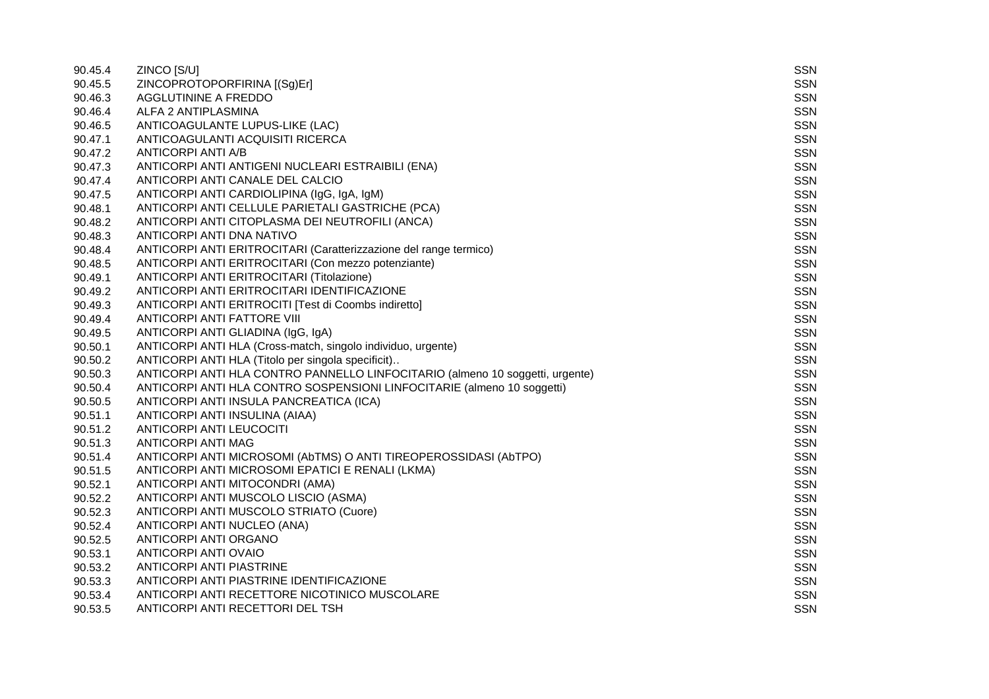| 90.45.4 | ZINCO [S/U]                                                                   | <b>SSN</b> |
|---------|-------------------------------------------------------------------------------|------------|
| 90.45.5 | ZINCOPROTOPORFIRINA [(Sg)Er]                                                  | <b>SSN</b> |
| 90.46.3 | AGGLUTININE A FREDDO                                                          | <b>SSN</b> |
| 90.46.4 | ALFA 2 ANTIPLASMINA                                                           | <b>SSN</b> |
| 90.46.5 | ANTICOAGULANTE LUPUS-LIKE (LAC)                                               | <b>SSN</b> |
| 90.47.1 | ANTICOAGULANTI ACQUISITI RICERCA                                              | <b>SSN</b> |
| 90.47.2 | ANTICORPI ANTI A/B                                                            | <b>SSN</b> |
| 90.47.3 | ANTICORPI ANTI ANTIGENI NUCLEARI ESTRAIBILI (ENA)                             | <b>SSN</b> |
| 90.47.4 | ANTICORPI ANTI CANALE DEL CALCIO                                              | <b>SSN</b> |
| 90.47.5 | ANTICORPI ANTI CARDIOLIPINA (IgG, IgA, IgM)                                   | <b>SSN</b> |
| 90.48.1 | ANTICORPI ANTI CELLULE PARIETALI GASTRICHE (PCA)                              | <b>SSN</b> |
| 90.48.2 | ANTICORPI ANTI CITOPLASMA DEI NEUTROFILI (ANCA)                               | <b>SSN</b> |
| 90.48.3 | ANTICORPI ANTI DNA NATIVO                                                     | <b>SSN</b> |
| 90.48.4 | ANTICORPI ANTI ERITROCITARI (Caratterizzazione del range termico)             | <b>SSN</b> |
| 90.48.5 | ANTICORPI ANTI ERITROCITARI (Con mezzo potenziante)                           | <b>SSN</b> |
| 90.49.1 | ANTICORPI ANTI ERITROCITARI (Titolazione)                                     | <b>SSN</b> |
| 90.49.2 | ANTICORPI ANTI ERITROCITARI IDENTIFICAZIONE                                   | <b>SSN</b> |
| 90.49.3 | ANTICORPI ANTI ERITROCITI [Test di Coombs indiretto]                          | <b>SSN</b> |
| 90.49.4 | ANTICORPI ANTI FATTORE VIII                                                   | <b>SSN</b> |
| 90.49.5 | ANTICORPI ANTI GLIADINA (IgG, IgA)                                            | <b>SSN</b> |
| 90.50.1 | ANTICORPI ANTI HLA (Cross-match, singolo individuo, urgente)                  | <b>SSN</b> |
| 90.50.2 | ANTICORPI ANTI HLA (Titolo per singola specificit)                            | <b>SSN</b> |
| 90.50.3 | ANTICORPI ANTI HLA CONTRO PANNELLO LINFOCITARIO (almeno 10 soggetti, urgente) | <b>SSN</b> |
| 90.50.4 | ANTICORPI ANTI HLA CONTRO SOSPENSIONI LINFOCITARIE (almeno 10 soggetti)       | <b>SSN</b> |
| 90.50.5 | ANTICORPI ANTI INSULA PANCREATICA (ICA)                                       | <b>SSN</b> |
| 90.51.1 | ANTICORPI ANTI INSULINA (AIAA)                                                | <b>SSN</b> |
| 90.51.2 | ANTICORPI ANTI LEUCOCITI                                                      | <b>SSN</b> |
| 90.51.3 | ANTICORPI ANTI MAG                                                            | <b>SSN</b> |
| 90.51.4 | ANTICORPI ANTI MICROSOMI (AbTMS) O ANTI TIREOPEROSSIDASI (AbTPO)              | <b>SSN</b> |
| 90.51.5 | ANTICORPI ANTI MICROSOMI EPATICI E RENALI (LKMA)                              | <b>SSN</b> |
| 90.52.1 | ANTICORPI ANTI MITOCONDRI (AMA)                                               | <b>SSN</b> |
| 90.52.2 | ANTICORPI ANTI MUSCOLO LISCIO (ASMA)                                          | <b>SSN</b> |
| 90.52.3 | ANTICORPI ANTI MUSCOLO STRIATO (Cuore)                                        | <b>SSN</b> |
| 90.52.4 | ANTICORPI ANTI NUCLEO (ANA)                                                   | <b>SSN</b> |
| 90.52.5 | ANTICORPI ANTI ORGANO                                                         | <b>SSN</b> |
| 90.53.1 | ANTICORPI ANTI OVAIO                                                          | <b>SSN</b> |
| 90.53.2 | <b>ANTICORPI ANTI PIASTRINE</b>                                               | <b>SSN</b> |
| 90.53.3 | ANTICORPI ANTI PIASTRINE IDENTIFICAZIONE                                      | <b>SSN</b> |
| 90.53.4 | ANTICORPI ANTI RECETTORE NICOTINICO MUSCOLARE                                 | <b>SSN</b> |
| 90.53.5 | ANTICORPI ANTI RECETTORI DEL TSH                                              | <b>SSN</b> |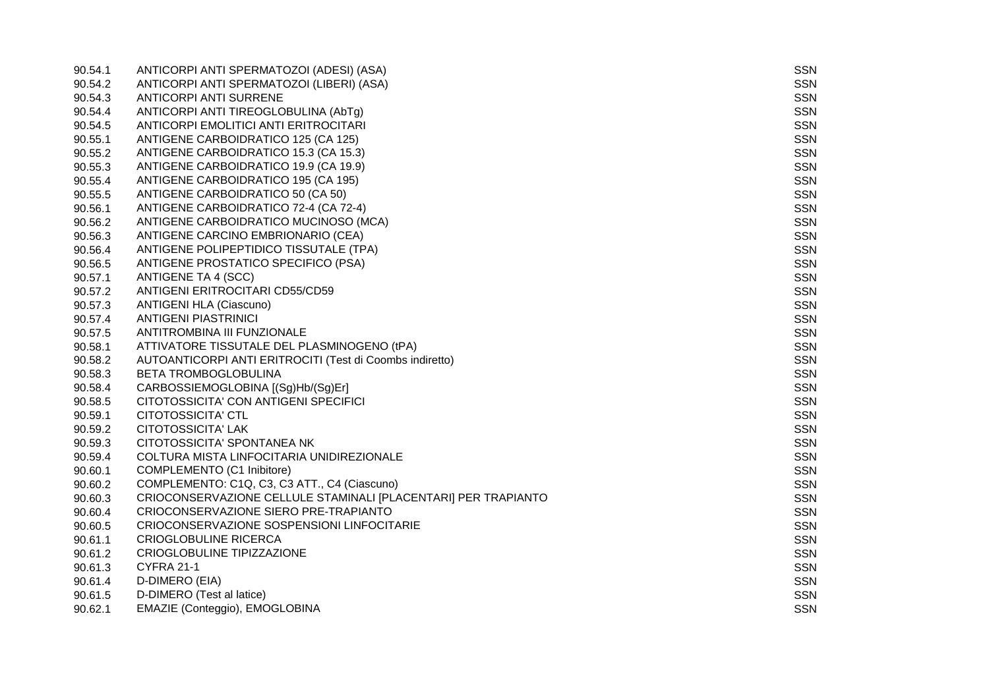| 90.54.1 | ANTICORPI ANTI SPERMATOZOI (ADESI) (ASA)                       | SSN        |
|---------|----------------------------------------------------------------|------------|
| 90.54.2 | ANTICORPI ANTI SPERMATOZOI (LIBERI) (ASA)                      | SSN        |
| 90.54.3 | <b>ANTICORPI ANTI SURRENE</b>                                  | SSN        |
| 90.54.4 | ANTICORPI ANTI TIREOGLOBULINA (AbTg)                           | SSN        |
| 90.54.5 | ANTICORPI EMOLITICI ANTI ERITROCITARI                          | <b>SSN</b> |
| 90.55.1 | ANTIGENE CARBOIDRATICO 125 (CA 125)                            | SSN        |
| 90.55.2 | ANTIGENE CARBOIDRATICO 15.3 (CA 15.3)                          | <b>SSN</b> |
| 90.55.3 | ANTIGENE CARBOIDRATICO 19.9 (CA 19.9)                          | SSN        |
| 90.55.4 | ANTIGENE CARBOIDRATICO 195 (CA 195)                            | <b>SSN</b> |
| 90.55.5 | ANTIGENE CARBOIDRATICO 50 (CA 50)                              | SSN        |
| 90.56.1 | ANTIGENE CARBOIDRATICO 72-4 (CA 72-4)                          | <b>SSN</b> |
| 90.56.2 | ANTIGENE CARBOIDRATICO MUCINOSO (MCA)                          | SSN        |
| 90.56.3 | ANTIGENE CARCINO EMBRIONARIO (CEA)                             | SSN        |
| 90.56.4 | ANTIGENE POLIPEPTIDICO TISSUTALE (TPA)                         | SSN        |
| 90.56.5 | ANTIGENE PROSTATICO SPECIFICO (PSA)                            | SSN        |
| 90.57.1 | <b>ANTIGENE TA 4 (SCC)</b>                                     | SSN        |
| 90.57.2 | ANTIGENI ERITROCITARI CD55/CD59                                | <b>SSN</b> |
| 90.57.3 | <b>ANTIGENI HLA (Ciascuno)</b>                                 | SSN        |
| 90.57.4 | <b>ANTIGENI PIASTRINICI</b>                                    | SSN        |
| 90.57.5 | ANTITROMBINA III FUNZIONALE                                    | <b>SSN</b> |
| 90.58.1 | ATTIVATORE TISSUTALE DEL PLASMINOGENO (tPA)                    | <b>SSN</b> |
| 90.58.2 | AUTOANTICORPI ANTI ERITROCITI (Test di Coombs indiretto)       | <b>SSN</b> |
| 90.58.3 | <b>BETA TROMBOGLOBULINA</b>                                    | <b>SSN</b> |
| 90.58.4 | CARBOSSIEMOGLOBINA [(Sg)Hb/(Sg)Er]                             | <b>SSN</b> |
| 90.58.5 | CITOTOSSICITA' CON ANTIGENI SPECIFICI                          | <b>SSN</b> |
| 90.59.1 | CITOTOSSICITA' CTL                                             | SSN        |
| 90.59.2 | CITOTOSSICITA' LAK                                             | SSN        |
| 90.59.3 | CITOTOSSICITA' SPONTANEA NK                                    | <b>SSN</b> |
| 90.59.4 | COLTURA MISTA LINFOCITARIA UNIDIREZIONALE                      | <b>SSN</b> |
| 90.60.1 | COMPLEMENTO (C1 Inibitore)                                     | SSN        |
| 90.60.2 | COMPLEMENTO: C1Q, C3, C3 ATT., C4 (Ciascuno)                   | SSN        |
| 90.60.3 | CRIOCONSERVAZIONE CELLULE STAMINALI [PLACENTARI] PER TRAPIANTO | <b>SSN</b> |
| 90.60.4 | CRIOCONSERVAZIONE SIERO PRE-TRAPIANTO                          | SSN        |
| 90.60.5 | CRIOCONSERVAZIONE SOSPENSIONI LINFOCITARIE                     | SSN        |
| 90.61.1 | <b>CRIOGLOBULINE RICERCA</b>                                   | SSN        |
| 90.61.2 | CRIOGLOBULINE TIPIZZAZIONE                                     | <b>SSN</b> |
| 90.61.3 | <b>CYFRA 21-1</b>                                              | <b>SSN</b> |
| 90.61.4 | D-DIMERO (EIA)                                                 | <b>SSN</b> |
| 90.61.5 | D-DIMERO (Test al latice)                                      | <b>SSN</b> |
| 90.62.1 | EMAZIE (Conteggio), EMOGLOBINA                                 | SSN        |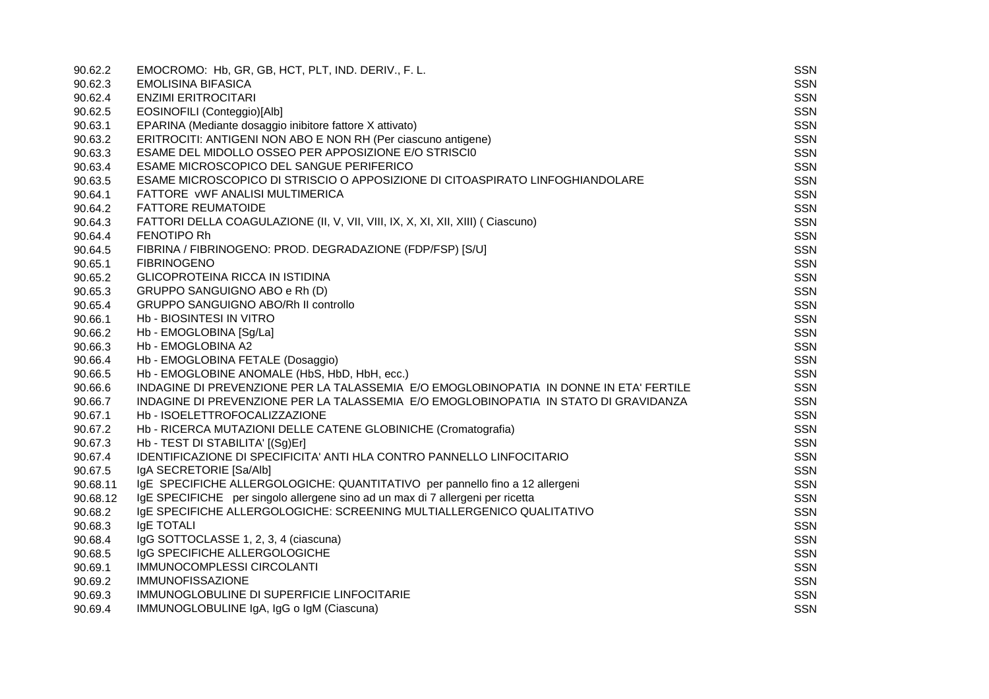| 90.62.2  | EMOCROMO: Hb, GR, GB, HCT, PLT, IND. DERIV., F. L.                                     | <b>SSN</b> |
|----------|----------------------------------------------------------------------------------------|------------|
| 90.62.3  | <b>EMOLISINA BIFASICA</b>                                                              | <b>SSN</b> |
| 90.62.4  | <b>ENZIMI ERITROCITARI</b>                                                             | SSN        |
| 90.62.5  | EOSINOFILI (Conteggio)[Alb]                                                            | <b>SSN</b> |
| 90.63.1  | EPARINA (Mediante dosaggio inibitore fattore X attivato)                               | <b>SSN</b> |
| 90.63.2  | ERITROCITI: ANTIGENI NON ABO E NON RH (Per ciascuno antigene)                          | <b>SSN</b> |
| 90.63.3  | ESAME DEL MIDOLLO OSSEO PER APPOSIZIONE E/O STRISCIO                                   | <b>SSN</b> |
| 90.63.4  | ESAME MICROSCOPICO DEL SANGUE PERIFERICO                                               | <b>SSN</b> |
| 90.63.5  | ESAME MICROSCOPICO DI STRISCIO O APPOSIZIONE DI CITOASPIRATO LINFOGHIANDOLARE          | <b>SSN</b> |
| 90.64.1  | FATTORE VWF ANALISI MULTIMERICA                                                        | <b>SSN</b> |
| 90.64.2  | <b>FATTORE REUMATOIDE</b>                                                              | <b>SSN</b> |
| 90.64.3  | FATTORI DELLA COAGULAZIONE (II, V, VII, VIII, IX, X, XI, XII, XIII) (Ciascuno)         | <b>SSN</b> |
| 90.64.4  | <b>FENOTIPO Rh</b>                                                                     | <b>SSN</b> |
| 90.64.5  | FIBRINA / FIBRINOGENO: PROD. DEGRADAZIONE (FDP/FSP) [S/U]                              | <b>SSN</b> |
| 90.65.1  | <b>FIBRINOGENO</b>                                                                     | <b>SSN</b> |
| 90.65.2  | <b>GLICOPROTEINA RICCA IN ISTIDINA</b>                                                 | <b>SSN</b> |
| 90.65.3  | GRUPPO SANGUIGNO ABO e Rh (D)                                                          | SSN        |
| 90.65.4  | <b>GRUPPO SANGUIGNO ABO/Rh II controllo</b>                                            | <b>SSN</b> |
| 90.66.1  | Hb - BIOSINTESI IN VITRO                                                               | <b>SSN</b> |
| 90.66.2  | Hb - EMOGLOBINA [Sg/La]                                                                | <b>SSN</b> |
| 90.66.3  | Hb - EMOGLOBINA A2                                                                     | SSN        |
| 90.66.4  | Hb - EMOGLOBINA FETALE (Dosaggio)                                                      | <b>SSN</b> |
| 90.66.5  | Hb - EMOGLOBINE ANOMALE (HbS, HbD, HbH, ecc.)                                          | SSN        |
| 90.66.6  | INDAGINE DI PREVENZIONE PER LA TALASSEMIA E/O EMOGLOBINOPATIA IN DONNE IN ETA' FERTILE | <b>SSN</b> |
| 90.66.7  | INDAGINE DI PREVENZIONE PER LA TALASSEMIA E/O EMOGLOBINOPATIA IN STATO DI GRAVIDANZA   | SSN        |
| 90.67.1  | Hb - ISOELETTROFOCALIZZAZIONE                                                          | <b>SSN</b> |
| 90.67.2  | Hb - RICERCA MUTAZIONI DELLE CATENE GLOBINICHE (Cromatografia)                         | <b>SSN</b> |
| 90.67.3  | Hb - TEST DI STABILITA' [(Sg)Er]                                                       | <b>SSN</b> |
| 90.67.4  | IDENTIFICAZIONE DI SPECIFICITA' ANTI HLA CONTRO PANNELLO LINFOCITARIO                  | <b>SSN</b> |
| 90.67.5  | IgA SECRETORIE [Sa/Alb]                                                                | <b>SSN</b> |
| 90.68.11 | IgE SPECIFICHE ALLERGOLOGICHE: QUANTITATIVO per pannello fino a 12 allergeni           | <b>SSN</b> |
| 90.68.12 | IgE SPECIFICHE per singolo allergene sino ad un max di 7 allergeni per ricetta         | <b>SSN</b> |
| 90.68.2  | IGE SPECIFICHE ALLERGOLOGICHE: SCREENING MULTIALLERGENICO QUALITATIVO                  | SSN        |
| 90.68.3  | IgE TOTALI                                                                             | <b>SSN</b> |
| 90.68.4  | IgG SOTTOCLASSE 1, 2, 3, 4 (ciascuna)                                                  | <b>SSN</b> |
| 90.68.5  | IgG SPECIFICHE ALLERGOLOGICHE                                                          | <b>SSN</b> |
| 90.69.1  | IMMUNOCOMPLESSI CIRCOLANTI                                                             | <b>SSN</b> |
| 90.69.2  | <b>IMMUNOFISSAZIONE</b>                                                                | <b>SSN</b> |
| 90.69.3  | IMMUNOGLOBULINE DI SUPERFICIE LINFOCITARIE                                             | <b>SSN</b> |
| 90.69.4  | IMMUNOGLOBULINE IgA, IgG o IgM (Ciascuna)                                              | <b>SSN</b> |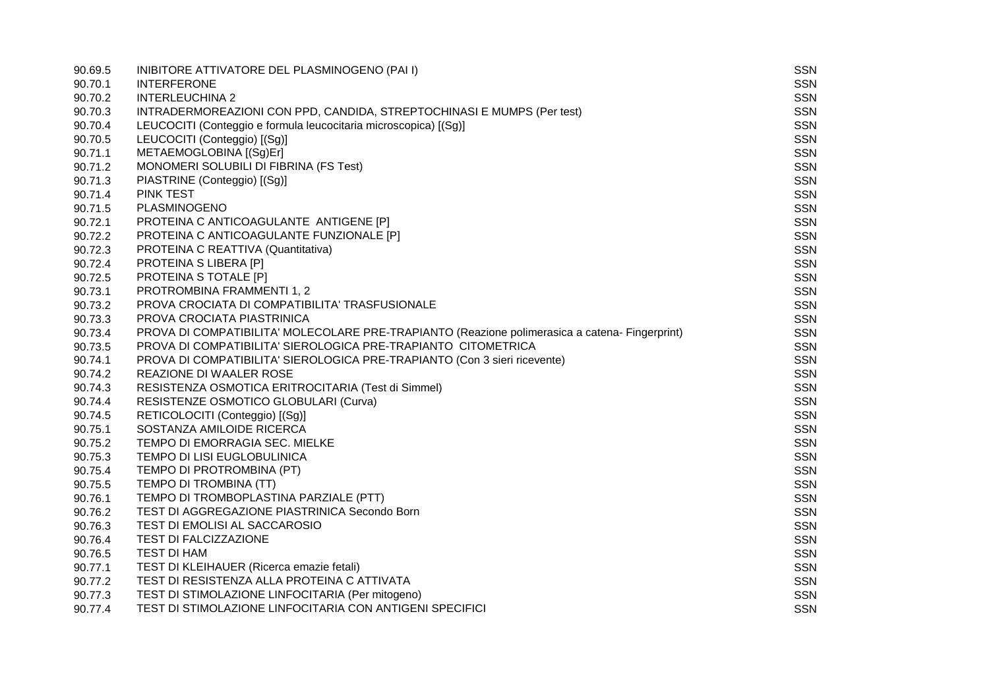| 90.69.5 | INIBITORE ATTIVATORE DEL PLASMINOGENO (PAI I)                                                  | SSN        |
|---------|------------------------------------------------------------------------------------------------|------------|
| 90.70.1 | <b>INTERFERONE</b>                                                                             | <b>SSN</b> |
| 90.70.2 | <b>INTERLEUCHINA 2</b>                                                                         | <b>SSN</b> |
| 90.70.3 | INTRADERMOREAZIONI CON PPD, CANDIDA, STREPTOCHINASI E MUMPS (Per test)                         | <b>SSN</b> |
| 90.70.4 | LEUCOCITI (Conteggio e formula leucocitaria microscopica) [(Sg)]                               | <b>SSN</b> |
| 90.70.5 | LEUCOCITI (Conteggio) [(Sg)]                                                                   | <b>SSN</b> |
| 90.71.1 | METAEMOGLOBINA [(Sg)Er]                                                                        | SSN        |
| 90.71.2 | MONOMERI SOLUBILI DI FIBRINA (FS Test)                                                         | SSN        |
| 90.71.3 | PIASTRINE (Conteggio) [(Sg)]                                                                   | <b>SSN</b> |
| 90.71.4 | <b>PINK TEST</b>                                                                               | SSN        |
| 90.71.5 | PLASMINOGENO                                                                                   | <b>SSN</b> |
| 90.72.1 | PROTEINA C ANTICOAGULANTE ANTIGENE [P]                                                         | SSN        |
| 90.72.2 | PROTEINA C ANTICOAGULANTE FUNZIONALE [P]                                                       | <b>SSN</b> |
| 90.72.3 | PROTEINA C REATTIVA (Quantitativa)                                                             | <b>SSN</b> |
| 90.72.4 | PROTEINA S LIBERA [P]                                                                          | <b>SSN</b> |
| 90.72.5 | PROTEINA S TOTALE [P]                                                                          | SSN        |
| 90.73.1 | PROTROMBINA FRAMMENTI 1, 2                                                                     | <b>SSN</b> |
| 90.73.2 | PROVA CROCIATA DI COMPATIBILITA' TRASFUSIONALE                                                 | SSN        |
| 90.73.3 | PROVA CROCIATA PIASTRINICA                                                                     | <b>SSN</b> |
| 90.73.4 | PROVA DI COMPATIBILITA' MOLECOLARE PRE-TRAPIANTO (Reazione polimerasica a catena- Fingerprint) | SSN        |
| 90.73.5 | PROVA DI COMPATIBILITA' SIEROLOGICA PRE-TRAPIANTO CITOMETRICA                                  | <b>SSN</b> |
| 90.74.1 | PROVA DI COMPATIBILITA' SIEROLOGICA PRE-TRAPIANTO (Con 3 sieri ricevente)                      | SSN        |
| 90.74.2 | REAZIONE DI WAALER ROSE                                                                        | <b>SSN</b> |
| 90.74.3 | RESISTENZA OSMOTICA ERITROCITARIA (Test di Simmel)                                             | SSN        |
| 90.74.4 | RESISTENZE OSMOTICO GLOBULARI (Curva)                                                          | <b>SSN</b> |
| 90.74.5 | RETICOLOCITI (Conteggio) [(Sg)]                                                                | <b>SSN</b> |
| 90.75.1 | SOSTANZA AMILOIDE RICERCA                                                                      | <b>SSN</b> |
| 90.75.2 | TEMPO DI EMORRAGIA SEC. MIELKE                                                                 | <b>SSN</b> |
| 90.75.3 | TEMPO DI LISI EUGLOBULINICA                                                                    | SSN        |
| 90.75.4 | TEMPO DI PROTROMBINA (PT)                                                                      | <b>SSN</b> |
| 90.75.5 | TEMPO DI TROMBINA (TT)                                                                         | SSN        |
| 90.76.1 | TEMPO DI TROMBOPLASTINA PARZIALE (PTT)                                                         | <b>SSN</b> |
| 90.76.2 | TEST DI AGGREGAZIONE PIASTRINICA Secondo Born                                                  | SSN        |
| 90.76.3 | TEST DI EMOLISI AL SACCAROSIO                                                                  | <b>SSN</b> |
| 90.76.4 | <b>TEST DI FALCIZZAZIONE</b>                                                                   | SSN        |
| 90.76.5 | <b>TEST DI HAM</b>                                                                             | <b>SSN</b> |
| 90.77.1 | TEST DI KLEIHAUER (Ricerca emazie fetali)                                                      | <b>SSN</b> |
| 90.77.2 | TEST DI RESISTENZA ALLA PROTEINA C ATTIVATA                                                    | <b>SSN</b> |
| 90.77.3 | TEST DI STIMOLAZIONE LINFOCITARIA (Per mitogeno)                                               | SSN        |
| 90.77.4 | TEST DI STIMOLAZIONE LINFOCITARIA CON ANTIGENI SPECIFICI                                       | <b>SSN</b> |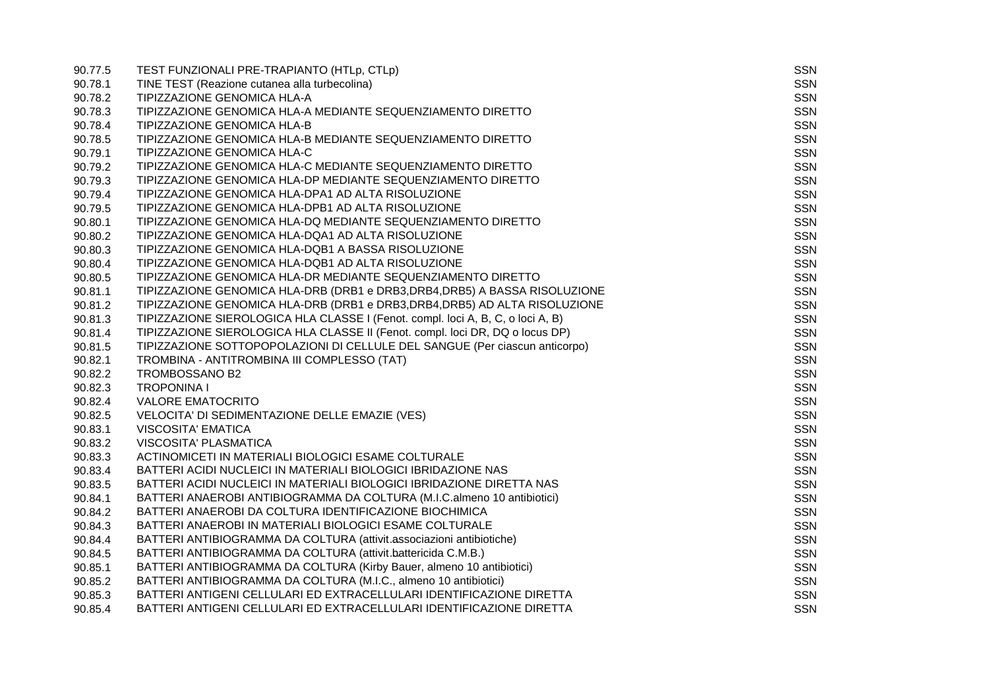| 90.77.5 | TEST FUNZIONALI PRE-TRAPIANTO (HTLp, CTLp)                                      | SSN        |
|---------|---------------------------------------------------------------------------------|------------|
| 90.78.1 | TINE TEST (Reazione cutanea alla turbecolina)                                   | SSN        |
| 90.78.2 | TIPIZZAZIONE GENOMICA HLA-A                                                     | <b>SSN</b> |
| 90.78.3 | TIPIZZAZIONE GENOMICA HLA-A MEDIANTE SEQUENZIAMENTO DIRETTO                     | <b>SSN</b> |
| 90.78.4 | TIPIZZAZIONE GENOMICA HLA-B                                                     | <b>SSN</b> |
| 90.78.5 | TIPIZZAZIONE GENOMICA HLA-B MEDIANTE SEQUENZIAMENTO DIRETTO                     | <b>SSN</b> |
| 90.79.1 | TIPIZZAZIONE GENOMICA HLA-C                                                     | <b>SSN</b> |
| 90.79.2 | TIPIZZAZIONE GENOMICA HLA-C MEDIANTE SEQUENZIAMENTO DIRETTO                     | <b>SSN</b> |
| 90.79.3 | TIPIZZAZIONE GENOMICA HLA-DP MEDIANTE SEQUENZIAMENTO DIRETTO                    | <b>SSN</b> |
| 90.79.4 | TIPIZZAZIONE GENOMICA HLA-DPA1 AD ALTA RISOLUZIONE                              | <b>SSN</b> |
| 90.79.5 | TIPIZZAZIONE GENOMICA HLA-DPB1 AD ALTA RISOLUZIONE                              | <b>SSN</b> |
| 90.80.1 | TIPIZZAZIONE GENOMICA HLA-DQ MEDIANTE SEQUENZIAMENTO DIRETTO                    | <b>SSN</b> |
| 90.80.2 | TIPIZZAZIONE GENOMICA HLA-DQA1 AD ALTA RISOLUZIONE                              | <b>SSN</b> |
| 90.80.3 | TIPIZZAZIONE GENOMICA HLA-DQB1 A BASSA RISOLUZIONE                              | <b>SSN</b> |
| 90.80.4 | TIPIZZAZIONE GENOMICA HLA-DQB1 AD ALTA RISOLUZIONE                              | SSN        |
| 90.80.5 | TIPIZZAZIONE GENOMICA HLA-DR MEDIANTE SEQUENZIAMENTO DIRETTO                    | <b>SSN</b> |
| 90.81.1 | TIPIZZAZIONE GENOMICA HLA-DRB (DRB1 e DRB3, DRB4, DRB5) A BASSA RISOLUZIONE     | <b>SSN</b> |
| 90.81.2 | TIPIZZAZIONE GENOMICA HLA-DRB (DRB1 e DRB3, DRB4, DRB5) AD ALTA RISOLUZIONE     | <b>SSN</b> |
| 90.81.3 | TIPIZZAZIONE SIEROLOGICA HLA CLASSE I (Fenot. compl. loci A, B, C, o loci A, B) | <b>SSN</b> |
| 90.81.4 | TIPIZZAZIONE SIEROLOGICA HLA CLASSE II (Fenot. compl. loci DR, DQ o locus DP)   | <b>SSN</b> |
| 90.81.5 | TIPIZZAZIONE SOTTOPOPOLAZIONI DI CELLULE DEL SANGUE (Per ciascun anticorpo)     | <b>SSN</b> |
| 90.82.1 | TROMBINA - ANTITROMBINA III COMPLESSO (TAT)                                     | <b>SSN</b> |
| 90.82.2 | TROMBOSSANO B2                                                                  | <b>SSN</b> |
| 90.82.3 | <b>TROPONINA I</b>                                                              | <b>SSN</b> |
| 90.82.4 | <b>VALORE EMATOCRITO</b>                                                        | <b>SSN</b> |
| 90.82.5 | VELOCITA' DI SEDIMENTAZIONE DELLE EMAZIE (VES)                                  | <b>SSN</b> |
| 90.83.1 | <b>VISCOSITA' EMATICA</b>                                                       | <b>SSN</b> |
| 90.83.2 | VISCOSITA' PLASMATICA                                                           | <b>SSN</b> |
| 90.83.3 | ACTINOMICETI IN MATERIALI BIOLOGICI ESAME COLTURALE                             | <b>SSN</b> |
| 90.83.4 | BATTERI ACIDI NUCLEICI IN MATERIALI BIOLOGICI IBRIDAZIONE NAS                   | <b>SSN</b> |
| 90.83.5 | BATTERI ACIDI NUCLEICI IN MATERIALI BIOLOGICI IBRIDAZIONE DIRETTA NAS           | SSN        |
| 90.84.1 | BATTERI ANAEROBI ANTIBIOGRAMMA DA COLTURA (M.I.C.almeno 10 antibiotici)         | <b>SSN</b> |
| 90.84.2 | BATTERI ANAEROBI DA COLTURA IDENTIFICAZIONE BIOCHIMICA                          | <b>SSN</b> |
| 90.84.3 | BATTERI ANAEROBI IN MATERIALI BIOLOGICI ESAME COLTURALE                         | SSN        |
| 90.84.4 | BATTERI ANTIBIOGRAMMA DA COLTURA (attivit.associazioni antibiotiche)            | <b>SSN</b> |
| 90.84.5 | BATTERI ANTIBIOGRAMMA DA COLTURA (attivit.battericida C.M.B.)                   | <b>SSN</b> |
| 90.85.1 | BATTERI ANTIBIOGRAMMA DA COLTURA (Kirby Bauer, almeno 10 antibiotici)           | <b>SSN</b> |
| 90.85.2 | BATTERI ANTIBIOGRAMMA DA COLTURA (M.I.C., almeno 10 antibiotici)                | <b>SSN</b> |
| 90.85.3 | BATTERI ANTIGENI CELLULARI ED EXTRACELLULARI IDENTIFICAZIONE DIRETTA            | <b>SSN</b> |
| 90.85.4 | BATTERI ANTIGENI CELLULARI ED EXTRACELLULARI IDENTIFICAZIONE DIRETTA            | <b>SSN</b> |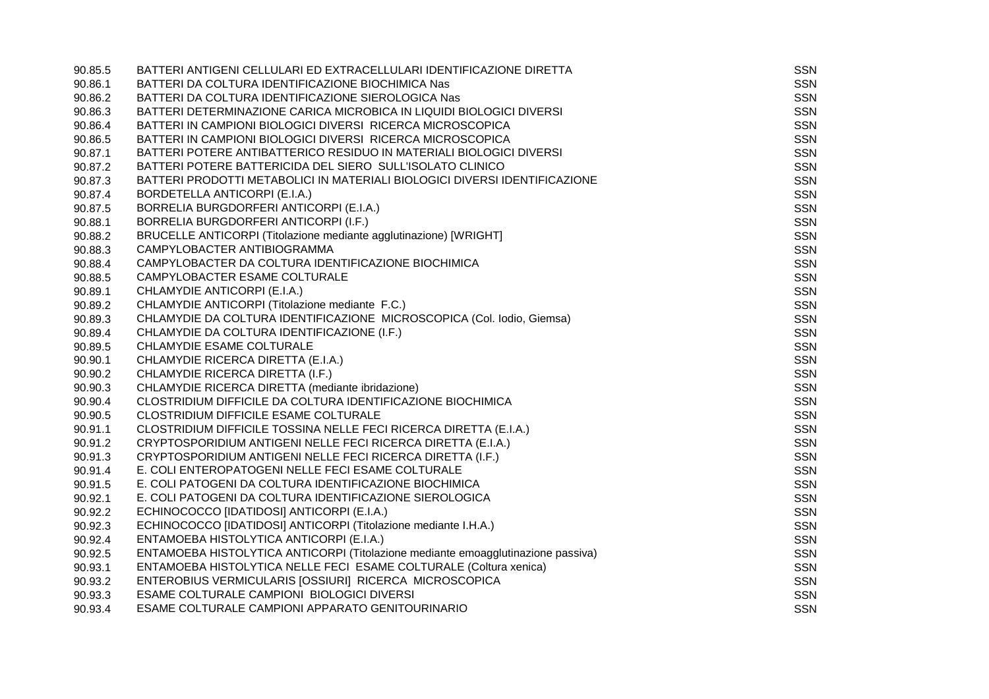| 90.85.5 | BATTERI ANTIGENI CELLULARI ED EXTRACELLULARI IDENTIFICAZIONE DIRETTA             | <b>SSN</b> |
|---------|----------------------------------------------------------------------------------|------------|
| 90.86.1 | BATTERI DA COLTURA IDENTIFICAZIONE BIOCHIMICA Nas                                | <b>SSN</b> |
| 90.86.2 | BATTERI DA COLTURA IDENTIFICAZIONE SIEROLOGICA Nas                               | <b>SSN</b> |
| 90.86.3 | BATTERI DETERMINAZIONE CARICA MICROBICA IN LIQUIDI BIOLOGICI DIVERSI             | <b>SSN</b> |
| 90.86.4 | BATTERI IN CAMPIONI BIOLOGICI DIVERSI RICERCA MICROSCOPICA                       | <b>SSN</b> |
| 90.86.5 | BATTERI IN CAMPIONI BIOLOGICI DIVERSI RICERCA MICROSCOPICA                       | <b>SSN</b> |
| 90.87.1 | BATTERI POTERE ANTIBATTERICO RESIDUO IN MATERIALI BIOLOGICI DIVERSI              | <b>SSN</b> |
| 90.87.2 | BATTERI POTERE BATTERICIDA DEL SIERO SULL'ISOLATO CLINICO                        | SSN        |
| 90.87.3 | BATTERI PRODOTTI METABOLICI IN MATERIALI BIOLOGICI DIVERSI IDENTIFICAZIONE       | <b>SSN</b> |
| 90.87.4 | BORDETELLA ANTICORPI (E.I.A.)                                                    | <b>SSN</b> |
| 90.87.5 | BORRELIA BURGDORFERI ANTICORPI (E.I.A.)                                          | <b>SSN</b> |
| 90.88.1 | BORRELIA BURGDORFERI ANTICORPI (I.F.)                                            | <b>SSN</b> |
| 90.88.2 | BRUCELLE ANTICORPI (Titolazione mediante agglutinazione) [WRIGHT]                | <b>SSN</b> |
| 90.88.3 | CAMPYLOBACTER ANTIBIOGRAMMA                                                      | <b>SSN</b> |
| 90.88.4 | CAMPYLOBACTER DA COLTURA IDENTIFICAZIONE BIOCHIMICA                              | SSN        |
| 90.88.5 | CAMPYLOBACTER ESAME COLTURALE                                                    | <b>SSN</b> |
| 90.89.1 | CHLAMYDIE ANTICORPI (E.I.A.)                                                     | SSN        |
| 90.89.2 | CHLAMYDIE ANTICORPI (Titolazione mediante F.C.)                                  | <b>SSN</b> |
| 90.89.3 | CHLAMYDIE DA COLTURA IDENTIFICAZIONE MICROSCOPICA (Col. Iodio, Giemsa)           | <b>SSN</b> |
| 90.89.4 | CHLAMYDIE DA COLTURA IDENTIFICAZIONE (I.F.)                                      | <b>SSN</b> |
| 90.89.5 | CHLAMYDIE ESAME COLTURALE                                                        | <b>SSN</b> |
| 90.90.1 | CHLAMYDIE RICERCA DIRETTA (E.I.A.)                                               | <b>SSN</b> |
| 90.90.2 | CHLAMYDIE RICERCA DIRETTA (I.F.)                                                 | <b>SSN</b> |
| 90.90.3 | CHLAMYDIE RICERCA DIRETTA (mediante ibridazione)                                 | <b>SSN</b> |
| 90.90.4 | CLOSTRIDIUM DIFFICILE DA COLTURA IDENTIFICAZIONE BIOCHIMICA                      | <b>SSN</b> |
| 90.90.5 | CLOSTRIDIUM DIFFICILE ESAME COLTURALE                                            | <b>SSN</b> |
| 90.91.1 | CLOSTRIDIUM DIFFICILE TOSSINA NELLE FECI RICERCA DIRETTA (E.I.A.)                | <b>SSN</b> |
| 90.91.2 | CRYPTOSPORIDIUM ANTIGENI NELLE FECI RICERCA DIRETTA (E.I.A.)                     | <b>SSN</b> |
| 90.91.3 | CRYPTOSPORIDIUM ANTIGENI NELLE FECI RICERCA DIRETTA (I.F.)                       | <b>SSN</b> |
| 90.91.4 | E. COLI ENTEROPATOGENI NELLE FECI ESAME COLTURALE                                | <b>SSN</b> |
| 90.91.5 | E. COLI PATOGENI DA COLTURA IDENTIFICAZIONE BIOCHIMICA                           | <b>SSN</b> |
| 90.92.1 | E. COLI PATOGENI DA COLTURA IDENTIFICAZIONE SIEROLOGICA                          | <b>SSN</b> |
| 90.92.2 | ECHINOCOCCO [IDATIDOSI] ANTICORPI (E.I.A.)                                       | <b>SSN</b> |
| 90.92.3 | ECHINOCOCCO [IDATIDOSI] ANTICORPI (Titolazione mediante I.H.A.)                  | <b>SSN</b> |
| 90.92.4 | ENTAMOEBA HISTOLYTICA ANTICORPI (E.I.A.)                                         | <b>SSN</b> |
| 90.92.5 | ENTAMOEBA HISTOLYTICA ANTICORPI (Titolazione mediante emoagglutinazione passiva) | <b>SSN</b> |
| 90.93.1 | ENTAMOEBA HISTOLYTICA NELLE FECI ESAME COLTURALE (Coltura xenica)                | <b>SSN</b> |
| 90.93.2 | ENTEROBIUS VERMICULARIS [OSSIURI] RICERCA MICROSCOPICA                           | <b>SSN</b> |
| 90.93.3 | ESAME COLTURALE CAMPIONI BIOLOGICI DIVERSI                                       | <b>SSN</b> |
| 90.93.4 | ESAME COLTURALE CAMPIONI APPARATO GENITOURINARIO                                 | <b>SSN</b> |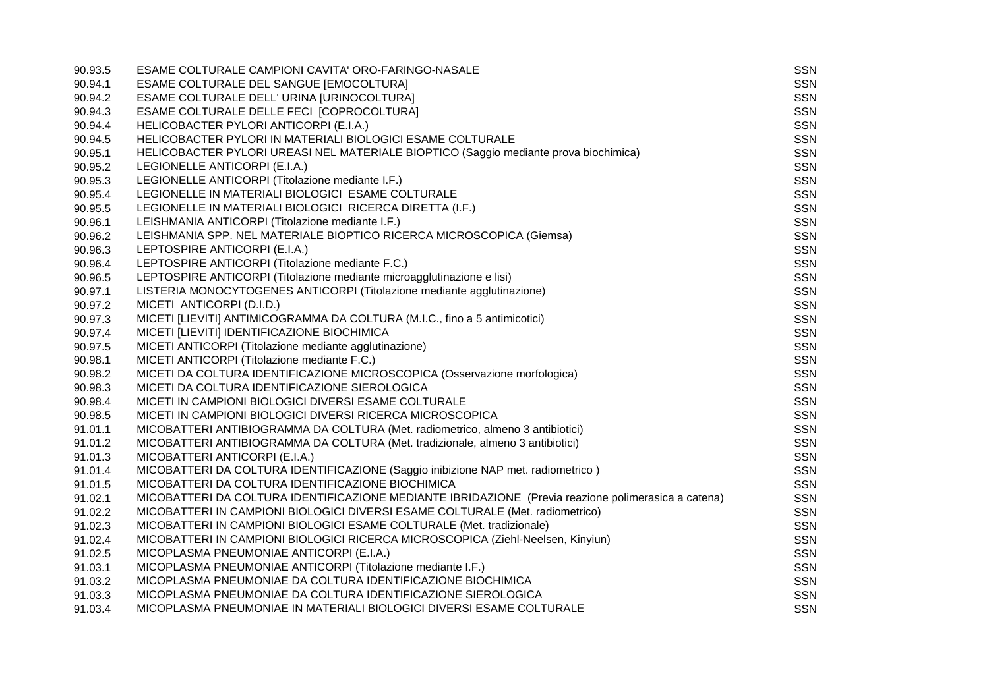| 90.93.5 | ESAME COLTURALE CAMPIONI CAVITA' ORO-FARINGO-NASALE                                                 | SSN        |
|---------|-----------------------------------------------------------------------------------------------------|------------|
| 90.94.1 | ESAME COLTURALE DEL SANGUE [EMOCOLTURA]                                                             | SSN        |
| 90.94.2 | ESAME COLTURALE DELL' URINA [URINOCOLTURA]                                                          | <b>SSN</b> |
| 90.94.3 | ESAME COLTURALE DELLE FECI [COPROCOLTURA]                                                           | <b>SSN</b> |
| 90.94.4 | HELICOBACTER PYLORI ANTICORPI (E.I.A.)                                                              | <b>SSN</b> |
| 90.94.5 | HELICOBACTER PYLORI IN MATERIALI BIOLOGICI ESAME COLTURALE                                          | SSN        |
| 90.95.1 | HELICOBACTER PYLORI UREASI NEL MATERIALE BIOPTICO (Saggio mediante prova biochimica)                | <b>SSN</b> |
| 90.95.2 | LEGIONELLE ANTICORPI (E.I.A.)                                                                       | <b>SSN</b> |
| 90.95.3 | LEGIONELLE ANTICORPI (Titolazione mediante I.F.)                                                    | <b>SSN</b> |
| 90.95.4 | LEGIONELLE IN MATERIALI BIOLOGICI ESAME COLTURALE                                                   | <b>SSN</b> |
| 90.95.5 | LEGIONELLE IN MATERIALI BIOLOGICI RICERCA DIRETTA (I.F.)                                            | <b>SSN</b> |
| 90.96.1 | LEISHMANIA ANTICORPI (Titolazione mediante I.F.)                                                    | SSN        |
| 90.96.2 | LEISHMANIA SPP. NEL MATERIALE BIOPTICO RICERCA MICROSCOPICA (Giemsa)                                | <b>SSN</b> |
| 90.96.3 | LEPTOSPIRE ANTICORPI (E.I.A.)                                                                       | SSN        |
| 90.96.4 | LEPTOSPIRE ANTICORPI (Titolazione mediante F.C.)                                                    | <b>SSN</b> |
| 90.96.5 | LEPTOSPIRE ANTICORPI (Titolazione mediante microagglutinazione e lisi)                              | <b>SSN</b> |
| 90.97.1 | LISTERIA MONOCYTOGENES ANTICORPI (Titolazione mediante agglutinazione)                              | <b>SSN</b> |
| 90.97.2 | MICETI ANTICORPI (D.I.D.)                                                                           | SSN        |
| 90.97.3 | MICETI [LIEVITI] ANTIMICOGRAMMA DA COLTURA (M.I.C., fino a 5 antimicotici)                          | <b>SSN</b> |
| 90.97.4 | MICETI [LIEVITI] IDENTIFICAZIONE BIOCHIMICA                                                         | <b>SSN</b> |
| 90.97.5 | MICETI ANTICORPI (Titolazione mediante agglutinazione)                                              | <b>SSN</b> |
| 90.98.1 | MICETI ANTICORPI (Titolazione mediante F.C.)                                                        | SSN        |
| 90.98.2 | MICETI DA COLTURA IDENTIFICAZIONE MICROSCOPICA (Osservazione morfologica)                           | <b>SSN</b> |
| 90.98.3 | MICETI DA COLTURA IDENTIFICAZIONE SIEROLOGICA                                                       | <b>SSN</b> |
| 90.98.4 | MICETI IN CAMPIONI BIOLOGICI DIVERSI ESAME COLTURALE                                                | <b>SSN</b> |
| 90.98.5 | MICETI IN CAMPIONI BIOLOGICI DIVERSI RICERCA MICROSCOPICA                                           | SSN        |
| 91.01.1 | MICOBATTERI ANTIBIOGRAMMA DA COLTURA (Met. radiometrico, almeno 3 antibiotici)                      | <b>SSN</b> |
| 91.01.2 | MICOBATTERI ANTIBIOGRAMMA DA COLTURA (Met. tradizionale, almeno 3 antibiotici)                      | SSN        |
| 91.01.3 | MICOBATTERI ANTICORPI (E.I.A.)                                                                      | <b>SSN</b> |
| 91.01.4 | MICOBATTERI DA COLTURA IDENTIFICAZIONE (Saggio inibizione NAP met. radiometrico)                    | SSN        |
| 91.01.5 | MICOBATTERI DA COLTURA IDENTIFICAZIONE BIOCHIMICA                                                   | <b>SSN</b> |
| 91.02.1 | MICOBATTERI DA COLTURA IDENTIFICAZIONE MEDIANTE IBRIDAZIONE (Previa reazione polimerasica a catena) | <b>SSN</b> |
| 91.02.2 | MICOBATTERI IN CAMPIONI BIOLOGICI DIVERSI ESAME COLTURALE (Met. radiometrico)                       | <b>SSN</b> |
| 91.02.3 | MICOBATTERI IN CAMPIONI BIOLOGICI ESAME COLTURALE (Met. tradizionale)                               | SSN        |
| 91.02.4 | MICOBATTERI IN CAMPIONI BIOLOGICI RICERCA MICROSCOPICA (Ziehl-Neelsen, Kinyiun)                     | <b>SSN</b> |
| 91.02.5 | MICOPLASMA PNEUMONIAE ANTICORPI (E.I.A.)                                                            | SSN        |
| 91.03.1 | MICOPLASMA PNEUMONIAE ANTICORPI (Titolazione mediante I.F.)                                         | <b>SSN</b> |
| 91.03.2 | MICOPLASMA PNEUMONIAE DA COLTURA IDENTIFICAZIONE BIOCHIMICA                                         | SSN        |
| 91.03.3 | MICOPLASMA PNEUMONIAE DA COLTURA IDENTIFICAZIONE SIEROLOGICA                                        | <b>SSN</b> |
| 91.03.4 | MICOPLASMA PNEUMONIAE IN MATERIALI BIOLOGICI DIVERSI ESAME COLTURALE                                | <b>SSN</b> |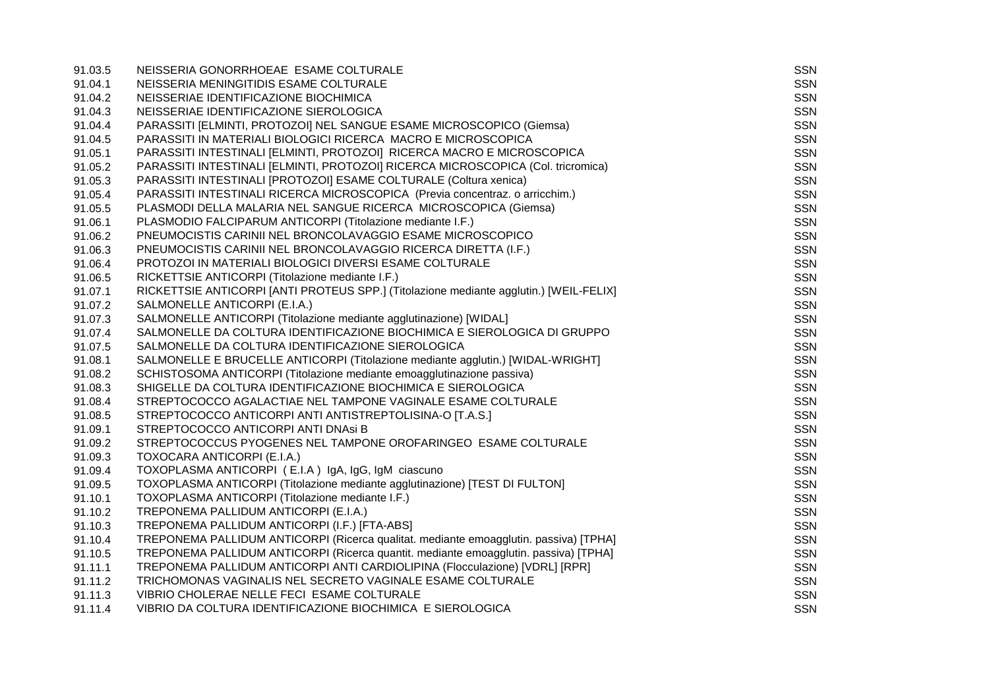| 91.03.5 | NEISSERIA GONORRHOEAE ESAME COLTURALE                                                  | <b>SSN</b> |
|---------|----------------------------------------------------------------------------------------|------------|
| 91.04.1 | NEISSERIA MENINGITIDIS ESAME COLTURALE                                                 | SSN        |
| 91.04.2 | NEISSERIAE IDENTIFICAZIONE BIOCHIMICA                                                  | <b>SSN</b> |
| 91.04.3 | NEISSERIAE IDENTIFICAZIONE SIEROLOGICA                                                 | <b>SSN</b> |
| 91.04.4 | PARASSITI [ELMINTI, PROTOZOI] NEL SANGUE ESAME MICROSCOPICO (Giemsa)                   | <b>SSN</b> |
| 91.04.5 | PARASSITI IN MATERIALI BIOLOGICI RICERCA MACRO E MICROSCOPICA                          | <b>SSN</b> |
| 91.05.1 | PARASSITI INTESTINALI [ELMINTI, PROTOZOI] RICERCA MACRO E MICROSCOPICA                 | <b>SSN</b> |
| 91.05.2 | PARASSITI INTESTINALI [ELMINTI, PROTOZOI] RICERCA MICROSCOPICA (Col. tricromica)       | <b>SSN</b> |
| 91.05.3 | PARASSITI INTESTINALI [PROTOZOI] ESAME COLTURALE (Coltura xenica)                      | <b>SSN</b> |
| 91.05.4 | PARASSITI INTESTINALI RICERCA MICROSCOPICA (Previa concentraz. o arricchim.)           | SSN        |
| 91.05.5 | PLASMODI DELLA MALARIA NEL SANGUE RICERCA MICROSCOPICA (Giemsa)                        | <b>SSN</b> |
| 91.06.1 | PLASMODIO FALCIPARUM ANTICORPI (Titolazione mediante I.F.)                             | SSN        |
| 91.06.2 | PNEUMOCISTIS CARINII NEL BRONCOLAVAGGIO ESAME MICROSCOPICO                             | <b>SSN</b> |
| 91.06.3 | PNEUMOCISTIS CARINII NEL BRONCOLAVAGGIO RICERCA DIRETTA (I.F.)                         | <b>SSN</b> |
| 91.06.4 | PROTOZOI IN MATERIALI BIOLOGICI DIVERSI ESAME COLTURALE                                | <b>SSN</b> |
| 91.06.5 | RICKETTSIE ANTICORPI (Titolazione mediante I.F.)                                       | SSN        |
| 91.07.1 | RICKETTSIE ANTICORPI [ANTI PROTEUS SPP.] (Titolazione mediante agglutin.) [WEIL-FELIX] | <b>SSN</b> |
| 91.07.2 | SALMONELLE ANTICORPI (E.I.A.)                                                          | SSN        |
| 91.07.3 | SALMONELLE ANTICORPI (Titolazione mediante agglutinazione) [WIDAL]                     | <b>SSN</b> |
| 91.07.4 | SALMONELLE DA COLTURA IDENTIFICAZIONE BIOCHIMICA E SIEROLOGICA DI GRUPPO               | <b>SSN</b> |
| 91.07.5 | SALMONELLE DA COLTURA IDENTIFICAZIONE SIEROLOGICA                                      | <b>SSN</b> |
| 91.08.1 | SALMONELLE E BRUCELLE ANTICORPI (Titolazione mediante agglutin.) [WIDAL-WRIGHT]        | <b>SSN</b> |
| 91.08.2 | SCHISTOSOMA ANTICORPI (Titolazione mediante emoagglutinazione passiva)                 | <b>SSN</b> |
| 91.08.3 | SHIGELLE DA COLTURA IDENTIFICAZIONE BIOCHIMICA E SIEROLOGICA                           | SSN        |
| 91.08.4 | STREPTOCOCCO AGALACTIAE NEL TAMPONE VAGINALE ESAME COLTURALE                           | <b>SSN</b> |
| 91.08.5 | STREPTOCOCCO ANTICORPI ANTI ANTISTREPTOLISINA-O [T.A.S.]                               | <b>SSN</b> |
| 91.09.1 | STREPTOCOCCO ANTICORPI ANTI DNASi B                                                    | <b>SSN</b> |
| 91.09.2 | STREPTOCOCCUS PYOGENES NEL TAMPONE OROFARINGEO ESAME COLTURALE                         | <b>SSN</b> |
| 91.09.3 | TOXOCARA ANTICORPI (E.I.A.)                                                            | <b>SSN</b> |
| 91.09.4 | TOXOPLASMA ANTICORPI (E.I.A) IgA, IgG, IgM ciascuno                                    | <b>SSN</b> |
| 91.09.5 | TOXOPLASMA ANTICORPI (Titolazione mediante agglutinazione) [TEST DI FULTON]            | <b>SSN</b> |
| 91.10.1 | TOXOPLASMA ANTICORPI (Titolazione mediante I.F.)                                       | <b>SSN</b> |
| 91.10.2 | TREPONEMA PALLIDUM ANTICORPI (E.I.A.)                                                  | <b>SSN</b> |
| 91.10.3 | TREPONEMA PALLIDUM ANTICORPI (I.F.) [FTA-ABS]                                          | SSN        |
| 91.10.4 | TREPONEMA PALLIDUM ANTICORPI (Ricerca qualitat. mediante emoagglutin. passiva) [TPHA]  | <b>SSN</b> |
| 91.10.5 | TREPONEMA PALLIDUM ANTICORPI (Ricerca quantit. mediante emoagglutin. passiva) [TPHA]   | <b>SSN</b> |
| 91.11.1 | TREPONEMA PALLIDUM ANTICORPI ANTI CARDIOLIPINA (Flocculazione) [VDRL] [RPR]            | <b>SSN</b> |
| 91.11.2 | TRICHOMONAS VAGINALIS NEL SECRETO VAGINALE ESAME COLTURALE                             | <b>SSN</b> |
| 91.11.3 | VIBRIO CHOLERAE NELLE FECI ESAME COLTURALE                                             | <b>SSN</b> |
| 91.11.4 | VIBRIO DA COLTURA IDENTIFICAZIONE BIOCHIMICA E SIEROLOGICA                             | <b>SSN</b> |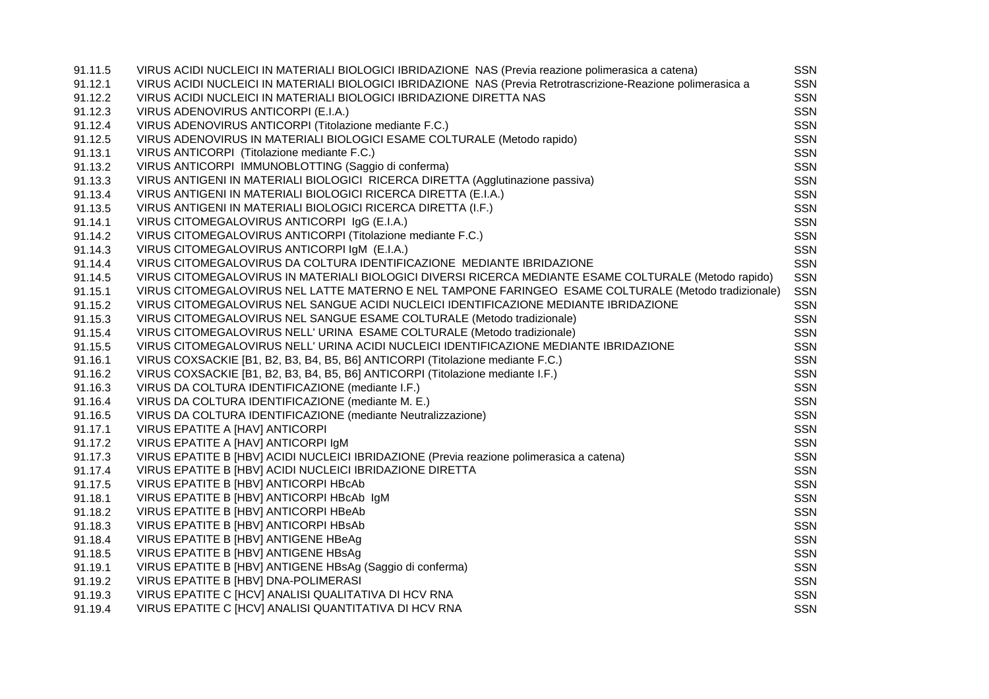| 91.11.5 | VIRUS ACIDI NUCLEICI IN MATERIALI BIOLOGICI IBRIDAZIONE NAS (Previa reazione polimerasica a catena)           | SSN        |
|---------|---------------------------------------------------------------------------------------------------------------|------------|
| 91.12.1 | VIRUS ACIDI NUCLEICI IN MATERIALI BIOLOGICI IBRIDAZIONE NAS (Previa Retrotrascrizione-Reazione polimerasica a | <b>SSN</b> |
| 91.12.2 | VIRUS ACIDI NUCLEICI IN MATERIALI BIOLOGICI IBRIDAZIONE DIRETTA NAS                                           | <b>SSN</b> |
| 91.12.3 | VIRUS ADENOVIRUS ANTICORPI (E.I.A.)                                                                           | <b>SSN</b> |
| 91.12.4 | VIRUS ADENOVIRUS ANTICORPI (Titolazione mediante F.C.)                                                        | <b>SSN</b> |
| 91.12.5 | VIRUS ADENOVIRUS IN MATERIALI BIOLOGICI ESAME COLTURALE (Metodo rapido)                                       | <b>SSN</b> |
| 91.13.1 | VIRUS ANTICORPI (Titolazione mediante F.C.)                                                                   | <b>SSN</b> |
| 91.13.2 | VIRUS ANTICORPI IMMUNOBLOTTING (Saggio di conferma)                                                           | <b>SSN</b> |
| 91.13.3 | VIRUS ANTIGENI IN MATERIALI BIOLOGICI RICERCA DIRETTA (Agglutinazione passiva)                                | <b>SSN</b> |
| 91.13.4 | VIRUS ANTIGENI IN MATERIALI BIOLOGICI RICERCA DIRETTA (E.I.A.)                                                | <b>SSN</b> |
| 91.13.5 | VIRUS ANTIGENI IN MATERIALI BIOLOGICI RICERCA DIRETTA (I.F.)                                                  | <b>SSN</b> |
| 91.14.1 | VIRUS CITOMEGALOVIRUS ANTICORPI IgG (E.I.A.)                                                                  | <b>SSN</b> |
| 91.14.2 | VIRUS CITOMEGALOVIRUS ANTICORPI (Titolazione mediante F.C.)                                                   | <b>SSN</b> |
| 91.14.3 | VIRUS CITOMEGALOVIRUS ANTICORPI IgM (E.I.A.)                                                                  | <b>SSN</b> |
| 91.14.4 | VIRUS CITOMEGALOVIRUS DA COLTURA IDENTIFICAZIONE MEDIANTE IBRIDAZIONE                                         | <b>SSN</b> |
| 91.14.5 | VIRUS CITOMEGALOVIRUS IN MATERIALI BIOLOGICI DIVERSI RICERCA MEDIANTE ESAME COLTURALE (Metodo rapido)         | <b>SSN</b> |
| 91.15.1 | VIRUS CITOMEGALOVIRUS NEL LATTE MATERNO E NEL TAMPONE FARINGEO ESAME COLTURALE (Metodo tradizionale)          | <b>SSN</b> |
| 91.15.2 | VIRUS CITOMEGALOVIRUS NEL SANGUE ACIDI NUCLEICI IDENTIFICAZIONE MEDIANTE IBRIDAZIONE                          | <b>SSN</b> |
| 91.15.3 | VIRUS CITOMEGALOVIRUS NEL SANGUE ESAME COLTURALE (Metodo tradizionale)                                        | <b>SSN</b> |
| 91.15.4 | VIRUS CITOMEGALOVIRUS NELL' URINA ESAME COLTURALE (Metodo tradizionale)                                       | <b>SSN</b> |
| 91.15.5 | VIRUS CITOMEGALOVIRUS NELL' URINA ACIDI NUCLEICI IDENTIFICAZIONE MEDIANTE IBRIDAZIONE                         | <b>SSN</b> |
| 91.16.1 | VIRUS COXSACKIE [B1, B2, B3, B4, B5, B6] ANTICORPI (Titolazione mediante F.C.)                                | SSN        |
| 91.16.2 | VIRUS COXSACKIE [B1, B2, B3, B4, B5, B6] ANTICORPI (Titolazione mediante I.F.)                                | <b>SSN</b> |
| 91.16.3 | VIRUS DA COLTURA IDENTIFICAZIONE (mediante I.F.)                                                              | <b>SSN</b> |
| 91.16.4 | VIRUS DA COLTURA IDENTIFICAZIONE (mediante M. E.)                                                             | <b>SSN</b> |
| 91.16.5 | VIRUS DA COLTURA IDENTIFICAZIONE (mediante Neutralizzazione)                                                  | <b>SSN</b> |
| 91.17.1 | VIRUS EPATITE A [HAV] ANTICORPI                                                                               | <b>SSN</b> |
| 91.17.2 | VIRUS EPATITE A [HAV] ANTICORPI IGM                                                                           | <b>SSN</b> |
| 91.17.3 | VIRUS EPATITE B [HBV] ACIDI NUCLEICI IBRIDAZIONE (Previa reazione polimerasica a catena)                      | <b>SSN</b> |
| 91.17.4 | VIRUS EPATITE B [HBV] ACIDI NUCLEICI IBRIDAZIONE DIRETTA                                                      | <b>SSN</b> |
| 91.17.5 | VIRUS EPATITE B [HBV] ANTICORPI HBcAb                                                                         | <b>SSN</b> |
| 91.18.1 | VIRUS EPATITE B [HBV] ANTICORPI HBcAb IgM                                                                     | <b>SSN</b> |
| 91.18.2 | VIRUS EPATITE B [HBV] ANTICORPI HBeAb                                                                         | <b>SSN</b> |
| 91.18.3 | VIRUS EPATITE B [HBV] ANTICORPI HBsAb                                                                         | SSN        |
| 91.18.4 | VIRUS EPATITE B [HBV] ANTIGENE HBeAg                                                                          | <b>SSN</b> |
| 91.18.5 | VIRUS EPATITE B [HBV] ANTIGENE HBsAg                                                                          | <b>SSN</b> |
| 91.19.1 | VIRUS EPATITE B [HBV] ANTIGENE HBsAg (Saggio di conferma)                                                     | SSN        |
| 91.19.2 | VIRUS EPATITE B [HBV] DNA-POLIMERASI                                                                          | <b>SSN</b> |
| 91.19.3 | VIRUS EPATITE C [HCV] ANALISI QUALITATIVA DI HCV RNA                                                          | <b>SSN</b> |
| 91.19.4 | VIRUS EPATITE C [HCV] ANALISI QUANTITATIVA DI HCV RNA                                                         | <b>SSN</b> |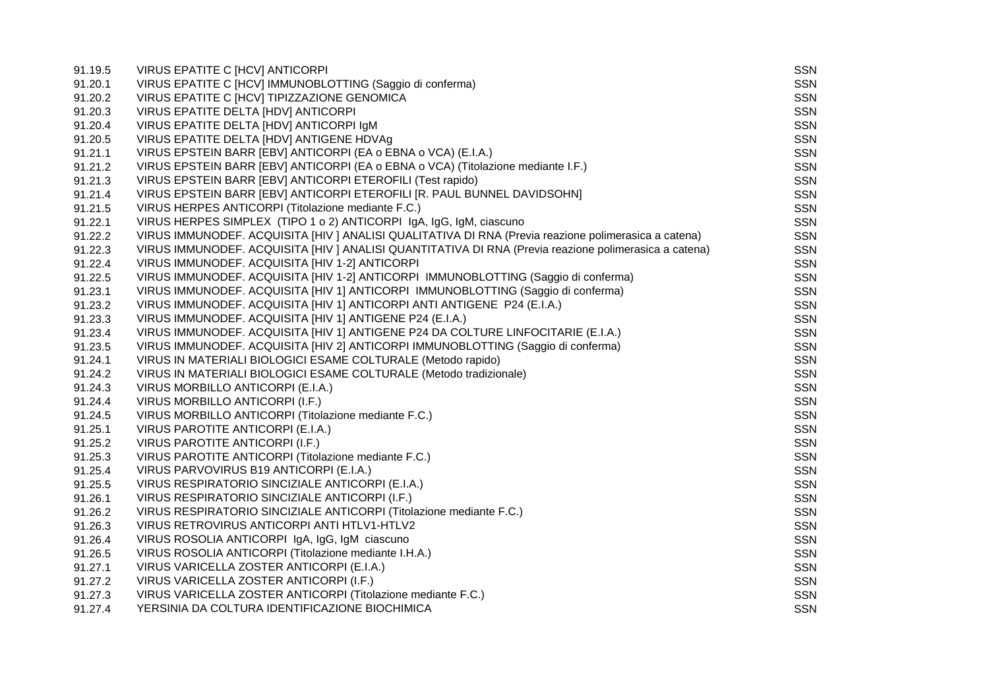| 91.19.5 | VIRUS EPATITE C [HCV] ANTICORPI                                                                       | SSN        |
|---------|-------------------------------------------------------------------------------------------------------|------------|
| 91.20.1 | VIRUS EPATITE C [HCV] IMMUNOBLOTTING (Saggio di conferma)                                             | <b>SSN</b> |
| 91.20.2 | VIRUS EPATITE C [HCV] TIPIZZAZIONE GENOMICA                                                           | <b>SSN</b> |
| 91.20.3 | VIRUS EPATITE DELTA [HDV] ANTICORPI                                                                   | <b>SSN</b> |
| 91.20.4 | VIRUS EPATITE DELTA [HDV] ANTICORPI IgM                                                               | <b>SSN</b> |
| 91.20.5 | VIRUS EPATITE DELTA [HDV] ANTIGENE HDVAg                                                              | <b>SSN</b> |
| 91.21.1 | VIRUS EPSTEIN BARR [EBV] ANTICORPI (EA o EBNA o VCA) (E.I.A.)                                         | SSN        |
| 91.21.2 | VIRUS EPSTEIN BARR [EBV] ANTICORPI (EA o EBNA o VCA) (Titolazione mediante I.F.)                      | <b>SSN</b> |
| 91.21.3 | VIRUS EPSTEIN BARR [EBV] ANTICORPI ETEROFILI (Test rapido)                                            | <b>SSN</b> |
| 91.21.4 | VIRUS EPSTEIN BARR [EBV] ANTICORPI ETEROFILI [R. PAUL BUNNEL DAVIDSOHN]                               | <b>SSN</b> |
| 91.21.5 | VIRUS HERPES ANTICORPI (Titolazione mediante F.C.)                                                    | <b>SSN</b> |
| 91.22.1 | VIRUS HERPES SIMPLEX (TIPO 1 o 2) ANTICORPI IgA, IgG, IgM, ciascuno                                   | <b>SSN</b> |
| 91.22.2 | VIRUS IMMUNODEF. ACQUISITA [HIV ] ANALISI QUALITATIVA DI RNA (Previa reazione polimerasica a catena)  | <b>SSN</b> |
| 91.22.3 | VIRUS IMMUNODEF. ACQUISITA [HIV ] ANALISI QUANTITATIVA DI RNA (Previa reazione polimerasica a catena) | <b>SSN</b> |
| 91.22.4 | VIRUS IMMUNODEF. ACQUISITA [HIV 1-2] ANTICORPI                                                        | SSN        |
| 91.22.5 | VIRUS IMMUNODEF. ACQUISITA [HIV 1-2] ANTICORPI IMMUNOBLOTTING (Saggio di conferma)                    | <b>SSN</b> |
| 91.23.1 | VIRUS IMMUNODEF. ACQUISITA [HIV 1] ANTICORPI IMMUNOBLOTTING (Saggio di conferma)                      | <b>SSN</b> |
| 91.23.2 | VIRUS IMMUNODEF. ACQUISITA [HIV 1] ANTICORPI ANTI ANTIGENE P24 (E.I.A.)                               | <b>SSN</b> |
| 91.23.3 | VIRUS IMMUNODEF. ACQUISITA [HIV 1] ANTIGENE P24 (E.I.A.)                                              | <b>SSN</b> |
| 91.23.4 | VIRUS IMMUNODEF. ACQUISITA [HIV 1] ANTIGENE P24 DA COLTURE LINFOCITARIE (E.I.A.)                      | <b>SSN</b> |
| 91.23.5 | VIRUS IMMUNODEF. ACQUISITA [HIV 2] ANTICORPI IMMUNOBLOTTING (Saggio di conferma)                      | <b>SSN</b> |
| 91.24.1 | VIRUS IN MATERIALI BIOLOGICI ESAME COLTURALE (Metodo rapido)                                          | SSN        |
| 91.24.2 | VIRUS IN MATERIALI BIOLOGICI ESAME COLTURALE (Metodo tradizionale)                                    | <b>SSN</b> |
| 91.24.3 | VIRUS MORBILLO ANTICORPI (E.I.A.)                                                                     | <b>SSN</b> |
| 91.24.4 | VIRUS MORBILLO ANTICORPI (I.F.)                                                                       | <b>SSN</b> |
| 91.24.5 | VIRUS MORBILLO ANTICORPI (Titolazione mediante F.C.)                                                  | <b>SSN</b> |
| 91.25.1 | VIRUS PAROTITE ANTICORPI (E.I.A.)                                                                     | <b>SSN</b> |
| 91.25.2 | VIRUS PAROTITE ANTICORPI (I.F.)                                                                       | SSN        |
| 91.25.3 | VIRUS PAROTITE ANTICORPI (Titolazione mediante F.C.)                                                  | <b>SSN</b> |
| 91.25.4 | VIRUS PARVOVIRUS B19 ANTICORPI (E.I.A.)                                                               | <b>SSN</b> |
| 91.25.5 | VIRUS RESPIRATORIO SINCIZIALE ANTICORPI (E.I.A.)                                                      | <b>SSN</b> |
| 91.26.1 | VIRUS RESPIRATORIO SINCIZIALE ANTICORPI (I.F.)                                                        | <b>SSN</b> |
| 91.26.2 | VIRUS RESPIRATORIO SINCIZIALE ANTICORPI (Titolazione mediante F.C.)                                   | <b>SSN</b> |
| 91.26.3 | VIRUS RETROVIRUS ANTICORPI ANTI HTLV1-HTLV2                                                           | <b>SSN</b> |
| 91.26.4 | VIRUS ROSOLIA ANTICORPI IgA, IgG, IgM ciascuno                                                        | <b>SSN</b> |
| 91.26.5 | VIRUS ROSOLIA ANTICORPI (Titolazione mediante I.H.A.)                                                 | <b>SSN</b> |
| 91.27.1 | VIRUS VARICELLA ZOSTER ANTICORPI (E.I.A.)                                                             | <b>SSN</b> |
| 91.27.2 | VIRUS VARICELLA ZOSTER ANTICORPI (I.F.)                                                               | <b>SSN</b> |
| 91.27.3 | VIRUS VARICELLA ZOSTER ANTICORPI (Titolazione mediante F.C.)                                          | <b>SSN</b> |
| 91.27.4 | YERSINIA DA COLTURA IDENTIFICAZIONE BIOCHIMICA                                                        | <b>SSN</b> |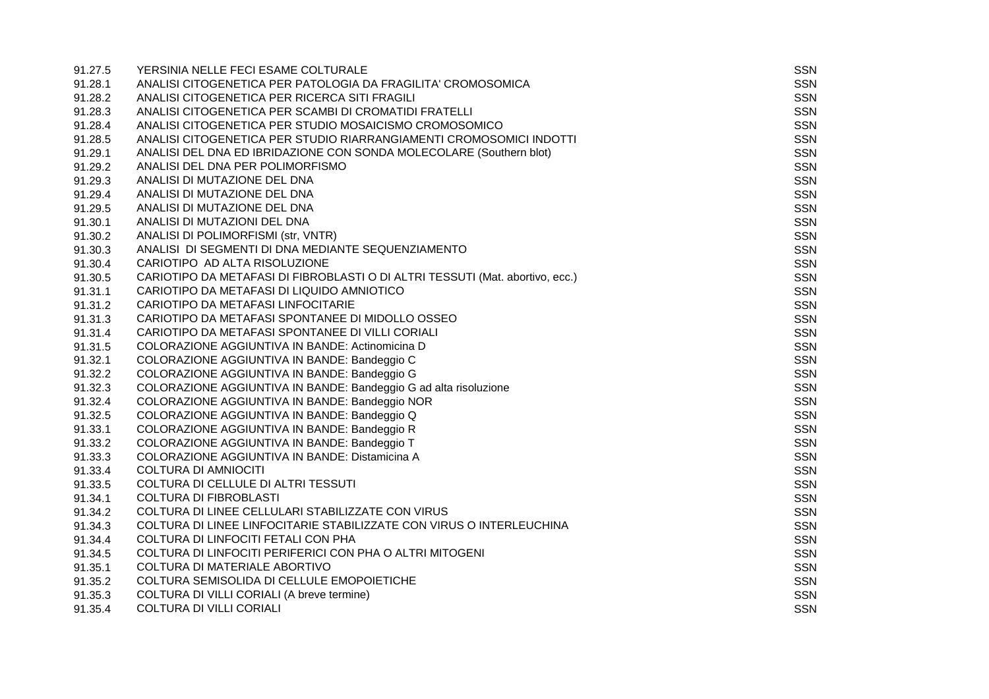| 91.27.5 | YERSINIA NELLE FECI ESAME COLTURALE                                           | SSN        |
|---------|-------------------------------------------------------------------------------|------------|
| 91.28.1 | ANALISI CITOGENETICA PER PATOLOGIA DA FRAGILITA' CROMOSOMICA                  | <b>SSN</b> |
| 91.28.2 | ANALISI CITOGENETICA PER RICERCA SITI FRAGILI                                 | <b>SSN</b> |
| 91.28.3 | ANALISI CITOGENETICA PER SCAMBI DI CROMATIDI FRATELLI                         | <b>SSN</b> |
| 91.28.4 | ANALISI CITOGENETICA PER STUDIO MOSAICISMO CROMOSOMICO                        | <b>SSN</b> |
| 91.28.5 | ANALISI CITOGENETICA PER STUDIO RIARRANGIAMENTI CROMOSOMICI INDOTTI           | SSN        |
| 91.29.1 | ANALISI DEL DNA ED IBRIDAZIONE CON SONDA MOLECOLARE (Southern blot)           | <b>SSN</b> |
| 91.29.2 | ANALISI DEL DNA PER POLIMORFISMO                                              | <b>SSN</b> |
| 91.29.3 | ANALISI DI MUTAZIONE DEL DNA                                                  | <b>SSN</b> |
| 91.29.4 | ANALISI DI MUTAZIONE DEL DNA                                                  | <b>SSN</b> |
| 91.29.5 | ANALISI DI MUTAZIONE DEL DNA                                                  | <b>SSN</b> |
| 91.30.1 | ANALISI DI MUTAZIONI DEL DNA                                                  | <b>SSN</b> |
| 91.30.2 | ANALISI DI POLIMORFISMI (str, VNTR)                                           | SSN        |
| 91.30.3 | ANALISI DI SEGMENTI DI DNA MEDIANTE SEQUENZIAMENTO                            | <b>SSN</b> |
| 91.30.4 | CARIOTIPO AD ALTA RISOLUZIONE                                                 | SSN        |
| 91.30.5 | CARIOTIPO DA METAFASI DI FIBROBLASTI O DI ALTRI TESSUTI (Mat. abortivo, ecc.) | <b>SSN</b> |
| 91.31.1 | CARIOTIPO DA METAFASI DI LIQUIDO AMNIOTICO                                    | <b>SSN</b> |
| 91.31.2 | CARIOTIPO DA METAFASI LINFOCITARIE                                            | SSN        |
| 91.31.3 | CARIOTIPO DA METAFASI SPONTANEE DI MIDOLLO OSSEO                              | <b>SSN</b> |
| 91.31.4 | CARIOTIPO DA METAFASI SPONTANEE DI VILLI CORIALI                              | <b>SSN</b> |
| 91.31.5 | COLORAZIONE AGGIUNTIVA IN BANDE: Actinomicina D                               | <b>SSN</b> |
| 91.32.1 | COLORAZIONE AGGIUNTIVA IN BANDE: Bandeggio C                                  | SSN        |
| 91.32.2 | COLORAZIONE AGGIUNTIVA IN BANDE: Bandeggio G                                  | <b>SSN</b> |
| 91.32.3 | COLORAZIONE AGGIUNTIVA IN BANDE: Bandeggio G ad alta risoluzione              | <b>SSN</b> |
| 91.32.4 | COLORAZIONE AGGIUNTIVA IN BANDE: Bandeggio NOR                                | <b>SSN</b> |
| 91.32.5 | COLORAZIONE AGGIUNTIVA IN BANDE: Bandeggio Q                                  | <b>SSN</b> |
| 91.33.1 | COLORAZIONE AGGIUNTIVA IN BANDE: Bandeggio R                                  | <b>SSN</b> |
| 91.33.2 | COLORAZIONE AGGIUNTIVA IN BANDE: Bandeggio T                                  | <b>SSN</b> |
| 91.33.3 | COLORAZIONE AGGIUNTIVA IN BANDE: Distamicina A                                | SSN        |
| 91.33.4 | COLTURA DI AMNIOCITI                                                          | SSN        |
| 91.33.5 | COLTURA DI CELLULE DI ALTRI TESSUTI                                           | <b>SSN</b> |
| 91.34.1 | <b>COLTURA DI FIBROBLASTI</b>                                                 | <b>SSN</b> |
| 91.34.2 | COLTURA DI LINEE CELLULARI STABILIZZATE CON VIRUS                             | <b>SSN</b> |
| 91.34.3 | COLTURA DI LINEE LINFOCITARIE STABILIZZATE CON VIRUS O INTERLEUCHINA          | SSN        |
| 91.34.4 | COLTURA DI LINFOCITI FETALI CON PHA                                           | <b>SSN</b> |
| 91.34.5 | COLTURA DI LINFOCITI PERIFERICI CON PHA O ALTRI MITOGENI                      | <b>SSN</b> |
| 91.35.1 | COLTURA DI MATERIALE ABORTIVO                                                 | <b>SSN</b> |
| 91.35.2 | COLTURA SEMISOLIDA DI CELLULE EMOPOIETICHE                                    | <b>SSN</b> |
| 91.35.3 | COLTURA DI VILLI CORIALI (A breve termine)                                    | <b>SSN</b> |
| 91.35.4 | <b>COLTURA DI VILLI CORIALI</b>                                               | <b>SSN</b> |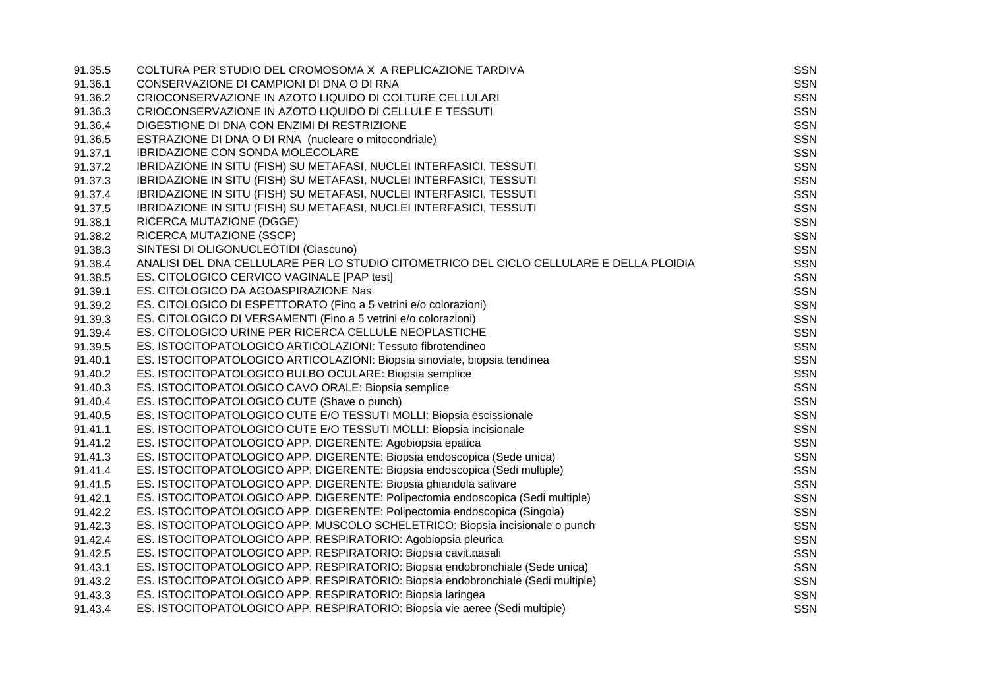| 91.35.5 | COLTURA PER STUDIO DEL CROMOSOMA X A REPLICAZIONE TARDIVA                               | <b>SSN</b> |
|---------|-----------------------------------------------------------------------------------------|------------|
| 91.36.1 | CONSERVAZIONE DI CAMPIONI DI DNA O DI RNA                                               | SSN        |
| 91.36.2 | CRIOCONSERVAZIONE IN AZOTO LIQUIDO DI COLTURE CELLULARI                                 | <b>SSN</b> |
| 91.36.3 | CRIOCONSERVAZIONE IN AZOTO LIQUIDO DI CELLULE E TESSUTI                                 | <b>SSN</b> |
| 91.36.4 | DIGESTIONE DI DNA CON ENZIMI DI RESTRIZIONE                                             | <b>SSN</b> |
| 91.36.5 | ESTRAZIONE DI DNA O DI RNA (nucleare o mitocondriale)                                   | <b>SSN</b> |
| 91.37.1 | IBRIDAZIONE CON SONDA MOLECOLARE                                                        | <b>SSN</b> |
| 91.37.2 | IBRIDAZIONE IN SITU (FISH) SU METAFASI, NUCLEI INTERFASICI, TESSUTI                     | <b>SSN</b> |
| 91.37.3 | IBRIDAZIONE IN SITU (FISH) SU METAFASI, NUCLEI INTERFASICI, TESSUTI                     | <b>SSN</b> |
| 91.37.4 | IBRIDAZIONE IN SITU (FISH) SU METAFASI, NUCLEI INTERFASICI, TESSUTI                     | <b>SSN</b> |
| 91.37.5 | IBRIDAZIONE IN SITU (FISH) SU METAFASI, NUCLEI INTERFASICI, TESSUTI                     | <b>SSN</b> |
| 91.38.1 | RICERCA MUTAZIONE (DGGE)                                                                | <b>SSN</b> |
| 91.38.2 | RICERCA MUTAZIONE (SSCP)                                                                | <b>SSN</b> |
| 91.38.3 | SINTESI DI OLIGONUCLEOTIDI (Ciascuno)                                                   | <b>SSN</b> |
| 91.38.4 | ANALISI DEL DNA CELLULARE PER LO STUDIO CITOMETRICO DEL CICLO CELLULARE E DELLA PLOIDIA | <b>SSN</b> |
| 91.38.5 | ES. CITOLOGICO CERVICO VAGINALE [PAP test]                                              | <b>SSN</b> |
| 91.39.1 | ES. CITOLOGICO DA AGOASPIRAZIONE Nas                                                    | <b>SSN</b> |
| 91.39.2 | ES. CITOLOGICO DI ESPETTORATO (Fino a 5 vetrini e/o colorazioni)                        | <b>SSN</b> |
| 91.39.3 | ES. CITOLOGICO DI VERSAMENTI (Fino a 5 vetrini e/o colorazioni)                         | <b>SSN</b> |
| 91.39.4 | ES. CITOLOGICO URINE PER RICERCA CELLULE NEOPLASTICHE                                   | <b>SSN</b> |
| 91.39.5 | ES. ISTOCITOPATOLOGICO ARTICOLAZIONI: Tessuto fibrotendineo                             | <b>SSN</b> |
| 91.40.1 | ES. ISTOCITOPATOLOGICO ARTICOLAZIONI: Biopsia sinoviale, biopsia tendinea               | <b>SSN</b> |
| 91.40.2 | ES. ISTOCITOPATOLOGICO BULBO OCULARE: Biopsia semplice                                  | <b>SSN</b> |
| 91.40.3 | ES. ISTOCITOPATOLOGICO CAVO ORALE: Biopsia semplice                                     | <b>SSN</b> |
| 91.40.4 | ES. ISTOCITOPATOLOGICO CUTE (Shave o punch)                                             | <b>SSN</b> |
| 91.40.5 | ES. ISTOCITOPATOLOGICO CUTE E/O TESSUTI MOLLI: Biopsia escissionale                     | <b>SSN</b> |
| 91.41.1 | ES. ISTOCITOPATOLOGICO CUTE E/O TESSUTI MOLLI: Biopsia incisionale                      | <b>SSN</b> |
| 91.41.2 | ES. ISTOCITOPATOLOGICO APP. DIGERENTE: Agobiopsia epatica                               | <b>SSN</b> |
| 91.41.3 | ES. ISTOCITOPATOLOGICO APP. DIGERENTE: Biopsia endoscopica (Sede unica)                 | <b>SSN</b> |
| 91.41.4 | ES. ISTOCITOPATOLOGICO APP. DIGERENTE: Biopsia endoscopica (Sedi multiple)              | <b>SSN</b> |
| 91.41.5 | ES. ISTOCITOPATOLOGICO APP. DIGERENTE: Biopsia ghiandola salivare                       | <b>SSN</b> |
| 91.42.1 | ES. ISTOCITOPATOLOGICO APP. DIGERENTE: Polipectomia endoscopica (Sedi multiple)         | <b>SSN</b> |
| 91.42.2 | ES. ISTOCITOPATOLOGICO APP. DIGERENTE: Polipectomia endoscopica (Singola)               | <b>SSN</b> |
| 91.42.3 | ES. ISTOCITOPATOLOGICO APP. MUSCOLO SCHELETRICO: Biopsia incisionale o punch            | <b>SSN</b> |
| 91.42.4 | ES. ISTOCITOPATOLOGICO APP. RESPIRATORIO: Agobiopsia pleurica                           | <b>SSN</b> |
| 91.42.5 | ES. ISTOCITOPATOLOGICO APP. RESPIRATORIO: Biopsia cavit.nasali                          | <b>SSN</b> |
| 91.43.1 | ES. ISTOCITOPATOLOGICO APP. RESPIRATORIO: Biopsia endobronchiale (Sede unica)           | <b>SSN</b> |
| 91.43.2 | ES. ISTOCITOPATOLOGICO APP. RESPIRATORIO: Biopsia endobronchiale (Sedi multiple)        | <b>SSN</b> |
| 91.43.3 | ES. ISTOCITOPATOLOGICO APP. RESPIRATORIO: Biopsia laringea                              | <b>SSN</b> |
| 91.43.4 | ES. ISTOCITOPATOLOGICO APP. RESPIRATORIO: Biopsia vie aeree (Sedi multiple)             | <b>SSN</b> |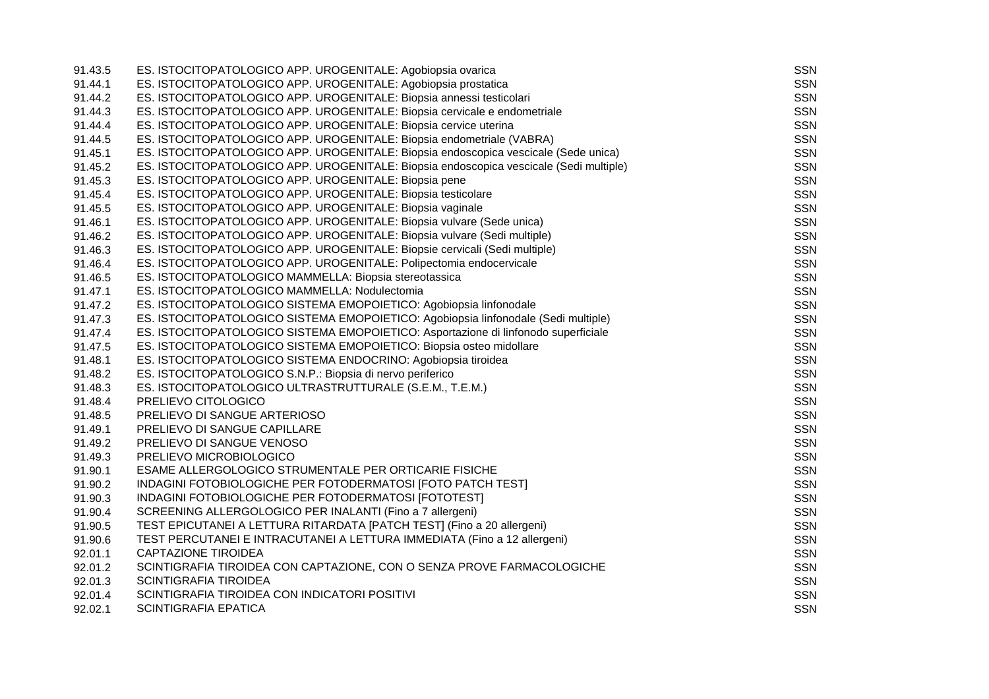| 91.43.5 | ES. ISTOCITOPATOLOGICO APP. UROGENITALE: Agobiopsia ovarica                            | <b>SSN</b> |
|---------|----------------------------------------------------------------------------------------|------------|
| 91.44.1 | ES. ISTOCITOPATOLOGICO APP. UROGENITALE: Agobiopsia prostatica                         | <b>SSN</b> |
| 91.44.2 | ES. ISTOCITOPATOLOGICO APP. UROGENITALE: Biopsia annessi testicolari                   | <b>SSN</b> |
| 91.44.3 | ES. ISTOCITOPATOLOGICO APP. UROGENITALE: Biopsia cervicale e endometriale              | <b>SSN</b> |
| 91.44.4 | ES. ISTOCITOPATOLOGICO APP. UROGENITALE: Biopsia cervice uterina                       | <b>SSN</b> |
| 91.44.5 | ES. ISTOCITOPATOLOGICO APP. UROGENITALE: Biopsia endometriale (VABRA)                  | <b>SSN</b> |
| 91.45.1 | ES. ISTOCITOPATOLOGICO APP. UROGENITALE: Biopsia endoscopica vescicale (Sede unica)    | <b>SSN</b> |
| 91.45.2 | ES. ISTOCITOPATOLOGICO APP. UROGENITALE: Biopsia endoscopica vescicale (Sedi multiple) | <b>SSN</b> |
| 91.45.3 | ES. ISTOCITOPATOLOGICO APP. UROGENITALE: Biopsia pene                                  | <b>SSN</b> |
| 91.45.4 | ES. ISTOCITOPATOLOGICO APP. UROGENITALE: Biopsia testicolare                           | <b>SSN</b> |
| 91.45.5 | ES. ISTOCITOPATOLOGICO APP. UROGENITALE: Biopsia vaginale                              | <b>SSN</b> |
| 91.46.1 | ES. ISTOCITOPATOLOGICO APP. UROGENITALE: Biopsia vulvare (Sede unica)                  | <b>SSN</b> |
| 91.46.2 | ES. ISTOCITOPATOLOGICO APP. UROGENITALE: Biopsia vulvare (Sedi multiple)               | <b>SSN</b> |
| 91.46.3 | ES. ISTOCITOPATOLOGICO APP. UROGENITALE: Biopsie cervicali (Sedi multiple)             | <b>SSN</b> |
| 91.46.4 | ES. ISTOCITOPATOLOGICO APP. UROGENITALE: Polipectomia endocervicale                    | <b>SSN</b> |
| 91.46.5 | ES. ISTOCITOPATOLOGICO MAMMELLA: Biopsia stereotassica                                 | <b>SSN</b> |
| 91.47.1 | ES. ISTOCITOPATOLOGICO MAMMELLA: Nodulectomia                                          | <b>SSN</b> |
| 91.47.2 | ES. ISTOCITOPATOLOGICO SISTEMA EMOPOIETICO: Agobiopsia linfonodale                     | <b>SSN</b> |
| 91.47.3 | ES. ISTOCITOPATOLOGICO SISTEMA EMOPOIETICO: Agobiopsia linfonodale (Sedi multiple)     | <b>SSN</b> |
| 91.47.4 | ES. ISTOCITOPATOLOGICO SISTEMA EMOPOIETICO: Asportazione di linfonodo superficiale     | <b>SSN</b> |
| 91.47.5 | ES. ISTOCITOPATOLOGICO SISTEMA EMOPOIETICO: Biopsia osteo midollare                    | <b>SSN</b> |
| 91.48.1 | ES. ISTOCITOPATOLOGICO SISTEMA ENDOCRINO: Agobiopsia tiroidea                          | <b>SSN</b> |
| 91.48.2 | ES. ISTOCITOPATOLOGICO S.N.P.: Biopsia di nervo periferico                             | <b>SSN</b> |
| 91.48.3 | ES. ISTOCITOPATOLOGICO ULTRASTRUTTURALE (S.E.M., T.E.M.)                               | <b>SSN</b> |
| 91.48.4 | PRELIEVO CITOLOGICO                                                                    | <b>SSN</b> |
| 91.48.5 | PRELIEVO DI SANGUE ARTERIOSO                                                           | <b>SSN</b> |
| 91.49.1 | PRELIEVO DI SANGUE CAPILLARE                                                           | <b>SSN</b> |
| 91.49.2 | PRELIEVO DI SANGUE VENOSO                                                              | <b>SSN</b> |
| 91.49.3 | PRELIEVO MICROBIOLOGICO                                                                | <b>SSN</b> |
| 91.90.1 | ESAME ALLERGOLOGICO STRUMENTALE PER ORTICARIE FISICHE                                  | <b>SSN</b> |
| 91.90.2 | INDAGINI FOTOBIOLOGICHE PER FOTODERMATOSI [FOTO PATCH TEST]                            | <b>SSN</b> |
| 91.90.3 | INDAGINI FOTOBIOLOGICHE PER FOTODERMATOSI [FOTOTEST]                                   | <b>SSN</b> |
| 91.90.4 | SCREENING ALLERGOLOGICO PER INALANTI (Fino a 7 allergeni)                              | <b>SSN</b> |
| 91.90.5 | TEST EPICUTANEI A LETTURA RITARDATA [PATCH TEST] (Fino a 20 allergeni)                 | <b>SSN</b> |
| 91.90.6 | TEST PERCUTANEI E INTRACUTANEI A LETTURA IMMEDIATA (Fino a 12 allergeni)               | <b>SSN</b> |
| 92.01.1 | <b>CAPTAZIONE TIROIDEA</b>                                                             | <b>SSN</b> |
| 92.01.2 | SCINTIGRAFIA TIROIDEA CON CAPTAZIONE, CON O SENZA PROVE FARMACOLOGICHE                 | <b>SSN</b> |
| 92.01.3 | <b>SCINTIGRAFIA TIROIDEA</b>                                                           | <b>SSN</b> |
| 92.01.4 | SCINTIGRAFIA TIROIDEA CON INDICATORI POSITIVI                                          | <b>SSN</b> |
| 92.02.1 | <b>SCINTIGRAFIA EPATICA</b>                                                            | <b>SSN</b> |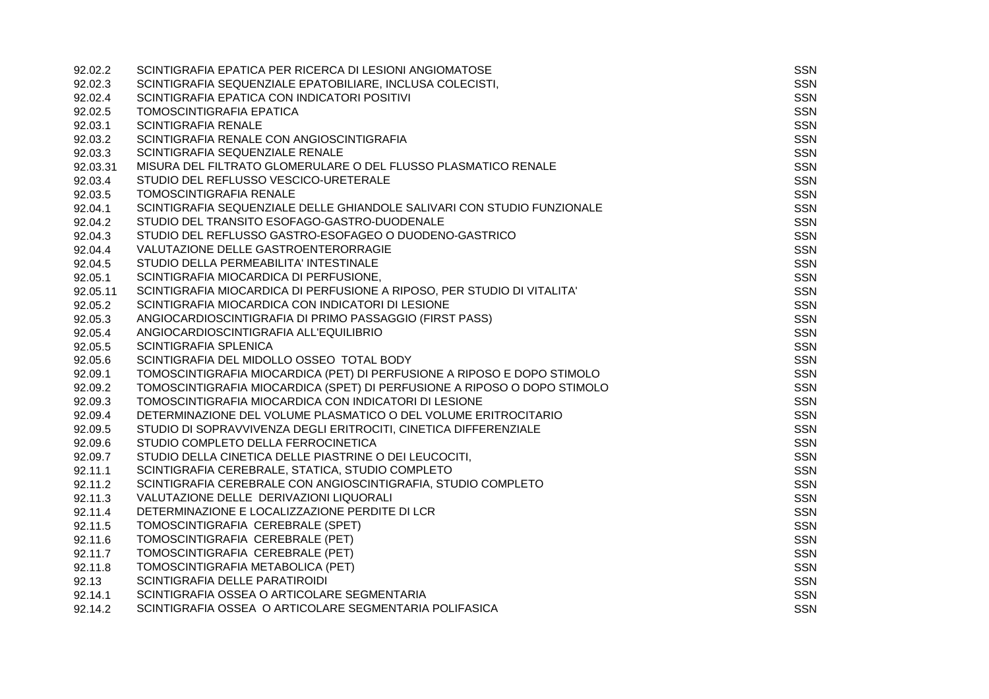| 92.02.2  | SCINTIGRAFIA EPATICA PER RICERCA DI LESIONI ANGIOMATOSE                  | <b>SSN</b> |
|----------|--------------------------------------------------------------------------|------------|
| 92.02.3  | SCINTIGRAFIA SEQUENZIALE EPATOBILIARE, INCLUSA COLECISTI,                | SSN        |
| 92.02.4  | SCINTIGRAFIA EPATICA CON INDICATORI POSITIVI                             | <b>SSN</b> |
| 92.02.5  | TOMOSCINTIGRAFIA EPATICA                                                 | <b>SSN</b> |
| 92.03.1  | <b>SCINTIGRAFIA RENALE</b>                                               | <b>SSN</b> |
| 92.03.2  | SCINTIGRAFIA RENALE CON ANGIOSCINTIGRAFIA                                | SSN        |
| 92.03.3  | SCINTIGRAFIA SEQUENZIALE RENALE                                          | <b>SSN</b> |
| 92.03.31 | MISURA DEL FILTRATO GLOMERULARE O DEL FLUSSO PLASMATICO RENALE           | SSN        |
| 92.03.4  | STUDIO DEL REFLUSSO VESCICO-URETERALE                                    | <b>SSN</b> |
| 92.03.5  | <b>TOMOSCINTIGRAFIA RENALE</b>                                           | <b>SSN</b> |
| 92.04.1  | SCINTIGRAFIA SEQUENZIALE DELLE GHIANDOLE SALIVARI CON STUDIO FUNZIONALE  | <b>SSN</b> |
| 92.04.2  | STUDIO DEL TRANSITO ESOFAGO-GASTRO-DUODENALE                             | <b>SSN</b> |
| 92.04.3  | STUDIO DEL REFLUSSO GASTRO-ESOFAGEO O DUODENO-GASTRICO                   | <b>SSN</b> |
| 92.04.4  | VALUTAZIONE DELLE GASTROENTERORRAGIE                                     | <b>SSN</b> |
| 92.04.5  | STUDIO DELLA PERMEABILITA' INTESTINALE                                   | SSN        |
| 92.05.1  | SCINTIGRAFIA MIOCARDICA DI PERFUSIONE,                                   | <b>SSN</b> |
| 92.05.11 | SCINTIGRAFIA MIOCARDICA DI PERFUSIONE A RIPOSO, PER STUDIO DI VITALITA'  | SSN        |
| 92.05.2  | SCINTIGRAFIA MIOCARDICA CON INDICATORI DI LESIONE                        | <b>SSN</b> |
| 92.05.3  | ANGIOCARDIOSCINTIGRAFIA DI PRIMO PASSAGGIO (FIRST PASS)                  | <b>SSN</b> |
| 92.05.4  | ANGIOCARDIOSCINTIGRAFIA ALL'EQUILIBRIO                                   | <b>SSN</b> |
| 92.05.5  | <b>SCINTIGRAFIA SPLENICA</b>                                             | <b>SSN</b> |
| 92.05.6  | SCINTIGRAFIA DEL MIDOLLO OSSEO TOTAL BODY                                | SSN        |
| 92.09.1  | TOMOSCINTIGRAFIA MIOCARDICA (PET) DI PERFUSIONE A RIPOSO E DOPO STIMOLO  | SSN        |
| 92.09.2  | TOMOSCINTIGRAFIA MIOCARDICA (SPET) DI PERFUSIONE A RIPOSO O DOPO STIMOLO | <b>SSN</b> |
| 92.09.3  | TOMOSCINTIGRAFIA MIOCARDICA CON INDICATORI DI LESIONE                    | <b>SSN</b> |
| 92.09.4  | DETERMINAZIONE DEL VOLUME PLASMATICO O DEL VOLUME ERITROCITARIO          | <b>SSN</b> |
| 92.09.5  | STUDIO DI SOPRAVVIVENZA DEGLI ERITROCITI, CINETICA DIFFERENZIALE         | <b>SSN</b> |
| 92.09.6  | STUDIO COMPLETO DELLA FERROCINETICA                                      | <b>SSN</b> |
| 92.09.7  | STUDIO DELLA CINETICA DELLE PIASTRINE O DEI LEUCOCITI,                   | <b>SSN</b> |
| 92.11.1  | SCINTIGRAFIA CEREBRALE, STATICA, STUDIO COMPLETO                         | <b>SSN</b> |
| 92.11.2  | SCINTIGRAFIA CEREBRALE CON ANGIOSCINTIGRAFIA, STUDIO COMPLETO            | <b>SSN</b> |
| 92.11.3  | VALUTAZIONE DELLE DERIVAZIONI LIQUORALI                                  | <b>SSN</b> |
| 92.11.4  | DETERMINAZIONE E LOCALIZZAZIONE PERDITE DI LCR                           | <b>SSN</b> |
| 92.11.5  | TOMOSCINTIGRAFIA CEREBRALE (SPET)                                        | <b>SSN</b> |
| 92.11.6  | TOMOSCINTIGRAFIA CEREBRALE (PET)                                         | <b>SSN</b> |
| 92.11.7  | TOMOSCINTIGRAFIA CEREBRALE (PET)                                         | <b>SSN</b> |
| 92.11.8  | TOMOSCINTIGRAFIA METABOLICA (PET)                                        | <b>SSN</b> |
| 92.13    | SCINTIGRAFIA DELLE PARATIROIDI                                           | <b>SSN</b> |
| 92.14.1  | SCINTIGRAFIA OSSEA O ARTICOLARE SEGMENTARIA                              | SSN        |
| 92.14.2  | SCINTIGRAFIA OSSEA O ARTICOLARE SEGMENTARIA POLIFASICA                   | <b>SSN</b> |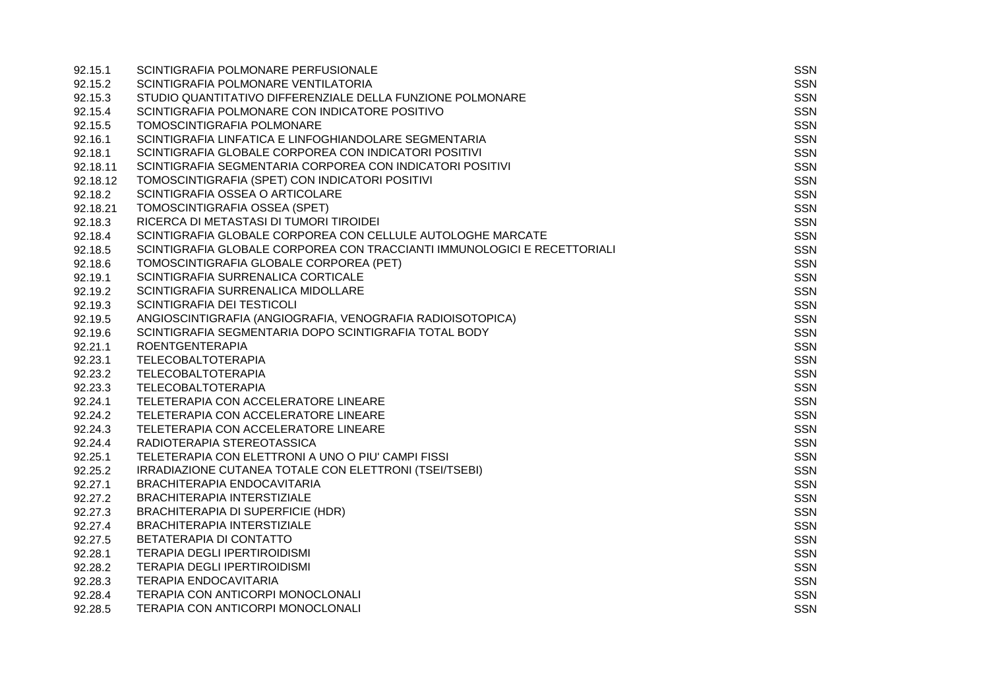| 92.15.1  | SCINTIGRAFIA POLMONARE PERFUSIONALE                                      | SSN        |
|----------|--------------------------------------------------------------------------|------------|
| 92.15.2  | SCINTIGRAFIA POLMONARE VENTILATORIA                                      | SSN        |
| 92.15.3  | STUDIO QUANTITATIVO DIFFERENZIALE DELLA FUNZIONE POLMONARE               | <b>SSN</b> |
| 92.15.4  | SCINTIGRAFIA POLMONARE CON INDICATORE POSITIVO                           | <b>SSN</b> |
| 92.15.5  | TOMOSCINTIGRAFIA POLMONARE                                               | <b>SSN</b> |
| 92.16.1  | SCINTIGRAFIA LINFATICA E LINFOGHIANDOLARE SEGMENTARIA                    | <b>SSN</b> |
| 92.18.1  | SCINTIGRAFIA GLOBALE CORPOREA CON INDICATORI POSITIVI                    | <b>SSN</b> |
| 92.18.11 | SCINTIGRAFIA SEGMENTARIA CORPOREA CON INDICATORI POSITIVI                | <b>SSN</b> |
| 92.18.12 | TOMOSCINTIGRAFIA (SPET) CON INDICATORI POSITIVI                          | <b>SSN</b> |
| 92.18.2  | SCINTIGRAFIA OSSEA O ARTICOLARE                                          | <b>SSN</b> |
| 92.18.21 | TOMOSCINTIGRAFIA OSSEA (SPET)                                            | <b>SSN</b> |
| 92.18.3  | RICERCA DI METASTASI DI TUMORI TIROIDEI                                  | <b>SSN</b> |
| 92.18.4  | SCINTIGRAFIA GLOBALE CORPOREA CON CELLULE AUTOLOGHE MARCATE              | <b>SSN</b> |
| 92.18.5  | SCINTIGRAFIA GLOBALE CORPOREA CON TRACCIANTI IMMUNOLOGICI E RECETTORIALI | <b>SSN</b> |
| 92.18.6  | TOMOSCINTIGRAFIA GLOBALE CORPOREA (PET)                                  | <b>SSN</b> |
| 92.19.1  | SCINTIGRAFIA SURRENALICA CORTICALE                                       | <b>SSN</b> |
| 92.19.2  | SCINTIGRAFIA SURRENALICA MIDOLLARE                                       | <b>SSN</b> |
| 92.19.3  | SCINTIGRAFIA DEI TESTICOLI                                               | <b>SSN</b> |
| 92.19.5  | ANGIOSCINTIGRAFIA (ANGIOGRAFIA, VENOGRAFIA RADIOISOTOPICA)               | <b>SSN</b> |
| 92.19.6  | SCINTIGRAFIA SEGMENTARIA DOPO SCINTIGRAFIA TOTAL BODY                    | <b>SSN</b> |
| 92.21.1  | <b>ROENTGENTERAPIA</b>                                                   | <b>SSN</b> |
| 92.23.1  | <b>TELECOBALTOTERAPIA</b>                                                | <b>SSN</b> |
| 92.23.2  | <b>TELECOBALTOTERAPIA</b>                                                | <b>SSN</b> |
| 92.23.3  | <b>TELECOBALTOTERAPIA</b>                                                | <b>SSN</b> |
| 92.24.1  | TELETERAPIA CON ACCELERATORE LINEARE                                     | SSN        |
| 92.24.2  | TELETERAPIA CON ACCELERATORE LINEARE                                     | <b>SSN</b> |
| 92.24.3  | TELETERAPIA CON ACCELERATORE LINEARE                                     | <b>SSN</b> |
| 92.24.4  | RADIOTERAPIA STEREOTASSICA                                               | <b>SSN</b> |
| 92.25.1  | TELETERAPIA CON ELETTRONI A UNO O PIU' CAMPI FISSI                       | <b>SSN</b> |
| 92.25.2  | IRRADIAZIONE CUTANEA TOTALE CON ELETTRONI (TSEI/TSEBI)                   | SSN        |
| 92.27.1  | BRACHITERAPIA ENDOCAVITARIA                                              | <b>SSN</b> |
| 92.27.2  | BRACHITERAPIA INTERSTIZIALE                                              | <b>SSN</b> |
| 92.27.3  | BRACHITERAPIA DI SUPERFICIE (HDR)                                        | <b>SSN</b> |
| 92.27.4  | BRACHITERAPIA INTERSTIZIALE                                              | <b>SSN</b> |
| 92.27.5  | BETATERAPIA DI CONTATTO                                                  | <b>SSN</b> |
| 92.28.1  | <b>TERAPIA DEGLI IPERTIROIDISMI</b>                                      | <b>SSN</b> |
| 92.28.2  | <b>TERAPIA DEGLI IPERTIROIDISMI</b>                                      | <b>SSN</b> |
| 92.28.3  | <b>TERAPIA ENDOCAVITARIA</b>                                             | <b>SSN</b> |
| 92.28.4  | <b>TERAPIA CON ANTICORPI MONOCLONALI</b>                                 | <b>SSN</b> |
| 92.28.5  | <b>TERAPIA CON ANTICORPI MONOCLONALI</b>                                 | <b>SSN</b> |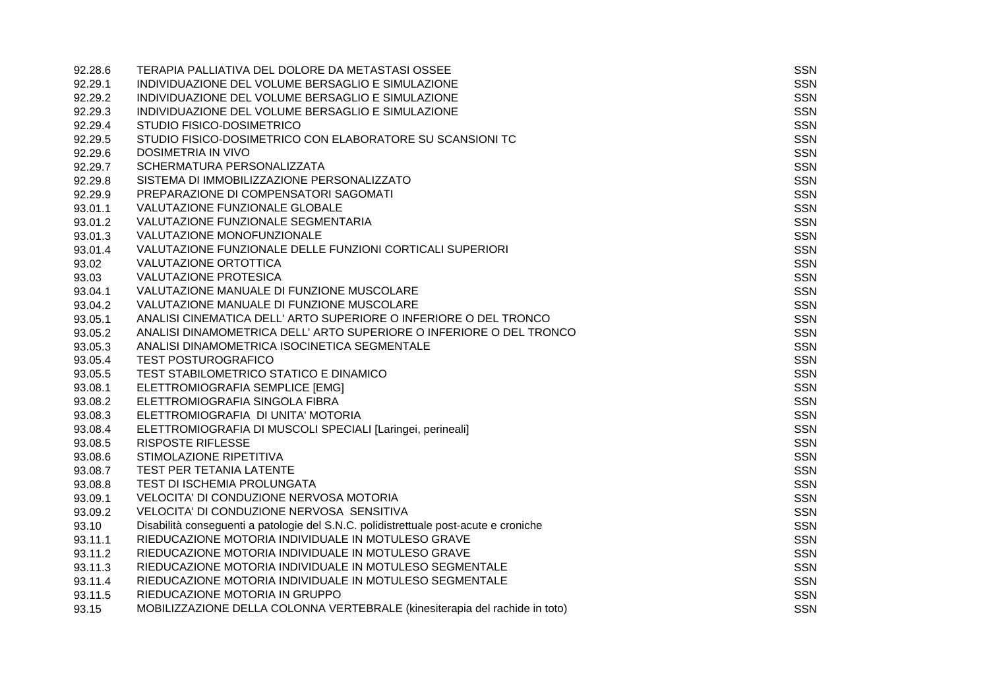| 92.28.6 | TERAPIA PALLIATIVA DEL DOLORE DA METASTASI OSSEE                                     | <b>SSN</b> |
|---------|--------------------------------------------------------------------------------------|------------|
| 92.29.1 | INDIVIDUAZIONE DEL VOLUME BERSAGLIO E SIMULAZIONE                                    | <b>SSN</b> |
| 92.29.2 | INDIVIDUAZIONE DEL VOLUME BERSAGLIO E SIMULAZIONE                                    | <b>SSN</b> |
| 92.29.3 | INDIVIDUAZIONE DEL VOLUME BERSAGLIO E SIMULAZIONE                                    | <b>SSN</b> |
| 92.29.4 | STUDIO FISICO-DOSIMETRICO                                                            | <b>SSN</b> |
| 92.29.5 | STUDIO FISICO-DOSIMETRICO CON ELABORATORE SU SCANSIONI TC                            | <b>SSN</b> |
| 92.29.6 | <b>DOSIMETRIA IN VIVO</b>                                                            | <b>SSN</b> |
| 92.29.7 | SCHERMATURA PERSONALIZZATA                                                           | <b>SSN</b> |
| 92.29.8 | SISTEMA DI IMMOBILIZZAZIONE PERSONALIZZATO                                           | <b>SSN</b> |
| 92.29.9 | PREPARAZIONE DI COMPENSATORI SAGOMATI                                                | <b>SSN</b> |
| 93.01.1 | VALUTAZIONE FUNZIONALE GLOBALE                                                       | <b>SSN</b> |
| 93.01.2 | VALUTAZIONE FUNZIONALE SEGMENTARIA                                                   | <b>SSN</b> |
| 93.01.3 | VALUTAZIONE MONOFUNZIONALE                                                           | <b>SSN</b> |
| 93.01.4 | VALUTAZIONE FUNZIONALE DELLE FUNZIONI CORTICALI SUPERIORI                            | <b>SSN</b> |
| 93.02   | VALUTAZIONE ORTOTTICA                                                                | <b>SSN</b> |
| 93.03   | <b>VALUTAZIONE PROTESICA</b>                                                         | <b>SSN</b> |
| 93.04.1 | VALUTAZIONE MANUALE DI FUNZIONE MUSCOLARE                                            | <b>SSN</b> |
| 93.04.2 | VALUTAZIONE MANUALE DI FUNZIONE MUSCOLARE                                            | <b>SSN</b> |
| 93.05.1 | ANALISI CINEMATICA DELL' ARTO SUPERIORE O INFERIORE O DEL TRONCO                     | <b>SSN</b> |
| 93.05.2 | ANALISI DINAMOMETRICA DELL' ARTO SUPERIORE O INFERIORE O DEL TRONCO                  | SSN        |
| 93.05.3 | ANALISI DINAMOMETRICA ISOCINETICA SEGMENTALE                                         | <b>SSN</b> |
| 93.05.4 | <b>TEST POSTUROGRAFICO</b>                                                           | <b>SSN</b> |
| 93.05.5 | TEST STABILOMETRICO STATICO E DINAMICO                                               | <b>SSN</b> |
| 93.08.1 | ELETTROMIOGRAFIA SEMPLICE [EMG]                                                      | <b>SSN</b> |
| 93.08.2 | ELETTROMIOGRAFIA SINGOLA FIBRA                                                       | <b>SSN</b> |
| 93.08.3 | ELETTROMIOGRAFIA DI UNITA' MOTORIA                                                   | <b>SSN</b> |
| 93.08.4 | ELETTROMIOGRAFIA DI MUSCOLI SPECIALI [Laringei, perineali]                           | <b>SSN</b> |
| 93.08.5 | <b>RISPOSTE RIFLESSE</b>                                                             | <b>SSN</b> |
| 93.08.6 | STIMOLAZIONE RIPETITIVA                                                              | <b>SSN</b> |
| 93.08.7 | TEST PER TETANIA LATENTE                                                             | <b>SSN</b> |
| 93.08.8 | TEST DI ISCHEMIA PROLUNGATA                                                          | <b>SSN</b> |
| 93.09.1 | VELOCITA' DI CONDUZIONE NERVOSA MOTORIA                                              | <b>SSN</b> |
| 93.09.2 | VELOCITA' DI CONDUZIONE NERVOSA SENSITIVA                                            | <b>SSN</b> |
| 93.10   | Disabilità conseguenti a patologie del S.N.C. polidistrettuale post-acute e croniche | <b>SSN</b> |
| 93.11.1 | RIEDUCAZIONE MOTORIA INDIVIDUALE IN MOTULESO GRAVE                                   | <b>SSN</b> |
| 93.11.2 | RIEDUCAZIONE MOTORIA INDIVIDUALE IN MOTULESO GRAVE                                   | <b>SSN</b> |
| 93.11.3 | RIEDUCAZIONE MOTORIA INDIVIDUALE IN MOTULESO SEGMENTALE                              | <b>SSN</b> |
| 93.11.4 | RIEDUCAZIONE MOTORIA INDIVIDUALE IN MOTULESO SEGMENTALE                              | <b>SSN</b> |
| 93.11.5 | RIEDUCAZIONE MOTORIA IN GRUPPO                                                       | <b>SSN</b> |
| 93.15   | MOBILIZZAZIONE DELLA COLONNA VERTEBRALE (kinesiterapia del rachide in toto)          | <b>SSN</b> |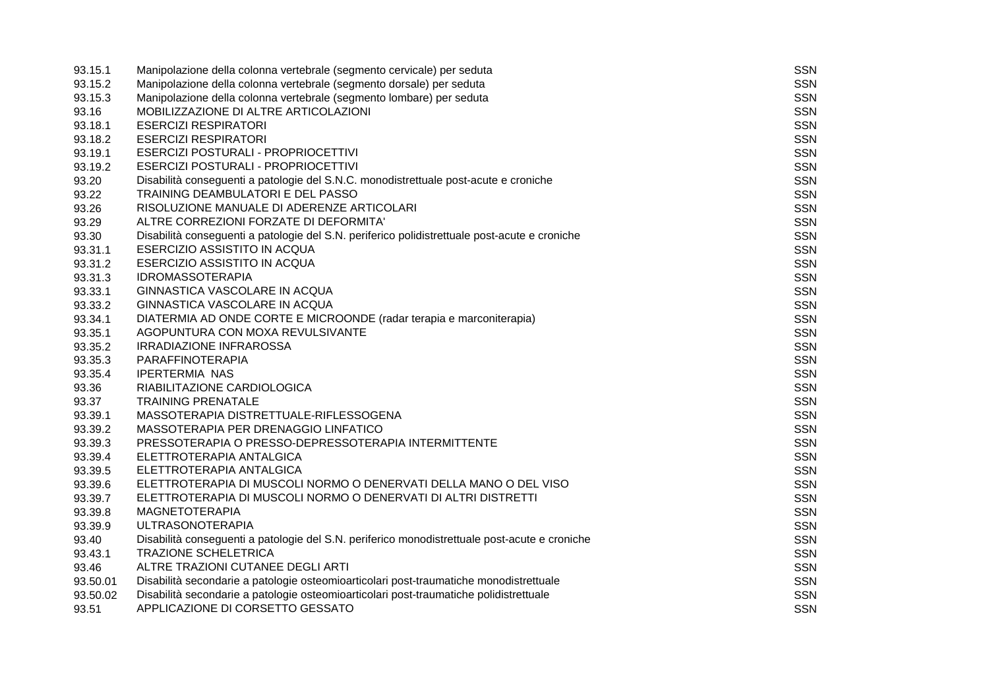| 93.15.1  | Manipolazione della colonna vertebrale (segmento cervicale) per seduta                        | SSN        |
|----------|-----------------------------------------------------------------------------------------------|------------|
| 93.15.2  | Manipolazione della colonna vertebrale (segmento dorsale) per seduta                          | <b>SSN</b> |
| 93.15.3  | Manipolazione della colonna vertebrale (segmento lombare) per seduta                          | <b>SSN</b> |
| 93.16    | MOBILIZZAZIONE DI ALTRE ARTICOLAZIONI                                                         | <b>SSN</b> |
| 93.18.1  | <b>ESERCIZI RESPIRATORI</b>                                                                   | <b>SSN</b> |
| 93.18.2  | <b>ESERCIZI RESPIRATORI</b>                                                                   | <b>SSN</b> |
| 93.19.1  | ESERCIZI POSTURALI - PROPRIOCETTIVI                                                           | SSN        |
| 93.19.2  | ESERCIZI POSTURALI - PROPRIOCETTIVI                                                           | <b>SSN</b> |
| 93.20    | Disabilità conseguenti a patologie del S.N.C. monodistrettuale post-acute e croniche          | <b>SSN</b> |
| 93.22    | TRAINING DEAMBULATORI E DEL PASSO                                                             | <b>SSN</b> |
| 93.26    | RISOLUZIONE MANUALE DI ADERENZE ARTICOLARI                                                    | <b>SSN</b> |
| 93.29    | ALTRE CORREZIONI FORZATE DI DEFORMITA'                                                        | <b>SSN</b> |
| 93.30    | Disabilità conseguenti a patologie del S.N. periferico polidistrettuale post-acute e croniche | <b>SSN</b> |
| 93.31.1  | ESERCIZIO ASSISTITO IN ACQUA                                                                  | <b>SSN</b> |
| 93.31.2  | ESERCIZIO ASSISTITO IN ACQUA                                                                  | <b>SSN</b> |
| 93.31.3  | <b>IDROMASSOTERAPIA</b>                                                                       | <b>SSN</b> |
| 93.33.1  | GINNASTICA VASCOLARE IN ACQUA                                                                 | <b>SSN</b> |
| 93.33.2  | GINNASTICA VASCOLARE IN ACQUA                                                                 | <b>SSN</b> |
| 93.34.1  | DIATERMIA AD ONDE CORTE E MICROONDE (radar terapia e marconiterapia)                          | <b>SSN</b> |
| 93.35.1  | AGOPUNTURA CON MOXA REVULSIVANTE                                                              | <b>SSN</b> |
| 93.35.2  | <b>IRRADIAZIONE INFRAROSSA</b>                                                                | <b>SSN</b> |
| 93.35.3  | PARAFFINOTERAPIA                                                                              | <b>SSN</b> |
| 93.35.4  | <b>IPERTERMIA NAS</b>                                                                         | <b>SSN</b> |
| 93.36    | RIABILITAZIONE CARDIOLOGICA                                                                   | <b>SSN</b> |
| 93.37    | <b>TRAINING PRENATALE</b>                                                                     | <b>SSN</b> |
| 93.39.1  | MASSOTERAPIA DISTRETTUALE-RIFLESSOGENA                                                        | <b>SSN</b> |
| 93.39.2  | MASSOTERAPIA PER DRENAGGIO LINFATICO                                                          | <b>SSN</b> |
| 93.39.3  | PRESSOTERAPIA O PRESSO-DEPRESSOTERAPIA INTERMITTENTE                                          | <b>SSN</b> |
| 93.39.4  | ELETTROTERAPIA ANTALGICA                                                                      | <b>SSN</b> |
| 93.39.5  | ELETTROTERAPIA ANTALGICA                                                                      | <b>SSN</b> |
| 93.39.6  | ELETTROTERAPIA DI MUSCOLI NORMO O DENERVATI DELLA MANO O DEL VISO                             | <b>SSN</b> |
| 93.39.7  | ELETTROTERAPIA DI MUSCOLI NORMO O DENERVATI DI ALTRI DISTRETTI                                | <b>SSN</b> |
| 93.39.8  | <b>MAGNETOTERAPIA</b>                                                                         | <b>SSN</b> |
| 93.39.9  | <b>ULTRASONOTERAPIA</b>                                                                       | <b>SSN</b> |
| 93.40    | Disabilità conseguenti a patologie del S.N. periferico monodistrettuale post-acute e croniche | <b>SSN</b> |
| 93.43.1  | <b>TRAZIONE SCHELETRICA</b>                                                                   | <b>SSN</b> |
| 93.46    | ALTRE TRAZIONI CUTANEE DEGLI ARTI                                                             | <b>SSN</b> |
| 93.50.01 | Disabilità secondarie a patologie osteomioarticolari post-traumatiche monodistrettuale        | <b>SSN</b> |
| 93.50.02 | Disabilità secondarie a patologie osteomioarticolari post-traumatiche polidistrettuale        | <b>SSN</b> |
| 93.51    | APPLICAZIONE DI CORSETTO GESSATO                                                              | <b>SSN</b> |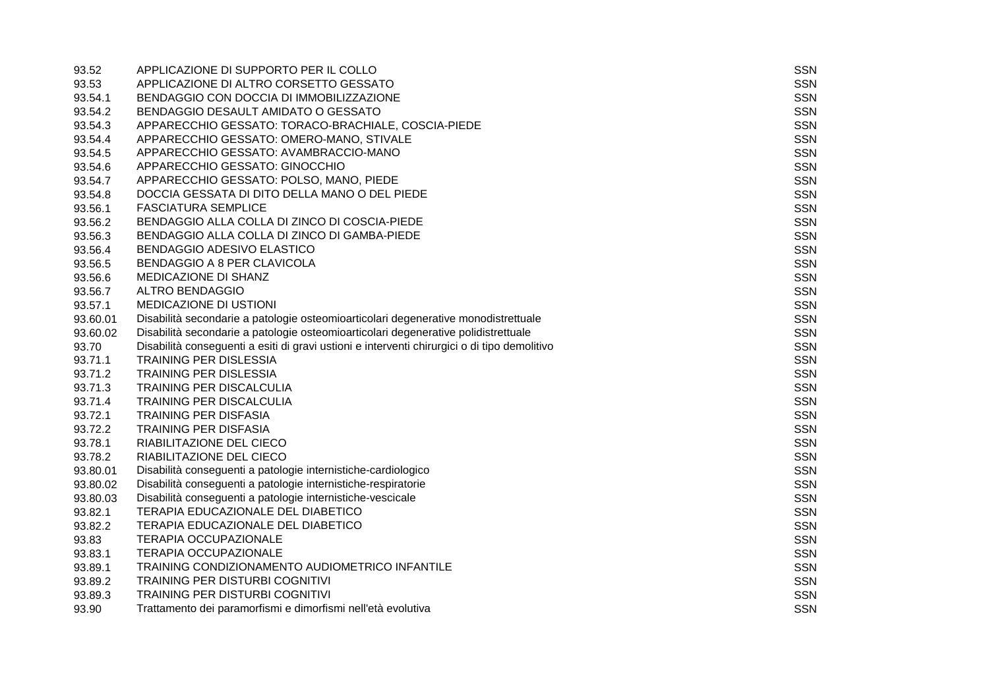| 93.52    | APPLICAZIONE DI SUPPORTO PER IL COLLO                                                        | <b>SSN</b> |
|----------|----------------------------------------------------------------------------------------------|------------|
| 93.53    | APPLICAZIONE DI ALTRO CORSETTO GESSATO                                                       | <b>SSN</b> |
| 93.54.1  | BENDAGGIO CON DOCCIA DI IMMOBILIZZAZIONE                                                     | <b>SSN</b> |
| 93.54.2  | BENDAGGIO DESAULT AMIDATO O GESSATO                                                          | <b>SSN</b> |
| 93.54.3  | APPARECCHIO GESSATO: TORACO-BRACHIALE, COSCIA-PIEDE                                          | <b>SSN</b> |
| 93.54.4  | APPARECCHIO GESSATO: OMERO-MANO, STIVALE                                                     | <b>SSN</b> |
| 93.54.5  | APPARECCHIO GESSATO: AVAMBRACCIO-MANO                                                        | <b>SSN</b> |
| 93.54.6  | APPARECCHIO GESSATO: GINOCCHIO                                                               | <b>SSN</b> |
| 93.54.7  | APPARECCHIO GESSATO: POLSO, MANO, PIEDE                                                      | <b>SSN</b> |
| 93.54.8  | DOCCIA GESSATA DI DITO DELLA MANO O DEL PIEDE                                                | <b>SSN</b> |
| 93.56.1  | <b>FASCIATURA SEMPLICE</b>                                                                   | <b>SSN</b> |
| 93.56.2  | BENDAGGIO ALLA COLLA DI ZINCO DI COSCIA-PIEDE                                                | <b>SSN</b> |
| 93.56.3  | BENDAGGIO ALLA COLLA DI ZINCO DI GAMBA-PIEDE                                                 | <b>SSN</b> |
| 93.56.4  | <b>BENDAGGIO ADESIVO ELASTICO</b>                                                            | <b>SSN</b> |
| 93.56.5  | <b>BENDAGGIO A 8 PER CLAVICOLA</b>                                                           | <b>SSN</b> |
| 93.56.6  | MEDICAZIONE DI SHANZ                                                                         | <b>SSN</b> |
| 93.56.7  | <b>ALTRO BENDAGGIO</b>                                                                       | <b>SSN</b> |
| 93.57.1  | MEDICAZIONE DI USTIONI                                                                       | <b>SSN</b> |
| 93.60.01 | Disabilità secondarie a patologie osteomioarticolari degenerative monodistrettuale           | <b>SSN</b> |
| 93.60.02 | Disabilità secondarie a patologie osteomioarticolari degenerative polidistrettuale           | <b>SSN</b> |
| 93.70    | Disabilità conseguenti a esiti di gravi ustioni e interventi chirurgici o di tipo demolitivo | <b>SSN</b> |
| 93.71.1  | TRAINING PER DISLESSIA                                                                       | <b>SSN</b> |
| 93.71.2  | <b>TRAINING PER DISLESSIA</b>                                                                | <b>SSN</b> |
| 93.71.3  | TRAINING PER DISCALCULIA                                                                     | <b>SSN</b> |
| 93.71.4  | <b>TRAINING PER DISCALCULIA</b>                                                              | <b>SSN</b> |
| 93.72.1  | <b>TRAINING PER DISFASIA</b>                                                                 | <b>SSN</b> |
| 93.72.2  | <b>TRAINING PER DISFASIA</b>                                                                 | <b>SSN</b> |
| 93.78.1  | RIABILITAZIONE DEL CIECO                                                                     | <b>SSN</b> |
| 93.78.2  | RIABILITAZIONE DEL CIECO                                                                     | <b>SSN</b> |
| 93.80.01 | Disabilità conseguenti a patologie internistiche-cardiologico                                | <b>SSN</b> |
| 93.80.02 | Disabilità conseguenti a patologie internistiche-respiratorie                                | <b>SSN</b> |
| 93.80.03 | Disabilità conseguenti a patologie internistiche-vescicale                                   | <b>SSN</b> |
| 93.82.1  | TERAPIA EDUCAZIONALE DEL DIABETICO                                                           | <b>SSN</b> |
| 93.82.2  | TERAPIA EDUCAZIONALE DEL DIABETICO                                                           | <b>SSN</b> |
| 93.83    | <b>TERAPIA OCCUPAZIONALE</b>                                                                 | <b>SSN</b> |
| 93.83.1  | <b>TERAPIA OCCUPAZIONALE</b>                                                                 | <b>SSN</b> |
| 93.89.1  | TRAINING CONDIZIONAMENTO AUDIOMETRICO INFANTILE                                              | <b>SSN</b> |
| 93.89.2  | TRAINING PER DISTURBI COGNITIVI                                                              | <b>SSN</b> |
| 93.89.3  | <b>TRAINING PER DISTURBI COGNITIVI</b>                                                       | <b>SSN</b> |
| 93.90    | Trattamento dei paramorfismi e dimorfismi nell'età evolutiva                                 | <b>SSN</b> |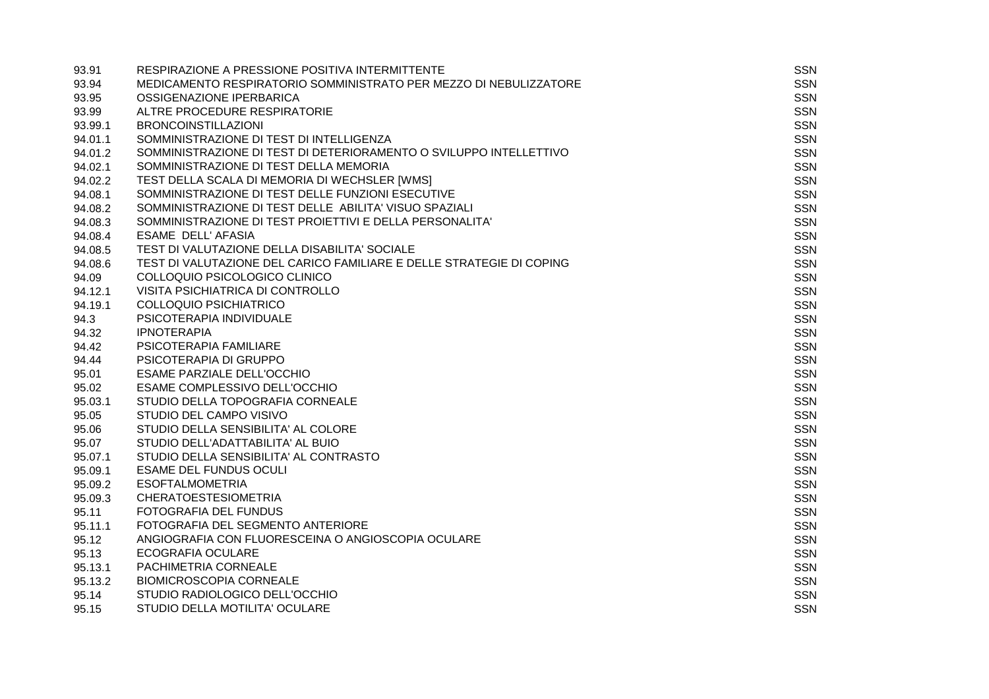| 93.91   | RESPIRAZIONE A PRESSIONE POSITIVA INTERMITTENTE                      | <b>SSN</b> |
|---------|----------------------------------------------------------------------|------------|
| 93.94   | MEDICAMENTO RESPIRATORIO SOMMINISTRATO PER MEZZO DI NEBULIZZATORE    | <b>SSN</b> |
| 93.95   | OSSIGENAZIONE IPERBARICA                                             | <b>SSN</b> |
| 93.99   | ALTRE PROCEDURE RESPIRATORIE                                         | <b>SSN</b> |
| 93.99.1 | <b>BRONCOINSTILLAZIONI</b>                                           | <b>SSN</b> |
| 94.01.1 | SOMMINISTRAZIONE DI TEST DI INTELLIGENZA                             | <b>SSN</b> |
| 94.01.2 | SOMMINISTRAZIONE DI TEST DI DETERIORAMENTO O SVILUPPO INTELLETTIVO   | <b>SSN</b> |
| 94.02.1 | SOMMINISTRAZIONE DI TEST DELLA MEMORIA                               | <b>SSN</b> |
| 94.02.2 | TEST DELLA SCALA DI MEMORIA DI WECHSLER [WMS]                        | <b>SSN</b> |
| 94.08.1 | SOMMINISTRAZIONE DI TEST DELLE FUNZIONI ESECUTIVE                    | <b>SSN</b> |
| 94.08.2 | SOMMINISTRAZIONE DI TEST DELLE ABILITA' VISUO SPAZIALI               | <b>SSN</b> |
| 94.08.3 | SOMMINISTRAZIONE DI TEST PROIETTIVI E DELLA PERSONALITA'             | <b>SSN</b> |
| 94.08.4 | ESAME DELL' AFASIA                                                   | <b>SSN</b> |
| 94.08.5 | TEST DI VALUTAZIONE DELLA DISABILITA' SOCIALE                        | <b>SSN</b> |
| 94.08.6 | TEST DI VALUTAZIONE DEL CARICO FAMILIARE E DELLE STRATEGIE DI COPING | <b>SSN</b> |
| 94.09   | COLLOQUIO PSICOLOGICO CLINICO                                        | <b>SSN</b> |
| 94.12.1 | VISITA PSICHIATRICA DI CONTROLLO                                     | <b>SSN</b> |
| 94.19.1 | <b>COLLOQUIO PSICHIATRICO</b>                                        | <b>SSN</b> |
| 94.3    | PSICOTERAPIA INDIVIDUALE                                             | <b>SSN</b> |
| 94.32   | <b>IPNOTERAPIA</b>                                                   | <b>SSN</b> |
| 94.42   | PSICOTERAPIA FAMILIARE                                               | <b>SSN</b> |
| 94.44   | PSICOTERAPIA DI GRUPPO                                               | <b>SSN</b> |
| 95.01   | <b>ESAME PARZIALE DELL'OCCHIO</b>                                    | <b>SSN</b> |
| 95.02   | ESAME COMPLESSIVO DELL'OCCHIO                                        | <b>SSN</b> |
| 95.03.1 | STUDIO DELLA TOPOGRAFIA CORNEALE                                     | <b>SSN</b> |
| 95.05   | STUDIO DEL CAMPO VISIVO                                              | <b>SSN</b> |
| 95.06   | STUDIO DELLA SENSIBILITA' AL COLORE                                  | SSN        |
| 95.07   | STUDIO DELL'ADATTABILITA' AL BUIO                                    | <b>SSN</b> |
| 95.07.1 | STUDIO DELLA SENSIBILITA' AL CONTRASTO                               | <b>SSN</b> |
| 95.09.1 | <b>ESAME DEL FUNDUS OCULI</b>                                        | <b>SSN</b> |
| 95.09.2 | <b>ESOFTALMOMETRIA</b>                                               | <b>SSN</b> |
| 95.09.3 | <b>CHERATOESTESIOMETRIA</b>                                          | <b>SSN</b> |
| 95.11   | FOTOGRAFIA DEL FUNDUS                                                | <b>SSN</b> |
| 95.11.1 | FOTOGRAFIA DEL SEGMENTO ANTERIORE                                    | <b>SSN</b> |
| 95.12   | ANGIOGRAFIA CON FLUORESCEINA O ANGIOSCOPIA OCULARE                   | <b>SSN</b> |
| 95.13   | <b>ECOGRAFIA OCULARE</b>                                             | <b>SSN</b> |
| 95.13.1 | PACHIMETRIA CORNEALE                                                 | <b>SSN</b> |
| 95.13.2 | <b>BIOMICROSCOPIA CORNEALE</b>                                       | <b>SSN</b> |
| 95.14   | STUDIO RADIOLOGICO DELL'OCCHIO                                       | <b>SSN</b> |
| 95.15   | STUDIO DELLA MOTILITA' OCULARE                                       | <b>SSN</b> |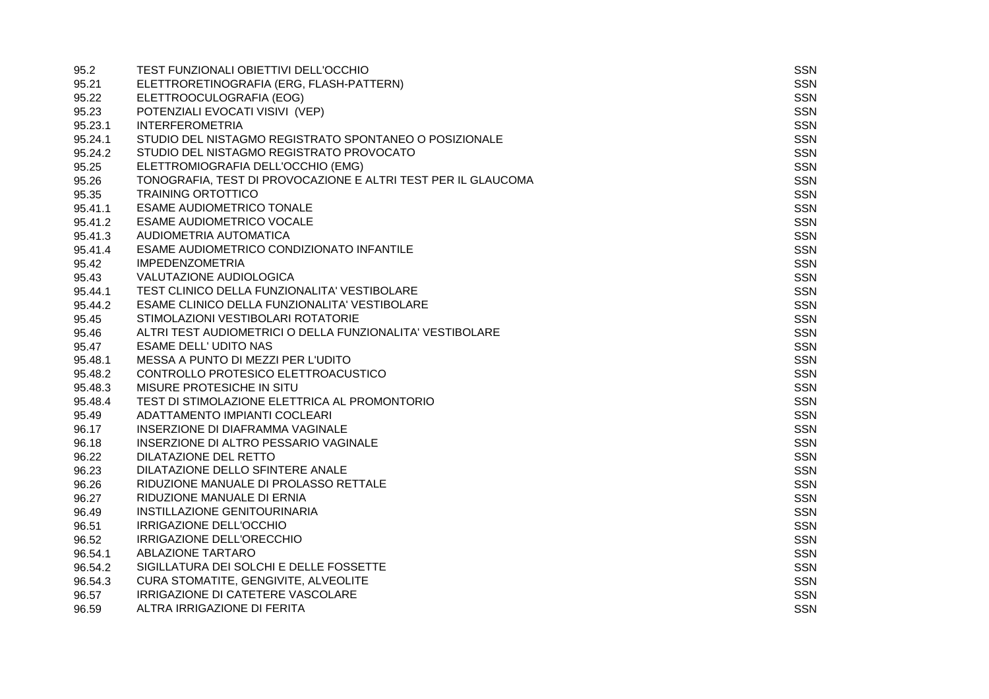| 95.2    | TEST FUNZIONALI OBIETTIVI DELL'OCCHIO                         | <b>SSN</b> |
|---------|---------------------------------------------------------------|------------|
| 95.21   | ELETTRORETINOGRAFIA (ERG, FLASH-PATTERN)                      | SSN        |
| 95.22   | ELETTROOCULOGRAFIA (EOG)                                      | <b>SSN</b> |
| 95.23   | POTENZIALI EVOCATI VISIVI (VEP)                               | <b>SSN</b> |
| 95.23.1 | <b>INTERFEROMETRIA</b>                                        | <b>SSN</b> |
| 95.24.1 | STUDIO DEL NISTAGMO REGISTRATO SPONTANEO O POSIZIONALE        | <b>SSN</b> |
| 95.24.2 | STUDIO DEL NISTAGMO REGISTRATO PROVOCATO                      | SSN        |
| 95.25   | ELETTROMIOGRAFIA DELL'OCCHIO (EMG)                            | <b>SSN</b> |
| 95.26   | TONOGRAFIA, TEST DI PROVOCAZIONE E ALTRI TEST PER IL GLAUCOMA | <b>SSN</b> |
| 95.35   | <b>TRAINING ORTOTTICO</b>                                     | <b>SSN</b> |
| 95.41.1 | <b>ESAME AUDIOMETRICO TONALE</b>                              | <b>SSN</b> |
| 95.41.2 | <b>ESAME AUDIOMETRICO VOCALE</b>                              | <b>SSN</b> |
| 95.41.3 | AUDIOMETRIA AUTOMATICA                                        | <b>SSN</b> |
| 95.41.4 | ESAME AUDIOMETRICO CONDIZIONATO INFANTILE                     | <b>SSN</b> |
| 95.42   | <b>IMPEDENZOMETRIA</b>                                        | <b>SSN</b> |
| 95.43   | VALUTAZIONE AUDIOLOGICA                                       | <b>SSN</b> |
| 95.44.1 | TEST CLINICO DELLA FUNZIONALITA' VESTIBOLARE                  | <b>SSN</b> |
| 95.44.2 | ESAME CLINICO DELLA FUNZIONALITA' VESTIBOLARE                 | <b>SSN</b> |
| 95.45   | STIMOLAZIONI VESTIBOLARI ROTATORIE                            | <b>SSN</b> |
| 95.46   | ALTRI TEST AUDIOMETRICI O DELLA FUNZIONALITA' VESTIBOLARE     | <b>SSN</b> |
| 95.47   | <b>ESAME DELL' UDITO NAS</b>                                  | <b>SSN</b> |
| 95.48.1 | MESSA A PUNTO DI MEZZI PER L'UDITO                            | <b>SSN</b> |
| 95.48.2 | CONTROLLO PROTESICO ELETTROACUSTICO                           | <b>SSN</b> |
| 95.48.3 | MISURE PROTESICHE IN SITU                                     | <b>SSN</b> |
| 95.48.4 | TEST DI STIMOLAZIONE ELETTRICA AL PROMONTORIO                 | <b>SSN</b> |
| 95.49   | ADATTAMENTO IMPIANTI COCLEARI                                 | <b>SSN</b> |
| 96.17   | INSERZIONE DI DIAFRAMMA VAGINALE                              | <b>SSN</b> |
| 96.18   | INSERZIONE DI ALTRO PESSARIO VAGINALE                         | <b>SSN</b> |
| 96.22   | DILATAZIONE DEL RETTO                                         | <b>SSN</b> |
| 96.23   | DILATAZIONE DELLO SFINTERE ANALE                              | <b>SSN</b> |
| 96.26   | RIDUZIONE MANUALE DI PROLASSO RETTALE                         | <b>SSN</b> |
| 96.27   | RIDUZIONE MANUALE DI ERNIA                                    | <b>SSN</b> |
| 96.49   | INSTILLAZIONE GENITOURINARIA                                  | <b>SSN</b> |
| 96.51   | IRRIGAZIONE DELL'OCCHIO                                       | <b>SSN</b> |
| 96.52   | IRRIGAZIONE DELL'ORECCHIO                                     | <b>SSN</b> |
| 96.54.1 | <b>ABLAZIONE TARTARO</b>                                      | <b>SSN</b> |
| 96.54.2 | SIGILLATURA DEI SOLCHI E DELLE FOSSETTE                       | <b>SSN</b> |
| 96.54.3 | CURA STOMATITE, GENGIVITE, ALVEOLITE                          | <b>SSN</b> |
| 96.57   | IRRIGAZIONE DI CATETERE VASCOLARE                             | <b>SSN</b> |
| 96.59   | ALTRA IRRIGAZIONE DI FERITA                                   | <b>SSN</b> |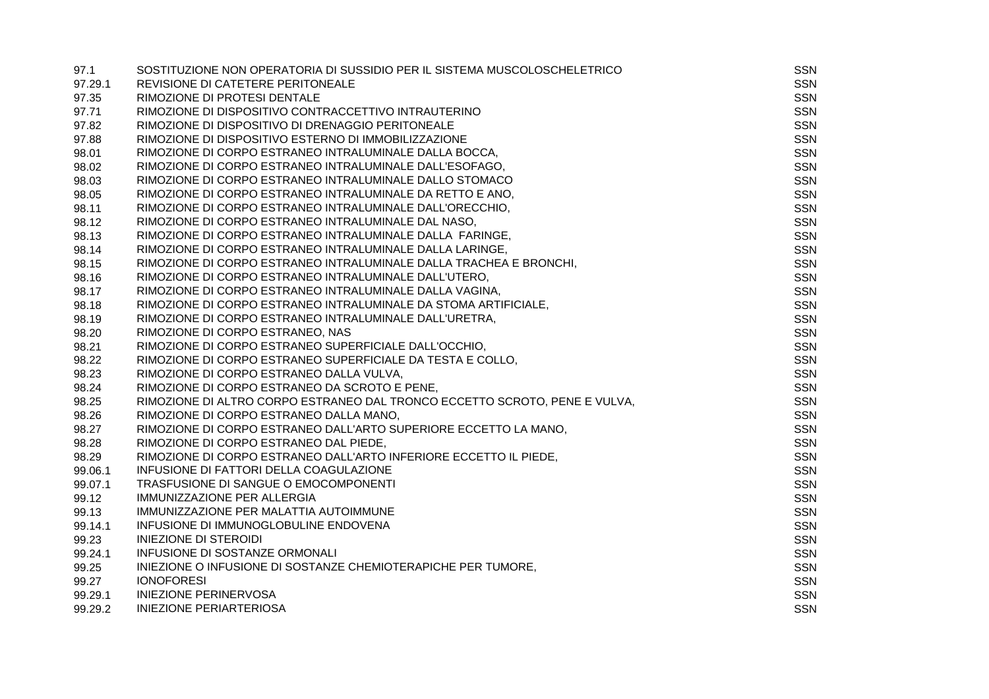| 97.1    | SOSTITUZIONE NON OPERATORIA DI SUSSIDIO PER IL SISTEMA MUSCOLOSCHELETRICO  | SSN        |
|---------|----------------------------------------------------------------------------|------------|
| 97.29.1 | REVISIONE DI CATETERE PERITONEALE                                          | <b>SSN</b> |
| 97.35   | RIMOZIONE DI PROTESI DENTALE                                               | <b>SSN</b> |
| 97.71   | RIMOZIONE DI DISPOSITIVO CONTRACCETTIVO INTRAUTERINO                       | <b>SSN</b> |
| 97.82   | RIMOZIONE DI DISPOSITIVO DI DRENAGGIO PERITONEALE                          | <b>SSN</b> |
| 97.88   | RIMOZIONE DI DISPOSITIVO ESTERNO DI IMMOBILIZZAZIONE                       | <b>SSN</b> |
| 98.01   | RIMOZIONE DI CORPO ESTRANEO INTRALUMINALE DALLA BOCCA,                     | <b>SSN</b> |
| 98.02   | RIMOZIONE DI CORPO ESTRANEO INTRALUMINALE DALL'ESOFAGO,                    | <b>SSN</b> |
| 98.03   | RIMOZIONE DI CORPO ESTRANEO INTRALUMINALE DALLO STOMACO                    | SSN        |
| 98.05   | RIMOZIONE DI CORPO ESTRANEO INTRALUMINALE DA RETTO E ANO,                  | <b>SSN</b> |
| 98.11   | RIMOZIONE DI CORPO ESTRANEO INTRALUMINALE DALL'ORECCHIO,                   | <b>SSN</b> |
| 98.12   | RIMOZIONE DI CORPO ESTRANEO INTRALUMINALE DAL NASO.                        | <b>SSN</b> |
| 98.13   | RIMOZIONE DI CORPO ESTRANEO INTRALUMINALE DALLA FARINGE,                   | <b>SSN</b> |
| 98.14   | RIMOZIONE DI CORPO ESTRANEO INTRALUMINALE DALLA LARINGE,                   | <b>SSN</b> |
| 98.15   | RIMOZIONE DI CORPO ESTRANEO INTRALUMINALE DALLA TRACHEA E BRONCHI,         | <b>SSN</b> |
| 98.16   | RIMOZIONE DI CORPO ESTRANEO INTRALUMINALE DALL'UTERO,                      | <b>SSN</b> |
| 98.17   | RIMOZIONE DI CORPO ESTRANEO INTRALUMINALE DALLA VAGINA,                    | <b>SSN</b> |
| 98.18   | RIMOZIONE DI CORPO ESTRANEO INTRALUMINALE DA STOMA ARTIFICIALE,            | <b>SSN</b> |
| 98.19   | RIMOZIONE DI CORPO ESTRANEO INTRALUMINALE DALL'URETRA,                     | <b>SSN</b> |
| 98.20   | RIMOZIONE DI CORPO ESTRANEO, NAS                                           | <b>SSN</b> |
| 98.21   | RIMOZIONE DI CORPO ESTRANEO SUPERFICIALE DALL'OCCHIO,                      | <b>SSN</b> |
| 98.22   | RIMOZIONE DI CORPO ESTRANEO SUPERFICIALE DA TESTA E COLLO,                 | SSN        |
| 98.23   | RIMOZIONE DI CORPO ESTRANEO DALLA VULVA,                                   | <b>SSN</b> |
| 98.24   | RIMOZIONE DI CORPO ESTRANEO DA SCROTO E PENE,                              | <b>SSN</b> |
| 98.25   | RIMOZIONE DI ALTRO CORPO ESTRANEO DAL TRONCO ECCETTO SCROTO, PENE E VULVA, | <b>SSN</b> |
| 98.26   | RIMOZIONE DI CORPO ESTRANEO DALLA MANO,                                    | <b>SSN</b> |
| 98.27   | RIMOZIONE DI CORPO ESTRANEO DALL'ARTO SUPERIORE ECCETTO LA MANO,           | <b>SSN</b> |
| 98.28   | RIMOZIONE DI CORPO ESTRANEO DAL PIEDE,                                     | <b>SSN</b> |
| 98.29   | RIMOZIONE DI CORPO ESTRANEO DALL'ARTO INFERIORE ECCETTO IL PIEDE,          | SSN        |
| 99.06.1 | INFUSIONE DI FATTORI DELLA COAGULAZIONE                                    | <b>SSN</b> |
| 99.07.1 | TRASFUSIONE DI SANGUE O EMOCOMPONENTI                                      | SSN        |
| 99.12   | IMMUNIZZAZIONE PER ALLERGIA                                                | <b>SSN</b> |
| 99.13   | IMMUNIZZAZIONE PER MALATTIA AUTOIMMUNE                                     | <b>SSN</b> |
| 99.14.1 | INFUSIONE DI IMMUNOGLOBULINE ENDOVENA                                      | <b>SSN</b> |
| 99.23   | <b>INIEZIONE DI STEROIDI</b>                                               | <b>SSN</b> |
| 99.24.1 | INFUSIONE DI SOSTANZE ORMONALI                                             | <b>SSN</b> |
| 99.25   | INIEZIONE O INFUSIONE DI SOSTANZE CHEMIOTERAPICHE PER TUMORE,              | <b>SSN</b> |
| 99.27   | <b>IONOFORESI</b>                                                          | <b>SSN</b> |
| 99.29.1 | <b>INIEZIONE PERINERVOSA</b>                                               | <b>SSN</b> |
| 99.29.2 | <b>INIEZIONE PERIARTERIOSA</b>                                             | <b>SSN</b> |